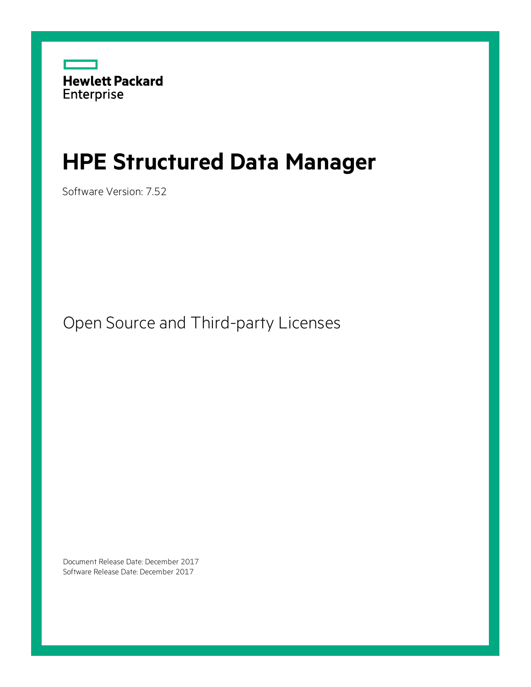

# **HPE Structured Data Manager**

Software Version: 7.52

Open Source and Third-party Licenses

Document Release Date: December 2017 Software Release Date: December 2017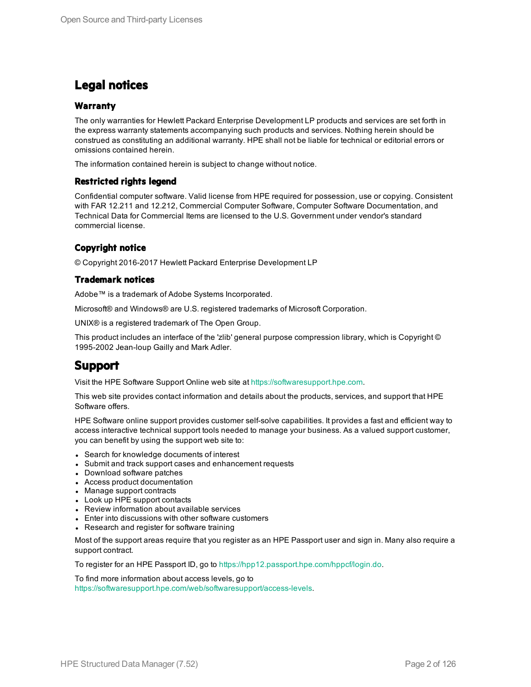### **Legal notices**

#### **Warranty**

The only warranties for Hewlett Packard Enterprise Development LP products and services are set forth in the express warranty statements accompanying such products and services. Nothing herein should be construed as constituting an additional warranty. HPE shall not be liable for technical or editorial errors or omissions contained herein.

The information contained herein is subject to change without notice.

#### **Restricted rights legend**

Confidential computer software. Valid license from HPE required for possession, use or copying. Consistent with FAR 12.211 and 12.212, Commercial Computer Software, Computer Software Documentation, and Technical Data for Commercial Items are licensed to the U.S. Government under vendor's standard commercial license.

#### **Copyright notice**

© Copyright 2016-2017 Hewlett Packard Enterprise Development LP

#### **Trademark notices**

Adobe™ is a trademark of Adobe Systems Incorporated.

Microsoft® and Windows® are U.S. registered trademarks of Microsoft Corporation.

UNIX® is a registered trademark of The Open Group.

This product includes an interface of the 'zlib' general purpose compression library, which is Copyright © 1995-2002 Jean-loup Gailly and Mark Adler.

### **Support**

Visit the HPE Software Support Online web site at [https://softwaresupport.hpe.com](https://softwaresupport.hpe.com/).

This web site provides contact information and details about the products, services, and support that HPE Software offers.

HPE Software online support provides customer self-solve capabilities. It provides a fast and efficient way to access interactive technical support tools needed to manage your business. As a valued support customer, you can benefit by using the support web site to:

- Search for knowledge documents of interest
- Submit and track support cases and enhancement requests
- Download software patches
- Access product documentation
- Manage support contracts
- Look up HPE support contacts
- Review information about available services
- Enter into discussions with other software customers
- Research and register for software training

Most of the support areas require that you register as an HPE Passport user and sign in. Many also require a support contract.

To register for an HPE Passport ID, go to <https://hpp12.passport.hpe.com/hppcf/login.do>.

To find more information about access levels, go to <https://softwaresupport.hpe.com/web/softwaresupport/access-levels>.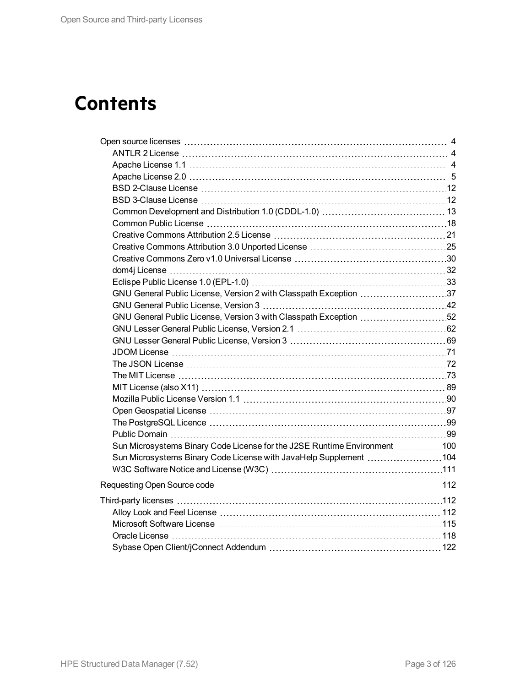# **Contents**

| GNU General Public License, Version 2 with Classpath Exception 37         |  |
|---------------------------------------------------------------------------|--|
|                                                                           |  |
| GNU General Public License, Version 3 with Classpath Exception 52         |  |
|                                                                           |  |
|                                                                           |  |
|                                                                           |  |
|                                                                           |  |
|                                                                           |  |
|                                                                           |  |
|                                                                           |  |
|                                                                           |  |
|                                                                           |  |
|                                                                           |  |
| Sun Microsystems Binary Code License for the J2SE Runtime Environment 100 |  |
| Sun Microsystems Binary Code License with JavaHelp Supplement 104         |  |
|                                                                           |  |
|                                                                           |  |
|                                                                           |  |
|                                                                           |  |
|                                                                           |  |
|                                                                           |  |
|                                                                           |  |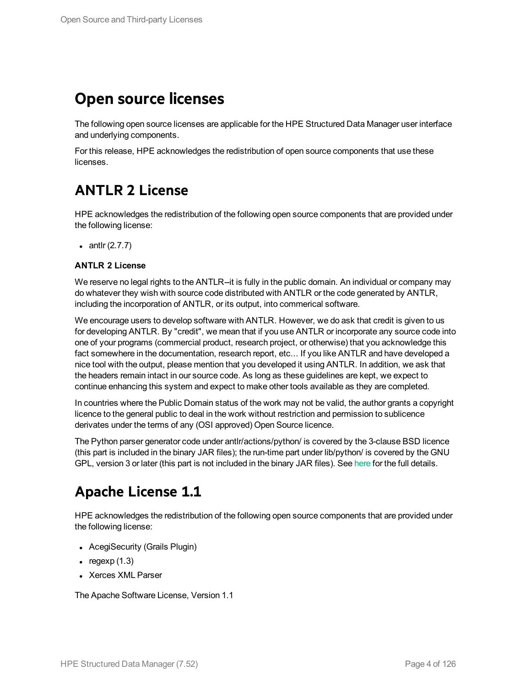## <span id="page-3-0"></span>**Open source licenses**

The following open source licenses are applicable for the HPE Structured Data Manager user interface and underlying components.

For this release, HPE acknowledges the redistribution of open source components that use these licenses.

### <span id="page-3-1"></span>**ANTLR 2 License**

HPE acknowledges the redistribution of the following open source components that are provided under the following license:

 $\bullet$  antlr (2.7.7)

#### **ANTLR 2 License**

We reserve no legal rights to the ANTLR--it is fully in the public domain. An individual or company may do whatever they wish with source code distributed with ANTLR or the code generated by ANTLR, including the incorporation of ANTLR, or its output, into commerical software.

We encourage users to develop software with ANTLR. However, we do ask that credit is given to us for developing ANTLR. By "credit", we mean that if you use ANTLR or incorporate any source code into one of your programs (commercial product, research project, or otherwise) that you acknowledge this fact somewhere in the documentation, research report, etc... If you like ANTLR and have developed a nice tool with the output, please mention that you developed it using ANTLR. In addition, we ask that the headers remain intact in our source code. As long as these guidelines are kept, we expect to continue enhancing this system and expect to make other tools available as they are completed.

In countries where the Public Domain status of the work may not be valid, the author grants a copyright licence to the general public to deal in the work without restriction and permission to sublicence derivates under the terms of any (OSI approved) Open Source licence.

The Python parser generator code under antlr/actions/python/ is covered by the 3-clause BSD licence (this part is included in the binary JAR files); the run-time part under lib/python/ is covered by the GNU GPL, version 3 or later (this part is not included in the binary JAR files). See [here](https://bugs.debian.org/cgi-bin/bugreport.cgi?bug=750643#80%22) for the full details.

### <span id="page-3-2"></span>**Apache License 1.1**

HPE acknowledges the redistribution of the following open source components that are provided under the following license:

- AcegiSecurity (Grails Plugin)
- $\cdot$  regexp (1.3)
- Xerces XML Parser

The Apache Software License, Version 1.1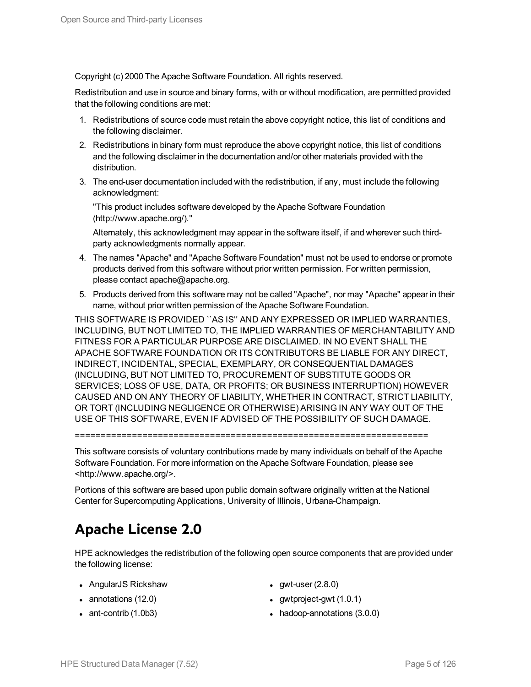Copyright (c) 2000 The Apache Software Foundation. All rights reserved.

Redistribution and use in source and binary forms, with or without modification, are permitted provided that the following conditions are met:

- 1. Redistributions of source code must retain the above copyright notice, this list of conditions and the following disclaimer.
- 2. Redistributions in binary form must reproduce the above copyright notice, this list of conditions and the following disclaimer in the documentation and/or other materials provided with the distribution.
- 3. The end-user documentation included with the redistribution, if any, must include the following acknowledgment:

"This product includes software developed by the Apache Software Foundation (http://www.apache.org/)."

Alternately, this acknowledgment may appear in the software itself, if and wherever such thirdparty acknowledgments normally appear.

- 4. The names "Apache" and "Apache Software Foundation" must not be used to endorse or promote products derived from this software without prior written permission. For written permission, please contact apache@apache.org.
- 5. Products derived from this software may not be called "Apache", nor may "Apache" appear in their name, without prior written permission of the Apache Software Foundation.

THIS SOFTWARE IS PROVIDED ``AS IS'' AND ANY EXPRESSED OR IMPLIED WARRANTIES, INCLUDING, BUT NOT LIMITED TO, THE IMPLIED WARRANTIES OF MERCHANTABILITY AND FITNESS FOR A PARTICULAR PURPOSE ARE DISCLAIMED. IN NO EVENT SHALL THE APACHE SOFTWARE FOUNDATION OR ITS CONTRIBUTORS BE LIABLE FOR ANY DIRECT, INDIRECT, INCIDENTAL, SPECIAL, EXEMPLARY, OR CONSEQUENTIAL DAMAGES (INCLUDING, BUT NOT LIMITED TO, PROCUREMENT OF SUBSTITUTE GOODS OR SERVICES; LOSS OF USE, DATA, OR PROFITS; OR BUSINESS INTERRUPTION) HOWEVER CAUSED AND ON ANY THEORY OF LIABILITY, WHETHER IN CONTRACT, STRICT LIABILITY, OR TORT (INCLUDING NEGLIGENCE OR OTHERWISE) ARISING IN ANY WAY OUT OF THE USE OF THIS SOFTWARE, EVEN IF ADVISED OF THE POSSIBILITY OF SUCH DAMAGE.

```
====================================================================
```
This software consists of voluntary contributions made by many individuals on behalf of the Apache Software Foundation. For more information on the Apache Software Foundation, please see <http://www.apache.org/>.

Portions of this software are based upon public domain software originally written at the National Center for Supercomputing Applications, University of Illinois, Urbana-Champaign.

### <span id="page-4-0"></span>**Apache License 2.0**

HPE acknowledges the redistribution of the following open source components that are provided under the following license:

- AngularJS Rickshaw
- $\bullet$  annotations (12.0)
- $\bullet$  ant-contrib (1.0b3)
- $\bullet$  gwt-user (2.8.0)
- $\bullet$  gwtproject-gwt  $(1.0.1)$
- hadoop-annotations  $(3.0.0)$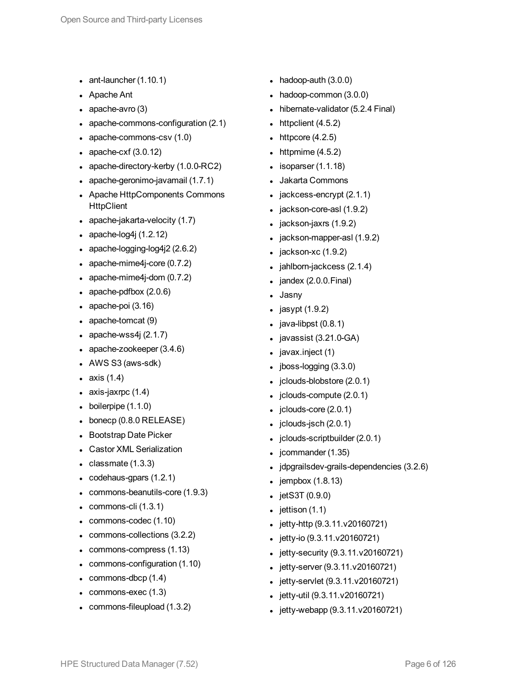- $\bullet$  ant-launcher (1.10.1)
- Apache Ant
- apache-avro (3)
- $\bullet$  apache-commons-configuration (2.1)
- $\bullet$  apache-commons-csv (1.0)
- $\bullet$  apache-cxf (3.0.12)
- apache-directory-kerby (1.0.0-RC2)
- $\bullet$  apache-geronimo-javamail (1.7.1)
- Apache HttpComponents Commons **HttpClient**
- $\bullet$  apache-jakarta-velocity (1.7)
- $\bullet$  apache-log4j (1.2.12)
- $\bullet$  apache-logging-log4 $|2$  (2.6.2)
- $\bullet$  apache-mime4j-core (0.7.2)
- $\bullet$  apache-mime4j-dom (0.7.2)
- apache-pdfbox (2.0.6)
- $\bullet$  apache-poi  $(3.16)$
- $\bullet$  apache-tomcat (9)
- $\bullet$  apache-wss4j (2.1.7)
- $\bullet$  apache-zookeeper  $(3.4.6)$
- AWS S3 (aws-sdk)
- $\bullet$  axis (1.4)
- $\bullet$  axis-jaxrpc (1.4)
- $\bullet$  boilerpipe  $(1.1.0)$
- $\bullet$  bonecp (0.8.0 RELEASE)
- Bootstrap Date Picker
- Castor XML Serialization
- $\bullet$  classmate (1.3.3)
- $\bullet$  codehaus-gpars  $(1.2.1)$
- $\bullet$  commons-beanutils-core (1.9.3)
- $\bullet$  commons-cli (1.3.1)
- $\bullet$  commons-codec  $(1.10)$
- $\bullet$  commons-collections  $(3.2.2)$
- $\bullet$  commons-compress (1.13)
- commons-configuration (1.10)
- $\bullet$  commons-dbcp (1.4)
- $\bullet$  commons-exec (1.3)
- $\bullet$  commons-fileupload (1.3.2)
- $\bullet$  hadoop-auth  $(3.0.0)$
- $\bullet$  hadoop-common  $(3.0.0)$
- hibernate-validator  $(5.2.4$  Final)
- httpclient  $(4.5.2)$
- httpcore  $(4.2.5)$
- $\bullet$  httpmime  $(4.5.2)$
- $\bullet$  isoparser  $(1.1.18)$
- Jakarta Commons
- $\bullet$  jackcess-encrypt  $(2.1.1)$
- $\bullet$  jackson-core-asl (1.9.2)
- $\bullet$  jackson-jaxrs (1.9.2)
- jackson-mapper-asl (1.9.2)
- $\bullet$  jackson-xc (1.9.2)
- $\bullet$  jahlborn-jackcess (2.1.4)
- $\bullet$  jandex (2.0.0. Final)
- Jasny
- $\bullet$  jasypt (1.9.2)
- $\bullet$  java-libpst  $(0.8.1)$
- $\bullet$  javassist (3.21.0-GA)
- $\bullet$  javax.inject (1)
- $\bullet$  jboss-logging  $(3.3.0)$
- $\bullet$  jclouds-blobstore (2.0.1)
- $\bullet$  jclouds-compute (2.0.1)
- $\bullet$  jclouds-core  $(2.0.1)$
- $\bullet$  jclouds-jsch (2.0.1)
- $\bullet$  jclouds-scriptbuilder (2.0.1)
- $\bullet$  jcommander (1.35)
- jdpgrailsdev-grails-dependencies (3.2.6)
- $\bullet$  jempbox (1.8.13)
- $\bullet$  jetS3T (0.9.0)
- $\bullet$  jettison  $(1.1)$
- $\bullet$  jetty-http (9.3.11.v20160721)
- $\bullet$  jetty-io (9.3.11.v20160721)
- $\bullet$  jetty-security (9.3.11.v20160721)
- $\bullet$  jetty-server (9.3.11.v20160721)
- $\bullet$  jetty-servlet (9.3.11.v20160721)
- $\bullet$  jetty-util (9.3.11.v20160721)
- $\bullet$  jetty-webapp (9.3.11.v20160721)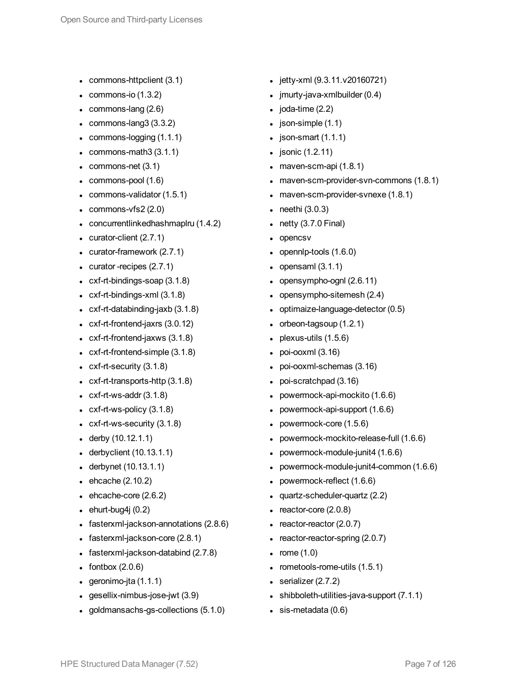- $\bullet$  commons-httpclient (3.1)
- $\bullet$  commons-io (1.3.2)
- $\bullet$  commons-lang (2.6)
- $\bullet$  commons-lang3 (3.3.2)
- $\bullet$  commons-logging  $(1.1.1)$
- $\bullet$  commons-math3 (3.1.1)
- $\bullet$  commons-net  $(3.1)$
- $\bullet$  commons-pool  $(1.6)$
- $\bullet$  commons-validator (1.5.1)
- $\bullet$  commons-vfs2 (2.0)
- $\bullet$  concurrentlinkedhashmaplru (1.4.2)
- $\bullet$  curator-client (2.7.1)
- $\bullet$  curator-framework (2.7.1)
- $\bullet$  curator -recipes (2.7.1)
- $\bullet$  cxf-rt-bindings-soap  $(3.1.8)$
- $\bullet$  cxf-rt-bindings-xml  $(3.1.8)$
- $\cdot$  cxf-rt-databinding-jaxb (3.1.8)
- $\bullet$  cxf-rt-frontend-jaxrs  $(3.0.12)$
- $\bullet$  cxf-rt-frontend-jaxws  $(3.1.8)$
- $\cdot$  cxf-rt-frontend-simple  $(3.1.8)$
- $\bullet$  cxf-rt-security  $(3.1.8)$
- $\bullet$  cxf-rt-transports-http  $(3.1.8)$
- $\bullet$  cxf-rt-ws-addr  $(3.1.8)$
- $\bullet$  cxf-rt-ws-policy  $(3.1.8)$
- $\bullet$  cxf-rt-ws-security  $(3.1.8)$
- $\bullet$  derby (10.12.1.1)
- derbyclient  $(10.13.1.1)$
- $\bullet$  derbynet (10.13.1.1)
- $\bullet$  ehcache (2.10.2)
- $\bullet$  ehcache-core (2.6.2)
- $\bullet$  ehurt-bug4j (0.2)
- $\bullet$  fasterxml-jackson-annotations (2.8.6)
- $\bullet$  fasterxml-jackson-core (2.8.1)
- $\bullet$  fasterxml-jackson-databind (2.7.8)
- $\bullet$  fontbox (2.0.6)
- $\bullet$  geronimo-jta  $(1.1.1)$
- $\bullet$  gesellix-nimbus-jose-jwt  $(3.9)$
- $\bullet$  goldmansachs-gs-collections  $(5.1.0)$
- $\bullet$  jetty-xml (9.3.11.v20160721)
- $\bullet$  jmurty-java-xmlbuilder (0.4)
- $\bullet$  joda-time (2.2)
- $\bullet$  json-simple (1.1)
- $\bullet$  json-smart (1.1.1)
- $\bullet$  jsonic (1.2.11)
- $\bullet$  maven-scm-api  $(1.8.1)$
- $\bullet$  maven-scm-provider-svn-commons (1.8.1)
- $em$  maven-scm-provider-svnexe (1.8.1)
- $\bullet$  neethi (3.0.3)
- $\bullet$  netty (3.7.0 Final)
- opencsv
- $\bullet$  opennlp-tools  $(1.6.0)$
- $\bullet$  opensaml  $(3.1.1)$
- $\bullet$  opensympho-ognl (2.6.11)
- $\bullet$  opensympho-sitemesh (2.4)
- $\bullet$  optimaize-language-detector (0.5)
- $\bullet$  orbeon-tagsoup (1.2.1)
- $\bullet$  plexus-utils  $(1.5.6)$
- $\bullet$  poi-ooxml  $(3.16)$
- $\bullet$  poi-ooxml-schemas (3.16)
- $\bullet$  poi-scratchpad  $(3.16)$
- $\bullet$  powermock-api-mockito (1.6.6)
- $\bullet$  powermock-api-support  $(1.6.6)$
- $\bullet$  powermock-core  $(1.5.6)$
- powermock-mockito-release-full (1.6.6)
- $\bullet$  powermock-module-junit4 (1.6.6)
- powermock-module-junit4-common (1.6.6)
- $\bullet$  powermock-reflect (1.6.6)
- $\bullet$  quartz-scheduler-quartz (2.2)
- $\bullet$  reactor-core (2.0.8)
- $\bullet$  reactor-reactor (2.0.7)
- $\bullet$  reactor-reactor-spring (2.0.7)
- $\bullet$  rome (1.0)
- $\bullet$  rometools-rome-utils  $(1.5.1)$
- $\bullet$  serializer (2.7.2)
- $\bullet$  shibboleth-utilities-java-support (7.1.1)
- $\bullet$  sis-metadata (0.6)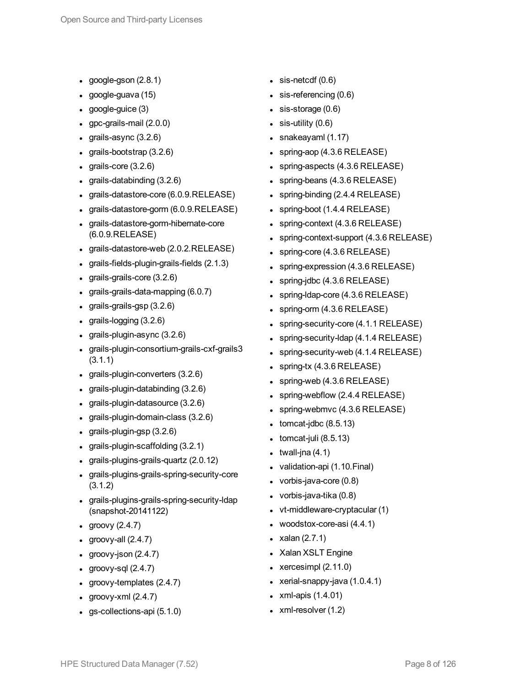- $\bullet$  google-gson  $(2.8.1)$
- $\bullet$  google-guava (15)
- google-guice (3)
- $\bullet$  gpc-grails-mail  $(2.0.0)$
- grails-async (3.2.6)
- grails-bootstrap (3.2.6)
- grails-core (3.2.6)
- <sup>l</sup> grails-databinding (3.2.6)
- grails-datastore-core (6.0.9.RELEASE)
- grails-datastore-gorm (6.0.9.RELEASE)
- grails-datastore-gorm-hibernate-core (6.0.9.RELEASE)
- $\cdot$  grails-datastore-web (2.0.2.RELEASE)
- grails-fields-plugin-grails-fields (2.1.3)
- $\bullet$  grails-grails-core  $(3.2.6)$
- <sup>l</sup> grails-grails-data-mapping (6.0.7)
- $\cdot$  grails-grails-gsp (3.2.6)
- <sup>l</sup> grails-logging (3.2.6)
- $\bullet$  grails-plugin-async  $(3.2.6)$
- grails-plugin-consortium-grails-cxf-grails3 (3.1.1)
- $\bullet$  grails-plugin-converters  $(3.2.6)$
- <sup>l</sup> grails-plugin-databinding (3.2.6)
- <sup>l</sup> grails-plugin-datasource (3.2.6)
- $\bullet$  grails-plugin-domain-class  $(3.2.6)$
- <sup>l</sup> grails-plugin-gsp (3.2.6)
- <sup>l</sup> grails-plugin-scaffolding (3.2.1)
- <sup>l</sup> grails-plugins-grails-quartz (2.0.12)
- grails-plugins-grails-spring-security-core (3.1.2)
- grails-plugins-grails-spring-security-Idap (snapshot-20141122)
- $\bullet$  groovy (2.4.7)
- $\bullet$  groovy-all  $(2.4.7)$
- $\bullet$  groovy-json (2.4.7)
- $\bullet$  groovy-sql  $(2.4.7)$
- groovy-templates  $(2.4.7)$
- $\bullet$  groovy-xml (2.4.7)
- $\bullet$  gs-collections-api  $(5.1.0)$
- $\bullet$  sis-netcdf  $(0.6)$
- $\bullet$  sis-referencing  $(0.6)$
- $\bullet$  sis-storage (0.6)
- $\bullet$  sis-utility (0.6)
- $\bullet$  snakeayaml (1.17)
- $\bullet$  spring-aop (4.3.6 RELEASE)
- spring-aspects (4.3.6 RELEASE)
- $\bullet$  spring-beans (4.3.6 RELEASE)
- $\bullet$  spring-binding (2.4.4 RELEASE)
- spring-boot (1.4.4 RELEASE)
- $\bullet$  spring-context (4.3.6 RELEASE)
- $\bullet$  spring-context-support (4.3.6 RELEASE)
- $\bullet$  spring-core (4.3.6 RELEASE)
- spring-expression (4.3.6 RELEASE)
- $\bullet$  spring-jdbc (4.3.6 RELEASE)
- $\bullet$  spring-Idap-core (4.3.6 RELEASE)
- $\bullet$  spring-orm (4.3.6 RELEASE)
- spring-security-core (4.1.1 RELEASE)
- spring-security-Idap (4.1.4 RELEASE)
- spring-security-web  $(4.1.4 \text{ RELEASE})$
- $\bullet$  spring-tx (4.3.6 RELEASE)
- $\bullet$  spring-web (4.3.6 RELEASE)
- spring-webflow (2.4.4 RELEASE)
- $\bullet$  spring-webmvc (4.3.6 RELEASE)
- $\bullet$  tomcat-jdbc (8.5.13)
- $\bullet$  tomcat-juli (8.5.13)
- $\bullet$  twall-jna  $(4.1)$
- validation-api (1.10.Final)
- $\bullet$  vorbis-java-core (0.8)
- $\bullet$  vorbis-java-tika (0.8)
- vt-middleware-cryptacular (1)
- woodstox-core-asi  $(4.4.1)$
- $\bullet$  xalan (2.7.1)
- Xalan XSLT Engine
- $\bullet$  xercesimpl (2.11.0)
- $\bullet$  xerial-snappy-java (1.0.4.1)
- $\bullet$  xml-apis (1.4.01)
- $\bullet$  xml-resolver (1.2)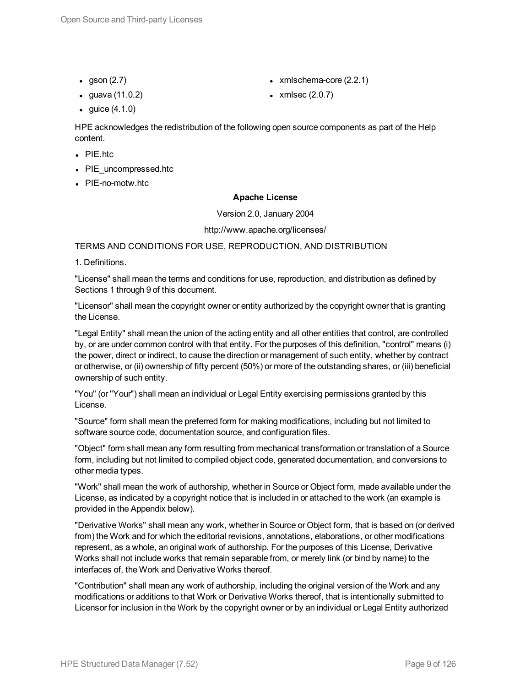- $\bullet$  gson (2.7)
- $\bullet$  guava (11.0.2)
- $\bullet$  xmlschema-core (2.2.1)
- $\bullet$  xmlsec (2.0.7)

 $\bullet$  guice (4.1.0)

HPE acknowledges the redistribution of the following open source components as part of the Help content.

- <sup>l</sup> PIE.htc
- PIE\_uncompressed.htc
- PIE-no-motw.htc

#### **Apache License**

#### Version 2.0, January 2004

#### http://www.apache.org/licenses/

#### TERMS AND CONDITIONS FOR USE, REPRODUCTION, AND DISTRIBUTION

1. Definitions.

"License" shall mean the terms and conditions for use, reproduction, and distribution as defined by Sections 1 through 9 of this document.

"Licensor" shall mean the copyright owner or entity authorized by the copyright owner that is granting the License.

"Legal Entity" shall mean the union of the acting entity and all other entities that control, are controlled by, or are under common control with that entity. For the purposes of this definition, "control" means (i) the power, direct or indirect, to cause the direction or management of such entity, whether by contract or otherwise, or (ii) ownership of fifty percent (50%) or more of the outstanding shares, or (iii) beneficial ownership of such entity.

"You" (or "Your") shall mean an individual or Legal Entity exercising permissions granted by this License.

"Source" form shall mean the preferred form for making modifications, including but not limited to software source code, documentation source, and configuration files.

"Object" form shall mean any form resulting from mechanical transformation or translation of a Source form, including but not limited to compiled object code, generated documentation, and conversions to other media types.

"Work" shall mean the work of authorship, whether in Source or Object form, made available under the License, as indicated by a copyright notice that is included in or attached to the work (an example is provided in the Appendix below).

"Derivative Works" shall mean any work, whether in Source or Object form, that is based on (or derived from) the Work and for which the editorial revisions, annotations, elaborations, or other modifications represent, as a whole, an original work of authorship. For the purposes of this License, Derivative Works shall not include works that remain separable from, or merely link (or bind by name) to the interfaces of, the Work and Derivative Works thereof.

"Contribution" shall mean any work of authorship, including the original version of the Work and any modifications or additions to that Work or Derivative Works thereof, that is intentionally submitted to Licensor for inclusion in the Work by the copyright owner or by an individual or Legal Entity authorized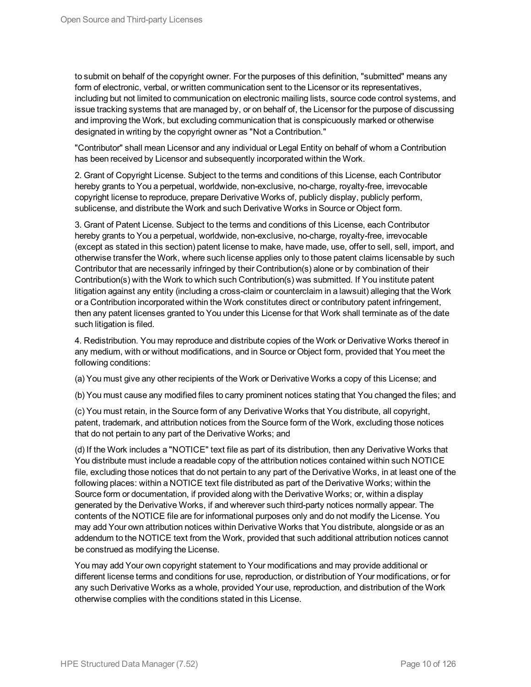to submit on behalf of the copyright owner. For the purposes of this definition, "submitted" means any form of electronic, verbal, or written communication sent to the Licensor or its representatives, including but not limited to communication on electronic mailing lists, source code control systems, and issue tracking systems that are managed by, or on behalf of, the Licensor for the purpose of discussing and improving the Work, but excluding communication that is conspicuously marked or otherwise designated in writing by the copyright owner as "Not a Contribution."

"Contributor" shall mean Licensor and any individual or Legal Entity on behalf of whom a Contribution has been received by Licensor and subsequently incorporated within the Work.

2. Grant of Copyright License. Subject to the terms and conditions of this License, each Contributor hereby grants to You a perpetual, worldwide, non-exclusive, no-charge, royalty-free, irrevocable copyright license to reproduce, prepare Derivative Works of, publicly display, publicly perform, sublicense, and distribute the Work and such Derivative Works in Source or Object form.

3. Grant of Patent License. Subject to the terms and conditions of this License, each Contributor hereby grants to You a perpetual, worldwide, non-exclusive, no-charge, royalty-free, irrevocable (except as stated in this section) patent license to make, have made, use, offer to sell, sell, import, and otherwise transfer the Work, where such license applies only to those patent claims licensable by such Contributor that are necessarily infringed by their Contribution(s) alone or by combination of their Contribution(s) with the Work to which such Contribution(s) was submitted. If You institute patent litigation against any entity (including a cross-claim or counterclaim in a lawsuit) alleging that the Work or a Contribution incorporated within the Work constitutes direct or contributory patent infringement, then any patent licenses granted to You under this License for that Work shall terminate as of the date such litigation is filed.

4. Redistribution. You may reproduce and distribute copies of the Work or Derivative Works thereof in any medium, with or without modifications, and in Source or Object form, provided that You meet the following conditions:

(a) You must give any other recipients of the Work or Derivative Works a copy of this License; and

(b) You must cause any modified files to carry prominent notices stating that You changed the files; and

(c) You must retain, in the Source form of any Derivative Works that You distribute, all copyright, patent, trademark, and attribution notices from the Source form of the Work, excluding those notices that do not pertain to any part of the Derivative Works; and

(d) If the Work includes a "NOTICE" text file as part of its distribution, then any Derivative Works that You distribute must include a readable copy of the attribution notices contained within such NOTICE file, excluding those notices that do not pertain to any part of the Derivative Works, in at least one of the following places: within a NOTICE text file distributed as part of the Derivative Works; within the Source form or documentation, if provided along with the Derivative Works; or, within a display generated by the Derivative Works, if and wherever such third-party notices normally appear. The contents of the NOTICE file are for informational purposes only and do not modify the License. You may add Your own attribution notices within Derivative Works that You distribute, alongside or as an addendum to the NOTICE text from the Work, provided that such additional attribution notices cannot be construed as modifying the License.

You may add Your own copyright statement to Your modifications and may provide additional or different license terms and conditions for use, reproduction, or distribution of Your modifications, or for any such Derivative Works as a whole, provided Your use, reproduction, and distribution of the Work otherwise complies with the conditions stated in this License.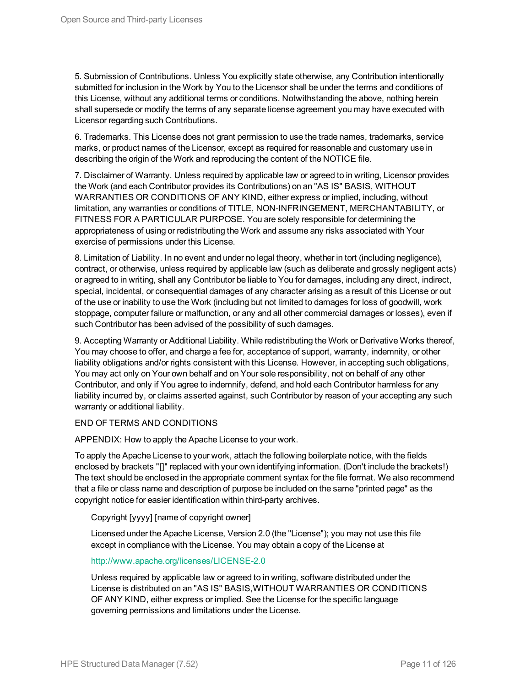5. Submission of Contributions. Unless You explicitly state otherwise, any Contribution intentionally submitted for inclusion in the Work by You to the Licensor shall be under the terms and conditions of this License, without any additional terms or conditions. Notwithstanding the above, nothing herein shall supersede or modify the terms of any separate license agreement you may have executed with Licensor regarding such Contributions.

6. Trademarks. This License does not grant permission to use the trade names, trademarks, service marks, or product names of the Licensor, except as required for reasonable and customary use in describing the origin of the Work and reproducing the content of the NOTICE file.

7. Disclaimer of Warranty. Unless required by applicable law or agreed to in writing, Licensor provides the Work (and each Contributor provides its Contributions) on an "AS IS" BASIS, WITHOUT WARRANTIES OR CONDITIONS OF ANY KIND, either express or implied, including, without limitation, any warranties or conditions of TITLE, NON-INFRINGEMENT, MERCHANTABILITY, or FITNESS FOR A PARTICULAR PURPOSE. You are solely responsible for determining the appropriateness of using or redistributing the Work and assume any risks associated with Your exercise of permissions under this License.

8. Limitation of Liability. In no event and under no legal theory, whether in tort (including negligence), contract, or otherwise, unless required by applicable law (such as deliberate and grossly negligent acts) or agreed to in writing, shall any Contributor be liable to You for damages, including any direct, indirect, special, incidental, or consequential damages of any character arising as a result of this License or out of the use or inability to use the Work (including but not limited to damages for loss of goodwill, work stoppage, computer failure or malfunction, or any and all other commercial damages or losses), even if such Contributor has been advised of the possibility of such damages.

9. Accepting Warranty or Additional Liability. While redistributing the Work or Derivative Works thereof, You may choose to offer, and charge a fee for, acceptance of support, warranty, indemnity, or other liability obligations and/or rights consistent with this License. However, in accepting such obligations, You may act only on Your own behalf and on Your sole responsibility, not on behalf of any other Contributor, and only if You agree to indemnify, defend, and hold each Contributor harmless for any liability incurred by, or claims asserted against, such Contributor by reason of your accepting any such warranty or additional liability.

#### END OF TERMS AND CONDITIONS

APPENDIX: How to apply the Apache License to your work.

To apply the Apache License to your work, attach the following boilerplate notice, with the fields enclosed by brackets "[]" replaced with your own identifying information. (Don't include the brackets!) The text should be enclosed in the appropriate comment syntax for the file format. We also recommend that a file or class name and description of purpose be included on the same "printed page" as the copyright notice for easier identification within third-party archives.

#### Copyright [yyyy] [name of copyright owner]

Licensed under the Apache License, Version 2.0 (the "License"); you may not use this file except in compliance with the License. You may obtain a copy of the License at

#### <http://www.apache.org/licenses/LICENSE-2.0>

Unless required by applicable law or agreed to in writing, software distributed under the License is distributed on an "AS IS" BASIS,WITHOUT WARRANTIES OR CONDITIONS OF ANY KIND, either express or implied. See the License for the specific language governing permissions and limitations under the License.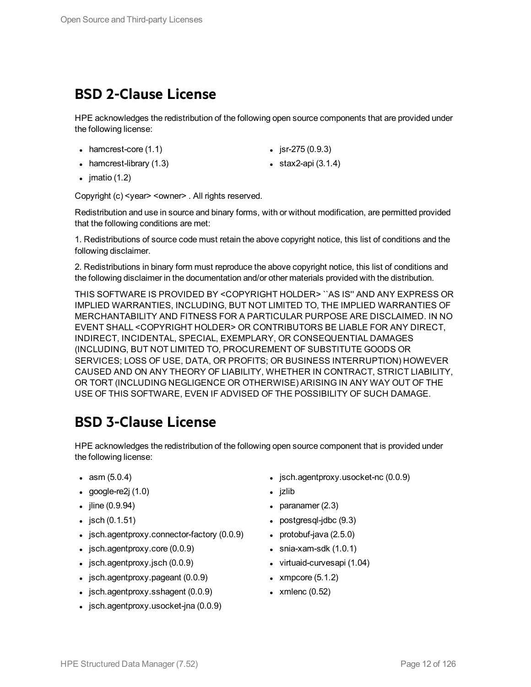### <span id="page-11-0"></span>**BSD 2-Clause License**

HPE acknowledges the redistribution of the following open source components that are provided under the following license:

 $\bullet$  hamcrest-core (1.1)

 $\cdot$  jsr-275 (0.9.3)

 $\bullet$  hamcrest-library (1.3)

 $\bullet$  stax2-api  $(3.1.4)$ 

 $\bullet$  jmatio (1.2)

Copyright (c) <year> <owner> . All rights reserved.

Redistribution and use in source and binary forms, with or without modification, are permitted provided that the following conditions are met:

1. Redistributions of source code must retain the above copyright notice, this list of conditions and the following disclaimer.

2. Redistributions in binary form must reproduce the above copyright notice, this list of conditions and the following disclaimer in the documentation and/or other materials provided with the distribution.

THIS SOFTWARE IS PROVIDED BY <COPYRIGHT HOLDER> ``AS IS'' AND ANY EXPRESS OR IMPLIED WARRANTIES, INCLUDING, BUT NOT LIMITED TO, THE IMPLIED WARRANTIES OF MERCHANTABILITY AND FITNESS FOR A PARTICULAR PURPOSE ARE DISCLAIMED. IN NO EVENT SHALL <COPYRIGHT HOLDER> OR CONTRIBUTORS BE LIABLE FOR ANY DIRECT, INDIRECT, INCIDENTAL, SPECIAL, EXEMPLARY, OR CONSEQUENTIAL DAMAGES (INCLUDING, BUT NOT LIMITED TO, PROCUREMENT OF SUBSTITUTE GOODS OR SERVICES; LOSS OF USE, DATA, OR PROFITS; OR BUSINESS INTERRUPTION) HOWEVER CAUSED AND ON ANY THEORY OF LIABILITY, WHETHER IN CONTRACT, STRICT LIABILITY, OR TORT (INCLUDING NEGLIGENCE OR OTHERWISE) ARISING IN ANY WAY OUT OF THE USE OF THIS SOFTWARE, EVEN IF ADVISED OF THE POSSIBILITY OF SUCH DAMAGE.

### <span id="page-11-1"></span>**BSD 3-Clause License**

HPE acknowledges the redistribution of the following open source component that is provided under the following license:

- $\bullet$  asm (5.0.4)
- $\bullet$  google-re2j  $(1.0)$
- $\bullet$  jline (0.9.94)
- $\bullet$  jsch (0.1.51)
- jsch.agentproxy.connector-factory (0.0.9)
- $\bullet$  jsch.agentproxy.core  $(0.0.9)$
- $\bullet$  jsch.agentproxy.jsch  $(0.0.9)$
- jsch.agentproxy.pageant (0.0.9)
- jsch.agentproxy.sshagent (0.0.9)
- jsch.agentproxy.usocket-jna (0.0.9)
- jsch.agentproxy.usocket-nc (0.0.9)
- $\bullet$  jzlib
- $\bullet$  paranamer (2.3)
- $\bullet$  postgresql-jdbc  $(9.3)$
- $\bullet$  protobuf-java (2.5.0)
- $\bullet$  snia-xam-sdk  $(1.0.1)$
- virtuaid-curvesapi (1.04)
- $\bullet$  xmpcore (5.1.2)
- $\bullet$  xmlenc (0.52)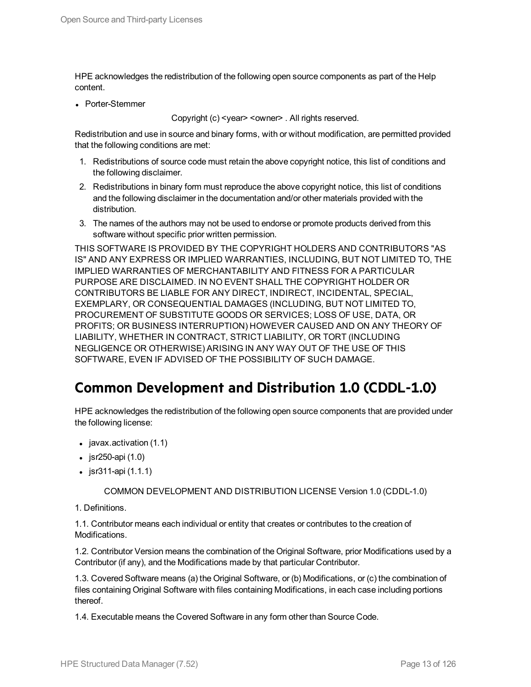HPE acknowledges the redistribution of the following open source components as part of the Help content.

• Porter-Stemmer

Copyright (c) <year> <owner> . All rights reserved.

Redistribution and use in source and binary forms, with or without modification, are permitted provided that the following conditions are met:

- 1. Redistributions of source code must retain the above copyright notice, this list of conditions and the following disclaimer.
- 2. Redistributions in binary form must reproduce the above copyright notice, this list of conditions and the following disclaimer in the documentation and/or other materials provided with the distribution.
- 3. The names of the authors may not be used to endorse or promote products derived from this software without specific prior written permission.

THIS SOFTWARE IS PROVIDED BY THE COPYRIGHT HOLDERS AND CONTRIBUTORS "AS IS" AND ANY EXPRESS OR IMPLIED WARRANTIES, INCLUDING, BUT NOT LIMITED TO, THE IMPLIED WARRANTIES OF MERCHANTABILITY AND FITNESS FOR A PARTICULAR PURPOSE ARE DISCLAIMED. IN NO EVENT SHALL THE COPYRIGHT HOLDER OR CONTRIBUTORS BE LIABLE FOR ANY DIRECT, INDIRECT, INCIDENTAL, SPECIAL, EXEMPLARY, OR CONSEQUENTIAL DAMAGES (INCLUDING, BUT NOT LIMITED TO, PROCUREMENT OF SUBSTITUTE GOODS OR SERVICES; LOSS OF USE, DATA, OR PROFITS; OR BUSINESS INTERRUPTION) HOWEVER CAUSED AND ON ANY THEORY OF LIABILITY, WHETHER IN CONTRACT, STRICT LIABILITY, OR TORT (INCLUDING NEGLIGENCE OR OTHERWISE) ARISING IN ANY WAY OUT OF THE USE OF THIS SOFTWARE, EVEN IF ADVISED OF THE POSSIBILITY OF SUCH DAMAGE.

### <span id="page-12-0"></span>**Common Development and Distribution 1.0 (CDDL-1.0)**

HPE acknowledges the redistribution of the following open source components that are provided under the following license:

- $\bullet$  javax.activation (1.1)
- $\bullet$  jsr250-api (1.0)
- $\bullet$  jsr311-api (1.1.1)

COMMON DEVELOPMENT AND DISTRIBUTION LICENSE Version 1.0 (CDDL-1.0)

1. Definitions.

1.1. Contributor means each individual or entity that creates or contributes to the creation of Modifications.

1.2. Contributor Version means the combination of the Original Software, prior Modifications used by a Contributor (if any), and the Modifications made by that particular Contributor.

1.3. Covered Software means (a) the Original Software, or (b) Modifications, or (c) the combination of files containing Original Software with files containing Modifications, in each case including portions thereof.

1.4. Executable means the Covered Software in any form other than Source Code.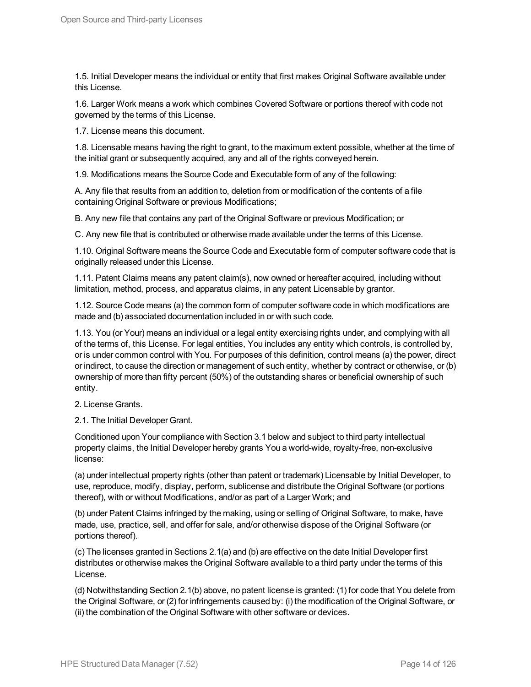1.5. Initial Developer means the individual or entity that first makes Original Software available under this License.

1.6. Larger Work means a work which combines Covered Software or portions thereof with code not governed by the terms of this License.

1.7. License means this document.

1.8. Licensable means having the right to grant, to the maximum extent possible, whether at the time of the initial grant or subsequently acquired, any and all of the rights conveyed herein.

1.9. Modifications means the Source Code and Executable form of any of the following:

A. Any file that results from an addition to, deletion from or modification of the contents of a file containing Original Software or previous Modifications;

B. Any new file that contains any part of the Original Software or previous Modification; or

C. Any new file that is contributed or otherwise made available under the terms of this License.

1.10. Original Software means the Source Code and Executable form of computer software code that is originally released under this License.

1.11. Patent Claims means any patent claim(s), now owned or hereafter acquired, including without limitation, method, process, and apparatus claims, in any patent Licensable by grantor.

1.12. Source Code means (a) the common form of computer software code in which modifications are made and (b) associated documentation included in or with such code.

1.13. You (or Your) means an individual or a legal entity exercising rights under, and complying with all of the terms of, this License. For legal entities, You includes any entity which controls, is controlled by, or is under common control with You. For purposes of this definition, control means (a) the power, direct or indirect, to cause the direction or management of such entity, whether by contract or otherwise, or (b) ownership of more than fifty percent (50%) of the outstanding shares or beneficial ownership of such entity.

2. License Grants.

2.1. The Initial Developer Grant.

Conditioned upon Your compliance with Section 3.1 below and subject to third party intellectual property claims, the Initial Developer hereby grants You a world-wide, royalty-free, non-exclusive license:

(a) under intellectual property rights (other than patent or trademark) Licensable by Initial Developer, to use, reproduce, modify, display, perform, sublicense and distribute the Original Software (or portions thereof), with or without Modifications, and/or as part of a Larger Work; and

(b) under Patent Claims infringed by the making, using or selling of Original Software, to make, have made, use, practice, sell, and offer for sale, and/or otherwise dispose of the Original Software (or portions thereof).

(c) The licenses granted in Sections 2.1(a) and (b) are effective on the date Initial Developer first distributes or otherwise makes the Original Software available to a third party under the terms of this License.

(d) Notwithstanding Section 2.1(b) above, no patent license is granted: (1) for code that You delete from the Original Software, or (2) for infringements caused by: (i) the modification of the Original Software, or (ii) the combination of the Original Software with other software or devices.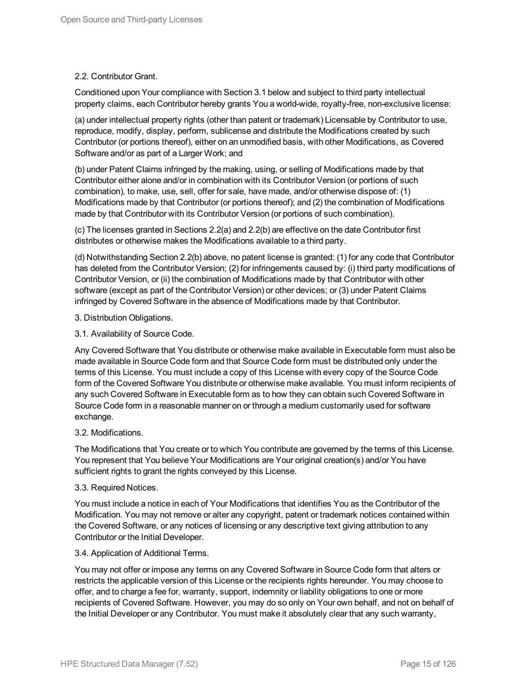#### 2.2. Contributor Grant.

Conditioned upon Your compliance with Section 3.1 below and subject to third party intellectual property claims, each Contributor hereby grants You a world-wide, royalty-free, non-exclusive license:

(a) under intellectual property rights (other than patent or trademark) Licensable by Contributor to use, reproduce, modify, display, perform, sublicense and distribute the Modifications created by such Contributor (or portions thereof), either on an unmodified basis, with other Modifications, as Covered Software and/or as part of a Larger Work; and

(b) under Patent Claims infringed by the making, using, or selling of Modifications made by that Contributor either alone and/or in combination with its Contributor Version (or portions of such combination), to make, use, sell, offer for sale, have made, and/or otherwise dispose of: (1) Modifications made by that Contributor (or portions thereof); and (2) the combination of Modifications made by that Contributor with its Contributor Version (or portions of such combination).

(c) The licenses granted in Sections 2.2(a) and 2.2(b) are effective on the date Contributor first distributes or otherwise makes the Modifications available to a third party.

(d) Notwithstanding Section 2.2(b) above, no patent license is granted: (1) for any code that Contributor has deleted from the Contributor Version; (2) for infringements caused by: (i) third party modifications of Contributor Version, or (ii) the combination of Modifications made by that Contributor with other software (except as part of the Contributor Version) or other devices; or (3) under Patent Claims infringed by Covered Software in the absence of Modifications made by that Contributor.

- 3. Distribution Obligations.
- 3.1. Availability of Source Code.

Any Covered Software that You distribute or otherwise make available in Executable form must also be made available in Source Code form and that Source Code form must be distributed only under the terms of this License. You must include a copy of this License with every copy of the Source Code form of the Covered Software You distribute or otherwise make available. You must inform recipients of any such Covered Software in Executable form as to how they can obtain such Covered Software in Source Code form in a reasonable manner on or through a medium customarily used for software exchange.

3.2. Modifications.

The Modifications that You create or to which You contribute are governed by the terms of this License. You represent that You believe Your Modifications are Your original creation(s) and/or You have sufficient rights to grant the rights conveyed by this License.

3.3. Required Notices.

You must include a notice in each of Your Modifications that identifies You as the Contributor of the Modification. You may not remove or alter any copyright, patent or trademark notices contained within the Covered Software, or any notices of licensing or any descriptive text giving attribution to any Contributor or the Initial Developer.

3.4. Application of Additional Terms.

You may not offer or impose any terms on any Covered Software in Source Code form that alters or restricts the applicable version of this License or the recipients rights hereunder. You may choose to offer, and to charge a fee for, warranty, support, indemnity or liability obligations to one or more recipients of Covered Software. However, you may do so only on Your own behalf, and not on behalf of the Initial Developer or any Contributor. You must make it absolutely clear that any such warranty,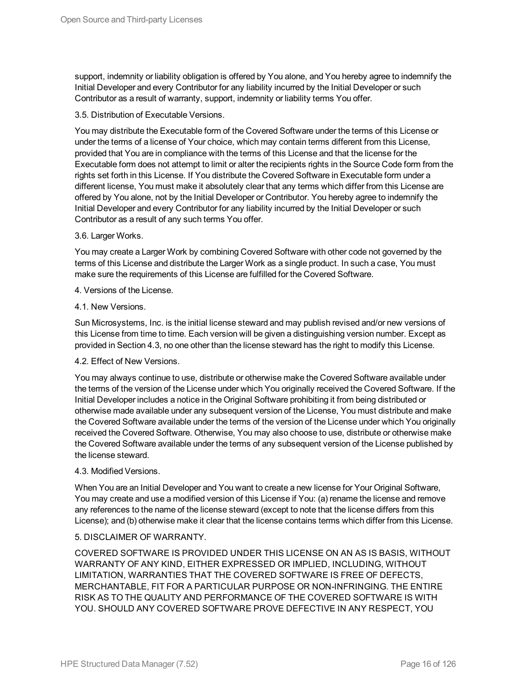support, indemnity or liability obligation is offered by You alone, and You hereby agree to indemnify the Initial Developer and every Contributor for any liability incurred by the Initial Developer or such Contributor as a result of warranty, support, indemnity or liability terms You offer.

#### 3.5. Distribution of Executable Versions.

You may distribute the Executable form of the Covered Software under the terms of this License or under the terms of a license of Your choice, which may contain terms different from this License, provided that You are in compliance with the terms of this License and that the license for the Executable form does not attempt to limit or alter the recipients rights in the Source Code form from the rights set forth in this License. If You distribute the Covered Software in Executable form under a different license, You must make it absolutely clear that any terms which differ from this License are offered by You alone, not by the Initial Developer or Contributor. You hereby agree to indemnify the Initial Developer and every Contributor for any liability incurred by the Initial Developer or such Contributor as a result of any such terms You offer.

#### 3.6. Larger Works.

You may create a Larger Work by combining Covered Software with other code not governed by the terms of this License and distribute the Larger Work as a single product. In such a case, You must make sure the requirements of this License are fulfilled for the Covered Software.

- 4. Versions of the License.
- 4.1. New Versions.

Sun Microsystems, Inc. is the initial license steward and may publish revised and/or new versions of this License from time to time. Each version will be given a distinguishing version number. Except as provided in Section 4.3, no one other than the license steward has the right to modify this License.

#### 4.2. Effect of New Versions.

You may always continue to use, distribute or otherwise make the Covered Software available under the terms of the version of the License under which You originally received the Covered Software. If the Initial Developer includes a notice in the Original Software prohibiting it from being distributed or otherwise made available under any subsequent version of the License, You must distribute and make the Covered Software available under the terms of the version of the License under which You originally received the Covered Software. Otherwise, You may also choose to use, distribute or otherwise make the Covered Software available under the terms of any subsequent version of the License published by the license steward.

#### 4.3. Modified Versions.

When You are an Initial Developer and You want to create a new license for Your Original Software, You may create and use a modified version of this License if You: (a) rename the license and remove any references to the name of the license steward (except to note that the license differs from this License); and (b) otherwise make it clear that the license contains terms which differ from this License.

#### 5. DISCLAIMER OF WARRANTY.

COVERED SOFTWARE IS PROVIDED UNDER THIS LICENSE ON AN AS IS BASIS, WITHOUT WARRANTY OF ANY KIND, EITHER EXPRESSED OR IMPLIED, INCLUDING, WITHOUT LIMITATION, WARRANTIES THAT THE COVERED SOFTWARE IS FREE OF DEFECTS, MERCHANTABLE, FIT FOR A PARTICULAR PURPOSE OR NON-INFRINGING. THE ENTIRE RISK AS TO THE QUALITY AND PERFORMANCE OF THE COVERED SOFTWARE IS WITH YOU. SHOULD ANY COVERED SOFTWARE PROVE DEFECTIVE IN ANY RESPECT, YOU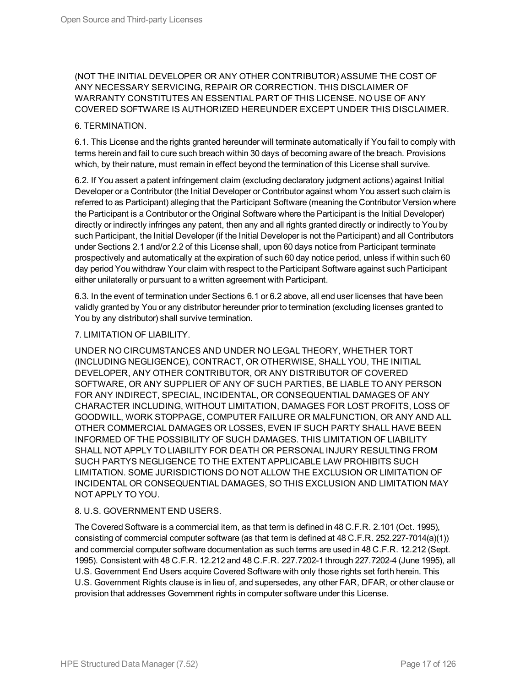(NOT THE INITIAL DEVELOPER OR ANY OTHER CONTRIBUTOR) ASSUME THE COST OF ANY NECESSARY SERVICING, REPAIR OR CORRECTION. THIS DISCLAIMER OF WARRANTY CONSTITUTES AN ESSENTIAL PART OF THIS LICENSE. NO USE OF ANY COVERED SOFTWARE IS AUTHORIZED HEREUNDER EXCEPT UNDER THIS DISCLAIMER.

#### 6. TERMINATION.

6.1. This License and the rights granted hereunder will terminate automatically if You fail to comply with terms herein and fail to cure such breach within 30 days of becoming aware of the breach. Provisions which, by their nature, must remain in effect beyond the termination of this License shall survive.

6.2. If You assert a patent infringement claim (excluding declaratory judgment actions) against Initial Developer or a Contributor (the Initial Developer or Contributor against whom You assert such claim is referred to as Participant) alleging that the Participant Software (meaning the Contributor Version where the Participant is a Contributor or the Original Software where the Participant is the Initial Developer) directly or indirectly infringes any patent, then any and all rights granted directly or indirectly to You by such Participant, the Initial Developer (if the Initial Developer is not the Participant) and all Contributors under Sections 2.1 and/or 2.2 of this License shall, upon 60 days notice from Participant terminate prospectively and automatically at the expiration of such 60 day notice period, unless if within such 60 day period You withdraw Your claim with respect to the Participant Software against such Participant either unilaterally or pursuant to a written agreement with Participant.

6.3. In the event of termination under Sections 6.1 or 6.2 above, all end user licenses that have been validly granted by You or any distributor hereunder prior to termination (excluding licenses granted to You by any distributor) shall survive termination.

#### 7. LIMITATION OF LIABILITY.

UNDER NO CIRCUMSTANCES AND UNDER NO LEGAL THEORY, WHETHER TORT (INCLUDING NEGLIGENCE), CONTRACT, OR OTHERWISE, SHALL YOU, THE INITIAL DEVELOPER, ANY OTHER CONTRIBUTOR, OR ANY DISTRIBUTOR OF COVERED SOFTWARE, OR ANY SUPPLIER OF ANY OF SUCH PARTIES, BE LIABLE TO ANY PERSON FOR ANY INDIRECT, SPECIAL, INCIDENTAL, OR CONSEQUENTIAL DAMAGES OF ANY CHARACTER INCLUDING, WITHOUT LIMITATION, DAMAGES FOR LOST PROFITS, LOSS OF GOODWILL, WORK STOPPAGE, COMPUTER FAILURE OR MALFUNCTION, OR ANY AND ALL OTHER COMMERCIAL DAMAGES OR LOSSES, EVEN IF SUCH PARTY SHALL HAVE BEEN INFORMED OF THE POSSIBILITY OF SUCH DAMAGES. THIS LIMITATION OF LIABILITY SHALL NOT APPLY TO LIABILITY FOR DEATH OR PERSONAL INJURY RESULTING FROM SUCH PARTYS NEGLIGENCE TO THE EXTENT APPLICABLE LAW PROHIBITS SUCH LIMITATION. SOME JURISDICTIONS DO NOT ALLOW THE EXCLUSION OR LIMITATION OF INCIDENTAL OR CONSEQUENTIAL DAMAGES, SO THIS EXCLUSION AND LIMITATION MAY NOT APPLY TO YOU.

#### 8. U.S. GOVERNMENT END USERS.

The Covered Software is a commercial item, as that term is defined in 48 C.F.R. 2.101 (Oct. 1995), consisting of commercial computer software (as that term is defined at 48 C.F.R. 252.227-7014(a)(1)) and commercial computer software documentation as such terms are used in 48 C.F.R. 12.212 (Sept. 1995). Consistent with 48 C.F.R. 12.212 and 48 C.F.R. 227.7202-1 through 227.7202-4 (June 1995), all U.S. Government End Users acquire Covered Software with only those rights set forth herein. This U.S. Government Rights clause is in lieu of, and supersedes, any other FAR, DFAR, or other clause or provision that addresses Government rights in computer software under this License.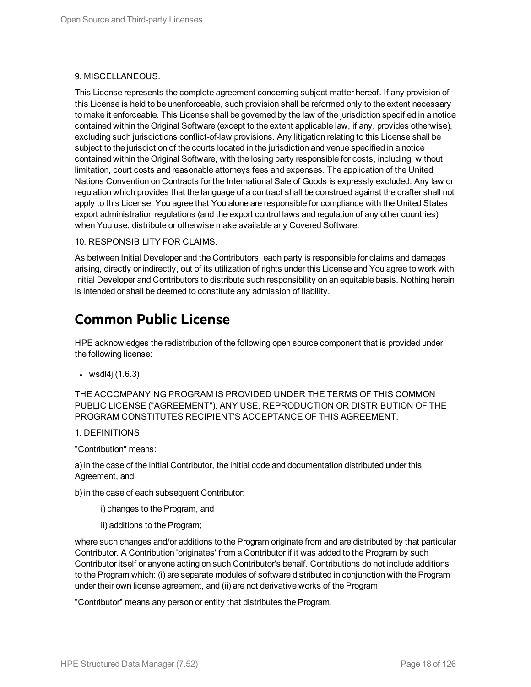#### 9. MISCELLANEOUS.

This License represents the complete agreement concerning subject matter hereof. If any provision of this License is held to be unenforceable, such provision shall be reformed only to the extent necessary to make it enforceable. This License shall be governed by the law of the jurisdiction specified in a notice contained within the Original Software (except to the extent applicable law, if any, provides otherwise), excluding such jurisdictions conflict-of-law provisions. Any litigation relating to this License shall be subject to the jurisdiction of the courts located in the jurisdiction and venue specified in a notice contained within the Original Software, with the losing party responsible for costs, including, without limitation, court costs and reasonable attorneys fees and expenses. The application of the United Nations Convention on Contracts for the International Sale of Goods is expressly excluded. Any law or regulation which provides that the language of a contract shall be construed against the drafter shall not apply to this License. You agree that You alone are responsible for compliance with the United States export administration regulations (and the export control laws and regulation of any other countries) when You use, distribute or otherwise make available any Covered Software.

10. RESPONSIBILITY FOR CLAIMS.

As between Initial Developer and the Contributors, each party is responsible for claims and damages arising, directly or indirectly, out of its utilization of rights under this License and You agree to work with Initial Developer and Contributors to distribute such responsibility on an equitable basis. Nothing herein is intended or shall be deemed to constitute any admission of liability.

### <span id="page-17-0"></span>**Common Public License**

HPE acknowledges the redistribution of the following open source component that is provided under the following license:

 $\bullet$  wsdl4j (1.6.3)

THE ACCOMPANYING PROGRAM IS PROVIDED UNDER THE TERMS OF THIS COMMON PUBLIC LICENSE ("AGREEMENT"). ANY USE, REPRODUCTION OR DISTRIBUTION OF THE PROGRAM CONSTITUTES RECIPIENT'S ACCEPTANCE OF THIS AGREEMENT.

1. DEFINITIONS

"Contribution" means:

a) in the case of the initial Contributor, the initial code and documentation distributed under this Agreement, and

b) in the case of each subsequent Contributor:

- i) changes to the Program, and
- ii) additions to the Program;

where such changes and/or additions to the Program originate from and are distributed by that particular Contributor. A Contribution 'originates' from a Contributor if it was added to the Program by such Contributor itself or anyone acting on such Contributor's behalf. Contributions do not include additions to the Program which: (i) are separate modules of software distributed in conjunction with the Program under their own license agreement, and (ii) are not derivative works of the Program.

"Contributor" means any person or entity that distributes the Program.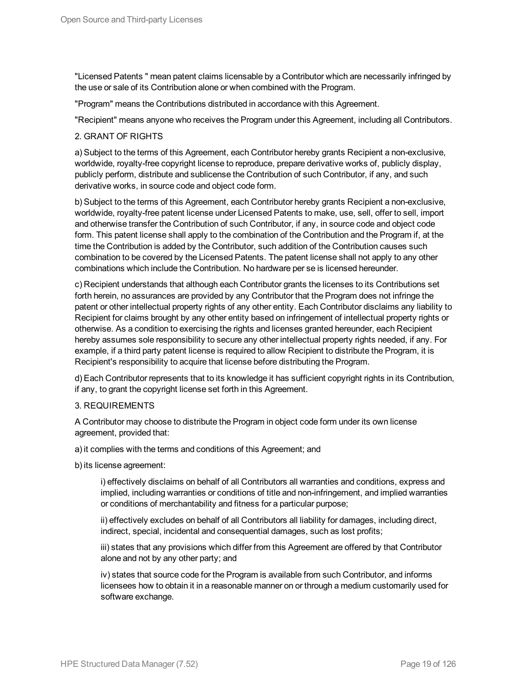"Licensed Patents " mean patent claims licensable by a Contributor which are necessarily infringed by the use or sale of its Contribution alone or when combined with the Program.

"Program" means the Contributions distributed in accordance with this Agreement.

"Recipient" means anyone who receives the Program under this Agreement, including all Contributors.

#### 2. GRANT OF RIGHTS

a) Subject to the terms of this Agreement, each Contributor hereby grants Recipient a non-exclusive, worldwide, royalty-free copyright license to reproduce, prepare derivative works of, publicly display, publicly perform, distribute and sublicense the Contribution of such Contributor, if any, and such derivative works, in source code and object code form.

b) Subject to the terms of this Agreement, each Contributor hereby grants Recipient a non-exclusive, worldwide, royalty-free patent license under Licensed Patents to make, use, sell, offer to sell, import and otherwise transfer the Contribution of such Contributor, if any, in source code and object code form. This patent license shall apply to the combination of the Contribution and the Program if, at the time the Contribution is added by the Contributor, such addition of the Contribution causes such combination to be covered by the Licensed Patents. The patent license shall not apply to any other combinations which include the Contribution. No hardware per se is licensed hereunder.

c) Recipient understands that although each Contributor grants the licenses to its Contributions set forth herein, no assurances are provided by any Contributor that the Program does not infringe the patent or other intellectual property rights of any other entity. Each Contributor disclaims any liability to Recipient for claims brought by any other entity based on infringement of intellectual property rights or otherwise. As a condition to exercising the rights and licenses granted hereunder, each Recipient hereby assumes sole responsibility to secure any other intellectual property rights needed, if any. For example, if a third party patent license is required to allow Recipient to distribute the Program, it is Recipient's responsibility to acquire that license before distributing the Program.

d) Each Contributor represents that to its knowledge it has sufficient copyright rights in its Contribution, if any, to grant the copyright license set forth in this Agreement.

#### 3. REQUIREMENTS

A Contributor may choose to distribute the Program in object code form under its own license agreement, provided that:

a) it complies with the terms and conditions of this Agreement; and

b) its license agreement:

i) effectively disclaims on behalf of all Contributors all warranties and conditions, express and implied, including warranties or conditions of title and non-infringement, and implied warranties or conditions of merchantability and fitness for a particular purpose;

ii) effectively excludes on behalf of all Contributors all liability for damages, including direct, indirect, special, incidental and consequential damages, such as lost profits;

iii) states that any provisions which differ from this Agreement are offered by that Contributor alone and not by any other party; and

iv) states that source code for the Program is available from such Contributor, and informs licensees how to obtain it in a reasonable manner on or through a medium customarily used for software exchange.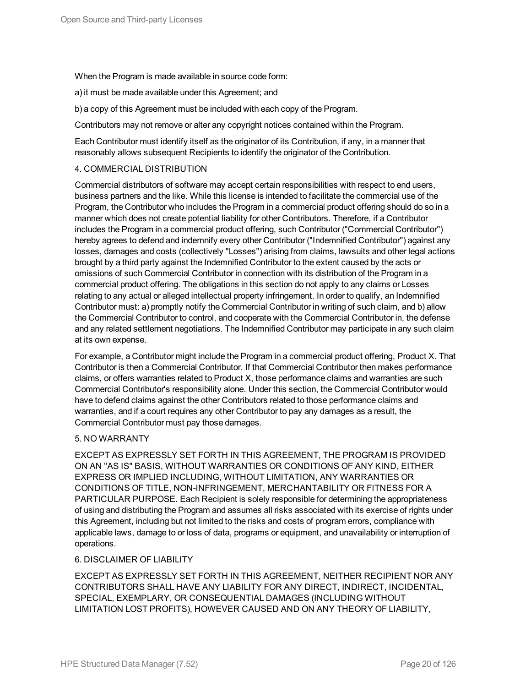When the Program is made available in source code form:

- a) it must be made available under this Agreement; and
- b) a copy of this Agreement must be included with each copy of the Program.
- Contributors may not remove or alter any copyright notices contained within the Program.

Each Contributor must identify itself as the originator of its Contribution, if any, in a manner that reasonably allows subsequent Recipients to identify the originator of the Contribution.

#### 4. COMMERCIAL DISTRIBUTION

Commercial distributors of software may accept certain responsibilities with respect to end users, business partners and the like. While this license is intended to facilitate the commercial use of the Program, the Contributor who includes the Program in a commercial product offering should do so in a manner which does not create potential liability for other Contributors. Therefore, if a Contributor includes the Program in a commercial product offering, such Contributor ("Commercial Contributor") hereby agrees to defend and indemnify every other Contributor ("Indemnified Contributor") against any losses, damages and costs (collectively "Losses") arising from claims, lawsuits and other legal actions brought by a third party against the Indemnified Contributor to the extent caused by the acts or omissions of such Commercial Contributor in connection with its distribution of the Program in a commercial product offering. The obligations in this section do not apply to any claims or Losses relating to any actual or alleged intellectual property infringement. In order to qualify, an Indemnified Contributor must: a) promptly notify the Commercial Contributor in writing of such claim, and b) allow the Commercial Contributor to control, and cooperate with the Commercial Contributor in, the defense and any related settlement negotiations. The Indemnified Contributor may participate in any such claim at its own expense.

For example, a Contributor might include the Program in a commercial product offering, Product X. That Contributor is then a Commercial Contributor. If that Commercial Contributor then makes performance claims, or offers warranties related to Product X, those performance claims and warranties are such Commercial Contributor's responsibility alone. Under this section, the Commercial Contributor would have to defend claims against the other Contributors related to those performance claims and warranties, and if a court requires any other Contributor to pay any damages as a result, the Commercial Contributor must pay those damages.

#### 5. NO WARRANTY

EXCEPT AS EXPRESSLY SET FORTH IN THIS AGREEMENT, THE PROGRAM IS PROVIDED ON AN "AS IS" BASIS, WITHOUT WARRANTIES OR CONDITIONS OF ANY KIND, EITHER EXPRESS OR IMPLIED INCLUDING, WITHOUT LIMITATION, ANY WARRANTIES OR CONDITIONS OF TITLE, NON-INFRINGEMENT, MERCHANTABILITY OR FITNESS FOR A PARTICULAR PURPOSE. Each Recipient is solely responsible for determining the appropriateness of using and distributing the Program and assumes all risks associated with its exercise of rights under this Agreement, including but not limited to the risks and costs of program errors, compliance with applicable laws, damage to or loss of data, programs or equipment, and unavailability or interruption of operations.

#### 6. DISCLAIMER OF LIABILITY

EXCEPT AS EXPRESSLY SET FORTH IN THIS AGREEMENT, NEITHER RECIPIENT NOR ANY CONTRIBUTORS SHALL HAVE ANY LIABILITY FOR ANY DIRECT, INDIRECT, INCIDENTAL, SPECIAL, EXEMPLARY, OR CONSEQUENTIAL DAMAGES (INCLUDING WITHOUT LIMITATION LOST PROFITS), HOWEVER CAUSED AND ON ANY THEORY OF LIABILITY,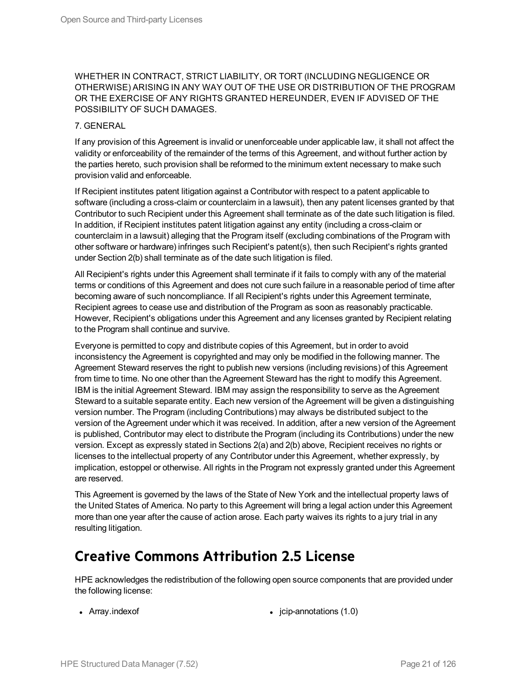#### WHETHER IN CONTRACT, STRICT LIABILITY, OR TORT (INCLUDING NEGLIGENCE OR OTHERWISE) ARISING IN ANY WAY OUT OF THE USE OR DISTRIBUTION OF THE PROGRAM OR THE EXERCISE OF ANY RIGHTS GRANTED HEREUNDER, EVEN IF ADVISED OF THE POSSIBILITY OF SUCH DAMAGES.

#### 7. GENERAL

If any provision of this Agreement is invalid or unenforceable under applicable law, it shall not affect the validity or enforceability of the remainder of the terms of this Agreement, and without further action by the parties hereto, such provision shall be reformed to the minimum extent necessary to make such provision valid and enforceable.

If Recipient institutes patent litigation against a Contributor with respect to a patent applicable to software (including a cross-claim or counterclaim in a lawsuit), then any patent licenses granted by that Contributor to such Recipient under this Agreement shall terminate as of the date such litigation is filed. In addition, if Recipient institutes patent litigation against any entity (including a cross-claim or counterclaim in a lawsuit) alleging that the Program itself (excluding combinations of the Program with other software or hardware) infringes such Recipient's patent(s), then such Recipient's rights granted under Section 2(b) shall terminate as of the date such litigation is filed.

All Recipient's rights under this Agreement shall terminate if it fails to comply with any of the material terms or conditions of this Agreement and does not cure such failure in a reasonable period of time after becoming aware of such noncompliance. If all Recipient's rights under this Agreement terminate, Recipient agrees to cease use and distribution of the Program as soon as reasonably practicable. However, Recipient's obligations under this Agreement and any licenses granted by Recipient relating to the Program shall continue and survive.

Everyone is permitted to copy and distribute copies of this Agreement, but in order to avoid inconsistency the Agreement is copyrighted and may only be modified in the following manner. The Agreement Steward reserves the right to publish new versions (including revisions) of this Agreement from time to time. No one other than the Agreement Steward has the right to modify this Agreement. IBM is the initial Agreement Steward. IBM may assign the responsibility to serve as the Agreement Steward to a suitable separate entity. Each new version of the Agreement will be given a distinguishing version number. The Program (including Contributions) may always be distributed subject to the version of the Agreement under which it was received. In addition, after a new version of the Agreement is published, Contributor may elect to distribute the Program (including its Contributions) under the new version. Except as expressly stated in Sections 2(a) and 2(b) above, Recipient receives no rights or licenses to the intellectual property of any Contributor under this Agreement, whether expressly, by implication, estoppel or otherwise. All rights in the Program not expressly granted under this Agreement are reserved.

This Agreement is governed by the laws of the State of New York and the intellectual property laws of the United States of America. No party to this Agreement will bring a legal action under this Agreement more than one year after the cause of action arose. Each party waives its rights to a jury trial in any resulting litigation.

### <span id="page-20-0"></span>**Creative Commons Attribution 2.5 License**

HPE acknowledges the redistribution of the following open source components that are provided under the following license:

- 
- Array.indexof **and in the interval of the set of the set of the set of the set of the set of the set of the set of the set of the set of the set of the set of the set of the set of the set of the set of the set of the se**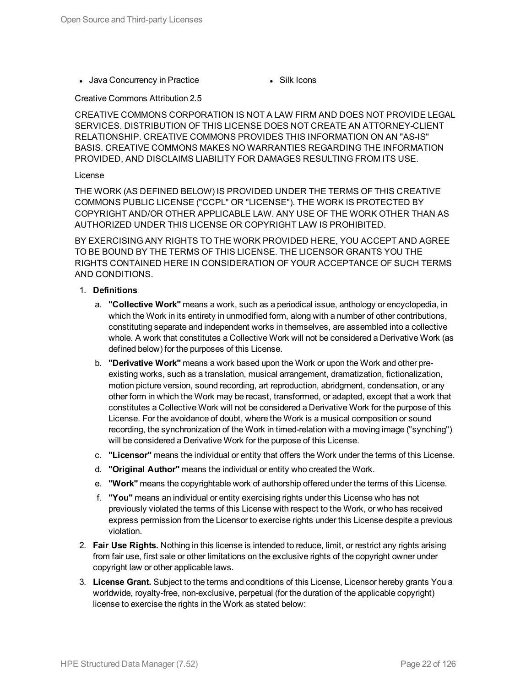- Java Concurrency in Practice **and Silk Icons** Silk Icons
	-

#### Creative Commons Attribution 2.5

CREATIVE COMMONS CORPORATION IS NOT A LAW FIRM AND DOES NOT PROVIDE LEGAL SERVICES. DISTRIBUTION OF THIS LICENSE DOES NOT CREATE AN ATTORNEY-CLIENT RELATIONSHIP. CREATIVE COMMONS PROVIDES THIS INFORMATION ON AN "AS-IS" BASIS. CREATIVE COMMONS MAKES NO WARRANTIES REGARDING THE INFORMATION PROVIDED, AND DISCLAIMS LIABILITY FOR DAMAGES RESULTING FROM ITS USE.

#### License

THE WORK (AS DEFINED BELOW) IS PROVIDED UNDER THE TERMS OF THIS CREATIVE COMMONS PUBLIC LICENSE ("CCPL" OR "LICENSE"). THE WORK IS PROTECTED BY COPYRIGHT AND/OR OTHER APPLICABLE LAW. ANY USE OF THE WORK OTHER THAN AS AUTHORIZED UNDER THIS LICENSE OR COPYRIGHT LAW IS PROHIBITED.

BY EXERCISING ANY RIGHTS TO THE WORK PROVIDED HERE, YOU ACCEPT AND AGREE TO BE BOUND BY THE TERMS OF THIS LICENSE. THE LICENSOR GRANTS YOU THE RIGHTS CONTAINED HERE IN CONSIDERATION OF YOUR ACCEPTANCE OF SUCH TERMS AND CONDITIONS.

- 1. **Definitions**
	- a. **"Collective Work"** means a work, such as a periodical issue, anthology or encyclopedia, in which the Work in its entirety in unmodified form, along with a number of other contributions, constituting separate and independent works in themselves, are assembled into a collective whole. A work that constitutes a Collective Work will not be considered a Derivative Work (as defined below) for the purposes of this License.
	- b. **"Derivative Work"** means a work based upon the Work or upon the Work and other preexisting works, such as a translation, musical arrangement, dramatization, fictionalization, motion picture version, sound recording, art reproduction, abridgment, condensation, or any other form in which the Work may be recast, transformed, or adapted, except that a work that constitutes a Collective Work will not be considered a Derivative Work for the purpose of this License. For the avoidance of doubt, where the Work is a musical composition or sound recording, the synchronization of the Work in timed-relation with a moving image ("synching") will be considered a Derivative Work for the purpose of this License.
	- c. **"Licensor"** means the individual or entity that offers the Work under the terms of this License.
	- d. **"Original Author"** means the individual or entity who created the Work.
	- e. **"Work"** means the copyrightable work of authorship offered under the terms of this License.
	- f. **"You"** means an individual or entity exercising rights under this License who has not previously violated the terms of this License with respect to the Work, or who has received express permission from the Licensor to exercise rights under this License despite a previous violation.
- 2. **Fair Use Rights.** Nothing in this license is intended to reduce, limit, or restrict any rights arising from fair use, first sale or other limitations on the exclusive rights of the copyright owner under copyright law or other applicable laws.
- 3. **License Grant.** Subject to the terms and conditions of this License, Licensor hereby grants You a worldwide, royalty-free, non-exclusive, perpetual (for the duration of the applicable copyright) license to exercise the rights in the Work as stated below: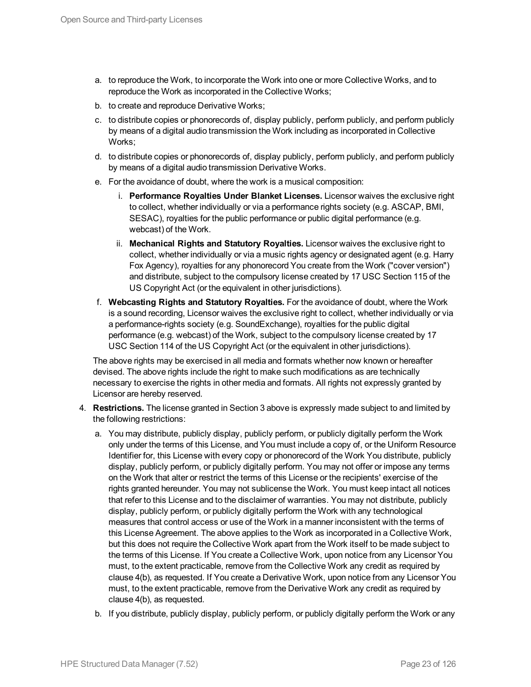- a. to reproduce the Work, to incorporate the Work into one or more Collective Works, and to reproduce the Work as incorporated in the Collective Works;
- b. to create and reproduce Derivative Works;
- c. to distribute copies or phonorecords of, display publicly, perform publicly, and perform publicly by means of a digital audio transmission the Work including as incorporated in Collective Works;
- d. to distribute copies or phonorecords of, display publicly, perform publicly, and perform publicly by means of a digital audio transmission Derivative Works.
- e. For the avoidance of doubt, where the work is a musical composition:
	- i. **Performance Royalties Under Blanket Licenses.** Licensor waives the exclusive right to collect, whether individually or via a performance rights society (e.g. ASCAP, BMI, SESAC), royalties for the public performance or public digital performance (e.g. webcast) of the Work.
	- ii. **Mechanical Rights and Statutory Royalties.** Licensor waives the exclusive right to collect, whether individually or via a music rights agency or designated agent (e.g. Harry Fox Agency), royalties for any phonorecord You create from the Work ("cover version") and distribute, subject to the compulsory license created by 17 USC Section 115 of the US Copyright Act (or the equivalent in other jurisdictions).
- f. **Webcasting Rights and Statutory Royalties.** For the avoidance of doubt, where the Work is a sound recording, Licensor waives the exclusive right to collect, whether individually or via a performance-rights society (e.g. SoundExchange), royalties for the public digital performance (e.g. webcast) of the Work, subject to the compulsory license created by 17 USC Section 114 of the US Copyright Act (or the equivalent in other jurisdictions).

The above rights may be exercised in all media and formats whether now known or hereafter devised. The above rights include the right to make such modifications as are technically necessary to exercise the rights in other media and formats. All rights not expressly granted by Licensor are hereby reserved.

- 4. **Restrictions.** The license granted in Section 3 above is expressly made subject to and limited by the following restrictions:
	- a. You may distribute, publicly display, publicly perform, or publicly digitally perform the Work only under the terms of this License, and You must include a copy of, or the Uniform Resource Identifier for, this License with every copy or phonorecord of the Work You distribute, publicly display, publicly perform, or publicly digitally perform. You may not offer or impose any terms on the Work that alter or restrict the terms of this License or the recipients' exercise of the rights granted hereunder. You may not sublicense the Work. You must keep intact all notices that refer to this License and to the disclaimer of warranties. You may not distribute, publicly display, publicly perform, or publicly digitally perform the Work with any technological measures that control access or use of the Work in a manner inconsistent with the terms of this License Agreement. The above applies to the Work as incorporated in a Collective Work, but this does not require the Collective Work apart from the Work itself to be made subject to the terms of this License. If You create a Collective Work, upon notice from any Licensor You must, to the extent practicable, remove from the Collective Work any credit as required by clause 4(b), as requested. If You create a Derivative Work, upon notice from any Licensor You must, to the extent practicable, remove from the Derivative Work any credit as required by clause 4(b), as requested.
	- b. If you distribute, publicly display, publicly perform, or publicly digitally perform the Work or any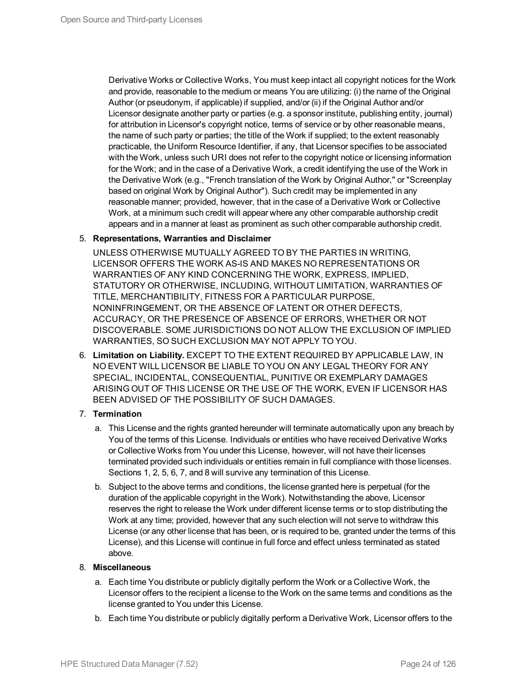Derivative Works or Collective Works, You must keep intact all copyright notices for the Work and provide, reasonable to the medium or means You are utilizing: (i) the name of the Original Author (or pseudonym, if applicable) if supplied, and/or (ii) if the Original Author and/or Licensor designate another party or parties (e.g. a sponsor institute, publishing entity, journal) for attribution in Licensor's copyright notice, terms of service or by other reasonable means, the name of such party or parties; the title of the Work if supplied; to the extent reasonably practicable, the Uniform Resource Identifier, if any, that Licensor specifies to be associated with the Work, unless such URI does not refer to the copyright notice or licensing information for the Work; and in the case of a Derivative Work, a credit identifying the use of the Work in the Derivative Work (e.g., "French translation of the Work by Original Author," or "Screenplay based on original Work by Original Author"). Such credit may be implemented in any reasonable manner; provided, however, that in the case of a Derivative Work or Collective Work, at a minimum such credit will appear where any other comparable authorship credit appears and in a manner at least as prominent as such other comparable authorship credit.

#### 5. **Representations, Warranties and Disclaimer**

UNLESS OTHERWISE MUTUALLY AGREED TO BY THE PARTIES IN WRITING, LICENSOR OFFERS THE WORK AS-IS AND MAKES NO REPRESENTATIONS OR WARRANTIES OF ANY KIND CONCERNING THE WORK, EXPRESS, IMPLIED, STATUTORY OR OTHERWISE, INCLUDING, WITHOUT LIMITATION, WARRANTIES OF TITLE, MERCHANTIBILITY, FITNESS FOR A PARTICULAR PURPOSE, NONINFRINGEMENT, OR THE ABSENCE OF LATENT OR OTHER DEFECTS, ACCURACY, OR THE PRESENCE OF ABSENCE OF ERRORS, WHETHER OR NOT DISCOVERABLE. SOME JURISDICTIONS DO NOT ALLOW THE EXCLUSION OF IMPLIED WARRANTIES, SO SUCH EXCLUSION MAY NOT APPLY TO YOU.

6. **Limitation on Liability.** EXCEPT TO THE EXTENT REQUIRED BY APPLICABLE LAW, IN NO EVENT WILL LICENSOR BE LIABLE TO YOU ON ANY LEGAL THEORY FOR ANY SPECIAL, INCIDENTAL, CONSEQUENTIAL, PUNITIVE OR EXEMPLARY DAMAGES ARISING OUT OF THIS LICENSE OR THE USE OF THE WORK, EVEN IF LICENSOR HAS BEEN ADVISED OF THE POSSIBILITY OF SUCH DAMAGES.

#### 7. **Termination**

- a. This License and the rights granted hereunder will terminate automatically upon any breach by You of the terms of this License. Individuals or entities who have received Derivative Works or Collective Works from You under this License, however, will not have their licenses terminated provided such individuals or entities remain in full compliance with those licenses. Sections 1, 2, 5, 6, 7, and 8 will survive any termination of this License.
- b. Subject to the above terms and conditions, the license granted here is perpetual (for the duration of the applicable copyright in the Work). Notwithstanding the above, Licensor reserves the right to release the Work under different license terms or to stop distributing the Work at any time; provided, however that any such election will not serve to withdraw this License (or any other license that has been, or is required to be, granted under the terms of this License), and this License will continue in full force and effect unless terminated as stated above.

#### 8. **Miscellaneous**

- a. Each time You distribute or publicly digitally perform the Work or a Collective Work, the Licensor offers to the recipient a license to the Work on the same terms and conditions as the license granted to You under this License.
- b. Each time You distribute or publicly digitally perform a Derivative Work, Licensor offers to the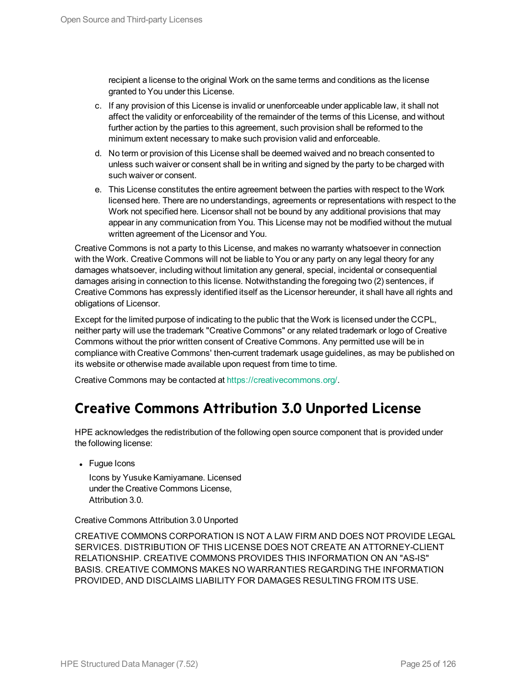recipient a license to the original Work on the same terms and conditions as the license granted to You under this License.

- c. If any provision of this License is invalid or unenforceable under applicable law, it shall not affect the validity or enforceability of the remainder of the terms of this License, and without further action by the parties to this agreement, such provision shall be reformed to the minimum extent necessary to make such provision valid and enforceable.
- d. No term or provision of this License shall be deemed waived and no breach consented to unless such waiver or consent shall be in writing and signed by the party to be charged with such waiver or consent.
- e. This License constitutes the entire agreement between the parties with respect to the Work licensed here. There are no understandings, agreements or representations with respect to the Work not specified here. Licensor shall not be bound by any additional provisions that may appear in any communication from You. This License may not be modified without the mutual written agreement of the Licensor and You.

Creative Commons is not a party to this License, and makes no warranty whatsoever in connection with the Work. Creative Commons will not be liable to You or any party on any legal theory for any damages whatsoever, including without limitation any general, special, incidental or consequential damages arising in connection to this license. Notwithstanding the foregoing two (2) sentences, if Creative Commons has expressly identified itself as the Licensor hereunder, it shall have all rights and obligations of Licensor.

Except for the limited purpose of indicating to the public that the Work is licensed under the CCPL, neither party will use the trademark "Creative Commons" or any related trademark or logo of Creative Commons without the prior written consent of Creative Commons. Any permitted use will be in compliance with Creative Commons' then-current trademark usage guidelines, as may be published on its website or otherwise made available upon request from time to time.

<span id="page-24-0"></span>Creative Commons may be contacted at <https://creativecommons.org/>.

### **Creative Commons Attribution 3.0 Unported License**

HPE acknowledges the redistribution of the following open source component that is provided under the following license:

• Fugue Icons

Icons by Yusuke Kamiyamane. Licensed under the Creative Commons License, Attribution 3.0.

Creative Commons Attribution 3.0 Unported

CREATIVE COMMONS CORPORATION IS NOT A LAW FIRM AND DOES NOT PROVIDE LEGAL SERVICES. DISTRIBUTION OF THIS LICENSE DOES NOT CREATE AN ATTORNEY-CLIENT RELATIONSHIP. CREATIVE COMMONS PROVIDES THIS INFORMATION ON AN "AS-IS" BASIS. CREATIVE COMMONS MAKES NO WARRANTIES REGARDING THE INFORMATION PROVIDED, AND DISCLAIMS LIABILITY FOR DAMAGES RESULTING FROM ITS USE.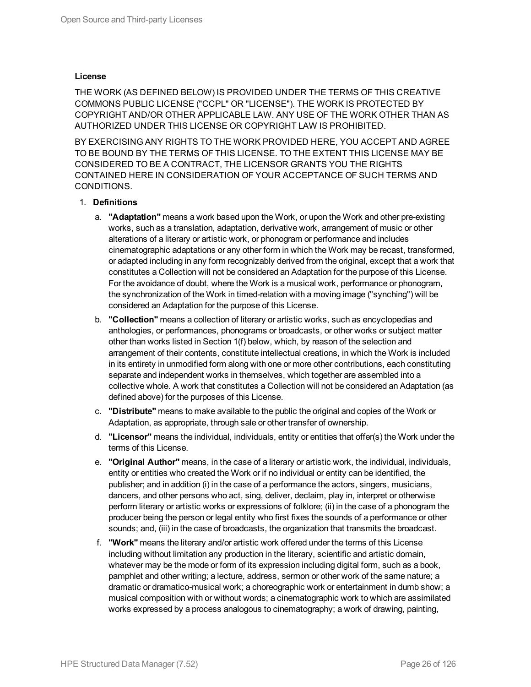#### **License**

THE WORK (AS DEFINED BELOW) IS PROVIDED UNDER THE TERMS OF THIS CREATIVE COMMONS PUBLIC LICENSE ("CCPL" OR "LICENSE"). THE WORK IS PROTECTED BY COPYRIGHT AND/OR OTHER APPLICABLE LAW. ANY USE OF THE WORK OTHER THAN AS AUTHORIZED UNDER THIS LICENSE OR COPYRIGHT LAW IS PROHIBITED.

BY EXERCISING ANY RIGHTS TO THE WORK PROVIDED HERE, YOU ACCEPT AND AGREE TO BE BOUND BY THE TERMS OF THIS LICENSE. TO THE EXTENT THIS LICENSE MAY BE CONSIDERED TO BE A CONTRACT, THE LICENSOR GRANTS YOU THE RIGHTS CONTAINED HERE IN CONSIDERATION OF YOUR ACCEPTANCE OF SUCH TERMS AND CONDITIONS.

#### 1. **Definitions**

- a. **"Adaptation"** means a work based upon the Work, or upon the Work and other pre-existing works, such as a translation, adaptation, derivative work, arrangement of music or other alterations of a literary or artistic work, or phonogram or performance and includes cinematographic adaptations or any other form in which the Work may be recast, transformed, or adapted including in any form recognizably derived from the original, except that a work that constitutes a Collection will not be considered an Adaptation for the purpose of this License. For the avoidance of doubt, where the Work is a musical work, performance or phonogram, the synchronization of the Work in timed-relation with a moving image ("synching") will be considered an Adaptation for the purpose of this License.
- b. **"Collection"** means a collection of literary or artistic works, such as encyclopedias and anthologies, or performances, phonograms or broadcasts, or other works or subject matter other than works listed in Section 1(f) below, which, by reason of the selection and arrangement of their contents, constitute intellectual creations, in which the Work is included in its entirety in unmodified form along with one or more other contributions, each constituting separate and independent works in themselves, which together are assembled into a collective whole. A work that constitutes a Collection will not be considered an Adaptation (as defined above) for the purposes of this License.
- c. **"Distribute"** means to make available to the public the original and copies of the Work or Adaptation, as appropriate, through sale or other transfer of ownership.
- d. **"Licensor"** means the individual, individuals, entity or entities that offer(s) the Work under the terms of this License.
- e. **"Original Author"** means, in the case of a literary or artistic work, the individual, individuals, entity or entities who created the Work or if no individual or entity can be identified, the publisher; and in addition (i) in the case of a performance the actors, singers, musicians, dancers, and other persons who act, sing, deliver, declaim, play in, interpret or otherwise perform literary or artistic works or expressions of folklore; (ii) in the case of a phonogram the producer being the person or legal entity who first fixes the sounds of a performance or other sounds; and, (iii) in the case of broadcasts, the organization that transmits the broadcast.
- f. **"Work"** means the literary and/or artistic work offered under the terms of this License including without limitation any production in the literary, scientific and artistic domain, whatever may be the mode or form of its expression including digital form, such as a book, pamphlet and other writing; a lecture, address, sermon or other work of the same nature; a dramatic or dramatico-musical work; a choreographic work or entertainment in dumb show; a musical composition with or without words; a cinematographic work to which are assimilated works expressed by a process analogous to cinematography; a work of drawing, painting,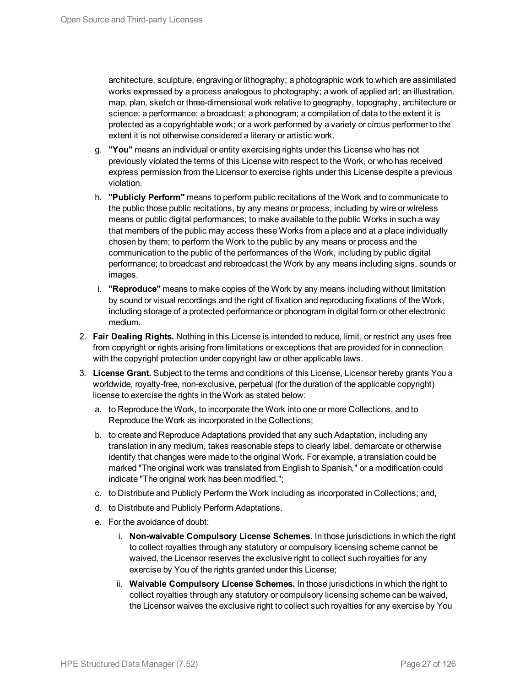architecture, sculpture, engraving or lithography; a photographic work to which are assimilated works expressed by a process analogous to photography; a work of applied art; an illustration, map, plan, sketch or three-dimensional work relative to geography, topography, architecture or science; a performance; a broadcast; a phonogram; a compilation of data to the extent it is protected as a copyrightable work; or a work performed by a variety or circus performer to the extent it is not otherwise considered a literary or artistic work.

- g. **"You"** means an individual or entity exercising rights under this License who has not previously violated the terms of this License with respect to the Work, or who has received express permission from the Licensor to exercise rights under this License despite a previous violation.
- h. **"Publicly Perform"** means to perform public recitations of the Work and to communicate to the public those public recitations, by any means or process, including by wire or wireless means or public digital performances; to make available to the public Works in such a way that members of the public may access these Works from a place and at a place individually chosen by them; to perform the Work to the public by any means or process and the communication to the public of the performances of the Work, including by public digital performance; to broadcast and rebroadcast the Work by any means including signs, sounds or images.
- i. **"Reproduce"** means to make copies of the Work by any means including without limitation by sound or visual recordings and the right of fixation and reproducing fixations of the Work, including storage of a protected performance or phonogram in digital form or other electronic medium.
- 2. **Fair Dealing Rights.** Nothing in this License is intended to reduce, limit, or restrict any uses free from copyright or rights arising from limitations or exceptions that are provided for in connection with the copyright protection under copyright law or other applicable laws.
- 3. **License Grant.** Subject to the terms and conditions of this License, Licensor hereby grants You a worldwide, royalty-free, non-exclusive, perpetual (for the duration of the applicable copyright) license to exercise the rights in the Work as stated below:
	- a. to Reproduce the Work, to incorporate the Work into one or more Collections, and to Reproduce the Work as incorporated in the Collections;
	- b. to create and Reproduce Adaptations provided that any such Adaptation, including any translation in any medium, takes reasonable steps to clearly label, demarcate or otherwise identify that changes were made to the original Work. For example, a translation could be marked "The original work was translated from English to Spanish," or a modification could indicate "The original work has been modified.";
	- c. to Distribute and Publicly Perform the Work including as incorporated in Collections; and,
	- d. to Distribute and Publicly Perform Adaptations.
	- e. For the avoidance of doubt:
		- i. **Non-waivable Compulsory License Schemes.** In those jurisdictions in which the right to collect royalties through any statutory or compulsory licensing scheme cannot be waived, the Licensor reserves the exclusive right to collect such royalties for any exercise by You of the rights granted under this License;
		- ii. **Waivable Compulsory License Schemes.** In those jurisdictions in which the right to collect royalties through any statutory or compulsory licensing scheme can be waived, the Licensor waives the exclusive right to collect such royalties for any exercise by You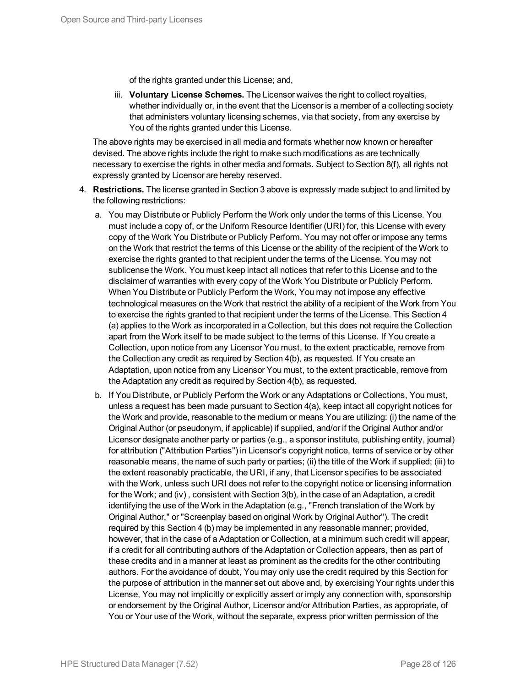of the rights granted under this License; and,

iii. **Voluntary License Schemes.** The Licensor waives the right to collect royalties, whether individually or, in the event that the Licensor is a member of a collecting society that administers voluntary licensing schemes, via that society, from any exercise by You of the rights granted under this License.

The above rights may be exercised in all media and formats whether now known or hereafter devised. The above rights include the right to make such modifications as are technically necessary to exercise the rights in other media and formats. Subject to Section 8(f), all rights not expressly granted by Licensor are hereby reserved.

- 4. **Restrictions.** The license granted in Section 3 above is expressly made subject to and limited by the following restrictions:
	- a. You may Distribute or Publicly Perform the Work only under the terms of this License. You must include a copy of, or the Uniform Resource Identifier (URI) for, this License with every copy of the Work You Distribute or Publicly Perform. You may not offer or impose any terms on the Work that restrict the terms of this License or the ability of the recipient of the Work to exercise the rights granted to that recipient under the terms of the License. You may not sublicense the Work. You must keep intact all notices that refer to this License and to the disclaimer of warranties with every copy of the Work You Distribute or Publicly Perform. When You Distribute or Publicly Perform the Work, You may not impose any effective technological measures on the Work that restrict the ability of a recipient of the Work from You to exercise the rights granted to that recipient under the terms of the License. This Section 4 (a) applies to the Work as incorporated in a Collection, but this does not require the Collection apart from the Work itself to be made subject to the terms of this License. If You create a Collection, upon notice from any Licensor You must, to the extent practicable, remove from the Collection any credit as required by Section 4(b), as requested. If You create an Adaptation, upon notice from any Licensor You must, to the extent practicable, remove from the Adaptation any credit as required by Section 4(b), as requested.
	- b. If You Distribute, or Publicly Perform the Work or any Adaptations or Collections, You must, unless a request has been made pursuant to Section 4(a), keep intact all copyright notices for the Work and provide, reasonable to the medium or means You are utilizing: (i) the name of the Original Author (or pseudonym, if applicable) if supplied, and/or if the Original Author and/or Licensor designate another party or parties (e.g., a sponsor institute, publishing entity, journal) for attribution ("Attribution Parties") in Licensor's copyright notice, terms of service or by other reasonable means, the name of such party or parties; (ii) the title of the Work if supplied; (iii) to the extent reasonably practicable, the URI, if any, that Licensor specifies to be associated with the Work, unless such URI does not refer to the copyright notice or licensing information for the Work; and (iv) , consistent with Section 3(b), in the case of an Adaptation, a credit identifying the use of the Work in the Adaptation (e.g., "French translation of the Work by Original Author," or "Screenplay based on original Work by Original Author"). The credit required by this Section 4 (b) may be implemented in any reasonable manner; provided, however, that in the case of a Adaptation or Collection, at a minimum such credit will appear, if a credit for all contributing authors of the Adaptation or Collection appears, then as part of these credits and in a manner at least as prominent as the credits for the other contributing authors. For the avoidance of doubt, You may only use the credit required by this Section for the purpose of attribution in the manner set out above and, by exercising Your rights under this License, You may not implicitly or explicitly assert or imply any connection with, sponsorship or endorsement by the Original Author, Licensor and/or Attribution Parties, as appropriate, of You or Your use of the Work, without the separate, express prior written permission of the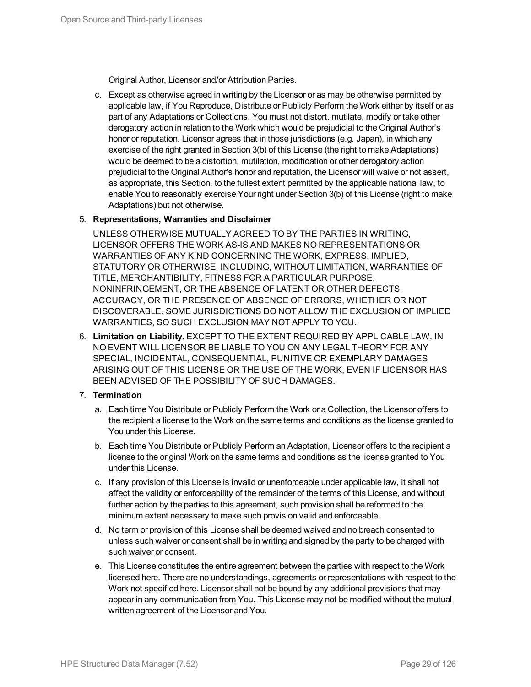Original Author, Licensor and/or Attribution Parties.

c. Except as otherwise agreed in writing by the Licensor or as may be otherwise permitted by applicable law, if You Reproduce, Distribute or Publicly Perform the Work either by itself or as part of any Adaptations or Collections, You must not distort, mutilate, modify or take other derogatory action in relation to the Work which would be prejudicial to the Original Author's honor or reputation. Licensor agrees that in those jurisdictions (e.g. Japan), in which any exercise of the right granted in Section 3(b) of this License (the right to make Adaptations) would be deemed to be a distortion, mutilation, modification or other derogatory action prejudicial to the Original Author's honor and reputation, the Licensor will waive or not assert, as appropriate, this Section, to the fullest extent permitted by the applicable national law, to enable You to reasonably exercise Your right under Section 3(b) of this License (right to make Adaptations) but not otherwise.

#### 5. **Representations, Warranties and Disclaimer**

UNLESS OTHERWISE MUTUALLY AGREED TO BY THE PARTIES IN WRITING, LICENSOR OFFERS THE WORK AS-IS AND MAKES NO REPRESENTATIONS OR WARRANTIES OF ANY KIND CONCERNING THE WORK, EXPRESS, IMPLIED, STATUTORY OR OTHERWISE, INCLUDING, WITHOUT LIMITATION, WARRANTIES OF TITLE, MERCHANTIBILITY, FITNESS FOR A PARTICULAR PURPOSE, NONINFRINGEMENT, OR THE ABSENCE OF LATENT OR OTHER DEFECTS, ACCURACY, OR THE PRESENCE OF ABSENCE OF ERRORS, WHETHER OR NOT DISCOVERABLE. SOME JURISDICTIONS DO NOT ALLOW THE EXCLUSION OF IMPLIED WARRANTIES, SO SUCH EXCLUSION MAY NOT APPLY TO YOU.

6. **Limitation on Liability.** EXCEPT TO THE EXTENT REQUIRED BY APPLICABLE LAW, IN NO EVENT WILL LICENSOR BE LIABLE TO YOU ON ANY LEGAL THEORY FOR ANY SPECIAL, INCIDENTAL, CONSEQUENTIAL, PUNITIVE OR EXEMPLARY DAMAGES ARISING OUT OF THIS LICENSE OR THE USE OF THE WORK, EVEN IF LICENSOR HAS BEEN ADVISED OF THE POSSIBILITY OF SUCH DAMAGES.

#### 7. **Termination**

- a. Each time You Distribute or Publicly Perform the Work or a Collection, the Licensor offers to the recipient a license to the Work on the same terms and conditions as the license granted to You under this License.
- b. Each time You Distribute or Publicly Perform an Adaptation, Licensor offers to the recipient a license to the original Work on the same terms and conditions as the license granted to You under this License.
- c. If any provision of this License is invalid or unenforceable under applicable law, it shall not affect the validity or enforceability of the remainder of the terms of this License, and without further action by the parties to this agreement, such provision shall be reformed to the minimum extent necessary to make such provision valid and enforceable.
- d. No term or provision of this License shall be deemed waived and no breach consented to unless such waiver or consent shall be in writing and signed by the party to be charged with such waiver or consent.
- e. This License constitutes the entire agreement between the parties with respect to the Work licensed here. There are no understandings, agreements or representations with respect to the Work not specified here. Licensor shall not be bound by any additional provisions that may appear in any communication from You. This License may not be modified without the mutual written agreement of the Licensor and You.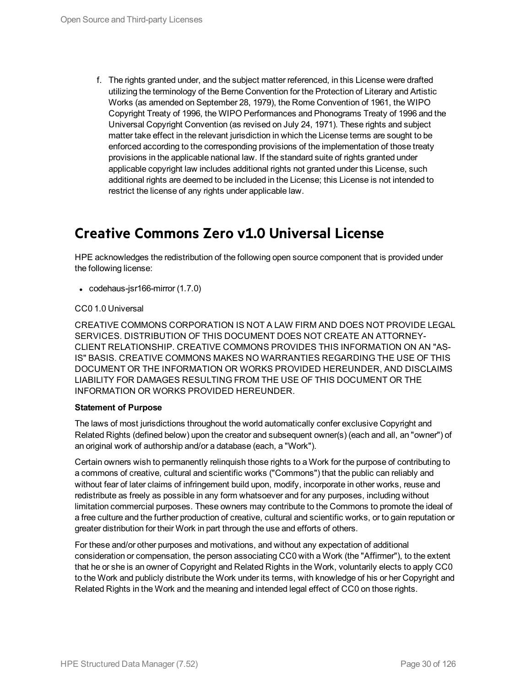f. The rights granted under, and the subject matter referenced, in this License were drafted utilizing the terminology of the Berne Convention for the Protection of Literary and Artistic Works (as amended on September 28, 1979), the Rome Convention of 1961, the WIPO Copyright Treaty of 1996, the WIPO Performances and Phonograms Treaty of 1996 and the Universal Copyright Convention (as revised on July 24, 1971). These rights and subject matter take effect in the relevant jurisdiction in which the License terms are sought to be enforced according to the corresponding provisions of the implementation of those treaty provisions in the applicable national law. If the standard suite of rights granted under applicable copyright law includes additional rights not granted under this License, such additional rights are deemed to be included in the License; this License is not intended to restrict the license of any rights under applicable law.

### <span id="page-29-0"></span>**Creative Commons Zero v1.0 Universal License**

HPE acknowledges the redistribution of the following open source component that is provided under the following license:

 $\bullet$  codehaus-jsr166-mirror (1.7.0)

#### CC0 1.0 Universal

CREATIVE COMMONS CORPORATION IS NOT A LAW FIRM AND DOES NOT PROVIDE LEGAL SERVICES. DISTRIBUTION OF THIS DOCUMENT DOES NOT CREATE AN ATTORNEY-CLIENT RELATIONSHIP. CREATIVE COMMONS PROVIDES THIS INFORMATION ON AN "AS-IS" BASIS. CREATIVE COMMONS MAKES NO WARRANTIES REGARDING THE USE OF THIS DOCUMENT OR THE INFORMATION OR WORKS PROVIDED HEREUNDER, AND DISCLAIMS LIABILITY FOR DAMAGES RESULTING FROM THE USE OF THIS DOCUMENT OR THE INFORMATION OR WORKS PROVIDED HEREUNDER.

#### **Statement of Purpose**

The laws of most jurisdictions throughout the world automatically confer exclusive Copyright and Related Rights (defined below) upon the creator and subsequent owner(s) (each and all, an "owner") of an original work of authorship and/or a database (each, a "Work").

Certain owners wish to permanently relinquish those rights to a Work for the purpose of contributing to a commons of creative, cultural and scientific works ("Commons") that the public can reliably and without fear of later claims of infringement build upon, modify, incorporate in other works, reuse and redistribute as freely as possible in any form whatsoever and for any purposes, including without limitation commercial purposes. These owners may contribute to the Commons to promote the ideal of a free culture and the further production of creative, cultural and scientific works, or to gain reputation or greater distribution for their Work in part through the use and efforts of others.

For these and/or other purposes and motivations, and without any expectation of additional consideration or compensation, the person associating CC0 with a Work (the "Affirmer"), to the extent that he or she is an owner of Copyright and Related Rights in the Work, voluntarily elects to apply CC0 to the Work and publicly distribute the Work under its terms, with knowledge of his or her Copyright and Related Rights in the Work and the meaning and intended legal effect of CC0 on those rights.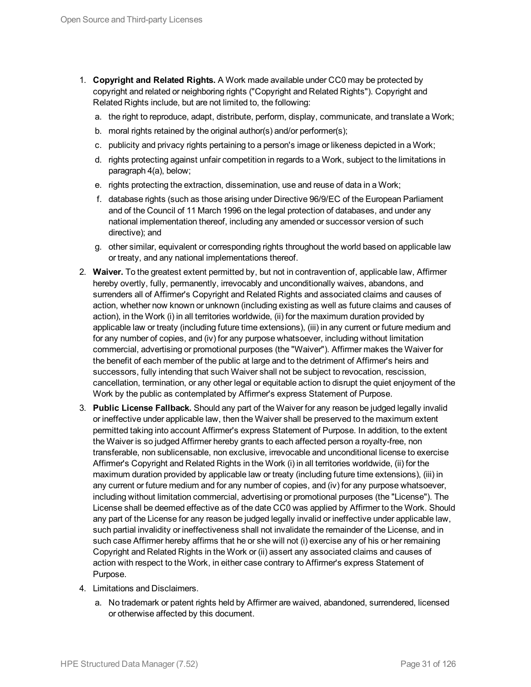- 1. **Copyright and Related Rights.** A Work made available under CC0 may be protected by copyright and related or neighboring rights ("Copyright and Related Rights"). Copyright and Related Rights include, but are not limited to, the following:
	- a. the right to reproduce, adapt, distribute, perform, display, communicate, and translate a Work;
	- b. moral rights retained by the original author(s) and/or performer(s);
	- c. publicity and privacy rights pertaining to a person's image or likeness depicted in a Work;
	- d. rights protecting against unfair competition in regards to a Work, subject to the limitations in paragraph 4(a), below;
	- e. rights protecting the extraction, dissemination, use and reuse of data in a Work;
	- f. database rights (such as those arising under Directive 96/9/EC of the European Parliament and of the Council of 11 March 1996 on the legal protection of databases, and under any national implementation thereof, including any amended or successor version of such directive); and
	- g. other similar, equivalent or corresponding rights throughout the world based on applicable law or treaty, and any national implementations thereof.
- 2. **Waiver.** To the greatest extent permitted by, but not in contravention of, applicable law, Affirmer hereby overtly, fully, permanently, irrevocably and unconditionally waives, abandons, and surrenders all of Affirmer's Copyright and Related Rights and associated claims and causes of action, whether now known or unknown (including existing as well as future claims and causes of action), in the Work (i) in all territories worldwide, (ii) for the maximum duration provided by applicable law or treaty (including future time extensions), (iii) in any current or future medium and for any number of copies, and (iv) for any purpose whatsoever, including without limitation commercial, advertising or promotional purposes (the "Waiver"). Affirmer makes the Waiver for the benefit of each member of the public at large and to the detriment of Affirmer's heirs and successors, fully intending that such Waiver shall not be subject to revocation, rescission, cancellation, termination, or any other legal or equitable action to disrupt the quiet enjoyment of the Work by the public as contemplated by Affirmer's express Statement of Purpose.
- 3. **Public License Fallback.** Should any part of the Waiver for any reason be judged legally invalid or ineffective under applicable law, then the Waiver shall be preserved to the maximum extent permitted taking into account Affirmer's express Statement of Purpose. In addition, to the extent the Waiver is so judged Affirmer hereby grants to each affected person a royalty-free, non transferable, non sublicensable, non exclusive, irrevocable and unconditional license to exercise Affirmer's Copyright and Related Rights in the Work (i) in all territories worldwide, (ii) for the maximum duration provided by applicable law or treaty (including future time extensions), (iii) in any current or future medium and for any number of copies, and (iv) for any purpose whatsoever, including without limitation commercial, advertising or promotional purposes (the "License"). The License shall be deemed effective as of the date CC0 was applied by Affirmer to the Work. Should any part of the License for any reason be judged legally invalid or ineffective under applicable law, such partial invalidity or ineffectiveness shall not invalidate the remainder of the License, and in such case Affirmer hereby affirms that he or she will not (i) exercise any of his or her remaining Copyright and Related Rights in the Work or (ii) assert any associated claims and causes of action with respect to the Work, in either case contrary to Affirmer's express Statement of Purpose.
- 4. Limitations and Disclaimers.
	- a. No trademark or patent rights held by Affirmer are waived, abandoned, surrendered, licensed or otherwise affected by this document.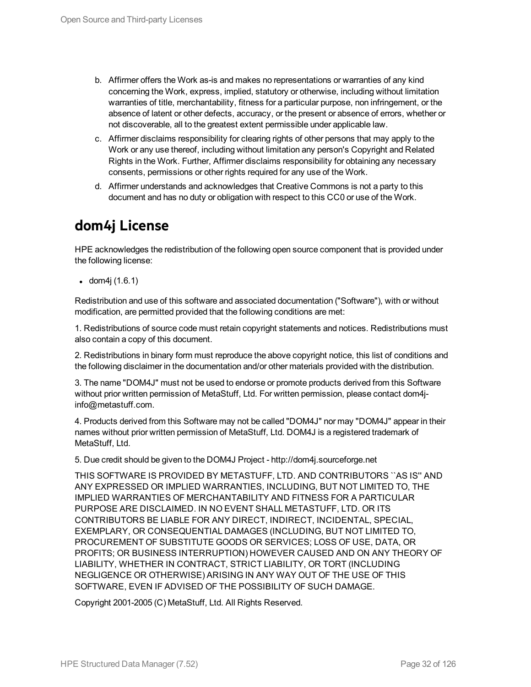- b. Affirmer offers the Work as-is and makes no representations or warranties of any kind concerning the Work, express, implied, statutory or otherwise, including without limitation warranties of title, merchantability, fitness for a particular purpose, non infringement, or the absence of latent or other defects, accuracy, or the present or absence of errors, whether or not discoverable, all to the greatest extent permissible under applicable law.
- c. Affirmer disclaims responsibility for clearing rights of other persons that may apply to the Work or any use thereof, including without limitation any person's Copyright and Related Rights in the Work. Further, Affirmer disclaims responsibility for obtaining any necessary consents, permissions or other rights required for any use of the Work.
- d. Affirmer understands and acknowledges that Creative Commons is not a party to this document and has no duty or obligation with respect to this CC0 or use of the Work.

## <span id="page-31-0"></span>**dom4j License**

HPE acknowledges the redistribution of the following open source component that is provided under the following license:

 $\bullet$  dom4j (1.6.1)

Redistribution and use of this software and associated documentation ("Software"), with or without modification, are permitted provided that the following conditions are met:

1. Redistributions of source code must retain copyright statements and notices. Redistributions must also contain a copy of this document.

2. Redistributions in binary form must reproduce the above copyright notice, this list of conditions and the following disclaimer in the documentation and/or other materials provided with the distribution.

3. The name "DOM4J" must not be used to endorse or promote products derived from this Software without prior written permission of MetaStuff, Ltd. For written permission, please contact dom4jinfo@metastuff.com.

4. Products derived from this Software may not be called "DOM4J" nor may "DOM4J" appear in their names without prior written permission of MetaStuff, Ltd. DOM4J is a registered trademark of MetaStuff, Ltd.

5. Due credit should be given to the DOM4J Project - http://dom4j.sourceforge.net

THIS SOFTWARE IS PROVIDED BY METASTUFF, LTD. AND CONTRIBUTORS ``AS IS'' AND ANY EXPRESSED OR IMPLIED WARRANTIES, INCLUDING, BUT NOT LIMITED TO, THE IMPLIED WARRANTIES OF MERCHANTABILITY AND FITNESS FOR A PARTICULAR PURPOSE ARE DISCLAIMED. IN NO EVENT SHALL METASTUFF, LTD. OR ITS CONTRIBUTORS BE LIABLE FOR ANY DIRECT, INDIRECT, INCIDENTAL, SPECIAL, EXEMPLARY, OR CONSEQUENTIAL DAMAGES (INCLUDING, BUT NOT LIMITED TO, PROCUREMENT OF SUBSTITUTE GOODS OR SERVICES; LOSS OF USE, DATA, OR PROFITS; OR BUSINESS INTERRUPTION) HOWEVER CAUSED AND ON ANY THEORY OF LIABILITY, WHETHER IN CONTRACT, STRICT LIABILITY, OR TORT (INCLUDING NEGLIGENCE OR OTHERWISE) ARISING IN ANY WAY OUT OF THE USE OF THIS SOFTWARE, EVEN IF ADVISED OF THE POSSIBILITY OF SUCH DAMAGE.

Copyright 2001-2005 (C) MetaStuff, Ltd. All Rights Reserved.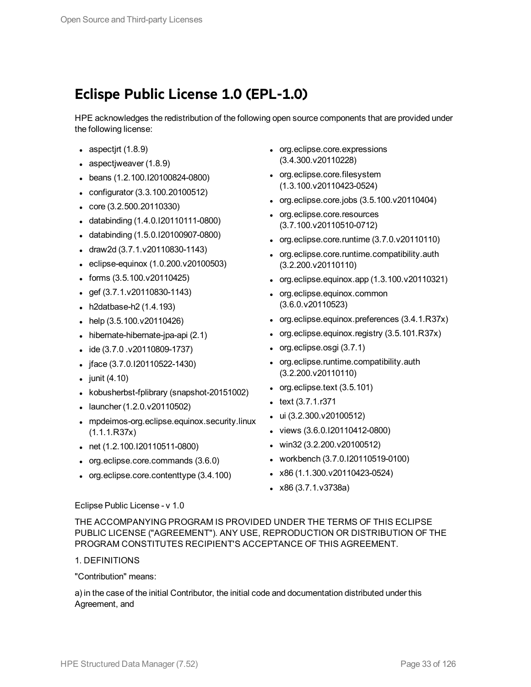### <span id="page-32-0"></span>**Eclispe Public License 1.0 (EPL-1.0)**

HPE acknowledges the redistribution of the following open source components that are provided under the following license:

- $\bullet$  aspectint  $(1.8.9)$
- $\bullet$  aspectiweaver (1.8.9)
- $\bullet$  beans (1.2.100.I20100824-0800)
- configurator  $(3.3.100.20100512)$
- $\cdot$  core (3.2.500.20110330)
- $\bullet$  databinding  $(1.4.0.120110111-0800)$
- $\bullet$  databinding  $(1.5.0.120100907-0800)$
- $\bullet$  draw2d (3.7.1.v20110830-1143)
- $\bullet$  eclipse-equinox (1.0.200.v20100503)
- $\bullet$  forms (3.5.100.v20110425)
- $\cdot$  gef (3.7.1.v20110830-1143)
- $\bullet$  h2datbase-h2 (1.4.193)
- $\bullet$  help (3.5.100.v20110426)
- $\bullet$  hibernate-hibernate-jpa-api (2.1)
- $\bullet$  ide (3.7.0  $\sqrt{20110809} 1737$ )
- $\bullet$  jface (3.7.0.I20110522-1430)
- $\bullet$  junit (4.10)
- kobusherbst-fplibrary (snapshot-20151002)
- $\bullet$  launcher (1.2.0.v20110502)
- mpdeimos-org.eclipse.equinox.security.linux (1.1.1.R37x)
- $\bullet$  net (1.2.100.I20110511-0800)
- $\bullet$  org.eclipse.core.commands  $(3.6.0)$
- $\bullet$  org.eclipse.core.contenttype  $(3.4.100)$
- org.eclipse.core.expressions (3.4.300.v20110228)
- org.eclipse.core.filesystem (1.3.100.v20110423-0524)
- $\bullet$  org.eclipse.core.jobs  $(3.5.100 \text{ v} 20110404)$
- org.eclipse.core.resources (3.7.100.v20110510-0712)
- org.eclipse.core.runtime  $(3.7.0 \text{ v} 20110110)$
- org.eclipse.core.runtime.compatibility.auth (3.2.200.v20110110)
- org.eclipse.equinox.app  $(1.3.100.v20110321)$
- org.eclipse.equinox.common (3.6.0.v20110523)
- org.eclipse.equinox.preferences  $(3.4.1.R37x)$
- org.eclipse.equinox.registry (3.5.101.R37x)
- $\bullet$  org.eclipse.osgi  $(3.7.1)$
- org.eclipse.runtime.compatibility.auth (3.2.200.v20110110)
- $\bullet$  org.eclipse.text  $(3.5.101)$
- $\cdot$  text (3.7.1.r371
- $\bullet$  ui (3.2.300.v20100512)
- $\bullet$  views (3.6.0.120110412-0800)
- $\bullet$  win32 (3.2.200.v20100512)
- $\bullet$  workbench (3.7.0.120110519-0100)
- $\bullet$  x86 (1.1.300.v20110423-0524)
- $\cdot$  x86 (3.7.1.v3738a)

Eclipse Public License - v 1.0

THE ACCOMPANYING PROGRAM IS PROVIDED UNDER THE TERMS OF THIS ECLIPSE PUBLIC LICENSE ("AGREEMENT"). ANY USE, REPRODUCTION OR DISTRIBUTION OF THE PROGRAM CONSTITUTES RECIPIENT'S ACCEPTANCE OF THIS AGREEMENT.

#### 1. DEFINITIONS

"Contribution" means:

a) in the case of the initial Contributor, the initial code and documentation distributed under this Agreement, and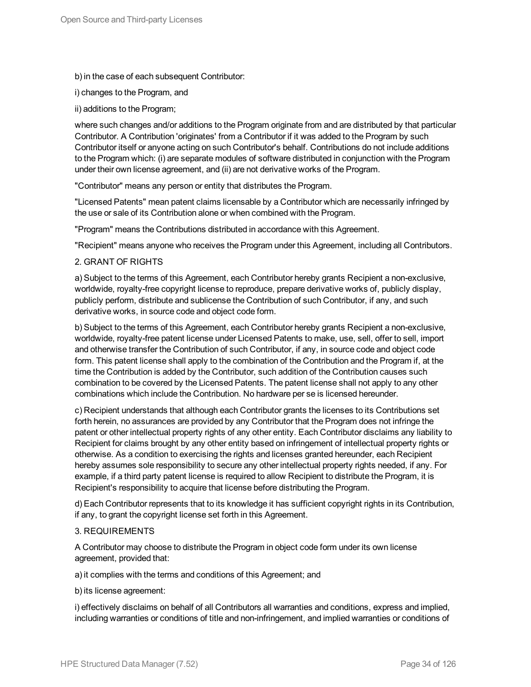b) in the case of each subsequent Contributor:

- i) changes to the Program, and
- ii) additions to the Program;

where such changes and/or additions to the Program originate from and are distributed by that particular Contributor. A Contribution 'originates' from a Contributor if it was added to the Program by such Contributor itself or anyone acting on such Contributor's behalf. Contributions do not include additions to the Program which: (i) are separate modules of software distributed in conjunction with the Program under their own license agreement, and (ii) are not derivative works of the Program.

"Contributor" means any person or entity that distributes the Program.

"Licensed Patents" mean patent claims licensable by a Contributor which are necessarily infringed by the use or sale of its Contribution alone or when combined with the Program.

"Program" means the Contributions distributed in accordance with this Agreement.

"Recipient" means anyone who receives the Program under this Agreement, including all Contributors.

#### 2. GRANT OF RIGHTS

a) Subject to the terms of this Agreement, each Contributor hereby grants Recipient a non-exclusive, worldwide, royalty-free copyright license to reproduce, prepare derivative works of, publicly display, publicly perform, distribute and sublicense the Contribution of such Contributor, if any, and such derivative works, in source code and object code form.

b) Subject to the terms of this Agreement, each Contributor hereby grants Recipient a non-exclusive, worldwide, royalty-free patent license under Licensed Patents to make, use, sell, offer to sell, import and otherwise transfer the Contribution of such Contributor, if any, in source code and object code form. This patent license shall apply to the combination of the Contribution and the Program if, at the time the Contribution is added by the Contributor, such addition of the Contribution causes such combination to be covered by the Licensed Patents. The patent license shall not apply to any other combinations which include the Contribution. No hardware per se is licensed hereunder.

c) Recipient understands that although each Contributor grants the licenses to its Contributions set forth herein, no assurances are provided by any Contributor that the Program does not infringe the patent or other intellectual property rights of any other entity. Each Contributor disclaims any liability to Recipient for claims brought by any other entity based on infringement of intellectual property rights or otherwise. As a condition to exercising the rights and licenses granted hereunder, each Recipient hereby assumes sole responsibility to secure any other intellectual property rights needed, if any. For example, if a third party patent license is required to allow Recipient to distribute the Program, it is Recipient's responsibility to acquire that license before distributing the Program.

d) Each Contributor represents that to its knowledge it has sufficient copyright rights in its Contribution, if any, to grant the copyright license set forth in this Agreement.

#### 3. REQUIREMENTS

A Contributor may choose to distribute the Program in object code form under its own license agreement, provided that:

a) it complies with the terms and conditions of this Agreement; and

b) its license agreement:

i) effectively disclaims on behalf of all Contributors all warranties and conditions, express and implied, including warranties or conditions of title and non-infringement, and implied warranties or conditions of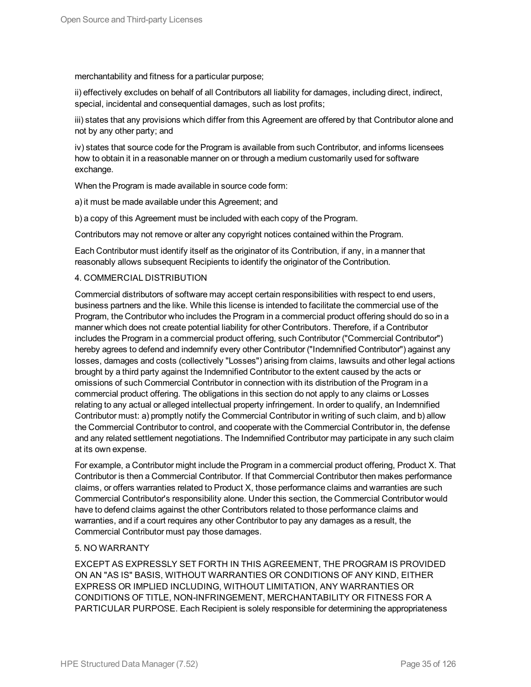merchantability and fitness for a particular purpose;

ii) effectively excludes on behalf of all Contributors all liability for damages, including direct, indirect, special, incidental and consequential damages, such as lost profits;

iii) states that any provisions which differ from this Agreement are offered by that Contributor alone and not by any other party; and

iv) states that source code for the Program is available from such Contributor, and informs licensees how to obtain it in a reasonable manner on or through a medium customarily used for software exchange.

When the Program is made available in source code form:

a) it must be made available under this Agreement; and

b) a copy of this Agreement must be included with each copy of the Program.

Contributors may not remove or alter any copyright notices contained within the Program.

Each Contributor must identify itself as the originator of its Contribution, if any, in a manner that reasonably allows subsequent Recipients to identify the originator of the Contribution.

#### 4. COMMERCIAL DISTRIBUTION

Commercial distributors of software may accept certain responsibilities with respect to end users, business partners and the like. While this license is intended to facilitate the commercial use of the Program, the Contributor who includes the Program in a commercial product offering should do so in a manner which does not create potential liability for other Contributors. Therefore, if a Contributor includes the Program in a commercial product offering, such Contributor ("Commercial Contributor") hereby agrees to defend and indemnify every other Contributor ("Indemnified Contributor") against any losses, damages and costs (collectively "Losses") arising from claims, lawsuits and other legal actions brought by a third party against the Indemnified Contributor to the extent caused by the acts or omissions of such Commercial Contributor in connection with its distribution of the Program in a commercial product offering. The obligations in this section do not apply to any claims or Losses relating to any actual or alleged intellectual property infringement. In order to qualify, an Indemnified Contributor must: a) promptly notify the Commercial Contributor in writing of such claim, and b) allow the Commercial Contributor to control, and cooperate with the Commercial Contributor in, the defense and any related settlement negotiations. The Indemnified Contributor may participate in any such claim at its own expense.

For example, a Contributor might include the Program in a commercial product offering, Product X. That Contributor is then a Commercial Contributor. If that Commercial Contributor then makes performance claims, or offers warranties related to Product X, those performance claims and warranties are such Commercial Contributor's responsibility alone. Under this section, the Commercial Contributor would have to defend claims against the other Contributors related to those performance claims and warranties, and if a court requires any other Contributor to pay any damages as a result, the Commercial Contributor must pay those damages.

#### 5. NO WARRANTY

EXCEPT AS EXPRESSLY SET FORTH IN THIS AGREEMENT, THE PROGRAM IS PROVIDED ON AN "AS IS" BASIS, WITHOUT WARRANTIES OR CONDITIONS OF ANY KIND, EITHER EXPRESS OR IMPLIED INCLUDING, WITHOUT LIMITATION, ANY WARRANTIES OR CONDITIONS OF TITLE, NON-INFRINGEMENT, MERCHANTABILITY OR FITNESS FOR A PARTICULAR PURPOSE. Each Recipient is solely responsible for determining the appropriateness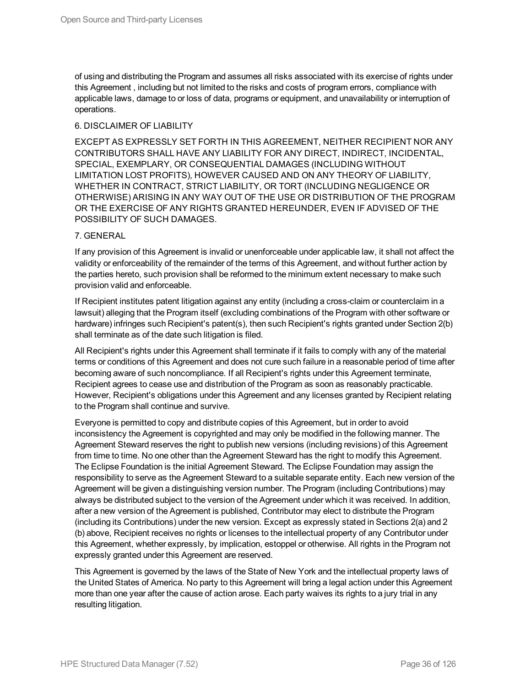of using and distributing the Program and assumes all risks associated with its exercise of rights under this Agreement , including but not limited to the risks and costs of program errors, compliance with applicable laws, damage to or loss of data, programs or equipment, and unavailability or interruption of operations.

#### 6. DISCLAIMER OF LIABILITY

EXCEPT AS EXPRESSLY SET FORTH IN THIS AGREEMENT, NEITHER RECIPIENT NOR ANY CONTRIBUTORS SHALL HAVE ANY LIABILITY FOR ANY DIRECT, INDIRECT, INCIDENTAL, SPECIAL, EXEMPLARY, OR CONSEQUENTIAL DAMAGES (INCLUDING WITHOUT LIMITATION LOST PROFITS), HOWEVER CAUSED AND ON ANY THEORY OF LIABILITY, WHETHER IN CONTRACT, STRICT LIABILITY, OR TORT (INCLUDING NEGLIGENCE OR OTHERWISE) ARISING IN ANY WAY OUT OF THE USE OR DISTRIBUTION OF THE PROGRAM OR THE EXERCISE OF ANY RIGHTS GRANTED HEREUNDER, EVEN IF ADVISED OF THE POSSIBILITY OF SUCH DAMAGES.

#### 7. GENERAL

If any provision of this Agreement is invalid or unenforceable under applicable law, it shall not affect the validity or enforceability of the remainder of the terms of this Agreement, and without further action by the parties hereto, such provision shall be reformed to the minimum extent necessary to make such provision valid and enforceable.

If Recipient institutes patent litigation against any entity (including a cross-claim or counterclaim in a lawsuit) alleging that the Program itself (excluding combinations of the Program with other software or hardware) infringes such Recipient's patent(s), then such Recipient's rights granted under Section 2(b) shall terminate as of the date such litigation is filed.

All Recipient's rights under this Agreement shall terminate if it fails to comply with any of the material terms or conditions of this Agreement and does not cure such failure in a reasonable period of time after becoming aware of such noncompliance. If all Recipient's rights under this Agreement terminate, Recipient agrees to cease use and distribution of the Program as soon as reasonably practicable. However, Recipient's obligations under this Agreement and any licenses granted by Recipient relating to the Program shall continue and survive.

Everyone is permitted to copy and distribute copies of this Agreement, but in order to avoid inconsistency the Agreement is copyrighted and may only be modified in the following manner. The Agreement Steward reserves the right to publish new versions (including revisions) of this Agreement from time to time. No one other than the Agreement Steward has the right to modify this Agreement. The Eclipse Foundation is the initial Agreement Steward. The Eclipse Foundation may assign the responsibility to serve as the Agreement Steward to a suitable separate entity. Each new version of the Agreement will be given a distinguishing version number. The Program (including Contributions) may always be distributed subject to the version of the Agreement under which it was received. In addition, after a new version of the Agreement is published, Contributor may elect to distribute the Program (including its Contributions) under the new version. Except as expressly stated in Sections 2(a) and 2 (b) above, Recipient receives no rights or licenses to the intellectual property of any Contributor under this Agreement, whether expressly, by implication, estoppel or otherwise. All rights in the Program not expressly granted under this Agreement are reserved.

This Agreement is governed by the laws of the State of New York and the intellectual property laws of the United States of America. No party to this Agreement will bring a legal action under this Agreement more than one year after the cause of action arose. Each party waives its rights to a jury trial in any resulting litigation.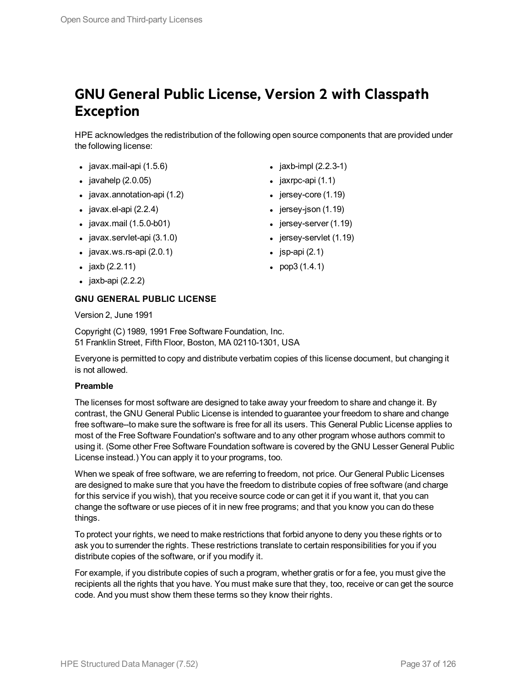# **GNU General Public License, Version 2 with Classpath Exception**

HPE acknowledges the redistribution of the following open source components that are provided under the following license:

- $\bullet$  javax.mail-api  $(1.5.6)$
- $\bullet$  javahelp (2.0.05)
- javax.annotation-api (1.2)
- $\bullet$  javax.el-api (2.2.4)
- $\bullet$  javax.mail  $(1.5.0-b01)$
- $\bullet$  javax.servlet-api  $(3.1.0)$
- $\bullet$  javax.ws.rs-api (2.0.1)
- $\bullet$  jaxb (2.2.11)
- $\bullet$  jaxb-api (2.2.2)

# **GNU GENERAL PUBLIC LICENSE**

Version 2, June 1991

Copyright (C) 1989, 1991 Free Software Foundation, Inc. 51 Franklin Street, Fifth Floor, Boston, MA 02110-1301, USA

Everyone is permitted to copy and distribute verbatim copies of this license document, but changing it is not allowed.

# **Preamble**

The licenses for most software are designed to take away your freedom to share and change it. By contrast, the GNU General Public License is intended to guarantee your freedom to share and change free software--to make sure the software is free for all its users. This General Public License applies to most of the Free Software Foundation's software and to any other program whose authors commit to using it. (Some other Free Software Foundation software is covered by the GNU Lesser General Public License instead.) You can apply it to your programs, too.

When we speak of free software, we are referring to freedom, not price. Our General Public Licenses are designed to make sure that you have the freedom to distribute copies of free software (and charge for this service if you wish), that you receive source code or can get it if you want it, that you can change the software or use pieces of it in new free programs; and that you know you can do these things.

To protect your rights, we need to make restrictions that forbid anyone to deny you these rights or to ask you to surrender the rights. These restrictions translate to certain responsibilities for you if you distribute copies of the software, or if you modify it.

For example, if you distribute copies of such a program, whether gratis or for a fee, you must give the recipients all the rights that you have. You must make sure that they, too, receive or can get the source code. And you must show them these terms so they know their rights.

- $\bullet$  jaxb-impl (2.2.3-1)
- $\bullet$  jaxrpc-api  $(1.1)$
- $\bullet$  jersey-core (1.19)
- $\bullet$  jersey-json (1.19)
- $\bullet$  jersey-server  $(1.19)$
- $\bullet$  jersey-servlet  $(1.19)$
- $\bullet$  jsp-api  $(2.1)$
- $\bullet$  pop3 (1.4.1)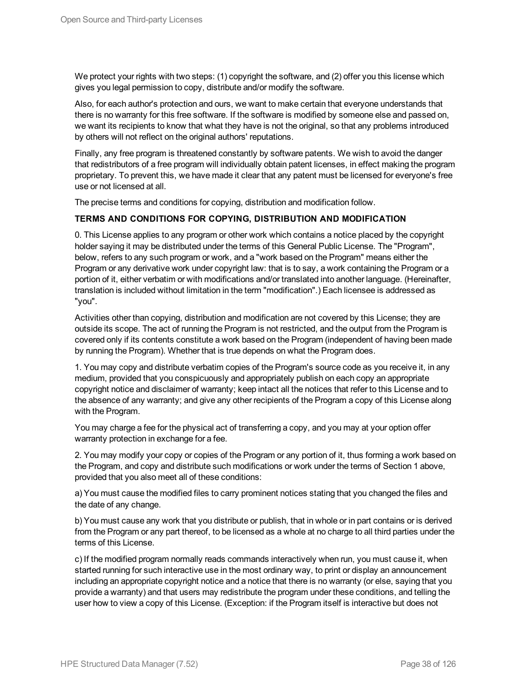We protect your rights with two steps: (1) copyright the software, and (2) offer you this license which gives you legal permission to copy, distribute and/or modify the software.

Also, for each author's protection and ours, we want to make certain that everyone understands that there is no warranty for this free software. If the software is modified by someone else and passed on, we want its recipients to know that what they have is not the original, so that any problems introduced by others will not reflect on the original authors' reputations.

Finally, any free program is threatened constantly by software patents. We wish to avoid the danger that redistributors of a free program will individually obtain patent licenses, in effect making the program proprietary. To prevent this, we have made it clear that any patent must be licensed for everyone's free use or not licensed at all.

The precise terms and conditions for copying, distribution and modification follow.

# **TERMS AND CONDITIONS FOR COPYING, DISTRIBUTION AND MODIFICATION**

0. This License applies to any program or other work which contains a notice placed by the copyright holder saying it may be distributed under the terms of this General Public License. The "Program", below, refers to any such program or work, and a "work based on the Program" means either the Program or any derivative work under copyright law: that is to say, a work containing the Program or a portion of it, either verbatim or with modifications and/or translated into another language. (Hereinafter, translation is included without limitation in the term "modification".) Each licensee is addressed as "you".

Activities other than copying, distribution and modification are not covered by this License; they are outside its scope. The act of running the Program is not restricted, and the output from the Program is covered only if its contents constitute a work based on the Program (independent of having been made by running the Program). Whether that is true depends on what the Program does.

1. You may copy and distribute verbatim copies of the Program's source code as you receive it, in any medium, provided that you conspicuously and appropriately publish on each copy an appropriate copyright notice and disclaimer of warranty; keep intact all the notices that refer to this License and to the absence of any warranty; and give any other recipients of the Program a copy of this License along with the Program.

You may charge a fee for the physical act of transferring a copy, and you may at your option offer warranty protection in exchange for a fee.

2. You may modify your copy or copies of the Program or any portion of it, thus forming a work based on the Program, and copy and distribute such modifications or work under the terms of Section 1 above, provided that you also meet all of these conditions:

a) You must cause the modified files to carry prominent notices stating that you changed the files and the date of any change.

b) You must cause any work that you distribute or publish, that in whole or in part contains or is derived from the Program or any part thereof, to be licensed as a whole at no charge to all third parties under the terms of this License.

c) If the modified program normally reads commands interactively when run, you must cause it, when started running for such interactive use in the most ordinary way, to print or display an announcement including an appropriate copyright notice and a notice that there is no warranty (or else, saying that you provide a warranty) and that users may redistribute the program under these conditions, and telling the user how to view a copy of this License. (Exception: if the Program itself is interactive but does not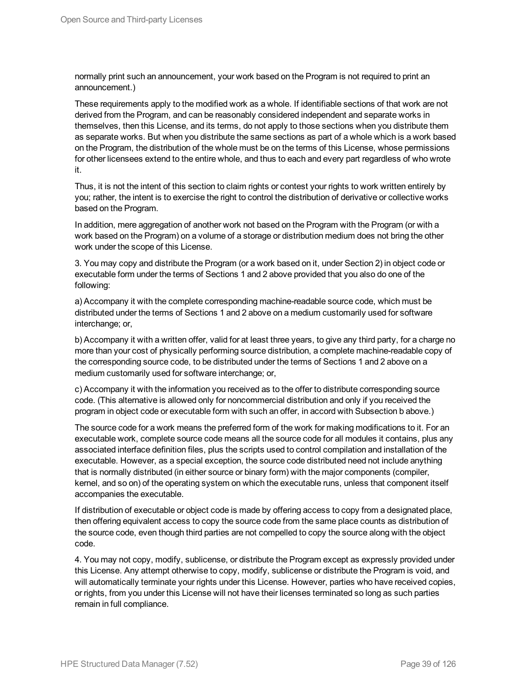normally print such an announcement, your work based on the Program is not required to print an announcement.)

These requirements apply to the modified work as a whole. If identifiable sections of that work are not derived from the Program, and can be reasonably considered independent and separate works in themselves, then this License, and its terms, do not apply to those sections when you distribute them as separate works. But when you distribute the same sections as part of a whole which is a work based on the Program, the distribution of the whole must be on the terms of this License, whose permissions for other licensees extend to the entire whole, and thus to each and every part regardless of who wrote it.

Thus, it is not the intent of this section to claim rights or contest your rights to work written entirely by you; rather, the intent is to exercise the right to control the distribution of derivative or collective works based on the Program.

In addition, mere aggregation of another work not based on the Program with the Program (or with a work based on the Program) on a volume of a storage or distribution medium does not bring the other work under the scope of this License.

3. You may copy and distribute the Program (or a work based on it, under Section 2) in object code or executable form under the terms of Sections 1 and 2 above provided that you also do one of the following:

a) Accompany it with the complete corresponding machine-readable source code, which must be distributed under the terms of Sections 1 and 2 above on a medium customarily used for software interchange; or,

b) Accompany it with a written offer, valid for at least three years, to give any third party, for a charge no more than your cost of physically performing source distribution, a complete machine-readable copy of the corresponding source code, to be distributed under the terms of Sections 1 and 2 above on a medium customarily used for software interchange; or,

c) Accompany it with the information you received as to the offer to distribute corresponding source code. (This alternative is allowed only for noncommercial distribution and only if you received the program in object code or executable form with such an offer, in accord with Subsection b above.)

The source code for a work means the preferred form of the work for making modifications to it. For an executable work, complete source code means all the source code for all modules it contains, plus any associated interface definition files, plus the scripts used to control compilation and installation of the executable. However, as a special exception, the source code distributed need not include anything that is normally distributed (in either source or binary form) with the major components (compiler, kernel, and so on) of the operating system on which the executable runs, unless that component itself accompanies the executable.

If distribution of executable or object code is made by offering access to copy from a designated place, then offering equivalent access to copy the source code from the same place counts as distribution of the source code, even though third parties are not compelled to copy the source along with the object code.

4. You may not copy, modify, sublicense, or distribute the Program except as expressly provided under this License. Any attempt otherwise to copy, modify, sublicense or distribute the Program is void, and will automatically terminate your rights under this License. However, parties who have received copies, or rights, from you under this License will not have their licenses terminated so long as such parties remain in full compliance.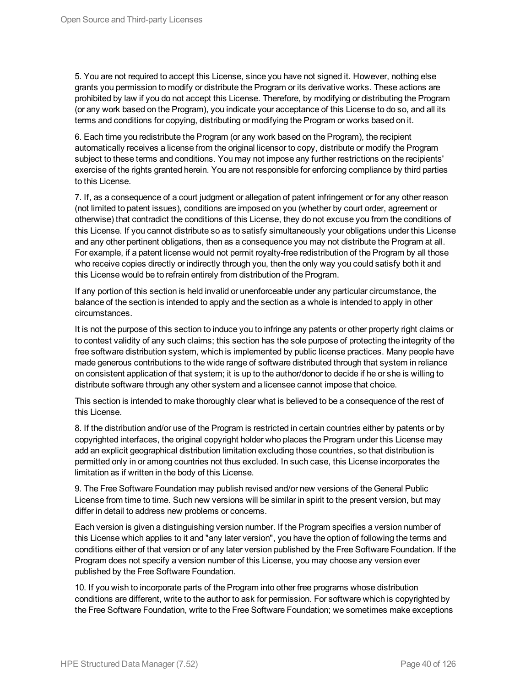5. You are not required to accept this License, since you have not signed it. However, nothing else grants you permission to modify or distribute the Program or its derivative works. These actions are prohibited by law if you do not accept this License. Therefore, by modifying or distributing the Program (or any work based on the Program), you indicate your acceptance of this License to do so, and all its terms and conditions for copying, distributing or modifying the Program or works based on it.

6. Each time you redistribute the Program (or any work based on the Program), the recipient automatically receives a license from the original licensor to copy, distribute or modify the Program subject to these terms and conditions. You may not impose any further restrictions on the recipients' exercise of the rights granted herein. You are not responsible for enforcing compliance by third parties to this License.

7. If, as a consequence of a court judgment or allegation of patent infringement or for any other reason (not limited to patent issues), conditions are imposed on you (whether by court order, agreement or otherwise) that contradict the conditions of this License, they do not excuse you from the conditions of this License. If you cannot distribute so as to satisfy simultaneously your obligations under this License and any other pertinent obligations, then as a consequence you may not distribute the Program at all. For example, if a patent license would not permit royalty-free redistribution of the Program by all those who receive copies directly or indirectly through you, then the only way you could satisfy both it and this License would be to refrain entirely from distribution of the Program.

If any portion of this section is held invalid or unenforceable under any particular circumstance, the balance of the section is intended to apply and the section as a whole is intended to apply in other circumstances.

It is not the purpose of this section to induce you to infringe any patents or other property right claims or to contest validity of any such claims; this section has the sole purpose of protecting the integrity of the free software distribution system, which is implemented by public license practices. Many people have made generous contributions to the wide range of software distributed through that system in reliance on consistent application of that system; it is up to the author/donor to decide if he or she is willing to distribute software through any other system and a licensee cannot impose that choice.

This section is intended to make thoroughly clear what is believed to be a consequence of the rest of this License.

8. If the distribution and/or use of the Program is restricted in certain countries either by patents or by copyrighted interfaces, the original copyright holder who places the Program under this License may add an explicit geographical distribution limitation excluding those countries, so that distribution is permitted only in or among countries not thus excluded. In such case, this License incorporates the limitation as if written in the body of this License.

9. The Free Software Foundation may publish revised and/or new versions of the General Public License from time to time. Such new versions will be similar in spirit to the present version, but may differ in detail to address new problems or concerns.

Each version is given a distinguishing version number. If the Program specifies a version number of this License which applies to it and "any later version", you have the option of following the terms and conditions either of that version or of any later version published by the Free Software Foundation. If the Program does not specify a version number of this License, you may choose any version ever published by the Free Software Foundation.

10. If you wish to incorporate parts of the Program into other free programs whose distribution conditions are different, write to the author to ask for permission. For software which is copyrighted by the Free Software Foundation, write to the Free Software Foundation; we sometimes make exceptions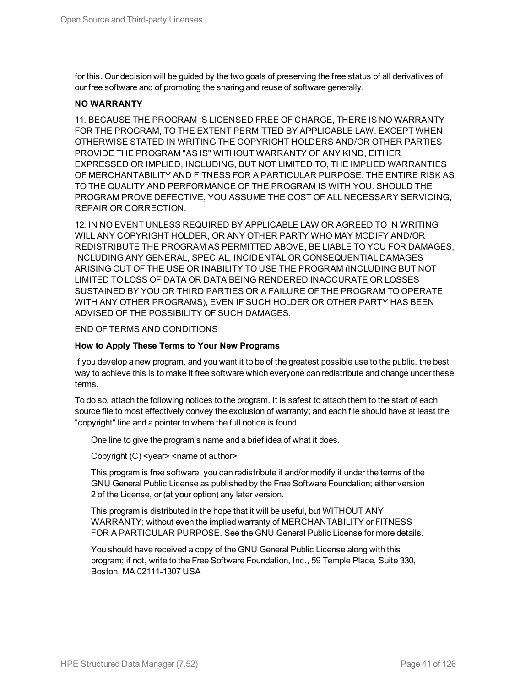for this. Our decision will be guided by the two goals of preserving the free status of all derivatives of our free software and of promoting the sharing and reuse of software generally.

#### **NO WARRANTY**

11. BECAUSE THE PROGRAM IS LICENSED FREE OF CHARGE, THERE IS NO WARRANTY FOR THE PROGRAM, TO THE EXTENT PERMITTED BY APPLICABLE LAW. EXCEPT WHEN OTHERWISE STATED IN WRITING THE COPYRIGHT HOLDERS AND/OR OTHER PARTIES PROVIDE THE PROGRAM "AS IS" WITHOUT WARRANTY OF ANY KIND, EITHER EXPRESSED OR IMPLIED, INCLUDING, BUT NOT LIMITED TO, THE IMPLIED WARRANTIES OF MERCHANTABILITY AND FITNESS FOR A PARTICULAR PURPOSE. THE ENTIRE RISK AS TO THE QUALITY AND PERFORMANCE OF THE PROGRAM IS WITH YOU. SHOULD THE PROGRAM PROVE DEFECTIVE, YOU ASSUME THE COST OF ALL NECESSARY SERVICING, REPAIR OR CORRECTION.

12. IN NO EVENT UNLESS REQUIRED BY APPLICABLE LAW OR AGREED TO IN WRITING WILL ANY COPYRIGHT HOLDER, OR ANY OTHER PARTY WHO MAY MODIFY AND/OR REDISTRIBUTE THE PROGRAM AS PERMITTED ABOVE, BE LIABLE TO YOU FOR DAMAGES, INCLUDING ANY GENERAL, SPECIAL, INCIDENTAL OR CONSEQUENTIAL DAMAGES ARISING OUT OF THE USE OR INABILITY TO USE THE PROGRAM (INCLUDING BUT NOT LIMITED TO LOSS OF DATA OR DATA BEING RENDERED INACCURATE OR LOSSES SUSTAINED BY YOU OR THIRD PARTIES OR A FAILURE OF THE PROGRAM TO OPERATE WITH ANY OTHER PROGRAMS), EVEN IF SUCH HOLDER OR OTHER PARTY HAS BEEN ADVISED OF THE POSSIBILITY OF SUCH DAMAGES.

# END OF TERMS AND CONDITIONS

# **How to Apply These Terms to Your New Programs**

If you develop a new program, and you want it to be of the greatest possible use to the public, the best way to achieve this is to make it free software which everyone can redistribute and change under these terms.

To do so, attach the following notices to the program. It is safest to attach them to the start of each source file to most effectively convey the exclusion of warranty; and each file should have at least the "copyright" line and a pointer to where the full notice is found.

One line to give the program's name and a brief idea of what it does.

Copyright (C) <year> <name of author>

This program is free software; you can redistribute it and/or modify it under the terms of the GNU General Public License as published by the Free Software Foundation; either version 2 of the License, or (at your option) any later version.

This program is distributed in the hope that it will be useful, but WITHOUT ANY WARRANTY; without even the implied warranty of MERCHANTABILITY or FITNESS FOR A PARTICULAR PURPOSE. See the GNU General Public License for more details.

You should have received a copy of the GNU General Public License along with this program; if not, write to the Free Software Foundation, Inc., 59 Temple Place, Suite 330, Boston, MA 02111-1307 USA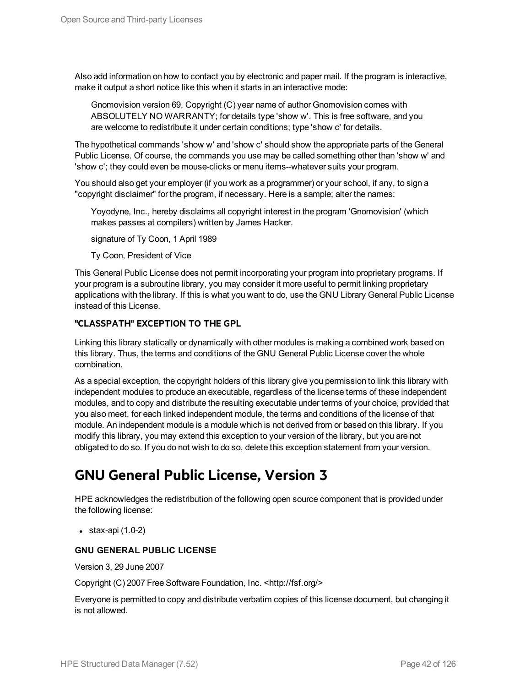Also add information on how to contact you by electronic and paper mail. If the program is interactive, make it output a short notice like this when it starts in an interactive mode:

Gnomovision version 69, Copyright (C) year name of author Gnomovision comes with ABSOLUTELY NO WARRANTY; for details type 'show w'. This is free software, and you are welcome to redistribute it under certain conditions; type 'show c' for details.

The hypothetical commands 'show w' and 'show c' should show the appropriate parts of the General Public License. Of course, the commands you use may be called something other than 'show w' and 'show c'; they could even be mouse-clicks or menu items--whatever suits your program.

You should also get your employer (if you work as a programmer) or your school, if any, to sign a "copyright disclaimer" for the program, if necessary. Here is a sample; alter the names:

Yoyodyne, Inc., hereby disclaims all copyright interest in the program 'Gnomovision' (which makes passes at compilers) written by James Hacker.

signature of Ty Coon, 1 April 1989

Ty Coon, President of Vice

This General Public License does not permit incorporating your program into proprietary programs. If your program is a subroutine library, you may consider it more useful to permit linking proprietary applications with the library. If this is what you want to do, use the GNU Library General Public License instead of this License.

# **"CLASSPATH" EXCEPTION TO THE GPL**

Linking this library statically or dynamically with other modules is making a combined work based on this library. Thus, the terms and conditions of the GNU General Public License cover the whole combination.

As a special exception, the copyright holders of this library give you permission to link this library with independent modules to produce an executable, regardless of the license terms of these independent modules, and to copy and distribute the resulting executable under terms of your choice, provided that you also meet, for each linked independent module, the terms and conditions of the license of that module. An independent module is a module which is not derived from or based on this library. If you modify this library, you may extend this exception to your version of the library, but you are not obligated to do so. If you do not wish to do so, delete this exception statement from your version.

# **GNU General Public License, Version 3**

HPE acknowledges the redistribution of the following open source component that is provided under the following license:

 $\bullet$  stax-api (1.0-2)

# **GNU GENERAL PUBLIC LICENSE**

Version 3, 29 June 2007

Copyright (C) 2007 Free Software Foundation, Inc. <http://fsf.org/>

Everyone is permitted to copy and distribute verbatim copies of this license document, but changing it is not allowed.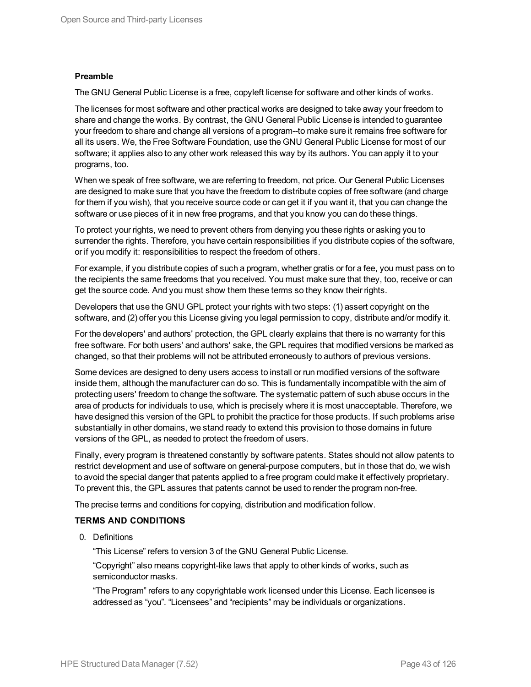# **Preamble**

The GNU General Public License is a free, copyleft license for software and other kinds of works.

The licenses for most software and other practical works are designed to take away your freedom to share and change the works. By contrast, the GNU General Public License is intended to guarantee your freedom to share and change all versions of a program--to make sure it remains free software for all its users. We, the Free Software Foundation, use the GNU General Public License for most of our software; it applies also to any other work released this way by its authors. You can apply it to your programs, too.

When we speak of free software, we are referring to freedom, not price. Our General Public Licenses are designed to make sure that you have the freedom to distribute copies of free software (and charge for them if you wish), that you receive source code or can get it if you want it, that you can change the software or use pieces of it in new free programs, and that you know you can do these things.

To protect your rights, we need to prevent others from denying you these rights or asking you to surrender the rights. Therefore, you have certain responsibilities if you distribute copies of the software, or if you modify it: responsibilities to respect the freedom of others.

For example, if you distribute copies of such a program, whether gratis or for a fee, you must pass on to the recipients the same freedoms that you received. You must make sure that they, too, receive or can get the source code. And you must show them these terms so they know their rights.

Developers that use the GNU GPL protect your rights with two steps: (1) assert copyright on the software, and (2) offer you this License giving you legal permission to copy, distribute and/or modify it.

For the developers' and authors' protection, the GPL clearly explains that there is no warranty for this free software. For both users' and authors' sake, the GPL requires that modified versions be marked as changed, so that their problems will not be attributed erroneously to authors of previous versions.

Some devices are designed to deny users access to install or run modified versions of the software inside them, although the manufacturer can do so. This is fundamentally incompatible with the aim of protecting users' freedom to change the software. The systematic pattern of such abuse occurs in the area of products for individuals to use, which is precisely where it is most unacceptable. Therefore, we have designed this version of the GPL to prohibit the practice for those products. If such problems arise substantially in other domains, we stand ready to extend this provision to those domains in future versions of the GPL, as needed to protect the freedom of users.

Finally, every program is threatened constantly by software patents. States should not allow patents to restrict development and use of software on general-purpose computers, but in those that do, we wish to avoid the special danger that patents applied to a free program could make it effectively proprietary. To prevent this, the GPL assures that patents cannot be used to render the program non-free.

The precise terms and conditions for copying, distribution and modification follow.

#### **TERMS AND CONDITIONS**

0. Definitions

"This License" refers to version 3 of the GNU General Public License.

"Copyright" also means copyright-like laws that apply to other kinds of works, such as semiconductor masks.

"The Program" refers to any copyrightable work licensed under this License. Each licensee is addressed as "you". "Licensees" and "recipients" may be individuals or organizations.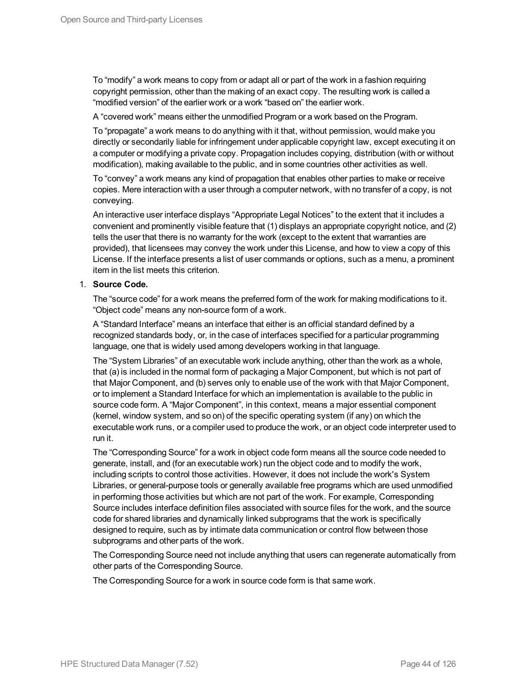To "modify" a work means to copy from or adapt all or part of the work in a fashion requiring copyright permission, other than the making of an exact copy. The resulting work is called a "modified version" of the earlier work or a work "based on" the earlier work.

A "covered work" means either the unmodified Program or a work based on the Program.

To "propagate" a work means to do anything with it that, without permission, would make you directly or secondarily liable for infringement under applicable copyright law, except executing it on a computer or modifying a private copy. Propagation includes copying, distribution (with or without modification), making available to the public, and in some countries other activities as well.

To "convey" a work means any kind of propagation that enables other parties to make or receive copies. Mere interaction with a user through a computer network, with no transfer of a copy, is not conveying.

An interactive user interface displays "Appropriate Legal Notices" to the extent that it includes a convenient and prominently visible feature that (1) displays an appropriate copyright notice, and (2) tells the user that there is no warranty for the work (except to the extent that warranties are provided), that licensees may convey the work under this License, and how to view a copy of this License. If the interface presents a list of user commands or options, such as a menu, a prominent item in the list meets this criterion.

#### 1. **Source Code.**

The "source code" for a work means the preferred form of the work for making modifications to it. "Object code" means any non-source form of a work.

A "Standard Interface" means an interface that either is an official standard defined by a recognized standards body, or, in the case of interfaces specified for a particular programming language, one that is widely used among developers working in that language.

The "System Libraries" of an executable work include anything, other than the work as a whole, that (a) is included in the normal form of packaging a Major Component, but which is not part of that Major Component, and (b) serves only to enable use of the work with that Major Component, or to implement a Standard Interface for which an implementation is available to the public in source code form. A "Major Component", in this context, means a major essential component (kernel, window system, and so on) of the specific operating system (if any) on which the executable work runs, or a compiler used to produce the work, or an object code interpreter used to run it.

The "Corresponding Source" for a work in object code form means all the source code needed to generate, install, and (for an executable work) run the object code and to modify the work, including scripts to control those activities. However, it does not include the work's System Libraries, or general-purpose tools or generally available free programs which are used unmodified in performing those activities but which are not part of the work. For example, Corresponding Source includes interface definition files associated with source files for the work, and the source code for shared libraries and dynamically linked subprograms that the work is specifically designed to require, such as by intimate data communication or control flow between those subprograms and other parts of the work.

The Corresponding Source need not include anything that users can regenerate automatically from other parts of the Corresponding Source.

The Corresponding Source for a work in source code form is that same work.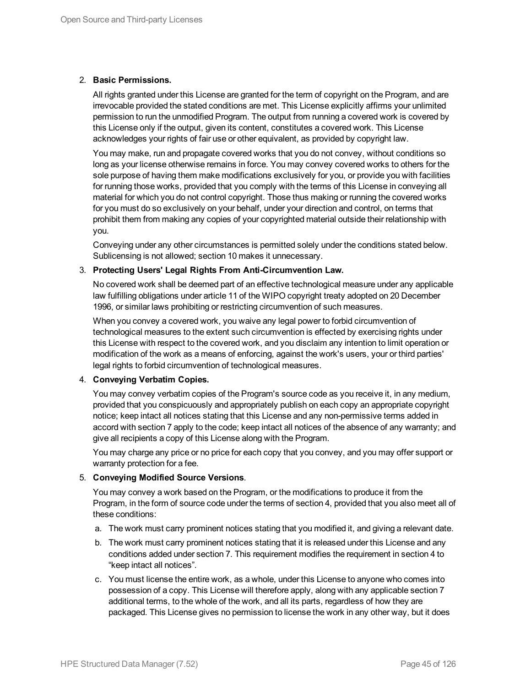# 2. **Basic Permissions.**

All rights granted under this License are granted for the term of copyright on the Program, and are irrevocable provided the stated conditions are met. This License explicitly affirms your unlimited permission to run the unmodified Program. The output from running a covered work is covered by this License only if the output, given its content, constitutes a covered work. This License acknowledges your rights of fair use or other equivalent, as provided by copyright law.

You may make, run and propagate covered works that you do not convey, without conditions so long as your license otherwise remains in force. You may convey covered works to others for the sole purpose of having them make modifications exclusively for you, or provide you with facilities for running those works, provided that you comply with the terms of this License in conveying all material for which you do not control copyright. Those thus making or running the covered works for you must do so exclusively on your behalf, under your direction and control, on terms that prohibit them from making any copies of your copyrighted material outside their relationship with you.

Conveying under any other circumstances is permitted solely under the conditions stated below. Sublicensing is not allowed; section 10 makes it unnecessary.

# 3. **Protecting Users' Legal Rights From Anti-Circumvention Law.**

No covered work shall be deemed part of an effective technological measure under any applicable law fulfilling obligations under article 11 of the WIPO copyright treaty adopted on 20 December 1996, or similar laws prohibiting or restricting circumvention of such measures.

When you convey a covered work, you waive any legal power to forbid circumvention of technological measures to the extent such circumvention is effected by exercising rights under this License with respect to the covered work, and you disclaim any intention to limit operation or modification of the work as a means of enforcing, against the work's users, your or third parties' legal rights to forbid circumvention of technological measures.

#### 4. **Conveying Verbatim Copies.**

You may convey verbatim copies of the Program's source code as you receive it, in any medium, provided that you conspicuously and appropriately publish on each copy an appropriate copyright notice; keep intact all notices stating that this License and any non-permissive terms added in accord with section 7 apply to the code; keep intact all notices of the absence of any warranty; and give all recipients a copy of this License along with the Program.

You may charge any price or no price for each copy that you convey, and you may offer support or warranty protection for a fee.

# 5. **Conveying Modified Source Versions**.

You may convey a work based on the Program, or the modifications to produce it from the Program, in the form of source code under the terms of section 4, provided that you also meet all of these conditions:

- a. The work must carry prominent notices stating that you modified it, and giving a relevant date.
- b. The work must carry prominent notices stating that it is released under this License and any conditions added under section 7. This requirement modifies the requirement in section 4 to "keep intact all notices".
- c. You must license the entire work, as a whole, under this License to anyone who comes into possession of a copy. This License will therefore apply, along with any applicable section 7 additional terms, to the whole of the work, and all its parts, regardless of how they are packaged. This License gives no permission to license the work in any other way, but it does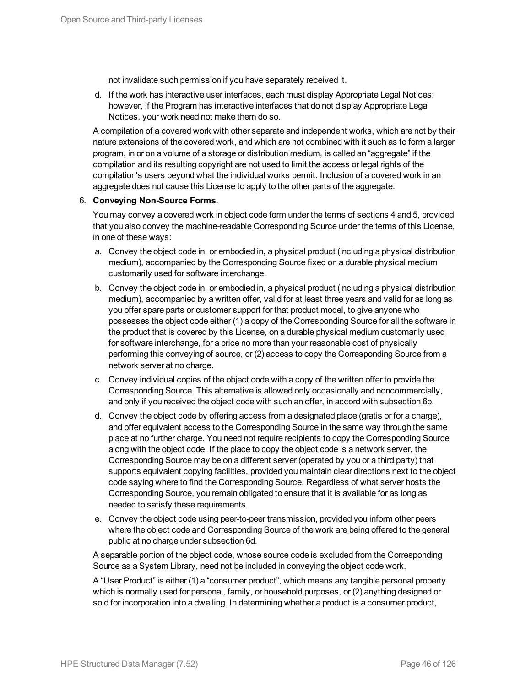not invalidate such permission if you have separately received it.

d. If the work has interactive user interfaces, each must display Appropriate Legal Notices; however, if the Program has interactive interfaces that do not display Appropriate Legal Notices, your work need not make them do so.

A compilation of a covered work with other separate and independent works, which are not by their nature extensions of the covered work, and which are not combined with it such as to form a larger program, in or on a volume of a storage or distribution medium, is called an "aggregate" if the compilation and its resulting copyright are not used to limit the access or legal rights of the compilation's users beyond what the individual works permit. Inclusion of a covered work in an aggregate does not cause this License to apply to the other parts of the aggregate.

#### 6. **Conveying Non-Source Forms.**

You may convey a covered work in object code form under the terms of sections 4 and 5, provided that you also convey the machine-readable Corresponding Source under the terms of this License, in one of these ways:

- a. Convey the object code in, or embodied in, a physical product (including a physical distribution medium), accompanied by the Corresponding Source fixed on a durable physical medium customarily used for software interchange.
- b. Convey the object code in, or embodied in, a physical product (including a physical distribution medium), accompanied by a written offer, valid for at least three years and valid for as long as you offer spare parts or customer support for that product model, to give anyone who possesses the object code either (1) a copy of the Corresponding Source for all the software in the product that is covered by this License, on a durable physical medium customarily used for software interchange, for a price no more than your reasonable cost of physically performing this conveying of source, or (2) access to copy the Corresponding Source from a network server at no charge.
- c. Convey individual copies of the object code with a copy of the written offer to provide the Corresponding Source. This alternative is allowed only occasionally and noncommercially, and only if you received the object code with such an offer, in accord with subsection 6b.
- d. Convey the object code by offering access from a designated place (gratis or for a charge), and offer equivalent access to the Corresponding Source in the same way through the same place at no further charge. You need not require recipients to copy the Corresponding Source along with the object code. If the place to copy the object code is a network server, the Corresponding Source may be on a different server (operated by you or a third party) that supports equivalent copying facilities, provided you maintain clear directions next to the object code saying where to find the Corresponding Source. Regardless of what server hosts the Corresponding Source, you remain obligated to ensure that it is available for as long as needed to satisfy these requirements.
- e. Convey the object code using peer-to-peer transmission, provided you inform other peers where the object code and Corresponding Source of the work are being offered to the general public at no charge under subsection 6d.

A separable portion of the object code, whose source code is excluded from the Corresponding Source as a System Library, need not be included in conveying the object code work.

A "User Product" is either (1) a "consumer product", which means any tangible personal property which is normally used for personal, family, or household purposes, or (2) anything designed or sold for incorporation into a dwelling. In determining whether a product is a consumer product,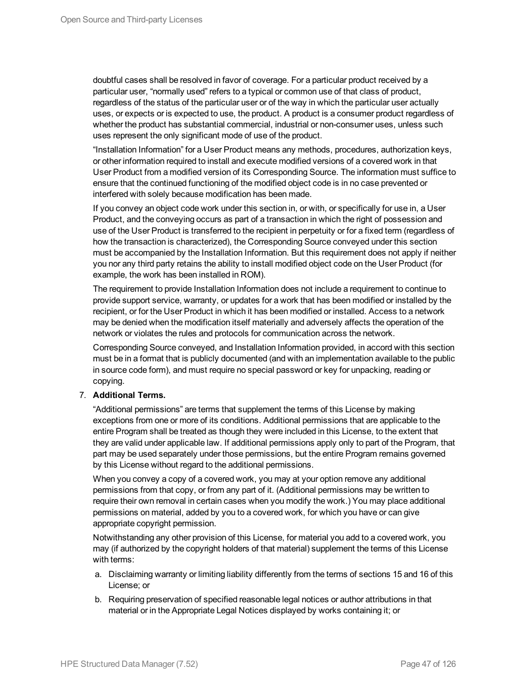doubtful cases shall be resolved in favor of coverage. For a particular product received by a particular user, "normally used" refers to a typical or common use of that class of product, regardless of the status of the particular user or of the way in which the particular user actually uses, or expects or is expected to use, the product. A product is a consumer product regardless of whether the product has substantial commercial, industrial or non-consumer uses, unless such uses represent the only significant mode of use of the product.

"Installation Information" for a User Product means any methods, procedures, authorization keys, or other information required to install and execute modified versions of a covered work in that User Product from a modified version of its Corresponding Source. The information must suffice to ensure that the continued functioning of the modified object code is in no case prevented or interfered with solely because modification has been made.

If you convey an object code work under this section in, or with, or specifically for use in, a User Product, and the conveying occurs as part of a transaction in which the right of possession and use of the User Product is transferred to the recipient in perpetuity or for a fixed term (regardless of how the transaction is characterized), the Corresponding Source conveyed under this section must be accompanied by the Installation Information. But this requirement does not apply if neither you nor any third party retains the ability to install modified object code on the User Product (for example, the work has been installed in ROM).

The requirement to provide Installation Information does not include a requirement to continue to provide support service, warranty, or updates for a work that has been modified or installed by the recipient, or for the User Product in which it has been modified or installed. Access to a network may be denied when the modification itself materially and adversely affects the operation of the network or violates the rules and protocols for communication across the network.

Corresponding Source conveyed, and Installation Information provided, in accord with this section must be in a format that is publicly documented (and with an implementation available to the public in source code form), and must require no special password or key for unpacking, reading or copying.

# 7. **Additional Terms.**

"Additional permissions" are terms that supplement the terms of this License by making exceptions from one or more of its conditions. Additional permissions that are applicable to the entire Program shall be treated as though they were included in this License, to the extent that they are valid under applicable law. If additional permissions apply only to part of the Program, that part may be used separately under those permissions, but the entire Program remains governed by this License without regard to the additional permissions.

When you convey a copy of a covered work, you may at your option remove any additional permissions from that copy, or from any part of it. (Additional permissions may be written to require their own removal in certain cases when you modify the work.) You may place additional permissions on material, added by you to a covered work, for which you have or can give appropriate copyright permission.

Notwithstanding any other provision of this License, for material you add to a covered work, you may (if authorized by the copyright holders of that material) supplement the terms of this License with terms:

- a. Disclaiming warranty or limiting liability differently from the terms of sections 15 and 16 of this License; or
- b. Requiring preservation of specified reasonable legal notices or author attributions in that material or in the Appropriate Legal Notices displayed by works containing it; or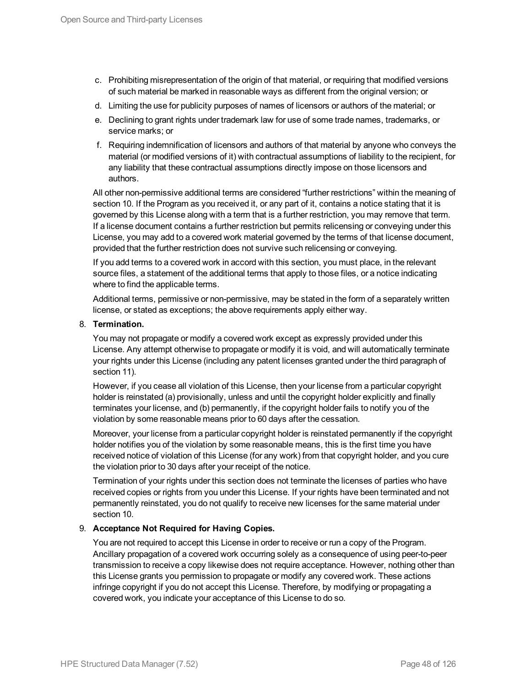- c. Prohibiting misrepresentation of the origin of that material, or requiring that modified versions of such material be marked in reasonable ways as different from the original version; or
- d. Limiting the use for publicity purposes of names of licensors or authors of the material; or
- e. Declining to grant rights under trademark law for use of some trade names, trademarks, or service marks; or
- f. Requiring indemnification of licensors and authors of that material by anyone who conveys the material (or modified versions of it) with contractual assumptions of liability to the recipient, for any liability that these contractual assumptions directly impose on those licensors and authors.

All other non-permissive additional terms are considered "further restrictions" within the meaning of section 10. If the Program as you received it, or any part of it, contains a notice stating that it is governed by this License along with a term that is a further restriction, you may remove that term. If a license document contains a further restriction but permits relicensing or conveying under this License, you may add to a covered work material governed by the terms of that license document, provided that the further restriction does not survive such relicensing or conveying.

If you add terms to a covered work in accord with this section, you must place, in the relevant source files, a statement of the additional terms that apply to those files, or a notice indicating where to find the applicable terms.

Additional terms, permissive or non-permissive, may be stated in the form of a separately written license, or stated as exceptions; the above requirements apply either way.

# 8. **Termination.**

You may not propagate or modify a covered work except as expressly provided under this License. Any attempt otherwise to propagate or modify it is void, and will automatically terminate your rights under this License (including any patent licenses granted under the third paragraph of section 11).

However, if you cease all violation of this License, then your license from a particular copyright holder is reinstated (a) provisionally, unless and until the copyright holder explicitly and finally terminates your license, and (b) permanently, if the copyright holder fails to notify you of the violation by some reasonable means prior to 60 days after the cessation.

Moreover, your license from a particular copyright holder is reinstated permanently if the copyright holder notifies you of the violation by some reasonable means, this is the first time you have received notice of violation of this License (for any work) from that copyright holder, and you cure the violation prior to 30 days after your receipt of the notice.

Termination of your rights under this section does not terminate the licenses of parties who have received copies or rights from you under this License. If your rights have been terminated and not permanently reinstated, you do not qualify to receive new licenses for the same material under section 10.

# 9. **Acceptance Not Required for Having Copies.**

You are not required to accept this License in order to receive or run a copy of the Program. Ancillary propagation of a covered work occurring solely as a consequence of using peer-to-peer transmission to receive a copy likewise does not require acceptance. However, nothing other than this License grants you permission to propagate or modify any covered work. These actions infringe copyright if you do not accept this License. Therefore, by modifying or propagating a covered work, you indicate your acceptance of this License to do so.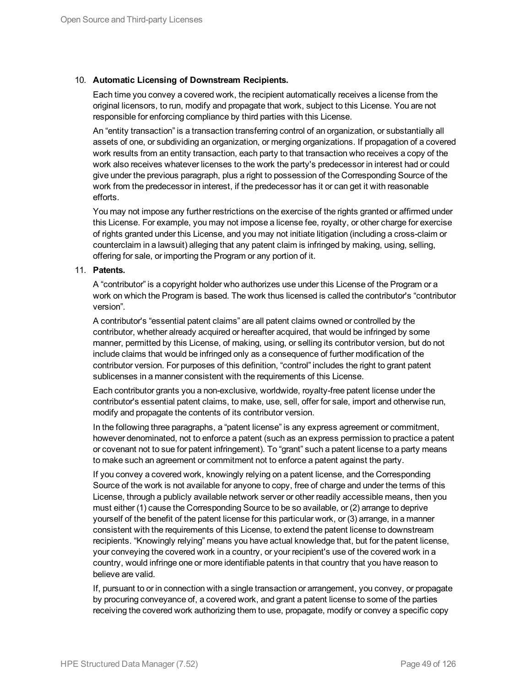#### 10. **Automatic Licensing of Downstream Recipients.**

Each time you convey a covered work, the recipient automatically receives a license from the original licensors, to run, modify and propagate that work, subject to this License. You are not responsible for enforcing compliance by third parties with this License.

An "entity transaction" is a transaction transferring control of an organization, or substantially all assets of one, or subdividing an organization, or merging organizations. If propagation of a covered work results from an entity transaction, each party to that transaction who receives a copy of the work also receives whatever licenses to the work the party's predecessor in interest had or could give under the previous paragraph, plus a right to possession of the Corresponding Source of the work from the predecessor in interest, if the predecessor has it or can get it with reasonable efforts.

You may not impose any further restrictions on the exercise of the rights granted or affirmed under this License. For example, you may not impose a license fee, royalty, or other charge for exercise of rights granted under this License, and you may not initiate litigation (including a cross-claim or counterclaim in a lawsuit) alleging that any patent claim is infringed by making, using, selling, offering for sale, or importing the Program or any portion of it.

#### 11. **Patents.**

A "contributor" is a copyright holder who authorizes use under this License of the Program or a work on which the Program is based. The work thus licensed is called the contributor's "contributor version".

A contributor's "essential patent claims" are all patent claims owned or controlled by the contributor, whether already acquired or hereafter acquired, that would be infringed by some manner, permitted by this License, of making, using, or selling its contributor version, but do not include claims that would be infringed only as a consequence of further modification of the contributor version. For purposes of this definition, "control" includes the right to grant patent sublicenses in a manner consistent with the requirements of this License.

Each contributor grants you a non-exclusive, worldwide, royalty-free patent license under the contributor's essential patent claims, to make, use, sell, offer for sale, import and otherwise run, modify and propagate the contents of its contributor version.

In the following three paragraphs, a "patent license" is any express agreement or commitment, however denominated, not to enforce a patent (such as an express permission to practice a patent or covenant not to sue for patent infringement). To "grant" such a patent license to a party means to make such an agreement or commitment not to enforce a patent against the party.

If you convey a covered work, knowingly relying on a patent license, and the Corresponding Source of the work is not available for anyone to copy, free of charge and under the terms of this License, through a publicly available network server or other readily accessible means, then you must either (1) cause the Corresponding Source to be so available, or (2) arrange to deprive yourself of the benefit of the patent license for this particular work, or (3) arrange, in a manner consistent with the requirements of this License, to extend the patent license to downstream recipients. "Knowingly relying" means you have actual knowledge that, but for the patent license, your conveying the covered work in a country, or your recipient's use of the covered work in a country, would infringe one or more identifiable patents in that country that you have reason to believe are valid.

If, pursuant to or in connection with a single transaction or arrangement, you convey, or propagate by procuring conveyance of, a covered work, and grant a patent license to some of the parties receiving the covered work authorizing them to use, propagate, modify or convey a specific copy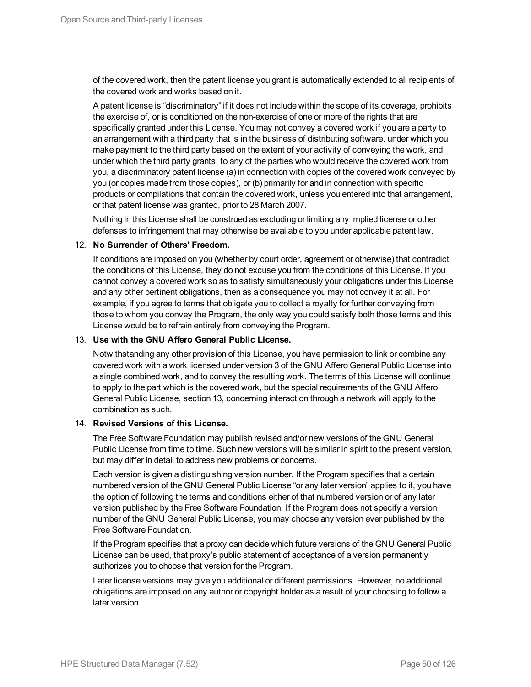of the covered work, then the patent license you grant is automatically extended to all recipients of the covered work and works based on it.

A patent license is "discriminatory" if it does not include within the scope of its coverage, prohibits the exercise of, or is conditioned on the non-exercise of one or more of the rights that are specifically granted under this License. You may not convey a covered work if you are a party to an arrangement with a third party that is in the business of distributing software, under which you make payment to the third party based on the extent of your activity of conveying the work, and under which the third party grants, to any of the parties who would receive the covered work from you, a discriminatory patent license (a) in connection with copies of the covered work conveyed by you (or copies made from those copies), or (b) primarily for and in connection with specific products or compilations that contain the covered work, unless you entered into that arrangement, or that patent license was granted, prior to 28 March 2007.

Nothing in this License shall be construed as excluding or limiting any implied license or other defenses to infringement that may otherwise be available to you under applicable patent law.

# 12. **No Surrender of Others' Freedom.**

If conditions are imposed on you (whether by court order, agreement or otherwise) that contradict the conditions of this License, they do not excuse you from the conditions of this License. If you cannot convey a covered work so as to satisfy simultaneously your obligations under this License and any other pertinent obligations, then as a consequence you may not convey it at all. For example, if you agree to terms that obligate you to collect a royalty for further conveying from those to whom you convey the Program, the only way you could satisfy both those terms and this License would be to refrain entirely from conveying the Program.

# 13. **Use with the GNU Affero General Public License.**

Notwithstanding any other provision of this License, you have permission to link or combine any covered work with a work licensed under version 3 of the GNU Affero General Public License into a single combined work, and to convey the resulting work. The terms of this License will continue to apply to the part which is the covered work, but the special requirements of the GNU Affero General Public License, section 13, concerning interaction through a network will apply to the combination as such.

#### 14. **Revised Versions of this License.**

The Free Software Foundation may publish revised and/or new versions of the GNU General Public License from time to time. Such new versions will be similar in spirit to the present version, but may differ in detail to address new problems or concerns.

Each version is given a distinguishing version number. If the Program specifies that a certain numbered version of the GNU General Public License "or any later version" applies to it, you have the option of following the terms and conditions either of that numbered version or of any later version published by the Free Software Foundation. If the Program does not specify a version number of the GNU General Public License, you may choose any version ever published by the Free Software Foundation.

If the Program specifies that a proxy can decide which future versions of the GNU General Public License can be used, that proxy's public statement of acceptance of a version permanently authorizes you to choose that version for the Program.

Later license versions may give you additional or different permissions. However, no additional obligations are imposed on any author or copyright holder as a result of your choosing to follow a later version.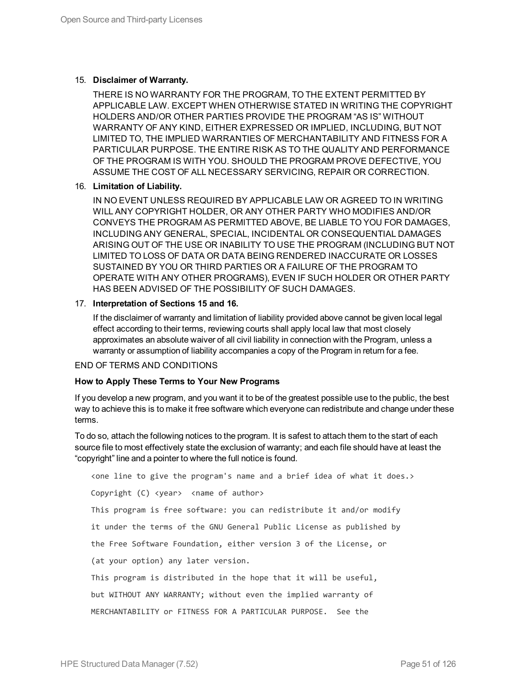#### 15. **Disclaimer of Warranty.**

THERE IS NO WARRANTY FOR THE PROGRAM, TO THE EXTENT PERMITTED BY APPLICABLE LAW. EXCEPT WHEN OTHERWISE STATED IN WRITING THE COPYRIGHT HOLDERS AND/OR OTHER PARTIES PROVIDE THE PROGRAM "AS IS" WITHOUT WARRANTY OF ANY KIND, EITHER EXPRESSED OR IMPLIED, INCLUDING, BUT NOT LIMITED TO, THE IMPLIED WARRANTIES OF MERCHANTABILITY AND FITNESS FOR A PARTICULAR PURPOSE. THE ENTIRE RISK AS TO THE QUALITY AND PERFORMANCE OF THE PROGRAM IS WITH YOU. SHOULD THE PROGRAM PROVE DEFECTIVE, YOU ASSUME THE COST OF ALL NECESSARY SERVICING, REPAIR OR CORRECTION.

# 16. **Limitation of Liability.**

IN NO EVENT UNLESS REQUIRED BY APPLICABLE LAW OR AGREED TO IN WRITING WILL ANY COPYRIGHT HOLDER, OR ANY OTHER PARTY WHO MODIFIES AND/OR CONVEYS THE PROGRAM AS PERMITTED ABOVE, BE LIABLE TO YOU FOR DAMAGES, INCLUDING ANY GENERAL, SPECIAL, INCIDENTAL OR CONSEQUENTIAL DAMAGES ARISING OUT OF THE USE OR INABILITY TO USE THE PROGRAM (INCLUDING BUT NOT LIMITED TO LOSS OF DATA OR DATA BEING RENDERED INACCURATE OR LOSSES SUSTAINED BY YOU OR THIRD PARTIES OR A FAILURE OF THE PROGRAM TO OPERATE WITH ANY OTHER PROGRAMS), EVEN IF SUCH HOLDER OR OTHER PARTY HAS BEEN ADVISED OF THE POSSIBILITY OF SUCH DAMAGES.

# 17. **Interpretation of Sections 15 and 16.**

If the disclaimer of warranty and limitation of liability provided above cannot be given local legal effect according to their terms, reviewing courts shall apply local law that most closely approximates an absolute waiver of all civil liability in connection with the Program, unless a warranty or assumption of liability accompanies a copy of the Program in return for a fee.

#### END OF TERMS AND CONDITIONS

# **How to Apply These Terms to Your New Programs**

If you develop a new program, and you want it to be of the greatest possible use to the public, the best way to achieve this is to make it free software which everyone can redistribute and change under these terms.

To do so, attach the following notices to the program. It is safest to attach them to the start of each source file to most effectively state the exclusion of warranty; and each file should have at least the "copyright" line and a pointer to where the full notice is found.

<one line to give the program's name and a brief idea of what it does.> Copyright (C) <year> <name of author> This program is free software: you can redistribute it and/or modify it under the terms of the GNU General Public License as published by the Free Software Foundation, either version 3 of the License, or (at your option) any later version. This program is distributed in the hope that it will be useful, but WITHOUT ANY WARRANTY; without even the implied warranty of MERCHANTABILITY or FITNESS FOR A PARTICULAR PURPOSE. See the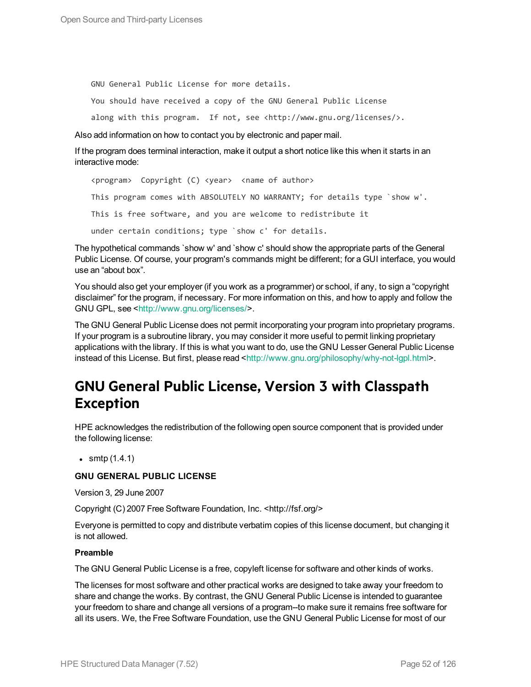GNU General Public License for more details.

You should have received a copy of the GNU General Public License

along with this program. If not, see <http://www.gnu.org/licenses/>.

Also add information on how to contact you by electronic and paper mail.

If the program does terminal interaction, make it output a short notice like this when it starts in an interactive mode:

<program> Copyright (C) <year> <name of author> This program comes with ABSOLUTELY NO WARRANTY; for details type `show w'. This is free software, and you are welcome to redistribute it under certain conditions; type `show c' for details.

The hypothetical commands `show w' and `show c' should show the appropriate parts of the General Public License. Of course, your program's commands might be different; for a GUI interface, you would use an "about box".

You should also get your employer (if you work as a programmer) or school, if any, to sign a "copyright disclaimer" for the program, if necessary. For more information on this, and how to apply and follow the GNU GPL, see <<http://www.gnu.org/licenses/>>.

The GNU General Public License does not permit incorporating your program into proprietary programs. If your program is a subroutine library, you may consider it more useful to permit linking proprietary applications with the library. If this is what you want to do, use the GNU Lesser General Public License instead of this License. But first, please read [<http://www.gnu.org/philosophy/why-not-lgpl.html](http://www.gnu.org/philosophy/why-not-lgpl.html)>.

# **GNU General Public License, Version 3 with Classpath Exception**

HPE acknowledges the redistribution of the following open source component that is provided under the following license:

 $\bullet$  smtp (1.4.1)

#### **GNU GENERAL PUBLIC LICENSE**

Version 3, 29 June 2007

Copyright (C) 2007 Free Software Foundation, Inc. <http://fsf.org/>

Everyone is permitted to copy and distribute verbatim copies of this license document, but changing it is not allowed.

#### **Preamble**

The GNU General Public License is a free, copyleft license for software and other kinds of works.

The licenses for most software and other practical works are designed to take away your freedom to share and change the works. By contrast, the GNU General Public License is intended to guarantee your freedom to share and change all versions of a program--to make sure it remains free software for all its users. We, the Free Software Foundation, use the GNU General Public License for most of our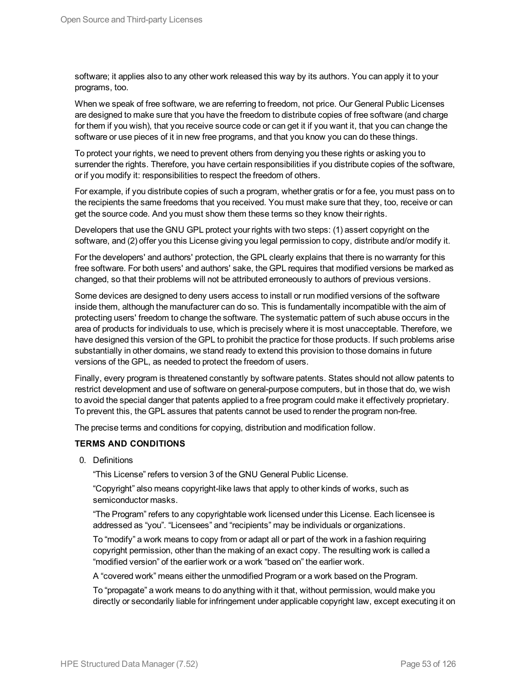software; it applies also to any other work released this way by its authors. You can apply it to your programs, too.

When we speak of free software, we are referring to freedom, not price. Our General Public Licenses are designed to make sure that you have the freedom to distribute copies of free software (and charge for them if you wish), that you receive source code or can get it if you want it, that you can change the software or use pieces of it in new free programs, and that you know you can do these things.

To protect your rights, we need to prevent others from denying you these rights or asking you to surrender the rights. Therefore, you have certain responsibilities if you distribute copies of the software, or if you modify it: responsibilities to respect the freedom of others.

For example, if you distribute copies of such a program, whether gratis or for a fee, you must pass on to the recipients the same freedoms that you received. You must make sure that they, too, receive or can get the source code. And you must show them these terms so they know their rights.

Developers that use the GNU GPL protect your rights with two steps: (1) assert copyright on the software, and (2) offer you this License giving you legal permission to copy, distribute and/or modify it.

For the developers' and authors' protection, the GPL clearly explains that there is no warranty for this free software. For both users' and authors' sake, the GPL requires that modified versions be marked as changed, so that their problems will not be attributed erroneously to authors of previous versions.

Some devices are designed to deny users access to install or run modified versions of the software inside them, although the manufacturer can do so. This is fundamentally incompatible with the aim of protecting users' freedom to change the software. The systematic pattern of such abuse occurs in the area of products for individuals to use, which is precisely where it is most unacceptable. Therefore, we have designed this version of the GPL to prohibit the practice for those products. If such problems arise substantially in other domains, we stand ready to extend this provision to those domains in future versions of the GPL, as needed to protect the freedom of users.

Finally, every program is threatened constantly by software patents. States should not allow patents to restrict development and use of software on general-purpose computers, but in those that do, we wish to avoid the special danger that patents applied to a free program could make it effectively proprietary. To prevent this, the GPL assures that patents cannot be used to render the program non-free.

The precise terms and conditions for copying, distribution and modification follow.

# **TERMS AND CONDITIONS**

0. Definitions

"This License" refers to version 3 of the GNU General Public License.

"Copyright" also means copyright-like laws that apply to other kinds of works, such as semiconductor masks.

"The Program" refers to any copyrightable work licensed under this License. Each licensee is addressed as "you". "Licensees" and "recipients" may be individuals or organizations.

To "modify" a work means to copy from or adapt all or part of the work in a fashion requiring copyright permission, other than the making of an exact copy. The resulting work is called a "modified version" of the earlier work or a work "based on" the earlier work.

A "covered work" means either the unmodified Program or a work based on the Program.

To "propagate" a work means to do anything with it that, without permission, would make you directly or secondarily liable for infringement under applicable copyright law, except executing it on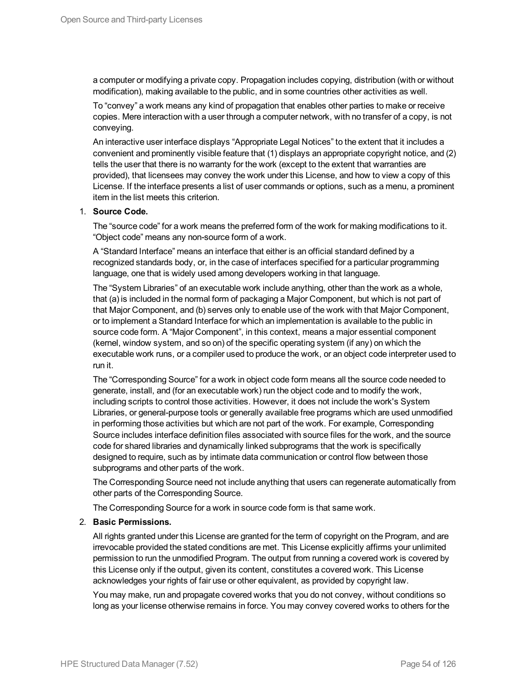a computer or modifying a private copy. Propagation includes copying, distribution (with or without modification), making available to the public, and in some countries other activities as well.

To "convey" a work means any kind of propagation that enables other parties to make or receive copies. Mere interaction with a user through a computer network, with no transfer of a copy, is not conveying.

An interactive user interface displays "Appropriate Legal Notices" to the extent that it includes a convenient and prominently visible feature that (1) displays an appropriate copyright notice, and (2) tells the user that there is no warranty for the work (except to the extent that warranties are provided), that licensees may convey the work under this License, and how to view a copy of this License. If the interface presents a list of user commands or options, such as a menu, a prominent item in the list meets this criterion.

#### 1. **Source Code.**

The "source code" for a work means the preferred form of the work for making modifications to it. "Object code" means any non-source form of a work.

A "Standard Interface" means an interface that either is an official standard defined by a recognized standards body, or, in the case of interfaces specified for a particular programming language, one that is widely used among developers working in that language.

The "System Libraries" of an executable work include anything, other than the work as a whole, that (a) is included in the normal form of packaging a Major Component, but which is not part of that Major Component, and (b) serves only to enable use of the work with that Major Component, or to implement a Standard Interface for which an implementation is available to the public in source code form. A "Major Component", in this context, means a major essential component (kernel, window system, and so on) of the specific operating system (if any) on which the executable work runs, or a compiler used to produce the work, or an object code interpreter used to run it.

The "Corresponding Source" for a work in object code form means all the source code needed to generate, install, and (for an executable work) run the object code and to modify the work, including scripts to control those activities. However, it does not include the work's System Libraries, or general-purpose tools or generally available free programs which are used unmodified in performing those activities but which are not part of the work. For example, Corresponding Source includes interface definition files associated with source files for the work, and the source code for shared libraries and dynamically linked subprograms that the work is specifically designed to require, such as by intimate data communication or control flow between those subprograms and other parts of the work.

The Corresponding Source need not include anything that users can regenerate automatically from other parts of the Corresponding Source.

The Corresponding Source for a work in source code form is that same work.

#### 2. **Basic Permissions.**

All rights granted under this License are granted for the term of copyright on the Program, and are irrevocable provided the stated conditions are met. This License explicitly affirms your unlimited permission to run the unmodified Program. The output from running a covered work is covered by this License only if the output, given its content, constitutes a covered work. This License acknowledges your rights of fair use or other equivalent, as provided by copyright law.

You may make, run and propagate covered works that you do not convey, without conditions so long as your license otherwise remains in force. You may convey covered works to others for the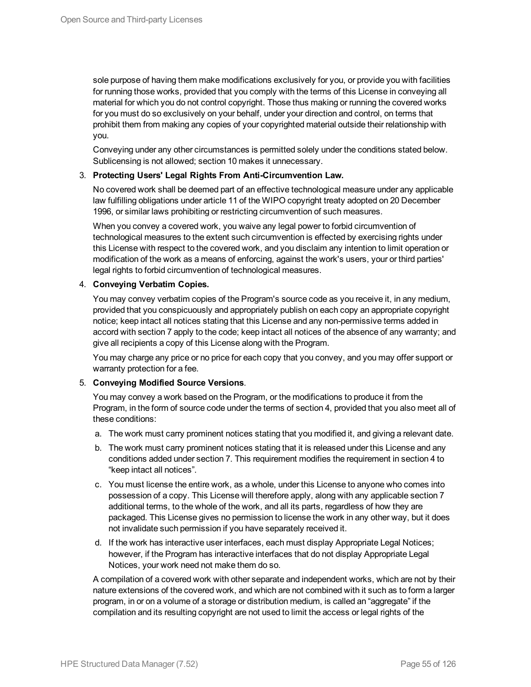sole purpose of having them make modifications exclusively for you, or provide you with facilities for running those works, provided that you comply with the terms of this License in conveying all material for which you do not control copyright. Those thus making or running the covered works for you must do so exclusively on your behalf, under your direction and control, on terms that prohibit them from making any copies of your copyrighted material outside their relationship with you.

Conveying under any other circumstances is permitted solely under the conditions stated below. Sublicensing is not allowed; section 10 makes it unnecessary.

# 3. **Protecting Users' Legal Rights From Anti-Circumvention Law.**

No covered work shall be deemed part of an effective technological measure under any applicable law fulfilling obligations under article 11 of the WIPO copyright treaty adopted on 20 December 1996, or similar laws prohibiting or restricting circumvention of such measures.

When you convey a covered work, you waive any legal power to forbid circumvention of technological measures to the extent such circumvention is effected by exercising rights under this License with respect to the covered work, and you disclaim any intention to limit operation or modification of the work as a means of enforcing, against the work's users, your or third parties' legal rights to forbid circumvention of technological measures.

# 4. **Conveying Verbatim Copies.**

You may convey verbatim copies of the Program's source code as you receive it, in any medium, provided that you conspicuously and appropriately publish on each copy an appropriate copyright notice; keep intact all notices stating that this License and any non-permissive terms added in accord with section 7 apply to the code; keep intact all notices of the absence of any warranty; and give all recipients a copy of this License along with the Program.

You may charge any price or no price for each copy that you convey, and you may offer support or warranty protection for a fee.

#### 5. **Conveying Modified Source Versions**.

You may convey a work based on the Program, or the modifications to produce it from the Program, in the form of source code under the terms of section 4, provided that you also meet all of these conditions:

- a. The work must carry prominent notices stating that you modified it, and giving a relevant date.
- b. The work must carry prominent notices stating that it is released under this License and any conditions added under section 7. This requirement modifies the requirement in section 4 to "keep intact all notices".
- c. You must license the entire work, as a whole, under this License to anyone who comes into possession of a copy. This License will therefore apply, along with any applicable section 7 additional terms, to the whole of the work, and all its parts, regardless of how they are packaged. This License gives no permission to license the work in any other way, but it does not invalidate such permission if you have separately received it.
- d. If the work has interactive user interfaces, each must display Appropriate Legal Notices; however, if the Program has interactive interfaces that do not display Appropriate Legal Notices, your work need not make them do so.

A compilation of a covered work with other separate and independent works, which are not by their nature extensions of the covered work, and which are not combined with it such as to form a larger program, in or on a volume of a storage or distribution medium, is called an "aggregate" if the compilation and its resulting copyright are not used to limit the access or legal rights of the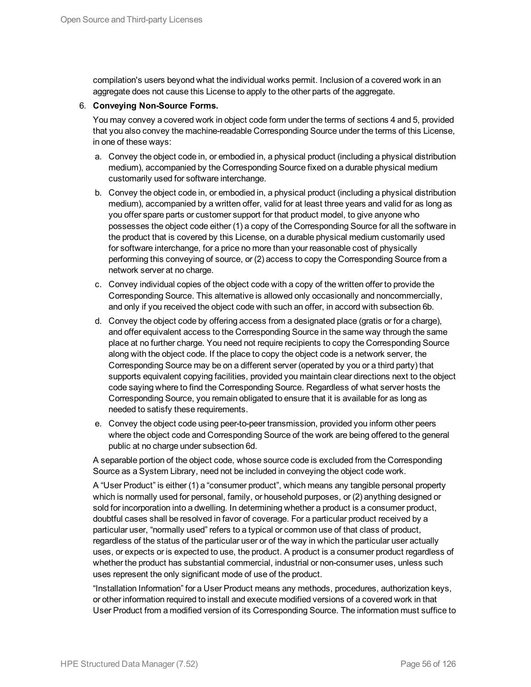compilation's users beyond what the individual works permit. Inclusion of a covered work in an aggregate does not cause this License to apply to the other parts of the aggregate.

#### 6. **Conveying Non-Source Forms.**

You may convey a covered work in object code form under the terms of sections 4 and 5, provided that you also convey the machine-readable Corresponding Source under the terms of this License, in one of these ways:

- a. Convey the object code in, or embodied in, a physical product (including a physical distribution medium), accompanied by the Corresponding Source fixed on a durable physical medium customarily used for software interchange.
- b. Convey the object code in, or embodied in, a physical product (including a physical distribution medium), accompanied by a written offer, valid for at least three years and valid for as long as you offer spare parts or customer support for that product model, to give anyone who possesses the object code either (1) a copy of the Corresponding Source for all the software in the product that is covered by this License, on a durable physical medium customarily used for software interchange, for a price no more than your reasonable cost of physically performing this conveying of source, or (2) access to copy the Corresponding Source from a network server at no charge.
- c. Convey individual copies of the object code with a copy of the written offer to provide the Corresponding Source. This alternative is allowed only occasionally and noncommercially, and only if you received the object code with such an offer, in accord with subsection 6b.
- d. Convey the object code by offering access from a designated place (gratis or for a charge), and offer equivalent access to the Corresponding Source in the same way through the same place at no further charge. You need not require recipients to copy the Corresponding Source along with the object code. If the place to copy the object code is a network server, the Corresponding Source may be on a different server (operated by you or a third party) that supports equivalent copying facilities, provided you maintain clear directions next to the object code saying where to find the Corresponding Source. Regardless of what server hosts the Corresponding Source, you remain obligated to ensure that it is available for as long as needed to satisfy these requirements.
- e. Convey the object code using peer-to-peer transmission, provided you inform other peers where the object code and Corresponding Source of the work are being offered to the general public at no charge under subsection 6d.

A separable portion of the object code, whose source code is excluded from the Corresponding Source as a System Library, need not be included in conveying the object code work.

A "User Product" is either (1) a "consumer product", which means any tangible personal property which is normally used for personal, family, or household purposes, or (2) anything designed or sold for incorporation into a dwelling. In determining whether a product is a consumer product, doubtful cases shall be resolved in favor of coverage. For a particular product received by a particular user, "normally used" refers to a typical or common use of that class of product, regardless of the status of the particular user or of the way in which the particular user actually uses, or expects or is expected to use, the product. A product is a consumer product regardless of whether the product has substantial commercial, industrial or non-consumer uses, unless such uses represent the only significant mode of use of the product.

"Installation Information" for a User Product means any methods, procedures, authorization keys, or other information required to install and execute modified versions of a covered work in that User Product from a modified version of its Corresponding Source. The information must suffice to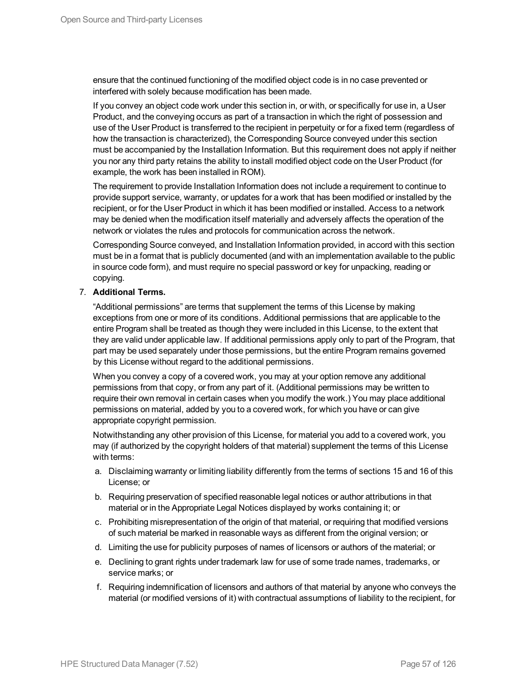ensure that the continued functioning of the modified object code is in no case prevented or interfered with solely because modification has been made.

If you convey an object code work under this section in, or with, or specifically for use in, a User Product, and the conveying occurs as part of a transaction in which the right of possession and use of the User Product is transferred to the recipient in perpetuity or for a fixed term (regardless of how the transaction is characterized), the Corresponding Source conveyed under this section must be accompanied by the Installation Information. But this requirement does not apply if neither you nor any third party retains the ability to install modified object code on the User Product (for example, the work has been installed in ROM).

The requirement to provide Installation Information does not include a requirement to continue to provide support service, warranty, or updates for a work that has been modified or installed by the recipient, or for the User Product in which it has been modified or installed. Access to a network may be denied when the modification itself materially and adversely affects the operation of the network or violates the rules and protocols for communication across the network.

Corresponding Source conveyed, and Installation Information provided, in accord with this section must be in a format that is publicly documented (and with an implementation available to the public in source code form), and must require no special password or key for unpacking, reading or copying.

# 7. **Additional Terms.**

"Additional permissions" are terms that supplement the terms of this License by making exceptions from one or more of its conditions. Additional permissions that are applicable to the entire Program shall be treated as though they were included in this License, to the extent that they are valid under applicable law. If additional permissions apply only to part of the Program, that part may be used separately under those permissions, but the entire Program remains governed by this License without regard to the additional permissions.

When you convey a copy of a covered work, you may at your option remove any additional permissions from that copy, or from any part of it. (Additional permissions may be written to require their own removal in certain cases when you modify the work.) You may place additional permissions on material, added by you to a covered work, for which you have or can give appropriate copyright permission.

Notwithstanding any other provision of this License, for material you add to a covered work, you may (if authorized by the copyright holders of that material) supplement the terms of this License with terms:

- a. Disclaiming warranty or limiting liability differently from the terms of sections 15 and 16 of this License; or
- b. Requiring preservation of specified reasonable legal notices or author attributions in that material or in the Appropriate Legal Notices displayed by works containing it; or
- c. Prohibiting misrepresentation of the origin of that material, or requiring that modified versions of such material be marked in reasonable ways as different from the original version; or
- d. Limiting the use for publicity purposes of names of licensors or authors of the material; or
- e. Declining to grant rights under trademark law for use of some trade names, trademarks, or service marks; or
- f. Requiring indemnification of licensors and authors of that material by anyone who conveys the material (or modified versions of it) with contractual assumptions of liability to the recipient, for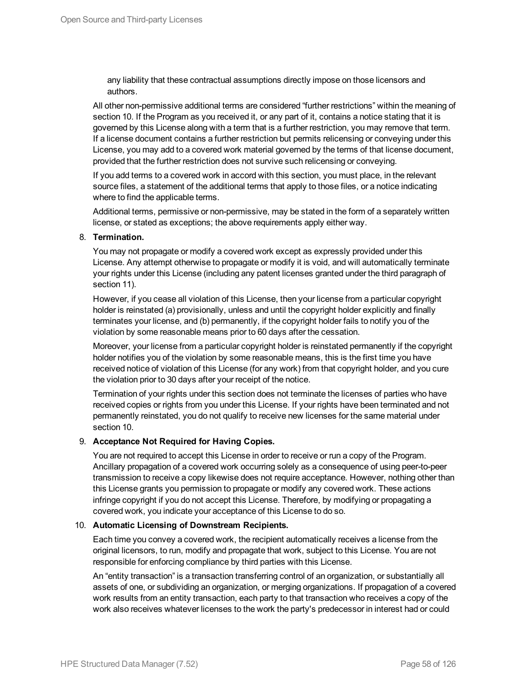any liability that these contractual assumptions directly impose on those licensors and authors.

All other non-permissive additional terms are considered "further restrictions" within the meaning of section 10. If the Program as you received it, or any part of it, contains a notice stating that it is governed by this License along with a term that is a further restriction, you may remove that term. If a license document contains a further restriction but permits relicensing or conveying under this License, you may add to a covered work material governed by the terms of that license document, provided that the further restriction does not survive such relicensing or conveying.

If you add terms to a covered work in accord with this section, you must place, in the relevant source files, a statement of the additional terms that apply to those files, or a notice indicating where to find the applicable terms.

Additional terms, permissive or non-permissive, may be stated in the form of a separately written license, or stated as exceptions; the above requirements apply either way.

# 8. **Termination.**

You may not propagate or modify a covered work except as expressly provided under this License. Any attempt otherwise to propagate or modify it is void, and will automatically terminate your rights under this License (including any patent licenses granted under the third paragraph of section 11).

However, if you cease all violation of this License, then your license from a particular copyright holder is reinstated (a) provisionally, unless and until the copyright holder explicitly and finally terminates your license, and (b) permanently, if the copyright holder fails to notify you of the violation by some reasonable means prior to 60 days after the cessation.

Moreover, your license from a particular copyright holder is reinstated permanently if the copyright holder notifies you of the violation by some reasonable means, this is the first time you have received notice of violation of this License (for any work) from that copyright holder, and you cure the violation prior to 30 days after your receipt of the notice.

Termination of your rights under this section does not terminate the licenses of parties who have received copies or rights from you under this License. If your rights have been terminated and not permanently reinstated, you do not qualify to receive new licenses for the same material under section 10.

#### 9. **Acceptance Not Required for Having Copies.**

You are not required to accept this License in order to receive or run a copy of the Program. Ancillary propagation of a covered work occurring solely as a consequence of using peer-to-peer transmission to receive a copy likewise does not require acceptance. However, nothing other than this License grants you permission to propagate or modify any covered work. These actions infringe copyright if you do not accept this License. Therefore, by modifying or propagating a covered work, you indicate your acceptance of this License to do so.

#### 10. **Automatic Licensing of Downstream Recipients.**

Each time you convey a covered work, the recipient automatically receives a license from the original licensors, to run, modify and propagate that work, subject to this License. You are not responsible for enforcing compliance by third parties with this License.

An "entity transaction" is a transaction transferring control of an organization, or substantially all assets of one, or subdividing an organization, or merging organizations. If propagation of a covered work results from an entity transaction, each party to that transaction who receives a copy of the work also receives whatever licenses to the work the party's predecessor in interest had or could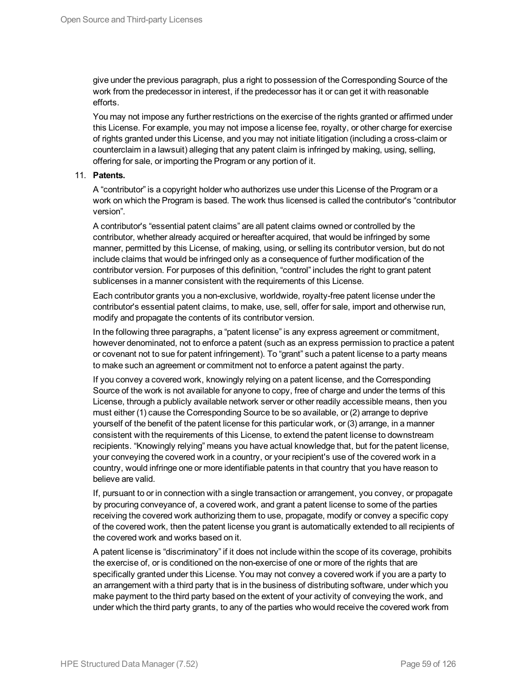give under the previous paragraph, plus a right to possession of the Corresponding Source of the work from the predecessor in interest, if the predecessor has it or can get it with reasonable efforts.

You may not impose any further restrictions on the exercise of the rights granted or affirmed under this License. For example, you may not impose a license fee, royalty, or other charge for exercise of rights granted under this License, and you may not initiate litigation (including a cross-claim or counterclaim in a lawsuit) alleging that any patent claim is infringed by making, using, selling, offering for sale, or importing the Program or any portion of it.

#### 11. **Patents.**

A "contributor" is a copyright holder who authorizes use under this License of the Program or a work on which the Program is based. The work thus licensed is called the contributor's "contributor version".

A contributor's "essential patent claims" are all patent claims owned or controlled by the contributor, whether already acquired or hereafter acquired, that would be infringed by some manner, permitted by this License, of making, using, or selling its contributor version, but do not include claims that would be infringed only as a consequence of further modification of the contributor version. For purposes of this definition, "control" includes the right to grant patent sublicenses in a manner consistent with the requirements of this License.

Each contributor grants you a non-exclusive, worldwide, royalty-free patent license under the contributor's essential patent claims, to make, use, sell, offer for sale, import and otherwise run, modify and propagate the contents of its contributor version.

In the following three paragraphs, a "patent license" is any express agreement or commitment, however denominated, not to enforce a patent (such as an express permission to practice a patent or covenant not to sue for patent infringement). To "grant" such a patent license to a party means to make such an agreement or commitment not to enforce a patent against the party.

If you convey a covered work, knowingly relying on a patent license, and the Corresponding Source of the work is not available for anyone to copy, free of charge and under the terms of this License, through a publicly available network server or other readily accessible means, then you must either (1) cause the Corresponding Source to be so available, or (2) arrange to deprive yourself of the benefit of the patent license for this particular work, or (3) arrange, in a manner consistent with the requirements of this License, to extend the patent license to downstream recipients. "Knowingly relying" means you have actual knowledge that, but for the patent license, your conveying the covered work in a country, or your recipient's use of the covered work in a country, would infringe one or more identifiable patents in that country that you have reason to believe are valid.

If, pursuant to or in connection with a single transaction or arrangement, you convey, or propagate by procuring conveyance of, a covered work, and grant a patent license to some of the parties receiving the covered work authorizing them to use, propagate, modify or convey a specific copy of the covered work, then the patent license you grant is automatically extended to all recipients of the covered work and works based on it.

A patent license is "discriminatory" if it does not include within the scope of its coverage, prohibits the exercise of, or is conditioned on the non-exercise of one or more of the rights that are specifically granted under this License. You may not convey a covered work if you are a party to an arrangement with a third party that is in the business of distributing software, under which you make payment to the third party based on the extent of your activity of conveying the work, and under which the third party grants, to any of the parties who would receive the covered work from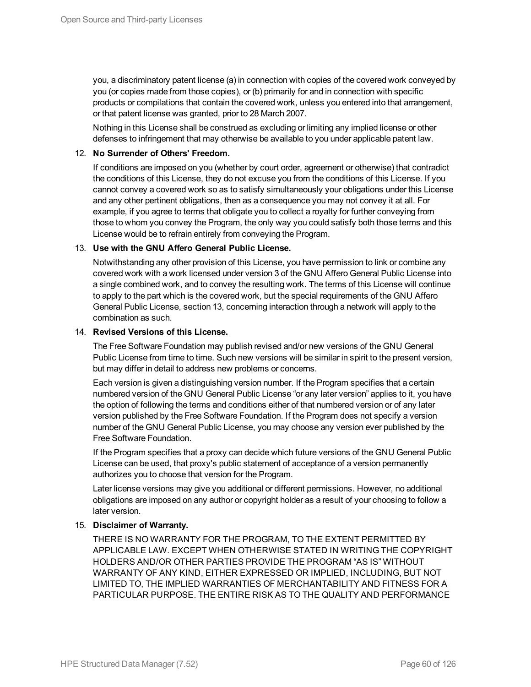you, a discriminatory patent license (a) in connection with copies of the covered work conveyed by you (or copies made from those copies), or (b) primarily for and in connection with specific products or compilations that contain the covered work, unless you entered into that arrangement, or that patent license was granted, prior to 28 March 2007.

Nothing in this License shall be construed as excluding or limiting any implied license or other defenses to infringement that may otherwise be available to you under applicable patent law.

#### 12. **No Surrender of Others' Freedom.**

If conditions are imposed on you (whether by court order, agreement or otherwise) that contradict the conditions of this License, they do not excuse you from the conditions of this License. If you cannot convey a covered work so as to satisfy simultaneously your obligations under this License and any other pertinent obligations, then as a consequence you may not convey it at all. For example, if you agree to terms that obligate you to collect a royalty for further conveying from those to whom you convey the Program, the only way you could satisfy both those terms and this License would be to refrain entirely from conveying the Program.

# 13. **Use with the GNU Affero General Public License.**

Notwithstanding any other provision of this License, you have permission to link or combine any covered work with a work licensed under version 3 of the GNU Affero General Public License into a single combined work, and to convey the resulting work. The terms of this License will continue to apply to the part which is the covered work, but the special requirements of the GNU Affero General Public License, section 13, concerning interaction through a network will apply to the combination as such.

# 14. **Revised Versions of this License.**

The Free Software Foundation may publish revised and/or new versions of the GNU General Public License from time to time. Such new versions will be similar in spirit to the present version, but may differ in detail to address new problems or concerns.

Each version is given a distinguishing version number. If the Program specifies that a certain numbered version of the GNU General Public License "or any later version" applies to it, you have the option of following the terms and conditions either of that numbered version or of any later version published by the Free Software Foundation. If the Program does not specify a version number of the GNU General Public License, you may choose any version ever published by the Free Software Foundation.

If the Program specifies that a proxy can decide which future versions of the GNU General Public License can be used, that proxy's public statement of acceptance of a version permanently authorizes you to choose that version for the Program.

Later license versions may give you additional or different permissions. However, no additional obligations are imposed on any author or copyright holder as a result of your choosing to follow a later version.

#### 15. **Disclaimer of Warranty.**

THERE IS NO WARRANTY FOR THE PROGRAM, TO THE EXTENT PERMITTED BY APPLICABLE LAW. EXCEPT WHEN OTHERWISE STATED IN WRITING THE COPYRIGHT HOLDERS AND/OR OTHER PARTIES PROVIDE THE PROGRAM "AS IS" WITHOUT WARRANTY OF ANY KIND, EITHER EXPRESSED OR IMPLIED, INCLUDING, BUT NOT LIMITED TO, THE IMPLIED WARRANTIES OF MERCHANTABILITY AND FITNESS FOR A PARTICULAR PURPOSE. THE ENTIRE RISK AS TO THE QUALITY AND PERFORMANCE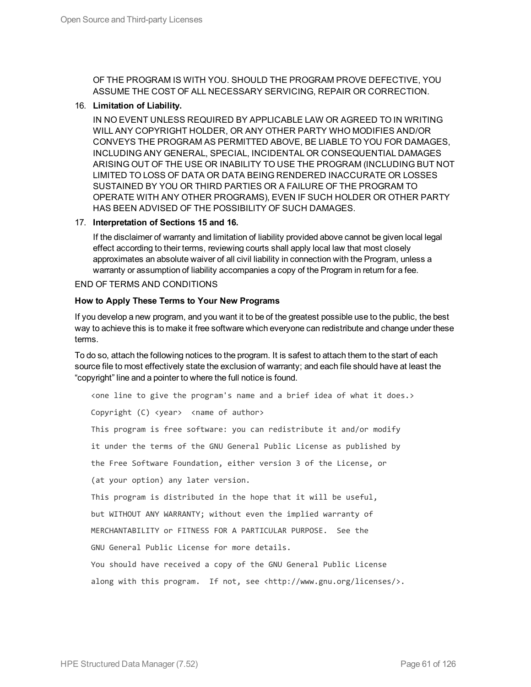OF THE PROGRAM IS WITH YOU. SHOULD THE PROGRAM PROVE DEFECTIVE, YOU ASSUME THE COST OF ALL NECESSARY SERVICING, REPAIR OR CORRECTION.

#### 16. **Limitation of Liability.**

IN NO EVENT UNLESS REQUIRED BY APPLICABLE LAW OR AGREED TO IN WRITING WILL ANY COPYRIGHT HOLDER, OR ANY OTHER PARTY WHO MODIFIES AND/OR CONVEYS THE PROGRAM AS PERMITTED ABOVE, BE LIABLE TO YOU FOR DAMAGES, INCLUDING ANY GENERAL, SPECIAL, INCIDENTAL OR CONSEQUENTIAL DAMAGES ARISING OUT OF THE USE OR INABILITY TO USE THE PROGRAM (INCLUDING BUT NOT LIMITED TO LOSS OF DATA OR DATA BEING RENDERED INACCURATE OR LOSSES SUSTAINED BY YOU OR THIRD PARTIES OR A FAILURE OF THE PROGRAM TO OPERATE WITH ANY OTHER PROGRAMS), EVEN IF SUCH HOLDER OR OTHER PARTY HAS BEEN ADVISED OF THE POSSIBILITY OF SUCH DAMAGES.

# 17. **Interpretation of Sections 15 and 16.**

If the disclaimer of warranty and limitation of liability provided above cannot be given local legal effect according to their terms, reviewing courts shall apply local law that most closely approximates an absolute waiver of all civil liability in connection with the Program, unless a warranty or assumption of liability accompanies a copy of the Program in return for a fee.

END OF TERMS AND CONDITIONS

#### **How to Apply These Terms to Your New Programs**

If you develop a new program, and you want it to be of the greatest possible use to the public, the best way to achieve this is to make it free software which everyone can redistribute and change under these terms.

To do so, attach the following notices to the program. It is safest to attach them to the start of each source file to most effectively state the exclusion of warranty; and each file should have at least the "copyright" line and a pointer to where the full notice is found.

<one line to give the program's name and a brief idea of what it does.> Copyright (C) <year> <name of author> This program is free software: you can redistribute it and/or modify it under the terms of the GNU General Public License as published by the Free Software Foundation, either version 3 of the License, or (at your option) any later version. This program is distributed in the hope that it will be useful, but WITHOUT ANY WARRANTY; without even the implied warranty of MERCHANTABILITY or FITNESS FOR A PARTICULAR PURPOSE. See the GNU General Public License for more details. You should have received a copy of the GNU General Public License along with this program. If not, see <http://www.gnu.org/licenses/>.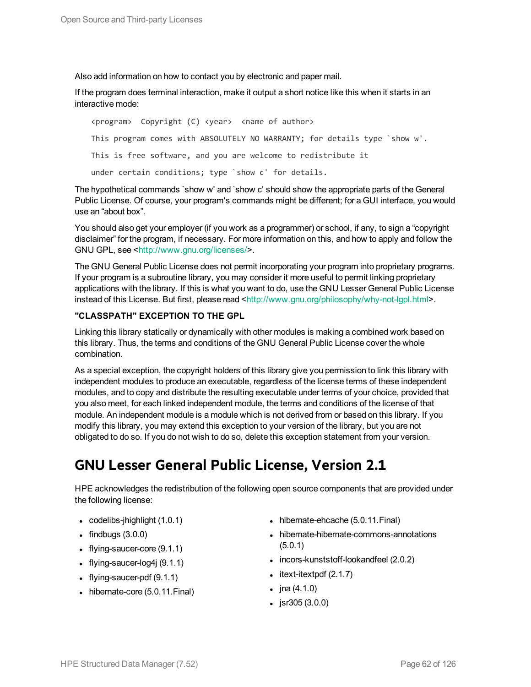Also add information on how to contact you by electronic and paper mail.

If the program does terminal interaction, make it output a short notice like this when it starts in an interactive mode:

<program> Copyright (C) <year> <name of author> This program comes with ABSOLUTELY NO WARRANTY; for details type `show w'. This is free software, and you are welcome to redistribute it under certain conditions; type `show c' for details.

The hypothetical commands `show w' and `show c' should show the appropriate parts of the General Public License. Of course, your program's commands might be different; for a GUI interface, you would use an "about box".

You should also get your employer (if you work as a programmer) or school, if any, to sign a "copyright disclaimer" for the program, if necessary. For more information on this, and how to apply and follow the GNU GPL, see <<http://www.gnu.org/licenses/>>.

The GNU General Public License does not permit incorporating your program into proprietary programs. If your program is a subroutine library, you may consider it more useful to permit linking proprietary applications with the library. If this is what you want to do, use the GNU Lesser General Public License instead of this License. But first, please read [<http://www.gnu.org/philosophy/why-not-lgpl.html](http://www.gnu.org/philosophy/why-not-lgpl.html)>.

# **"CLASSPATH" EXCEPTION TO THE GPL**

Linking this library statically or dynamically with other modules is making a combined work based on this library. Thus, the terms and conditions of the GNU General Public License cover the whole combination.

As a special exception, the copyright holders of this library give you permission to link this library with independent modules to produce an executable, regardless of the license terms of these independent modules, and to copy and distribute the resulting executable under terms of your choice, provided that you also meet, for each linked independent module, the terms and conditions of the license of that module. An independent module is a module which is not derived from or based on this library. If you modify this library, you may extend this exception to your version of the library, but you are not obligated to do so. If you do not wish to do so, delete this exception statement from your version.

# **GNU Lesser General Public License, Version 2.1**

HPE acknowledges the redistribution of the following open source components that are provided under the following license:

- $\bullet$  codelibs-jhighlight  $(1.0.1)$
- $\bullet$  findbugs  $(3.0.0)$
- $\bullet$  flying-saucer-core (9.1.1)
- $\bullet$  flying-saucer-log4j (9.1.1)
- $\bullet$  flying-saucer-pdf  $(9.1.1)$
- hibernate-core  $(5.0.11$ . Final)
- $\bullet$  hibernate-ehcache (5.0.11. Final)
- hibernate-hibernate-commons-annotations (5.0.1)
- $\bullet$  incors-kunststoff-lookandfeel (2.0.2)
- $\bullet$  itext-itextpdf (2.1.7)
- jna  $(4.1.0)$
- $\bullet$  jsr305 (3.0.0)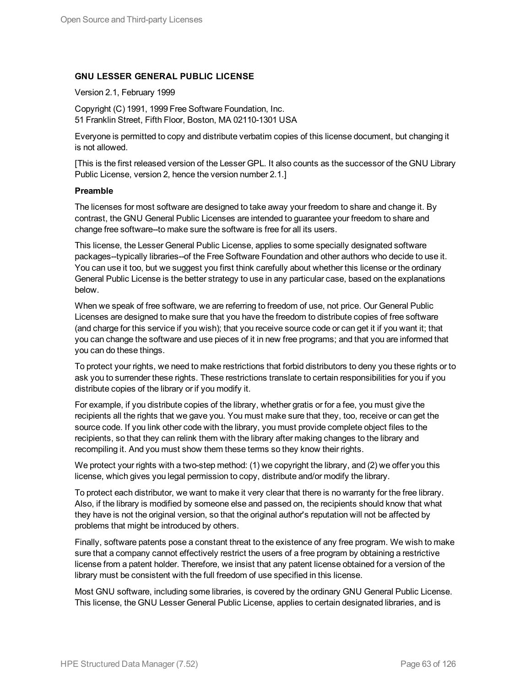# **GNU LESSER GENERAL PUBLIC LICENSE**

Version 2.1, February 1999

Copyright (C) 1991, 1999 Free Software Foundation, Inc. 51 Franklin Street, Fifth Floor, Boston, MA 02110-1301 USA

Everyone is permitted to copy and distribute verbatim copies of this license document, but changing it is not allowed.

[This is the first released version of the Lesser GPL. It also counts as the successor of the GNU Library Public License, version 2, hence the version number 2.1.]

#### **Preamble**

The licenses for most software are designed to take away your freedom to share and change it. By contrast, the GNU General Public Licenses are intended to guarantee your freedom to share and change free software--to make sure the software is free for all its users.

This license, the Lesser General Public License, applies to some specially designated software packages--typically libraries--of the Free Software Foundation and other authors who decide to use it. You can use it too, but we suggest you first think carefully about whether this license or the ordinary General Public License is the better strategy to use in any particular case, based on the explanations below.

When we speak of free software, we are referring to freedom of use, not price. Our General Public Licenses are designed to make sure that you have the freedom to distribute copies of free software (and charge for this service if you wish); that you receive source code or can get it if you want it; that you can change the software and use pieces of it in new free programs; and that you are informed that you can do these things.

To protect your rights, we need to make restrictions that forbid distributors to deny you these rights or to ask you to surrender these rights. These restrictions translate to certain responsibilities for you if you distribute copies of the library or if you modify it.

For example, if you distribute copies of the library, whether gratis or for a fee, you must give the recipients all the rights that we gave you. You must make sure that they, too, receive or can get the source code. If you link other code with the library, you must provide complete object files to the recipients, so that they can relink them with the library after making changes to the library and recompiling it. And you must show them these terms so they know their rights.

We protect your rights with a two-step method: (1) we copyright the library, and (2) we offer you this license, which gives you legal permission to copy, distribute and/or modify the library.

To protect each distributor, we want to make it very clear that there is no warranty for the free library. Also, if the library is modified by someone else and passed on, the recipients should know that what they have is not the original version, so that the original author's reputation will not be affected by problems that might be introduced by others.

Finally, software patents pose a constant threat to the existence of any free program. We wish to make sure that a company cannot effectively restrict the users of a free program by obtaining a restrictive license from a patent holder. Therefore, we insist that any patent license obtained for a version of the library must be consistent with the full freedom of use specified in this license.

Most GNU software, including some libraries, is covered by the ordinary GNU General Public License. This license, the GNU Lesser General Public License, applies to certain designated libraries, and is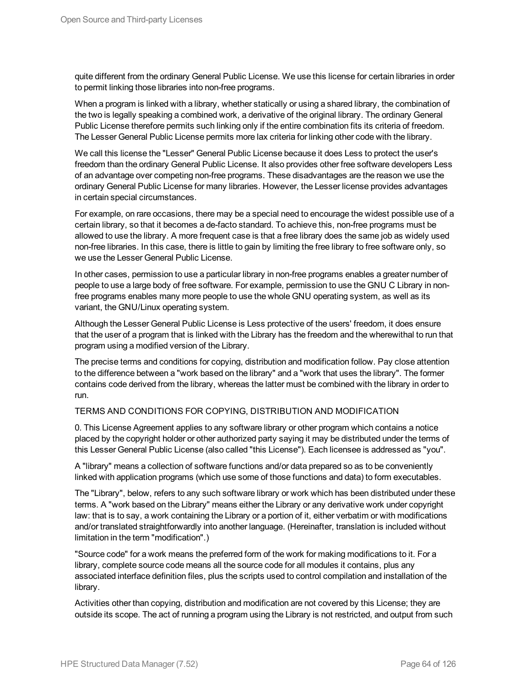quite different from the ordinary General Public License. We use this license for certain libraries in order to permit linking those libraries into non-free programs.

When a program is linked with a library, whether statically or using a shared library, the combination of the two is legally speaking a combined work, a derivative of the original library. The ordinary General Public License therefore permits such linking only if the entire combination fits its criteria of freedom. The Lesser General Public License permits more lax criteria for linking other code with the library.

We call this license the "Lesser" General Public License because it does Less to protect the user's freedom than the ordinary General Public License. It also provides other free software developers Less of an advantage over competing non-free programs. These disadvantages are the reason we use the ordinary General Public License for many libraries. However, the Lesser license provides advantages in certain special circumstances.

For example, on rare occasions, there may be a special need to encourage the widest possible use of a certain library, so that it becomes a de-facto standard. To achieve this, non-free programs must be allowed to use the library. A more frequent case is that a free library does the same job as widely used non-free libraries. In this case, there is little to gain by limiting the free library to free software only, so we use the Lesser General Public License.

In other cases, permission to use a particular library in non-free programs enables a greater number of people to use a large body of free software. For example, permission to use the GNU C Library in nonfree programs enables many more people to use the whole GNU operating system, as well as its variant, the GNU/Linux operating system.

Although the Lesser General Public License is Less protective of the users' freedom, it does ensure that the user of a program that is linked with the Library has the freedom and the wherewithal to run that program using a modified version of the Library.

The precise terms and conditions for copying, distribution and modification follow. Pay close attention to the difference between a "work based on the library" and a "work that uses the library". The former contains code derived from the library, whereas the latter must be combined with the library in order to run.

# TERMS AND CONDITIONS FOR COPYING, DISTRIBUTION AND MODIFICATION

0. This License Agreement applies to any software library or other program which contains a notice placed by the copyright holder or other authorized party saying it may be distributed under the terms of this Lesser General Public License (also called "this License"). Each licensee is addressed as "you".

A "library" means a collection of software functions and/or data prepared so as to be conveniently linked with application programs (which use some of those functions and data) to form executables.

The "Library", below, refers to any such software library or work which has been distributed under these terms. A "work based on the Library" means either the Library or any derivative work under copyright law: that is to say, a work containing the Library or a portion of it, either verbatim or with modifications and/or translated straightforwardly into another language. (Hereinafter, translation is included without limitation in the term "modification".)

"Source code" for a work means the preferred form of the work for making modifications to it. For a library, complete source code means all the source code for all modules it contains, plus any associated interface definition files, plus the scripts used to control compilation and installation of the library.

Activities other than copying, distribution and modification are not covered by this License; they are outside its scope. The act of running a program using the Library is not restricted, and output from such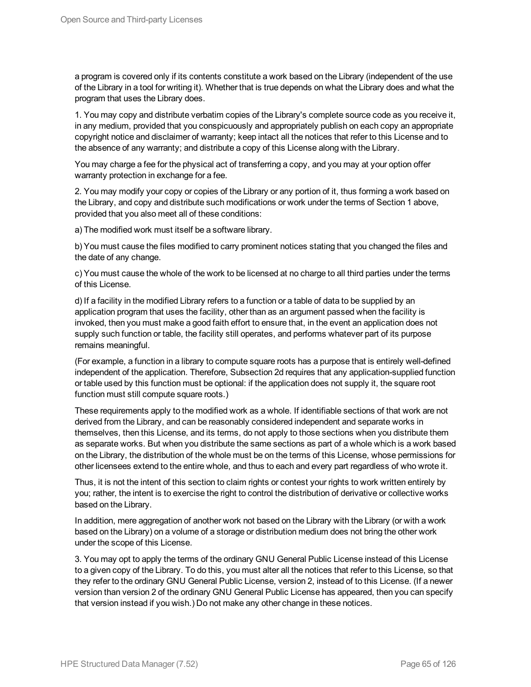a program is covered only if its contents constitute a work based on the Library (independent of the use of the Library in a tool for writing it). Whether that is true depends on what the Library does and what the program that uses the Library does.

1. You may copy and distribute verbatim copies of the Library's complete source code as you receive it, in any medium, provided that you conspicuously and appropriately publish on each copy an appropriate copyright notice and disclaimer of warranty; keep intact all the notices that refer to this License and to the absence of any warranty; and distribute a copy of this License along with the Library.

You may charge a fee for the physical act of transferring a copy, and you may at your option offer warranty protection in exchange for a fee.

2. You may modify your copy or copies of the Library or any portion of it, thus forming a work based on the Library, and copy and distribute such modifications or work under the terms of Section 1 above, provided that you also meet all of these conditions:

a) The modified work must itself be a software library.

b) You must cause the files modified to carry prominent notices stating that you changed the files and the date of any change.

c) You must cause the whole of the work to be licensed at no charge to all third parties under the terms of this License.

d) If a facility in the modified Library refers to a function or a table of data to be supplied by an application program that uses the facility, other than as an argument passed when the facility is invoked, then you must make a good faith effort to ensure that, in the event an application does not supply such function or table, the facility still operates, and performs whatever part of its purpose remains meaningful.

(For example, a function in a library to compute square roots has a purpose that is entirely well-defined independent of the application. Therefore, Subsection 2d requires that any application-supplied function or table used by this function must be optional: if the application does not supply it, the square root function must still compute square roots.)

These requirements apply to the modified work as a whole. If identifiable sections of that work are not derived from the Library, and can be reasonably considered independent and separate works in themselves, then this License, and its terms, do not apply to those sections when you distribute them as separate works. But when you distribute the same sections as part of a whole which is a work based on the Library, the distribution of the whole must be on the terms of this License, whose permissions for other licensees extend to the entire whole, and thus to each and every part regardless of who wrote it.

Thus, it is not the intent of this section to claim rights or contest your rights to work written entirely by you; rather, the intent is to exercise the right to control the distribution of derivative or collective works based on the Library.

In addition, mere aggregation of another work not based on the Library with the Library (or with a work based on the Library) on a volume of a storage or distribution medium does not bring the other work under the scope of this License.

3. You may opt to apply the terms of the ordinary GNU General Public License instead of this License to a given copy of the Library. To do this, you must alter all the notices that refer to this License, so that they refer to the ordinary GNU General Public License, version 2, instead of to this License. (If a newer version than version 2 of the ordinary GNU General Public License has appeared, then you can specify that version instead if you wish.) Do not make any other change in these notices.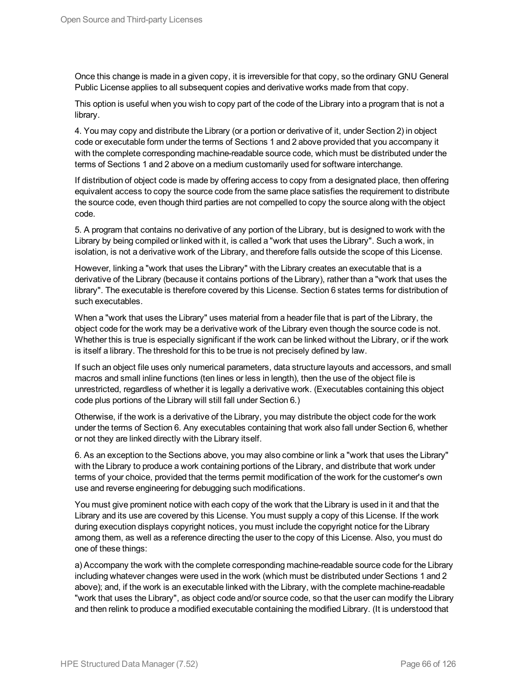Once this change is made in a given copy, it is irreversible for that copy, so the ordinary GNU General Public License applies to all subsequent copies and derivative works made from that copy.

This option is useful when you wish to copy part of the code of the Library into a program that is not a library.

4. You may copy and distribute the Library (or a portion or derivative of it, under Section 2) in object code or executable form under the terms of Sections 1 and 2 above provided that you accompany it with the complete corresponding machine-readable source code, which must be distributed under the terms of Sections 1 and 2 above on a medium customarily used for software interchange.

If distribution of object code is made by offering access to copy from a designated place, then offering equivalent access to copy the source code from the same place satisfies the requirement to distribute the source code, even though third parties are not compelled to copy the source along with the object code.

5. A program that contains no derivative of any portion of the Library, but is designed to work with the Library by being compiled or linked with it, is called a "work that uses the Library". Such a work, in isolation, is not a derivative work of the Library, and therefore falls outside the scope of this License.

However, linking a "work that uses the Library" with the Library creates an executable that is a derivative of the Library (because it contains portions of the Library), rather than a "work that uses the library". The executable is therefore covered by this License. Section 6 states terms for distribution of such executables.

When a "work that uses the Library" uses material from a header file that is part of the Library, the object code for the work may be a derivative work of the Library even though the source code is not. Whether this is true is especially significant if the work can be linked without the Library, or if the work is itself a library. The threshold for this to be true is not precisely defined by law.

If such an object file uses only numerical parameters, data structure layouts and accessors, and small macros and small inline functions (ten lines or less in length), then the use of the object file is unrestricted, regardless of whether it is legally a derivative work. (Executables containing this object code plus portions of the Library will still fall under Section 6.)

Otherwise, if the work is a derivative of the Library, you may distribute the object code for the work under the terms of Section 6. Any executables containing that work also fall under Section 6, whether or not they are linked directly with the Library itself.

6. As an exception to the Sections above, you may also combine or link a "work that uses the Library" with the Library to produce a work containing portions of the Library, and distribute that work under terms of your choice, provided that the terms permit modification of the work for the customer's own use and reverse engineering for debugging such modifications.

You must give prominent notice with each copy of the work that the Library is used in it and that the Library and its use are covered by this License. You must supply a copy of this License. If the work during execution displays copyright notices, you must include the copyright notice for the Library among them, as well as a reference directing the user to the copy of this License. Also, you must do one of these things:

a) Accompany the work with the complete corresponding machine-readable source code for the Library including whatever changes were used in the work (which must be distributed under Sections 1 and 2 above); and, if the work is an executable linked with the Library, with the complete machine-readable "work that uses the Library", as object code and/or source code, so that the user can modify the Library and then relink to produce a modified executable containing the modified Library. (It is understood that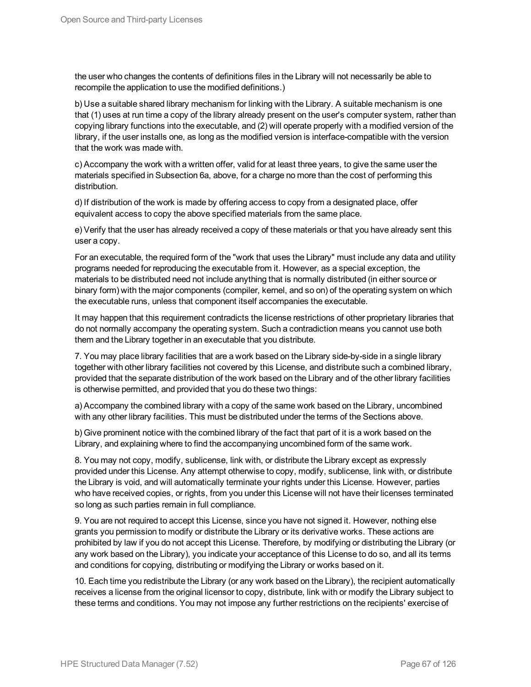the user who changes the contents of definitions files in the Library will not necessarily be able to recompile the application to use the modified definitions.)

b) Use a suitable shared library mechanism for linking with the Library. A suitable mechanism is one that (1) uses at run time a copy of the library already present on the user's computer system, rather than copying library functions into the executable, and (2) will operate properly with a modified version of the library, if the user installs one, as long as the modified version is interface-compatible with the version that the work was made with.

c) Accompany the work with a written offer, valid for at least three years, to give the same user the materials specified in Subsection 6a, above, for a charge no more than the cost of performing this distribution.

d) If distribution of the work is made by offering access to copy from a designated place, offer equivalent access to copy the above specified materials from the same place.

e) Verify that the user has already received a copy of these materials or that you have already sent this user a copy.

For an executable, the required form of the "work that uses the Library" must include any data and utility programs needed for reproducing the executable from it. However, as a special exception, the materials to be distributed need not include anything that is normally distributed (in either source or binary form) with the major components (compiler, kernel, and so on) of the operating system on which the executable runs, unless that component itself accompanies the executable.

It may happen that this requirement contradicts the license restrictions of other proprietary libraries that do not normally accompany the operating system. Such a contradiction means you cannot use both them and the Library together in an executable that you distribute.

7. You may place library facilities that are a work based on the Library side-by-side in a single library together with other library facilities not covered by this License, and distribute such a combined library, provided that the separate distribution of the work based on the Library and of the other library facilities is otherwise permitted, and provided that you do these two things:

a) Accompany the combined library with a copy of the same work based on the Library, uncombined with any other library facilities. This must be distributed under the terms of the Sections above.

b) Give prominent notice with the combined library of the fact that part of it is a work based on the Library, and explaining where to find the accompanying uncombined form of the same work.

8. You may not copy, modify, sublicense, link with, or distribute the Library except as expressly provided under this License. Any attempt otherwise to copy, modify, sublicense, link with, or distribute the Library is void, and will automatically terminate your rights under this License. However, parties who have received copies, or rights, from you under this License will not have their licenses terminated so long as such parties remain in full compliance.

9. You are not required to accept this License, since you have not signed it. However, nothing else grants you permission to modify or distribute the Library or its derivative works. These actions are prohibited by law if you do not accept this License. Therefore, by modifying or distributing the Library (or any work based on the Library), you indicate your acceptance of this License to do so, and all its terms and conditions for copying, distributing or modifying the Library or works based on it.

10. Each time you redistribute the Library (or any work based on the Library), the recipient automatically receives a license from the original licensor to copy, distribute, link with or modify the Library subject to these terms and conditions. You may not impose any further restrictions on the recipients' exercise of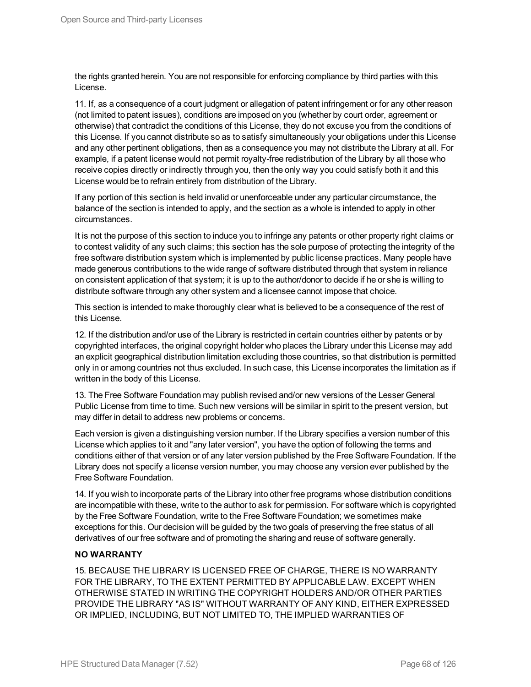the rights granted herein. You are not responsible for enforcing compliance by third parties with this License.

11. If, as a consequence of a court judgment or allegation of patent infringement or for any other reason (not limited to patent issues), conditions are imposed on you (whether by court order, agreement or otherwise) that contradict the conditions of this License, they do not excuse you from the conditions of this License. If you cannot distribute so as to satisfy simultaneously your obligations under this License and any other pertinent obligations, then as a consequence you may not distribute the Library at all. For example, if a patent license would not permit royalty-free redistribution of the Library by all those who receive copies directly or indirectly through you, then the only way you could satisfy both it and this License would be to refrain entirely from distribution of the Library.

If any portion of this section is held invalid or unenforceable under any particular circumstance, the balance of the section is intended to apply, and the section as a whole is intended to apply in other circumstances.

It is not the purpose of this section to induce you to infringe any patents or other property right claims or to contest validity of any such claims; this section has the sole purpose of protecting the integrity of the free software distribution system which is implemented by public license practices. Many people have made generous contributions to the wide range of software distributed through that system in reliance on consistent application of that system; it is up to the author/donor to decide if he or she is willing to distribute software through any other system and a licensee cannot impose that choice.

This section is intended to make thoroughly clear what is believed to be a consequence of the rest of this License.

12. If the distribution and/or use of the Library is restricted in certain countries either by patents or by copyrighted interfaces, the original copyright holder who places the Library under this License may add an explicit geographical distribution limitation excluding those countries, so that distribution is permitted only in or among countries not thus excluded. In such case, this License incorporates the limitation as if written in the body of this License.

13. The Free Software Foundation may publish revised and/or new versions of the Lesser General Public License from time to time. Such new versions will be similar in spirit to the present version, but may differ in detail to address new problems or concerns.

Each version is given a distinguishing version number. If the Library specifies a version number of this License which applies to it and "any later version", you have the option of following the terms and conditions either of that version or of any later version published by the Free Software Foundation. If the Library does not specify a license version number, you may choose any version ever published by the Free Software Foundation.

14. If you wish to incorporate parts of the Library into other free programs whose distribution conditions are incompatible with these, write to the author to ask for permission. For software which is copyrighted by the Free Software Foundation, write to the Free Software Foundation; we sometimes make exceptions for this. Our decision will be guided by the two goals of preserving the free status of all derivatives of our free software and of promoting the sharing and reuse of software generally.

# **NO WARRANTY**

15. BECAUSE THE LIBRARY IS LICENSED FREE OF CHARGE, THERE IS NO WARRANTY FOR THE LIBRARY, TO THE EXTENT PERMITTED BY APPLICABLE LAW. EXCEPT WHEN OTHERWISE STATED IN WRITING THE COPYRIGHT HOLDERS AND/OR OTHER PARTIES PROVIDE THE LIBRARY "AS IS" WITHOUT WARRANTY OF ANY KIND, EITHER EXPRESSED OR IMPLIED, INCLUDING, BUT NOT LIMITED TO, THE IMPLIED WARRANTIES OF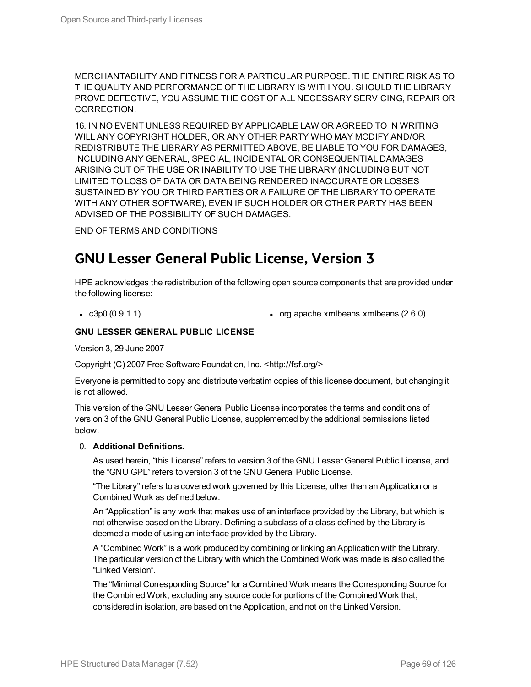MERCHANTABILITY AND FITNESS FOR A PARTICULAR PURPOSE. THE ENTIRE RISK AS TO THE QUALITY AND PERFORMANCE OF THE LIBRARY IS WITH YOU. SHOULD THE LIBRARY PROVE DEFECTIVE, YOU ASSUME THE COST OF ALL NECESSARY SERVICING, REPAIR OR CORRECTION.

16. IN NO EVENT UNLESS REQUIRED BY APPLICABLE LAW OR AGREED TO IN WRITING WILL ANY COPYRIGHT HOLDER, OR ANY OTHER PARTY WHO MAY MODIFY AND/OR REDISTRIBUTE THE LIBRARY AS PERMITTED ABOVE, BE LIABLE TO YOU FOR DAMAGES, INCLUDING ANY GENERAL, SPECIAL, INCIDENTAL OR CONSEQUENTIAL DAMAGES ARISING OUT OF THE USE OR INABILITY TO USE THE LIBRARY (INCLUDING BUT NOT LIMITED TO LOSS OF DATA OR DATA BEING RENDERED INACCURATE OR LOSSES SUSTAINED BY YOU OR THIRD PARTIES OR A FAILURE OF THE LIBRARY TO OPERATE WITH ANY OTHER SOFTWARE), EVEN IF SUCH HOLDER OR OTHER PARTY HAS BEEN ADVISED OF THE POSSIBILITY OF SUCH DAMAGES.

END OF TERMS AND CONDITIONS

# **GNU Lesser General Public License, Version 3**

HPE acknowledges the redistribution of the following open source components that are provided under the following license:

• c3p0 (0.9.1.1) **a** org.apache.xmlbeans.xmlbeans (2.6.0)

# **GNU LESSER GENERAL PUBLIC LICENSE**

Version 3, 29 June 2007

Copyright (C) 2007 Free Software Foundation, Inc. <http://fsf.org/>

Everyone is permitted to copy and distribute verbatim copies of this license document, but changing it is not allowed.

This version of the GNU Lesser General Public License incorporates the terms and conditions of version 3 of the GNU General Public License, supplemented by the additional permissions listed below.

#### 0. **Additional Definitions.**

As used herein, "this License" refers to version 3 of the GNU Lesser General Public License, and the "GNU GPL" refers to version 3 of the GNU General Public License.

"The Library" refers to a covered work governed by this License, other than an Application or a Combined Work as defined below.

An "Application" is any work that makes use of an interface provided by the Library, but which is not otherwise based on the Library. Defining a subclass of a class defined by the Library is deemed a mode of using an interface provided by the Library.

A "Combined Work" is a work produced by combining or linking an Application with the Library. The particular version of the Library with which the Combined Work was made is also called the "Linked Version".

The "Minimal Corresponding Source" for a Combined Work means the Corresponding Source for the Combined Work, excluding any source code for portions of the Combined Work that, considered in isolation, are based on the Application, and not on the Linked Version.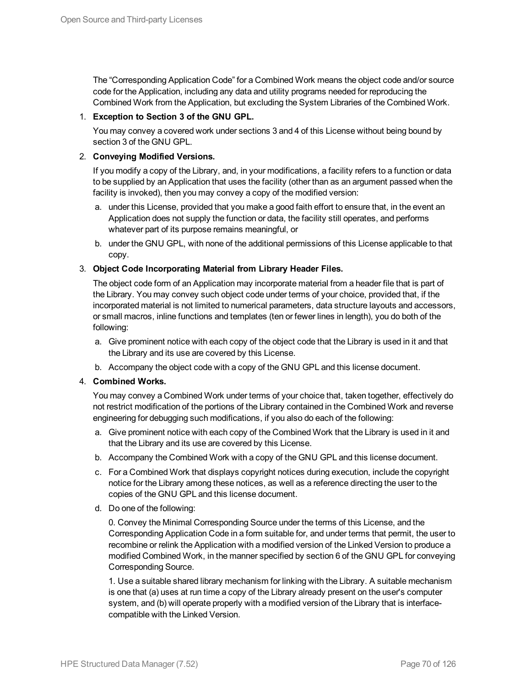The "Corresponding Application Code" for a Combined Work means the object code and/or source code for the Application, including any data and utility programs needed for reproducing the Combined Work from the Application, but excluding the System Libraries of the Combined Work.

# 1. **Exception to Section 3 of the GNU GPL.**

You may convey a covered work under sections 3 and 4 of this License without being bound by section 3 of the GNU GPL.

# 2. **Conveying Modified Versions.**

If you modify a copy of the Library, and, in your modifications, a facility refers to a function or data to be supplied by an Application that uses the facility (other than as an argument passed when the facility is invoked), then you may convey a copy of the modified version:

- a. under this License, provided that you make a good faith effort to ensure that, in the event an Application does not supply the function or data, the facility still operates, and performs whatever part of its purpose remains meaningful, or
- b. under the GNU GPL, with none of the additional permissions of this License applicable to that copy.

# 3. **Object Code Incorporating Material from Library Header Files.**

The object code form of an Application may incorporate material from a header file that is part of the Library. You may convey such object code under terms of your choice, provided that, if the incorporated material is not limited to numerical parameters, data structure layouts and accessors, or small macros, inline functions and templates (ten or fewer lines in length), you do both of the following:

- a. Give prominent notice with each copy of the object code that the Library is used in it and that the Library and its use are covered by this License.
- b. Accompany the object code with a copy of the GNU GPL and this license document.

#### 4. **Combined Works.**

You may convey a Combined Work under terms of your choice that, taken together, effectively do not restrict modification of the portions of the Library contained in the Combined Work and reverse engineering for debugging such modifications, if you also do each of the following:

- a. Give prominent notice with each copy of the Combined Work that the Library is used in it and that the Library and its use are covered by this License.
- b. Accompany the Combined Work with a copy of the GNU GPL and this license document.
- c. For a Combined Work that displays copyright notices during execution, include the copyright notice for the Library among these notices, as well as a reference directing the user to the copies of the GNU GPL and this license document.
- d. Do one of the following:

0. Convey the Minimal Corresponding Source under the terms of this License, and the Corresponding Application Code in a form suitable for, and under terms that permit, the user to recombine or relink the Application with a modified version of the Linked Version to produce a modified Combined Work, in the manner specified by section 6 of the GNU GPL for conveying Corresponding Source.

1. Use a suitable shared library mechanism for linking with the Library. A suitable mechanism is one that (a) uses at run time a copy of the Library already present on the user's computer system, and (b) will operate properly with a modified version of the Library that is interfacecompatible with the Linked Version.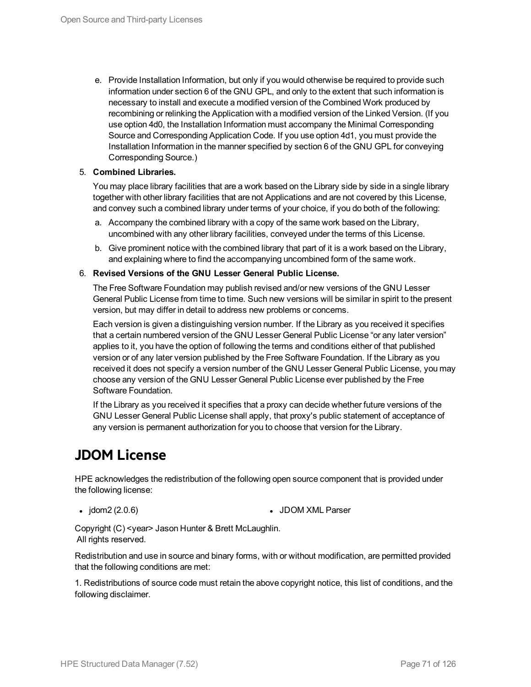e. Provide Installation Information, but only if you would otherwise be required to provide such information under section 6 of the GNU GPL, and only to the extent that such information is necessary to install and execute a modified version of the Combined Work produced by recombining or relinking the Application with a modified version of the Linked Version. (If you use option 4d0, the Installation Information must accompany the Minimal Corresponding Source and Corresponding Application Code. If you use option 4d1, you must provide the Installation Information in the manner specified by section 6 of the GNU GPL for conveying Corresponding Source.)

# 5. **Combined Libraries.**

You may place library facilities that are a work based on the Library side by side in a single library together with other library facilities that are not Applications and are not covered by this License, and convey such a combined library under terms of your choice, if you do both of the following:

- a. Accompany the combined library with a copy of the same work based on the Library, uncombined with any other library facilities, conveyed under the terms of this License.
- b. Give prominent notice with the combined library that part of it is a work based on the Library, and explaining where to find the accompanying uncombined form of the same work.

# 6. **Revised Versions of the GNU Lesser General Public License.**

The Free Software Foundation may publish revised and/or new versions of the GNU Lesser General Public License from time to time. Such new versions will be similar in spirit to the present version, but may differ in detail to address new problems or concerns.

Each version is given a distinguishing version number. If the Library as you received it specifies that a certain numbered version of the GNU Lesser General Public License "or any later version" applies to it, you have the option of following the terms and conditions either of that published version or of any later version published by the Free Software Foundation. If the Library as you received it does not specify a version number of the GNU Lesser General Public License, you may choose any version of the GNU Lesser General Public License ever published by the Free Software Foundation.

If the Library as you received it specifies that a proxy can decide whether future versions of the GNU Lesser General Public License shall apply, that proxy's public statement of acceptance of any version is permanent authorization for you to choose that version for the Library.

# **JDOM License**

HPE acknowledges the redistribution of the following open source component that is provided under the following license:

• jdom2 (2.0.6) **lack in the set of the set of the set of the set of the set of the set of the set of the set of the set of the set of the set of the set of the set of the set of the set of the set of the set of the set of** 

Copyright (C) <year> Jason Hunter & Brett McLaughlin. All rights reserved.

Redistribution and use in source and binary forms, with or without modification, are permitted provided that the following conditions are met:

1. Redistributions of source code must retain the above copyright notice, this list of conditions, and the following disclaimer.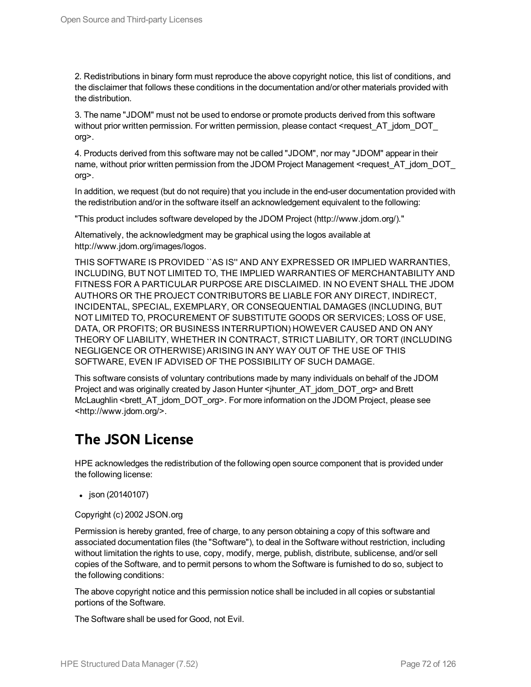2. Redistributions in binary form must reproduce the above copyright notice, this list of conditions, and the disclaimer that follows these conditions in the documentation and/or other materials provided with the distribution.

3. The name "JDOM" must not be used to endorse or promote products derived from this software without prior written permission. For written permission, please contact <request AT jdom\_DOT org>.

4. Products derived from this software may not be called "JDOM", nor may "JDOM" appear in their name, without prior written permission from the JDOM Project Management <request AT jdom\_DOT org>.

In addition, we request (but do not require) that you include in the end-user documentation provided with the redistribution and/or in the software itself an acknowledgement equivalent to the following:

"This product includes software developed by the JDOM Project (http://www.jdom.org/)."

Alternatively, the acknowledgment may be graphical using the logos available at http://www.jdom.org/images/logos.

THIS SOFTWARE IS PROVIDED ``AS IS'' AND ANY EXPRESSED OR IMPLIED WARRANTIES, INCLUDING, BUT NOT LIMITED TO, THE IMPLIED WARRANTIES OF MERCHANTABILITY AND FITNESS FOR A PARTICULAR PURPOSE ARE DISCLAIMED. IN NO EVENT SHALL THE JDOM AUTHORS OR THE PROJECT CONTRIBUTORS BE LIABLE FOR ANY DIRECT, INDIRECT, INCIDENTAL, SPECIAL, EXEMPLARY, OR CONSEQUENTIAL DAMAGES (INCLUDING, BUT NOT LIMITED TO, PROCUREMENT OF SUBSTITUTE GOODS OR SERVICES; LOSS OF USE, DATA, OR PROFITS; OR BUSINESS INTERRUPTION) HOWEVER CAUSED AND ON ANY THEORY OF LIABILITY, WHETHER IN CONTRACT, STRICT LIABILITY, OR TORT (INCLUDING NEGLIGENCE OR OTHERWISE) ARISING IN ANY WAY OUT OF THE USE OF THIS SOFTWARE, EVEN IF ADVISED OF THE POSSIBILITY OF SUCH DAMAGE.

This software consists of voluntary contributions made by many individuals on behalf of the JDOM Project and was originally created by Jason Hunter <jhunter\_AT\_jdom\_DOT\_org> and Brett McLaughlin <br ett\_AT\_jdom\_DOT\_org>. For more information on the JDOM Project, please see <http://www.jdom.org/>.

# **The JSON License**

HPE acknowledges the redistribution of the following open source component that is provided under the following license:

 $\bullet$  json (20140107)

Copyright (c) 2002 JSON.org

Permission is hereby granted, free of charge, to any person obtaining a copy of this software and associated documentation files (the "Software"), to deal in the Software without restriction, including without limitation the rights to use, copy, modify, merge, publish, distribute, sublicense, and/or sell copies of the Software, and to permit persons to whom the Software is furnished to do so, subject to the following conditions:

The above copyright notice and this permission notice shall be included in all copies or substantial portions of the Software.

The Software shall be used for Good, not Evil.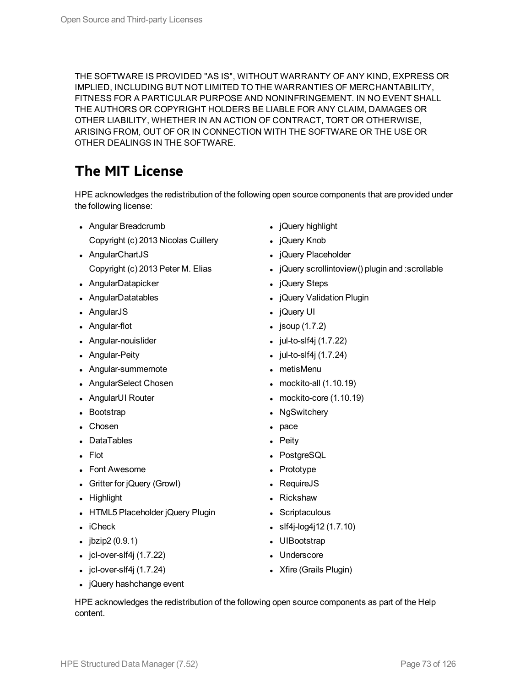THE SOFTWARE IS PROVIDED "AS IS", WITHOUT WARRANTY OF ANY KIND, EXPRESS OR IMPLIED, INCLUDING BUT NOT LIMITED TO THE WARRANTIES OF MERCHANTABILITY, FITNESS FOR A PARTICULAR PURPOSE AND NONINFRINGEMENT. IN NO EVENT SHALL THE AUTHORS OR COPYRIGHT HOLDERS BE LIABLE FOR ANY CLAIM, DAMAGES OR OTHER LIABILITY, WHETHER IN AN ACTION OF CONTRACT, TORT OR OTHERWISE, ARISING FROM, OUT OF OR IN CONNECTION WITH THE SOFTWARE OR THE USE OR OTHER DEALINGS IN THE SOFTWARE.

# **The MIT License**

HPE acknowledges the redistribution of the following open source components that are provided under the following license:

- Angular Breadcrumb
- Copyright (c) 2013 Nicolas Cuillery
- AngularChartJS Copyright (c) 2013 Peter M. Elias
- AngularDatapicker
- AngularDatatables
- AngularJS
- Angular-flot
- Angular-nouislider
- Angular-Peity
- Angular-summernote
- AngularSelect Chosen
- AngularUI Router
- Bootstrap
- Chosen
- DataTables
- $\blacksquare$  Flot
- Font Awesome
- Gritter for jQuery (Growl)
- Highlight
- HTML5 Placeholder jQuery Plugin
- iCheck
- $\bullet$  jbzip2 (0.9.1)
- $\bullet$  jcl-over-slf4j (1.7.22)
- $\bullet$  jcl-over-slf4j (1.7.24)
- jQuery hashchange event
- jQuery highlight
- jQuery Knob
- jQuery Placeholder
- jQuery scrollintoview() plugin and :scrollable
- jQuery Steps
- jQuery Validation Plugin
- jQuery UI
- $\bullet$  jsoup (1.7.2)
- $\bullet$  jul-to-slf4j (1.7.22)
- $\bullet$  jul-to-slf4j (1.7.24)
- metisMenu
- $\bullet$  mockito-all  $(1.10.19)$
- $\bullet$  mockito-core  $(1.10.19)$
- NgSwitchery
- $\bullet$  pace
- Peity
- PostgreSQL
- Prototype
- RequireJS
- Rickshaw
- Scriptaculous
- $\bullet$  slf4j-log4j12 (1.7.10)
- UIBootstrap
- Underscore
- Xfire (Grails Plugin)

HPE acknowledges the redistribution of the following open source components as part of the Help content.

- 
-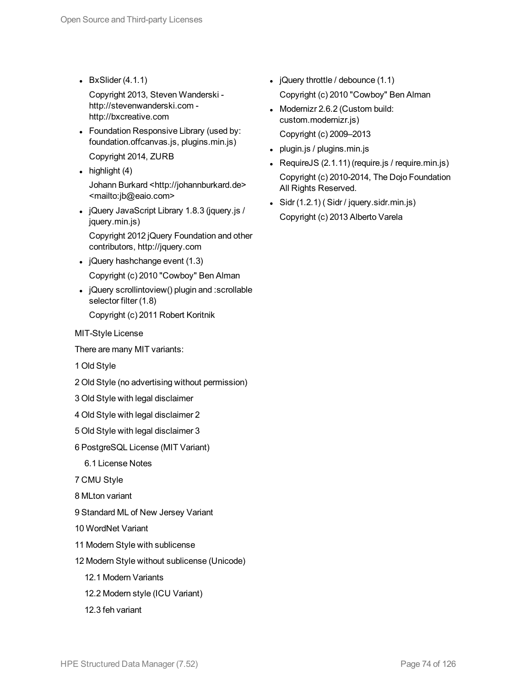$\bullet$  BxSlider (4.1.1)

Copyright 2013, Steven Wanderski http://stevenwanderski.com http://bxcreative.com

- Foundation Responsive Library (used by: foundation.offcanvas.js, plugins.min.js)
- Copyright 2014, ZURB
- $\bullet$  highlight (4)

Johann Burkard <http://johannburkard.de> <mailto:jb@eaio.com>

 $\bullet$  jQuery JavaScript Library 1.8.3 (jquery.js / jquery.min.js)

Copyright 2012 jQuery Foundation and other contributors, http://jquery.com

- $\bullet$  jQuery hashchange event (1.3) Copyright (c) 2010 "Cowboy" Ben Alman
- jQuery scrollintoview() plugin and :scrollable selector filter (1.8) Copyright (c) 2011 Robert Koritnik
- MIT-Style License

There are many MIT variants:

- 1 Old Style
- 2 Old Style (no advertising without permission)
- 3 Old Style with legal disclaimer
- 4 Old Style with legal disclaimer 2
- 5 Old Style with legal disclaimer 3
- 6 PostgreSQL License (MIT Variant)
	- 6.1 License Notes
- 7 CMU Style
- 8 MLton variant
- 9 Standard ML of New Jersey Variant
- 10 WordNet Variant
- 11 Modern Style with sublicense
- 12 Modern Style without sublicense (Unicode)
	- 12.1 Modern Variants
	- 12.2 Modern style (ICU Variant)
	- 12.3 feh variant
- jQuery throttle / debounce  $(1.1)$ Copyright (c) 2010 "Cowboy" Ben Alman
- Modernizr 2.6.2 (Custom build: custom.modernizr.js) Copyright (c) 2009–2013
- $\bullet$  plugin.js / plugins.min.js
- RequireJS  $(2.1.11)$  (require.js / require.min.js) Copyright (c) 2010-2014, The Dojo Foundation All Rights Reserved.
- Sidr  $(1.2.1)$  (Sidr / jquery.sidr.min.js) Copyright (c) 2013 Alberto Varela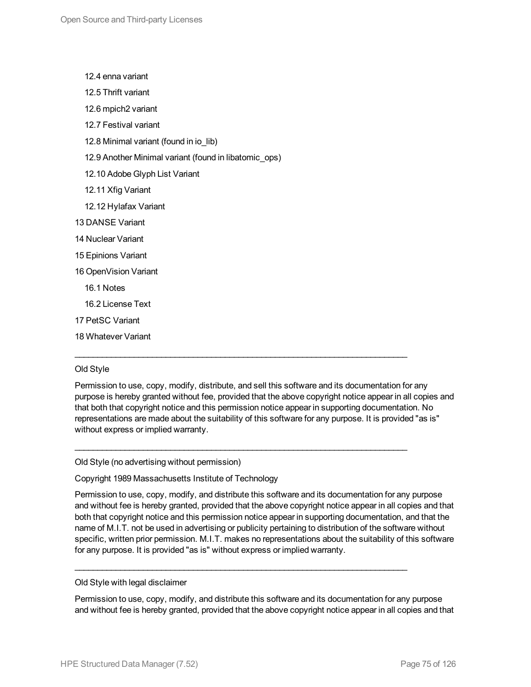- 12.4 enna variant
- 12.5 Thrift variant
- 12.6 mpich2 variant
- 12.7 Festival variant
- 12.8 Minimal variant (found in io\_lib)
- 12.9 Another Minimal variant (found in libatomic\_ops)
- 12.10 Adobe Glyph List Variant
- 12.11 Xfig Variant
- 12.12 Hylafax Variant
- 13 DANSE Variant
- 14 Nuclear Variant
- 15 Epinions Variant
- 16 OpenVision Variant
	- 16.1 Notes
	- 16.2 License Text
- 17 PetSC Variant
- 18 Whatever Variant

#### Old Style

Permission to use, copy, modify, distribute, and sell this software and its documentation for any purpose is hereby granted without fee, provided that the above copyright notice appear in all copies and that both that copyright notice and this permission notice appear in supporting documentation. No representations are made about the suitability of this software for any purpose. It is provided "as is" without express or implied warranty.

\_\_\_\_\_\_\_\_\_\_\_\_\_\_\_\_\_\_\_\_\_\_\_\_\_\_\_\_\_\_\_\_\_\_\_\_\_\_\_\_\_\_\_\_\_\_\_\_\_\_\_\_\_\_\_\_\_\_\_\_\_\_\_\_\_\_\_\_\_\_\_\_\_

\_\_\_\_\_\_\_\_\_\_\_\_\_\_\_\_\_\_\_\_\_\_\_\_\_\_\_\_\_\_\_\_\_\_\_\_\_\_\_\_\_\_\_\_\_\_\_\_\_\_\_\_\_\_\_\_\_\_\_\_\_\_\_\_\_\_\_\_\_\_\_\_\_

\_\_\_\_\_\_\_\_\_\_\_\_\_\_\_\_\_\_\_\_\_\_\_\_\_\_\_\_\_\_\_\_\_\_\_\_\_\_\_\_\_\_\_\_\_\_\_\_\_\_\_\_\_\_\_\_\_\_\_\_\_\_\_\_\_\_\_\_\_\_\_\_\_

#### Old Style (no advertising without permission)

Copyright 1989 Massachusetts Institute of Technology

Permission to use, copy, modify, and distribute this software and its documentation for any purpose and without fee is hereby granted, provided that the above copyright notice appear in all copies and that both that copyright notice and this permission notice appear in supporting documentation, and that the name of M.I.T. not be used in advertising or publicity pertaining to distribution of the software without specific, written prior permission. M.I.T. makes no representations about the suitability of this software for any purpose. It is provided "as is" without express or implied warranty.

#### Old Style with legal disclaimer

Permission to use, copy, modify, and distribute this software and its documentation for any purpose and without fee is hereby granted, provided that the above copyright notice appear in all copies and that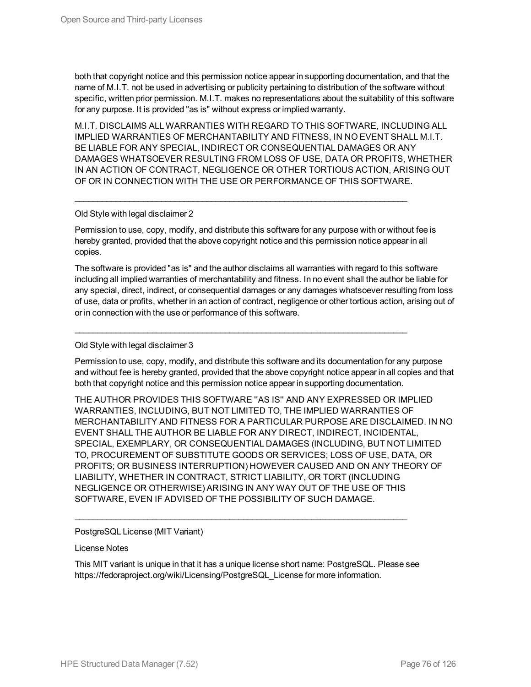both that copyright notice and this permission notice appear in supporting documentation, and that the name of M.I.T. not be used in advertising or publicity pertaining to distribution of the software without specific, written prior permission. M.I.T. makes no representations about the suitability of this software for any purpose. It is provided "as is" without express or implied warranty.

M.I.T. DISCLAIMS ALL WARRANTIES WITH REGARD TO THIS SOFTWARE, INCLUDING ALL IMPLIED WARRANTIES OF MERCHANTABILITY AND FITNESS, IN NO EVENT SHALL M.I.T. BE LIABLE FOR ANY SPECIAL, INDIRECT OR CONSEQUENTIAL DAMAGES OR ANY DAMAGES WHATSOEVER RESULTING FROM LOSS OF USE, DATA OR PROFITS, WHETHER IN AN ACTION OF CONTRACT, NEGLIGENCE OR OTHER TORTIOUS ACTION, ARISING OUT OF OR IN CONNECTION WITH THE USE OR PERFORMANCE OF THIS SOFTWARE.

#### Old Style with legal disclaimer 2

Permission to use, copy, modify, and distribute this software for any purpose with or without fee is hereby granted, provided that the above copyright notice and this permission notice appear in all copies.

\_\_\_\_\_\_\_\_\_\_\_\_\_\_\_\_\_\_\_\_\_\_\_\_\_\_\_\_\_\_\_\_\_\_\_\_\_\_\_\_\_\_\_\_\_\_\_\_\_\_\_\_\_\_\_\_\_\_\_\_\_\_\_\_\_\_\_\_\_\_\_\_\_

\_\_\_\_\_\_\_\_\_\_\_\_\_\_\_\_\_\_\_\_\_\_\_\_\_\_\_\_\_\_\_\_\_\_\_\_\_\_\_\_\_\_\_\_\_\_\_\_\_\_\_\_\_\_\_\_\_\_\_\_\_\_\_\_\_\_\_\_\_\_\_\_\_

The software is provided "as is" and the author disclaims all warranties with regard to this software including all implied warranties of merchantability and fitness. In no event shall the author be liable for any special, direct, indirect, or consequential damages or any damages whatsoever resulting from loss of use, data or profits, whether in an action of contract, negligence or other tortious action, arising out of or in connection with the use or performance of this software.

#### Old Style with legal disclaimer 3

Permission to use, copy, modify, and distribute this software and its documentation for any purpose and without fee is hereby granted, provided that the above copyright notice appear in all copies and that both that copyright notice and this permission notice appear in supporting documentation.

THE AUTHOR PROVIDES THIS SOFTWARE ''AS IS'' AND ANY EXPRESSED OR IMPLIED WARRANTIES, INCLUDING, BUT NOT LIMITED TO, THE IMPLIED WARRANTIES OF MERCHANTABILITY AND FITNESS FOR A PARTICULAR PURPOSE ARE DISCLAIMED. IN NO EVENT SHALL THE AUTHOR BE LIABLE FOR ANY DIRECT, INDIRECT, INCIDENTAL, SPECIAL, EXEMPLARY, OR CONSEQUENTIAL DAMAGES (INCLUDING, BUT NOT LIMITED TO, PROCUREMENT OF SUBSTITUTE GOODS OR SERVICES; LOSS OF USE, DATA, OR PROFITS; OR BUSINESS INTERRUPTION) HOWEVER CAUSED AND ON ANY THEORY OF LIABILITY, WHETHER IN CONTRACT, STRICT LIABILITY, OR TORT (INCLUDING NEGLIGENCE OR OTHERWISE) ARISING IN ANY WAY OUT OF THE USE OF THIS SOFTWARE, EVEN IF ADVISED OF THE POSSIBILITY OF SUCH DAMAGE.

#### PostgreSQL License (MIT Variant)

#### License Notes

This MIT variant is unique in that it has a unique license short name: PostgreSQL. Please see https://fedoraproject.org/wiki/Licensing/PostgreSQL\_License for more information.

\_\_\_\_\_\_\_\_\_\_\_\_\_\_\_\_\_\_\_\_\_\_\_\_\_\_\_\_\_\_\_\_\_\_\_\_\_\_\_\_\_\_\_\_\_\_\_\_\_\_\_\_\_\_\_\_\_\_\_\_\_\_\_\_\_\_\_\_\_\_\_\_\_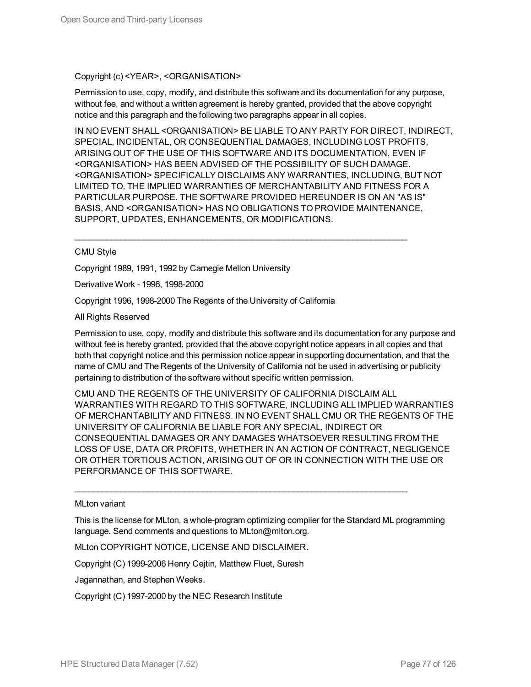## Copyright (c) <YEAR>, <ORGANISATION>

Permission to use, copy, modify, and distribute this software and its documentation for any purpose, without fee, and without a written agreement is hereby granted, provided that the above copyright notice and this paragraph and the following two paragraphs appear in all copies.

IN NO EVENT SHALL <ORGANISATION> BE LIABLE TO ANY PARTY FOR DIRECT, INDIRECT, SPECIAL, INCIDENTAL, OR CONSEQUENTIAL DAMAGES, INCLUDING LOST PROFITS, ARISING OUT OF THE USE OF THIS SOFTWARE AND ITS DOCUMENTATION, EVEN IF <ORGANISATION> HAS BEEN ADVISED OF THE POSSIBILITY OF SUCH DAMAGE. <ORGANISATION> SPECIFICALLY DISCLAIMS ANY WARRANTIES, INCLUDING, BUT NOT LIMITED TO, THE IMPLIED WARRANTIES OF MERCHANTABILITY AND FITNESS FOR A PARTICULAR PURPOSE. THE SOFTWARE PROVIDED HEREUNDER IS ON AN "AS IS" BASIS, AND <ORGANISATION> HAS NO OBLIGATIONS TO PROVIDE MAINTENANCE, SUPPORT, UPDATES, ENHANCEMENTS, OR MODIFICATIONS.

\_\_\_\_\_\_\_\_\_\_\_\_\_\_\_\_\_\_\_\_\_\_\_\_\_\_\_\_\_\_\_\_\_\_\_\_\_\_\_\_\_\_\_\_\_\_\_\_\_\_\_\_\_\_\_\_\_\_\_\_\_\_\_\_\_\_\_\_\_\_\_\_\_

#### CMU Style

Copyright 1989, 1991, 1992 by Carnegie Mellon University

Derivative Work - 1996, 1998-2000

Copyright 1996, 1998-2000 The Regents of the University of California

All Rights Reserved

Permission to use, copy, modify and distribute this software and its documentation for any purpose and without fee is hereby granted, provided that the above copyright notice appears in all copies and that both that copyright notice and this permission notice appear in supporting documentation, and that the name of CMU and The Regents of the University of California not be used in advertising or publicity pertaining to distribution of the software without specific written permission.

CMU AND THE REGENTS OF THE UNIVERSITY OF CALIFORNIA DISCLAIM ALL WARRANTIES WITH REGARD TO THIS SOFTWARE, INCLUDING ALL IMPLIED WARRANTIES OF MERCHANTABILITY AND FITNESS. IN NO EVENT SHALL CMU OR THE REGENTS OF THE UNIVERSITY OF CALIFORNIA BE LIABLE FOR ANY SPECIAL, INDIRECT OR CONSEQUENTIAL DAMAGES OR ANY DAMAGES WHATSOEVER RESULTING FROM THE LOSS OF USE, DATA OR PROFITS, WHETHER IN AN ACTION OF CONTRACT, NEGLIGENCE OR OTHER TORTIOUS ACTION, ARISING OUT OF OR IN CONNECTION WITH THE USE OR PERFORMANCE OF THIS SOFTWARE.

#### MLton variant

This is the license for MLton, a whole-program optimizing compiler for the Standard ML programming language. Send comments and questions to MLton@mlton.org.

\_\_\_\_\_\_\_\_\_\_\_\_\_\_\_\_\_\_\_\_\_\_\_\_\_\_\_\_\_\_\_\_\_\_\_\_\_\_\_\_\_\_\_\_\_\_\_\_\_\_\_\_\_\_\_\_\_\_\_\_\_\_\_\_\_\_\_\_\_\_\_\_\_

MLton COPYRIGHT NOTICE, LICENSE AND DISCLAIMER.

Copyright (C) 1999-2006 Henry Cejtin, Matthew Fluet, Suresh

Jagannathan, and Stephen Weeks.

Copyright (C) 1997-2000 by the NEC Research Institute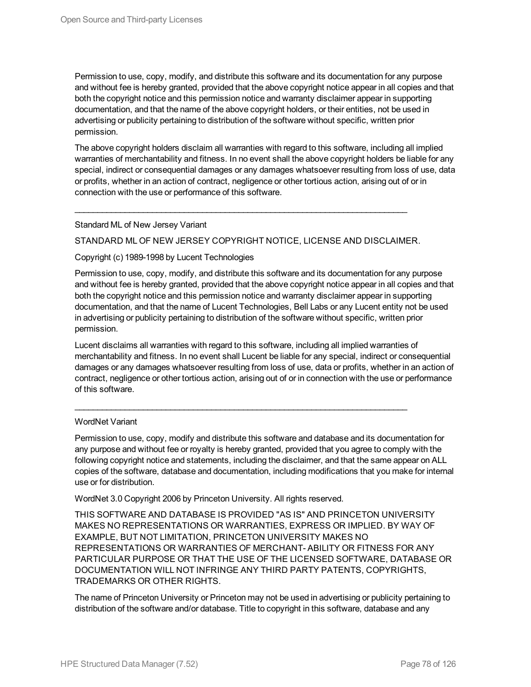Permission to use, copy, modify, and distribute this software and its documentation for any purpose and without fee is hereby granted, provided that the above copyright notice appear in all copies and that both the copyright notice and this permission notice and warranty disclaimer appear in supporting documentation, and that the name of the above copyright holders, or their entities, not be used in advertising or publicity pertaining to distribution of the software without specific, written prior permission.

The above copyright holders disclaim all warranties with regard to this software, including all implied warranties of merchantability and fitness. In no event shall the above copyright holders be liable for any special, indirect or consequential damages or any damages whatsoever resulting from loss of use, data or profits, whether in an action of contract, negligence or other tortious action, arising out of or in connection with the use or performance of this software.

#### Standard ML of New Jersey Variant

## STANDARD ML OF NEW JERSEY COPYRIGHT NOTICE, LICENSE AND DISCLAIMER.

\_\_\_\_\_\_\_\_\_\_\_\_\_\_\_\_\_\_\_\_\_\_\_\_\_\_\_\_\_\_\_\_\_\_\_\_\_\_\_\_\_\_\_\_\_\_\_\_\_\_\_\_\_\_\_\_\_\_\_\_\_\_\_\_\_\_\_\_\_\_\_\_\_

## Copyright (c) 1989-1998 by Lucent Technologies

Permission to use, copy, modify, and distribute this software and its documentation for any purpose and without fee is hereby granted, provided that the above copyright notice appear in all copies and that both the copyright notice and this permission notice and warranty disclaimer appear in supporting documentation, and that the name of Lucent Technologies, Bell Labs or any Lucent entity not be used in advertising or publicity pertaining to distribution of the software without specific, written prior permission.

Lucent disclaims all warranties with regard to this software, including all implied warranties of merchantability and fitness. In no event shall Lucent be liable for any special, indirect or consequential damages or any damages whatsoever resulting from loss of use, data or profits, whether in an action of contract, negligence or other tortious action, arising out of or in connection with the use or performance of this software.

\_\_\_\_\_\_\_\_\_\_\_\_\_\_\_\_\_\_\_\_\_\_\_\_\_\_\_\_\_\_\_\_\_\_\_\_\_\_\_\_\_\_\_\_\_\_\_\_\_\_\_\_\_\_\_\_\_\_\_\_\_\_\_\_\_\_\_\_\_\_\_\_\_

#### WordNet Variant

Permission to use, copy, modify and distribute this software and database and its documentation for any purpose and without fee or royalty is hereby granted, provided that you agree to comply with the following copyright notice and statements, including the disclaimer, and that the same appear on ALL copies of the software, database and documentation, including modifications that you make for internal use or for distribution.

WordNet 3.0 Copyright 2006 by Princeton University. All rights reserved.

THIS SOFTWARE AND DATABASE IS PROVIDED "AS IS" AND PRINCETON UNIVERSITY MAKES NO REPRESENTATIONS OR WARRANTIES, EXPRESS OR IMPLIED. BY WAY OF EXAMPLE, BUT NOT LIMITATION, PRINCETON UNIVERSITY MAKES NO REPRESENTATIONS OR WARRANTIES OF MERCHANT- ABILITY OR FITNESS FOR ANY PARTICULAR PURPOSE OR THAT THE USE OF THE LICENSED SOFTWARE, DATABASE OR DOCUMENTATION WILL NOT INFRINGE ANY THIRD PARTY PATENTS, COPYRIGHTS, TRADEMARKS OR OTHER RIGHTS.

The name of Princeton University or Princeton may not be used in advertising or publicity pertaining to distribution of the software and/or database. Title to copyright in this software, database and any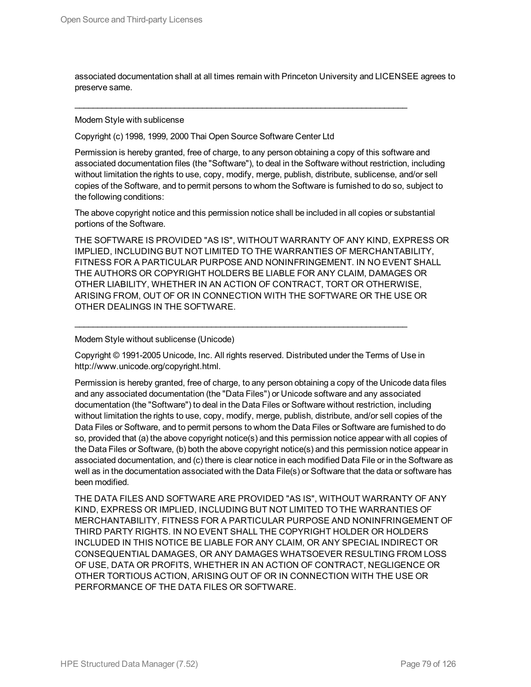associated documentation shall at all times remain with Princeton University and LICENSEE agrees to preserve same.

\_\_\_\_\_\_\_\_\_\_\_\_\_\_\_\_\_\_\_\_\_\_\_\_\_\_\_\_\_\_\_\_\_\_\_\_\_\_\_\_\_\_\_\_\_\_\_\_\_\_\_\_\_\_\_\_\_\_\_\_\_\_\_\_\_\_\_\_\_\_\_\_\_

Modern Style with sublicense

Copyright (c) 1998, 1999, 2000 Thai Open Source Software Center Ltd

Permission is hereby granted, free of charge, to any person obtaining a copy of this software and associated documentation files (the "Software"), to deal in the Software without restriction, including without limitation the rights to use, copy, modify, merge, publish, distribute, sublicense, and/or sell copies of the Software, and to permit persons to whom the Software is furnished to do so, subject to the following conditions:

The above copyright notice and this permission notice shall be included in all copies or substantial portions of the Software.

THE SOFTWARE IS PROVIDED "AS IS", WITHOUT WARRANTY OF ANY KIND, EXPRESS OR IMPLIED, INCLUDING BUT NOT LIMITED TO THE WARRANTIES OF MERCHANTABILITY, FITNESS FOR A PARTICULAR PURPOSE AND NONINFRINGEMENT. IN NO EVENT SHALL THE AUTHORS OR COPYRIGHT HOLDERS BE LIABLE FOR ANY CLAIM, DAMAGES OR OTHER LIABILITY, WHETHER IN AN ACTION OF CONTRACT, TORT OR OTHERWISE, ARISING FROM, OUT OF OR IN CONNECTION WITH THE SOFTWARE OR THE USE OR OTHER DEALINGS IN THE SOFTWARE.

Modern Style without sublicense (Unicode)

Copyright © 1991-2005 Unicode, Inc. All rights reserved. Distributed under the Terms of Use in http://www.unicode.org/copyright.html.

\_\_\_\_\_\_\_\_\_\_\_\_\_\_\_\_\_\_\_\_\_\_\_\_\_\_\_\_\_\_\_\_\_\_\_\_\_\_\_\_\_\_\_\_\_\_\_\_\_\_\_\_\_\_\_\_\_\_\_\_\_\_\_\_\_\_\_\_\_\_\_\_\_

Permission is hereby granted, free of charge, to any person obtaining a copy of the Unicode data files and any associated documentation (the "Data Files") or Unicode software and any associated documentation (the "Software") to deal in the Data Files or Software without restriction, including without limitation the rights to use, copy, modify, merge, publish, distribute, and/or sell copies of the Data Files or Software, and to permit persons to whom the Data Files or Software are furnished to do so, provided that (a) the above copyright notice(s) and this permission notice appear with all copies of the Data Files or Software, (b) both the above copyright notice(s) and this permission notice appear in associated documentation, and (c) there is clear notice in each modified Data File or in the Software as well as in the documentation associated with the Data File(s) or Software that the data or software has been modified.

THE DATA FILES AND SOFTWARE ARE PROVIDED "AS IS", WITHOUT WARRANTY OF ANY KIND, EXPRESS OR IMPLIED, INCLUDING BUT NOT LIMITED TO THE WARRANTIES OF MERCHANTABILITY, FITNESS FOR A PARTICULAR PURPOSE AND NONINFRINGEMENT OF THIRD PARTY RIGHTS. IN NO EVENT SHALL THE COPYRIGHT HOLDER OR HOLDERS INCLUDED IN THIS NOTICE BE LIABLE FOR ANY CLAIM, OR ANY SPECIAL INDIRECT OR CONSEQUENTIAL DAMAGES, OR ANY DAMAGES WHATSOEVER RESULTING FROM LOSS OF USE, DATA OR PROFITS, WHETHER IN AN ACTION OF CONTRACT, NEGLIGENCE OR OTHER TORTIOUS ACTION, ARISING OUT OF OR IN CONNECTION WITH THE USE OR PERFORMANCE OF THE DATA FILES OR SOFTWARE.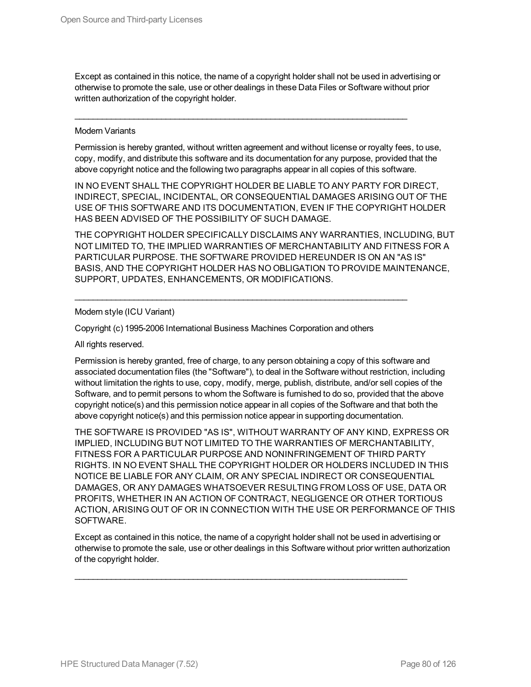Except as contained in this notice, the name of a copyright holder shall not be used in advertising or otherwise to promote the sale, use or other dealings in these Data Files or Software without prior written authorization of the copyright holder.

\_\_\_\_\_\_\_\_\_\_\_\_\_\_\_\_\_\_\_\_\_\_\_\_\_\_\_\_\_\_\_\_\_\_\_\_\_\_\_\_\_\_\_\_\_\_\_\_\_\_\_\_\_\_\_\_\_\_\_\_\_\_\_\_\_\_\_\_\_\_\_\_\_

#### Modern Variants

Permission is hereby granted, without written agreement and without license or royalty fees, to use, copy, modify, and distribute this software and its documentation for any purpose, provided that the above copyright notice and the following two paragraphs appear in all copies of this software.

IN NO EVENT SHALL THE COPYRIGHT HOLDER BE LIABLE TO ANY PARTY FOR DIRECT, INDIRECT, SPECIAL, INCIDENTAL, OR CONSEQUENTIAL DAMAGES ARISING OUT OF THE USE OF THIS SOFTWARE AND ITS DOCUMENTATION, EVEN IF THE COPYRIGHT HOLDER HAS BEEN ADVISED OF THE POSSIBILITY OF SUCH DAMAGE.

THE COPYRIGHT HOLDER SPECIFICALLY DISCLAIMS ANY WARRANTIES, INCLUDING, BUT NOT LIMITED TO, THE IMPLIED WARRANTIES OF MERCHANTABILITY AND FITNESS FOR A PARTICULAR PURPOSE. THE SOFTWARE PROVIDED HEREUNDER IS ON AN "AS IS" BASIS, AND THE COPYRIGHT HOLDER HAS NO OBLIGATION TO PROVIDE MAINTENANCE, SUPPORT, UPDATES, ENHANCEMENTS, OR MODIFICATIONS.

#### Modern style (ICU Variant)

Copyright (c) 1995-2006 International Business Machines Corporation and others

\_\_\_\_\_\_\_\_\_\_\_\_\_\_\_\_\_\_\_\_\_\_\_\_\_\_\_\_\_\_\_\_\_\_\_\_\_\_\_\_\_\_\_\_\_\_\_\_\_\_\_\_\_\_\_\_\_\_\_\_\_\_\_\_\_\_\_\_\_\_\_\_\_

All rights reserved.

Permission is hereby granted, free of charge, to any person obtaining a copy of this software and associated documentation files (the "Software"), to deal in the Software without restriction, including without limitation the rights to use, copy, modify, merge, publish, distribute, and/or sell copies of the Software, and to permit persons to whom the Software is furnished to do so, provided that the above copyright notice(s) and this permission notice appear in all copies of the Software and that both the above copyright notice(s) and this permission notice appear in supporting documentation.

THE SOFTWARE IS PROVIDED "AS IS", WITHOUT WARRANTY OF ANY KIND, EXPRESS OR IMPLIED, INCLUDING BUT NOT LIMITED TO THE WARRANTIES OF MERCHANTABILITY, FITNESS FOR A PARTICULAR PURPOSE AND NONINFRINGEMENT OF THIRD PARTY RIGHTS. IN NO EVENT SHALL THE COPYRIGHT HOLDER OR HOLDERS INCLUDED IN THIS NOTICE BE LIABLE FOR ANY CLAIM, OR ANY SPECIAL INDIRECT OR CONSEQUENTIAL DAMAGES, OR ANY DAMAGES WHATSOEVER RESULTING FROM LOSS OF USE, DATA OR PROFITS, WHETHER IN AN ACTION OF CONTRACT, NEGLIGENCE OR OTHER TORTIOUS ACTION, ARISING OUT OF OR IN CONNECTION WITH THE USE OR PERFORMANCE OF THIS SOFTWARE.

Except as contained in this notice, the name of a copyright holder shall not be used in advertising or otherwise to promote the sale, use or other dealings in this Software without prior written authorization of the copyright holder.

\_\_\_\_\_\_\_\_\_\_\_\_\_\_\_\_\_\_\_\_\_\_\_\_\_\_\_\_\_\_\_\_\_\_\_\_\_\_\_\_\_\_\_\_\_\_\_\_\_\_\_\_\_\_\_\_\_\_\_\_\_\_\_\_\_\_\_\_\_\_\_\_\_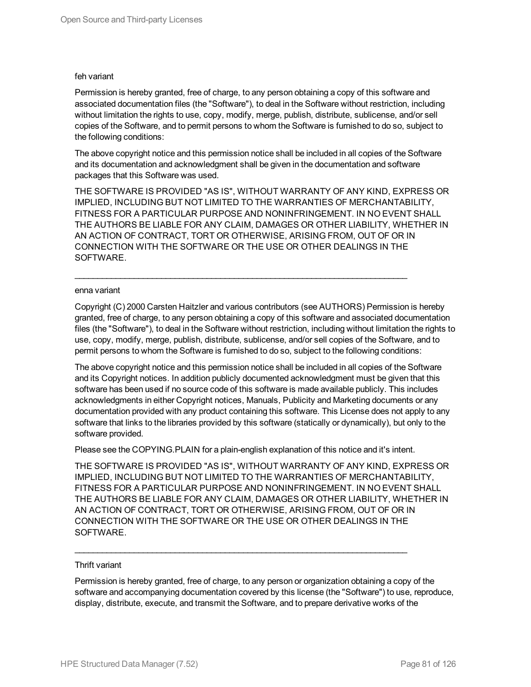#### feh variant

Permission is hereby granted, free of charge, to any person obtaining a copy of this software and associated documentation files (the "Software"), to deal in the Software without restriction, including without limitation the rights to use, copy, modify, merge, publish, distribute, sublicense, and/or sell copies of the Software, and to permit persons to whom the Software is furnished to do so, subject to the following conditions:

The above copyright notice and this permission notice shall be included in all copies of the Software and its documentation and acknowledgment shall be given in the documentation and software packages that this Software was used.

THE SOFTWARE IS PROVIDED "AS IS", WITHOUT WARRANTY OF ANY KIND, EXPRESS OR IMPLIED, INCLUDING BUT NOT LIMITED TO THE WARRANTIES OF MERCHANTABILITY, FITNESS FOR A PARTICULAR PURPOSE AND NONINFRINGEMENT. IN NO EVENT SHALL THE AUTHORS BE LIABLE FOR ANY CLAIM, DAMAGES OR OTHER LIABILITY, WHETHER IN AN ACTION OF CONTRACT, TORT OR OTHERWISE, ARISING FROM, OUT OF OR IN CONNECTION WITH THE SOFTWARE OR THE USE OR OTHER DEALINGS IN THE SOFTWARE.

\_\_\_\_\_\_\_\_\_\_\_\_\_\_\_\_\_\_\_\_\_\_\_\_\_\_\_\_\_\_\_\_\_\_\_\_\_\_\_\_\_\_\_\_\_\_\_\_\_\_\_\_\_\_\_\_\_\_\_\_\_\_\_\_\_\_\_\_\_\_\_\_\_

#### enna variant

Copyright (C) 2000 Carsten Haitzler and various contributors (see AUTHORS) Permission is hereby granted, free of charge, to any person obtaining a copy of this software and associated documentation files (the "Software"), to deal in the Software without restriction, including without limitation the rights to use, copy, modify, merge, publish, distribute, sublicense, and/or sell copies of the Software, and to permit persons to whom the Software is furnished to do so, subject to the following conditions:

The above copyright notice and this permission notice shall be included in all copies of the Software and its Copyright notices. In addition publicly documented acknowledgment must be given that this software has been used if no source code of this software is made available publicly. This includes acknowledgments in either Copyright notices, Manuals, Publicity and Marketing documents or any documentation provided with any product containing this software. This License does not apply to any software that links to the libraries provided by this software (statically or dynamically), but only to the software provided.

Please see the COPYING.PLAIN for a plain-english explanation of this notice and it's intent.

\_\_\_\_\_\_\_\_\_\_\_\_\_\_\_\_\_\_\_\_\_\_\_\_\_\_\_\_\_\_\_\_\_\_\_\_\_\_\_\_\_\_\_\_\_\_\_\_\_\_\_\_\_\_\_\_\_\_\_\_\_\_\_\_\_\_\_\_\_\_\_\_\_

THE SOFTWARE IS PROVIDED "AS IS", WITHOUT WARRANTY OF ANY KIND, EXPRESS OR IMPLIED, INCLUDING BUT NOT LIMITED TO THE WARRANTIES OF MERCHANTABILITY, FITNESS FOR A PARTICULAR PURPOSE AND NONINFRINGEMENT. IN NO EVENT SHALL THE AUTHORS BE LIABLE FOR ANY CLAIM, DAMAGES OR OTHER LIABILITY, WHETHER IN AN ACTION OF CONTRACT, TORT OR OTHERWISE, ARISING FROM, OUT OF OR IN CONNECTION WITH THE SOFTWARE OR THE USE OR OTHER DEALINGS IN THE SOFTWARE.

#### Thrift variant

Permission is hereby granted, free of charge, to any person or organization obtaining a copy of the software and accompanying documentation covered by this license (the "Software") to use, reproduce, display, distribute, execute, and transmit the Software, and to prepare derivative works of the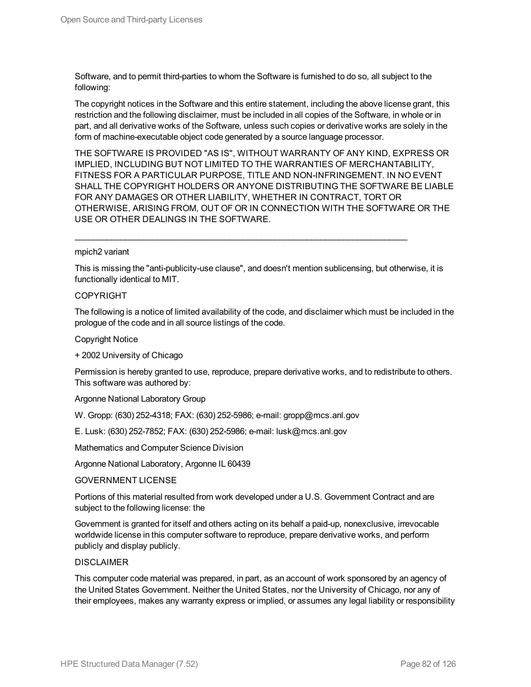Software, and to permit third-parties to whom the Software is furnished to do so, all subject to the following:

The copyright notices in the Software and this entire statement, including the above license grant, this restriction and the following disclaimer, must be included in all copies of the Software, in whole or in part, and all derivative works of the Software, unless such copies or derivative works are solely in the form of machine-executable object code generated by a source language processor.

THE SOFTWARE IS PROVIDED "AS IS", WITHOUT WARRANTY OF ANY KIND, EXPRESS OR IMPLIED, INCLUDING BUT NOT LIMITED TO THE WARRANTIES OF MERCHANTABILITY, FITNESS FOR A PARTICULAR PURPOSE, TITLE AND NON-INFRINGEMENT. IN NO EVENT SHALL THE COPYRIGHT HOLDERS OR ANYONE DISTRIBUTING THE SOFTWARE BE LIABLE FOR ANY DAMAGES OR OTHER LIABILITY, WHETHER IN CONTRACT, TORT OR OTHERWISE, ARISING FROM, OUT OF OR IN CONNECTION WITH THE SOFTWARE OR THE USE OR OTHER DEALINGS IN THE SOFTWARE.

#### mpich2 variant

This is missing the "anti-publicity-use clause", and doesn't mention sublicensing, but otherwise, it is functionally identical to MIT.

\_\_\_\_\_\_\_\_\_\_\_\_\_\_\_\_\_\_\_\_\_\_\_\_\_\_\_\_\_\_\_\_\_\_\_\_\_\_\_\_\_\_\_\_\_\_\_\_\_\_\_\_\_\_\_\_\_\_\_\_\_\_\_\_\_\_\_\_\_\_\_\_\_

#### COPYRIGHT

The following is a notice of limited availability of the code, and disclaimer which must be included in the prologue of the code and in all source listings of the code.

Copyright Notice

+ 2002 University of Chicago

Permission is hereby granted to use, reproduce, prepare derivative works, and to redistribute to others. This software was authored by:

Argonne National Laboratory Group

W. Gropp: (630) 252-4318; FAX: (630) 252-5986; e-mail: gropp@mcs.anl.gov

E. Lusk: (630) 252-7852; FAX: (630) 252-5986; e-mail: lusk@mcs.anl.gov

Mathematics and Computer Science Division

Argonne National Laboratory, Argonne IL 60439

GOVERNMENT LICENSE

Portions of this material resulted from work developed under a U.S. Government Contract and are subject to the following license: the

Government is granted for itself and others acting on its behalf a paid-up, nonexclusive, irrevocable worldwide license in this computer software to reproduce, prepare derivative works, and perform publicly and display publicly.

#### DISCLAIMER

This computer code material was prepared, in part, as an account of work sponsored by an agency of the United States Government. Neither the United States, nor the University of Chicago, nor any of their employees, makes any warranty express or implied, or assumes any legal liability or responsibility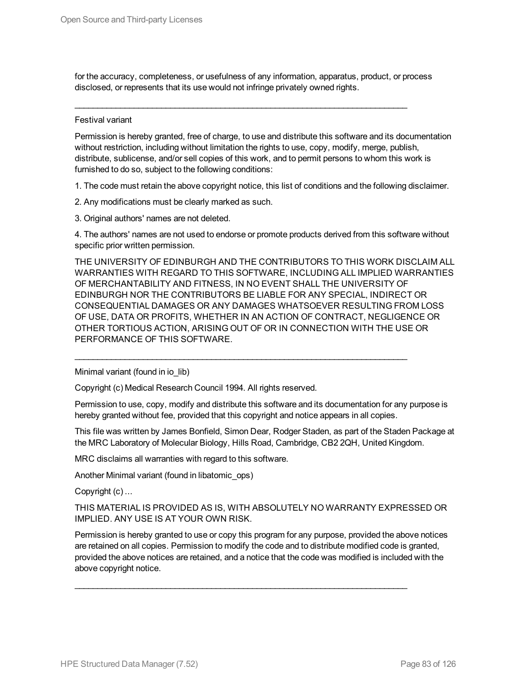for the accuracy, completeness, or usefulness of any information, apparatus, product, or process disclosed, or represents that its use would not infringe privately owned rights.

\_\_\_\_\_\_\_\_\_\_\_\_\_\_\_\_\_\_\_\_\_\_\_\_\_\_\_\_\_\_\_\_\_\_\_\_\_\_\_\_\_\_\_\_\_\_\_\_\_\_\_\_\_\_\_\_\_\_\_\_\_\_\_\_\_\_\_\_\_\_\_\_\_

#### Festival variant

Permission is hereby granted, free of charge, to use and distribute this software and its documentation without restriction, including without limitation the rights to use, copy, modify, merge, publish, distribute, sublicense, and/or sell copies of this work, and to permit persons to whom this work is furnished to do so, subject to the following conditions:

1. The code must retain the above copyright notice, this list of conditions and the following disclaimer.

2. Any modifications must be clearly marked as such.

3. Original authors' names are not deleted.

4. The authors' names are not used to endorse or promote products derived from this software without specific prior written permission.

THE UNIVERSITY OF EDINBURGH AND THE CONTRIBUTORS TO THIS WORK DISCLAIM ALL WARRANTIES WITH REGARD TO THIS SOFTWARE, INCLUDING ALL IMPLIED WARRANTIES OF MERCHANTABILITY AND FITNESS, IN NO EVENT SHALL THE UNIVERSITY OF EDINBURGH NOR THE CONTRIBUTORS BE LIABLE FOR ANY SPECIAL, INDIRECT OR CONSEQUENTIAL DAMAGES OR ANY DAMAGES WHATSOEVER RESULTING FROM LOSS OF USE, DATA OR PROFITS, WHETHER IN AN ACTION OF CONTRACT, NEGLIGENCE OR OTHER TORTIOUS ACTION, ARISING OUT OF OR IN CONNECTION WITH THE USE OR PERFORMANCE OF THIS SOFTWARE.

Minimal variant (found in io\_lib)

Copyright (c) Medical Research Council 1994. All rights reserved.

Permission to use, copy, modify and distribute this software and its documentation for any purpose is hereby granted without fee, provided that this copyright and notice appears in all copies.

\_\_\_\_\_\_\_\_\_\_\_\_\_\_\_\_\_\_\_\_\_\_\_\_\_\_\_\_\_\_\_\_\_\_\_\_\_\_\_\_\_\_\_\_\_\_\_\_\_\_\_\_\_\_\_\_\_\_\_\_\_\_\_\_\_\_\_\_\_\_\_\_\_

This file was written by James Bonfield, Simon Dear, Rodger Staden, as part of the Staden Package at the MRC Laboratory of Molecular Biology, Hills Road, Cambridge, CB2 2QH, United Kingdom.

MRC disclaims all warranties with regard to this software.

Another Minimal variant (found in libatomic\_ops)

Copyright (c) ...

THIS MATERIAL IS PROVIDED AS IS, WITH ABSOLUTELY NO WARRANTY EXPRESSED OR IMPLIED. ANY USE IS AT YOUR OWN RISK.

Permission is hereby granted to use or copy this program for any purpose, provided the above notices are retained on all copies. Permission to modify the code and to distribute modified code is granted, provided the above notices are retained, and a notice that the code was modified is included with the above copyright notice.

\_\_\_\_\_\_\_\_\_\_\_\_\_\_\_\_\_\_\_\_\_\_\_\_\_\_\_\_\_\_\_\_\_\_\_\_\_\_\_\_\_\_\_\_\_\_\_\_\_\_\_\_\_\_\_\_\_\_\_\_\_\_\_\_\_\_\_\_\_\_\_\_\_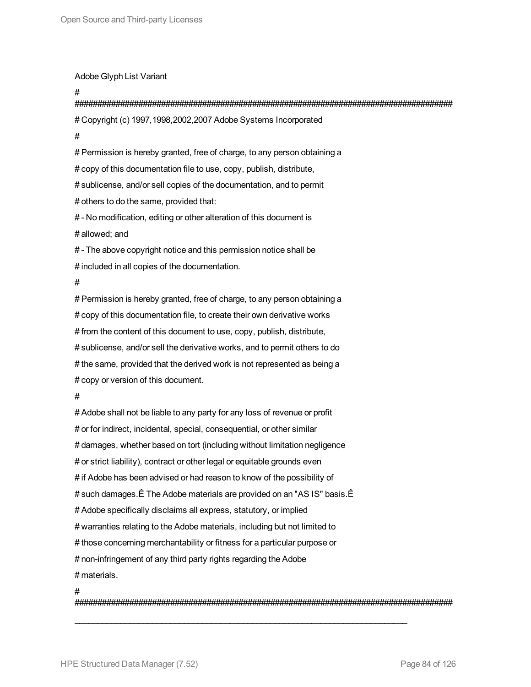#### Adobe Glyph List Variant

#

###################################################################################

# Copyright (c) 1997,1998,2002,2007 Adobe Systems Incorporated

#

# Permission is hereby granted, free of charge, to any person obtaining a # copy of this documentation file to use, copy, publish, distribute, # sublicense, and/or sell copies of the documentation, and to permit # others to do the same, provided that:

# - No modification, editing or other alteration of this document is # allowed; and

# - The above copyright notice and this permission notice shall be # included in all copies of the documentation.

#### #

# Permission is hereby granted, free of charge, to any person obtaining a # copy of this documentation file, to create their own derivative works # from the content of this document to use, copy, publish, distribute, # sublicense, and/or sell the derivative works, and to permit others to do # the same, provided that the derived work is not represented as being a # copy or version of this document.

#### #

# Adobe shall not be liable to any party for any loss of revenue or profit # or for indirect, incidental, special, consequential, or other similar # damages, whether based on tort (including without limitation negligence # or strict liability), contract or other legal or equitable grounds even # if Adobe has been advised or had reason to know of the possibility of # such damages. Ê The Adobe materials are provided on an "AS IS" basis. Ê # Adobe specifically disclaims all express, statutory, or implied # warranties relating to the Adobe materials, including but not limited to # those concerning merchantability or fitness for a particular purpose or # non-infringement of any third party rights regarding the Adobe # materials.

#### #

###################################################################################

\_\_\_\_\_\_\_\_\_\_\_\_\_\_\_\_\_\_\_\_\_\_\_\_\_\_\_\_\_\_\_\_\_\_\_\_\_\_\_\_\_\_\_\_\_\_\_\_\_\_\_\_\_\_\_\_\_\_\_\_\_\_\_\_\_\_\_\_\_\_\_\_\_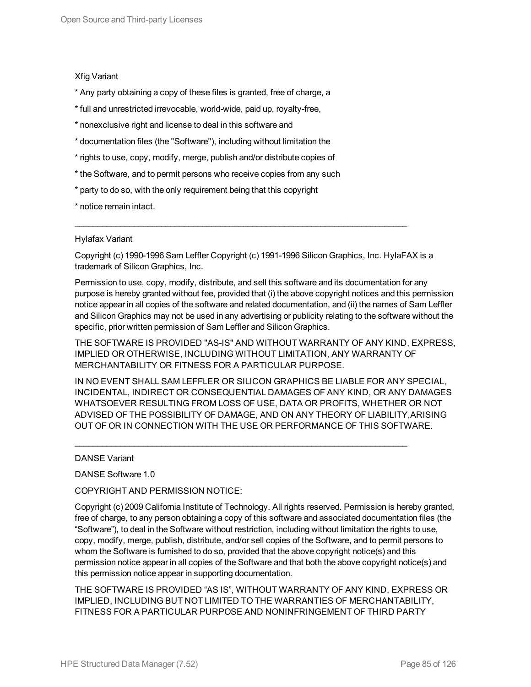#### Xfig Variant

- \* Any party obtaining a copy of these files is granted, free of charge, a
- \* full and unrestricted irrevocable, world-wide, paid up, royalty-free,
- \* nonexclusive right and license to deal in this software and
- \* documentation files (the "Software"), including without limitation the
- \* rights to use, copy, modify, merge, publish and/or distribute copies of
- \* the Software, and to permit persons who receive copies from any such
- \* party to do so, with the only requirement being that this copyright
- \* notice remain intact.

#### Hylafax Variant

Copyright (c) 1990-1996 Sam Leffler Copyright (c) 1991-1996 Silicon Graphics, Inc. HylaFAX is a trademark of Silicon Graphics, Inc.

\_\_\_\_\_\_\_\_\_\_\_\_\_\_\_\_\_\_\_\_\_\_\_\_\_\_\_\_\_\_\_\_\_\_\_\_\_\_\_\_\_\_\_\_\_\_\_\_\_\_\_\_\_\_\_\_\_\_\_\_\_\_\_\_\_\_\_\_\_\_\_\_\_

Permission to use, copy, modify, distribute, and sell this software and its documentation for any purpose is hereby granted without fee, provided that (i) the above copyright notices and this permission notice appear in all copies of the software and related documentation, and (ii) the names of Sam Leffler and Silicon Graphics may not be used in any advertising or publicity relating to the software without the specific, prior written permission of Sam Leffler and Silicon Graphics.

THE SOFTWARE IS PROVIDED "AS-IS" AND WITHOUT WARRANTY OF ANY KIND, EXPRESS, IMPLIED OR OTHERWISE, INCLUDING WITHOUT LIMITATION, ANY WARRANTY OF MERCHANTABILITY OR FITNESS FOR A PARTICULAR PURPOSE.

IN NO EVENT SHALL SAM LEFFLER OR SILICON GRAPHICS BE LIABLE FOR ANY SPECIAL, INCIDENTAL, INDIRECT OR CONSEQUENTIAL DAMAGES OF ANY KIND, OR ANY DAMAGES WHATSOEVER RESULTING FROM LOSS OF USE, DATA OR PROFITS, WHETHER OR NOT ADVISED OF THE POSSIBILITY OF DAMAGE, AND ON ANY THEORY OF LIABILITY,ARISING OUT OF OR IN CONNECTION WITH THE USE OR PERFORMANCE OF THIS SOFTWARE.

\_\_\_\_\_\_\_\_\_\_\_\_\_\_\_\_\_\_\_\_\_\_\_\_\_\_\_\_\_\_\_\_\_\_\_\_\_\_\_\_\_\_\_\_\_\_\_\_\_\_\_\_\_\_\_\_\_\_\_\_\_\_\_\_\_\_\_\_\_\_\_\_\_

#### DANSE Variant

DANSE Software 1.0

COPYRIGHT AND PERMISSION NOTICE:

Copyright (c) 2009 California Institute of Technology. All rights reserved. Permission is hereby granted, free of charge, to any person obtaining a copy of this software and associated documentation files (the "Software"), to deal in the Software without restriction, including without limitation the rights to use, copy, modify, merge, publish, distribute, and/or sell copies of the Software, and to permit persons to whom the Software is furnished to do so, provided that the above copyright notice(s) and this permission notice appear in all copies of the Software and that both the above copyright notice(s) and this permission notice appear in supporting documentation.

THE SOFTWARE IS PROVIDED "AS IS", WITHOUT WARRANTY OF ANY KIND, EXPRESS OR IMPLIED, INCLUDING BUT NOT LIMITED TO THE WARRANTIES OF MERCHANTABILITY, FITNESS FOR A PARTICULAR PURPOSE AND NONINFRINGEMENT OF THIRD PARTY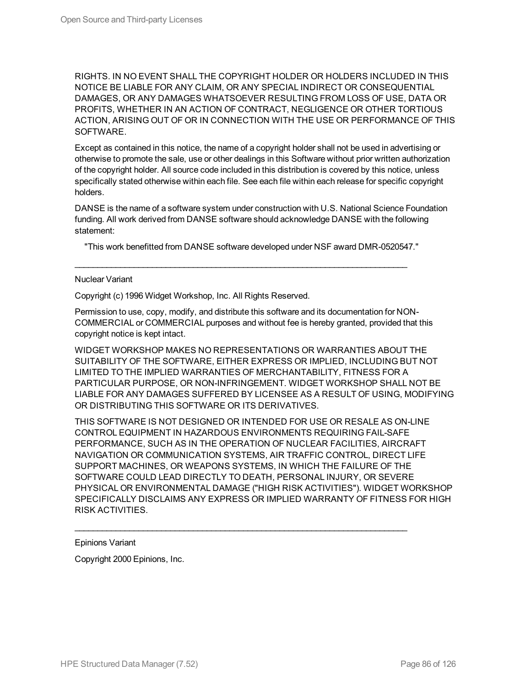RIGHTS. IN NO EVENT SHALL THE COPYRIGHT HOLDER OR HOLDERS INCLUDED IN THIS NOTICE BE LIABLE FOR ANY CLAIM, OR ANY SPECIAL INDIRECT OR CONSEQUENTIAL DAMAGES, OR ANY DAMAGES WHATSOEVER RESULTING FROM LOSS OF USE, DATA OR PROFITS, WHETHER IN AN ACTION OF CONTRACT, NEGLIGENCE OR OTHER TORTIOUS ACTION, ARISING OUT OF OR IN CONNECTION WITH THE USE OR PERFORMANCE OF THIS SOFTWARE.

Except as contained in this notice, the name of a copyright holder shall not be used in advertising or otherwise to promote the sale, use or other dealings in this Software without prior written authorization of the copyright holder. All source code included in this distribution is covered by this notice, unless specifically stated otherwise within each file. See each file within each release for specific copyright holders.

DANSE is the name of a software system under construction with U.S. National Science Foundation funding. All work derived from DANSE software should acknowledge DANSE with the following statement:

"This work benefitted from DANSE software developed under NSF award DMR-0520547."

\_\_\_\_\_\_\_\_\_\_\_\_\_\_\_\_\_\_\_\_\_\_\_\_\_\_\_\_\_\_\_\_\_\_\_\_\_\_\_\_\_\_\_\_\_\_\_\_\_\_\_\_\_\_\_\_\_\_\_\_\_\_\_\_\_\_\_\_\_\_\_\_\_

#### Nuclear Variant

Copyright (c) 1996 Widget Workshop, Inc. All Rights Reserved.

Permission to use, copy, modify, and distribute this software and its documentation for NON-COMMERCIAL or COMMERCIAL purposes and without fee is hereby granted, provided that this copyright notice is kept intact.

WIDGET WORKSHOP MAKES NO REPRESENTATIONS OR WARRANTIES ABOUT THE SUITABILITY OF THE SOFTWARE, EITHER EXPRESS OR IMPLIED, INCLUDING BUT NOT LIMITED TO THE IMPLIED WARRANTIES OF MERCHANTABILITY, FITNESS FOR A PARTICULAR PURPOSE, OR NON-INFRINGEMENT. WIDGET WORKSHOP SHALL NOT BE LIABLE FOR ANY DAMAGES SUFFERED BY LICENSEE AS A RESULT OF USING, MODIFYING OR DISTRIBUTING THIS SOFTWARE OR ITS DERIVATIVES.

THIS SOFTWARE IS NOT DESIGNED OR INTENDED FOR USE OR RESALE AS ON-LINE CONTROL EQUIPMENT IN HAZARDOUS ENVIRONMENTS REQUIRING FAIL-SAFE PERFORMANCE, SUCH AS IN THE OPERATION OF NUCLEAR FACILITIES, AIRCRAFT NAVIGATION OR COMMUNICATION SYSTEMS, AIR TRAFFIC CONTROL, DIRECT LIFE SUPPORT MACHINES, OR WEAPONS SYSTEMS, IN WHICH THE FAILURE OF THE SOFTWARE COULD LEAD DIRECTLY TO DEATH, PERSONAL INJURY, OR SEVERE PHYSICAL OR ENVIRONMENTAL DAMAGE ("HIGH RISK ACTIVITIES"). WIDGET WORKSHOP SPECIFICALLY DISCLAIMS ANY EXPRESS OR IMPLIED WARRANTY OF FITNESS FOR HIGH RISK ACTIVITIES.

\_\_\_\_\_\_\_\_\_\_\_\_\_\_\_\_\_\_\_\_\_\_\_\_\_\_\_\_\_\_\_\_\_\_\_\_\_\_\_\_\_\_\_\_\_\_\_\_\_\_\_\_\_\_\_\_\_\_\_\_\_\_\_\_\_\_\_\_\_\_\_\_\_

Epinions Variant

Copyright 2000 Epinions, Inc.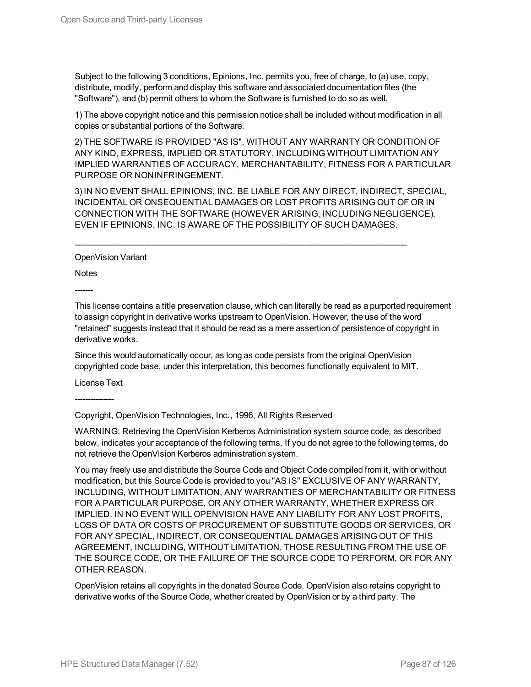Subject to the following 3 conditions, Epinions, Inc. permits you, free of charge, to (a) use, copy, distribute, modify, perform and display this software and associated documentation files (the "Software"), and (b) permit others to whom the Software is furnished to do so as well.

1) The above copyright notice and this permission notice shall be included without modification in all copies or substantial portions of the Software.

2) THE SOFTWARE IS PROVIDED "AS IS", WITHOUT ANY WARRANTY OR CONDITION OF ANY KIND, EXPRESS, IMPLIED OR STATUTORY, INCLUDING WITHOUT LIMITATION ANY IMPLIED WARRANTIES OF ACCURACY, MERCHANTABILITY, FITNESS FOR A PARTICULAR PURPOSE OR NONINFRINGEMENT.

3) IN NO EVENT SHALL EPINIONS, INC. BE LIABLE FOR ANY DIRECT, INDIRECT, SPECIAL, INCIDENTAL OR ONSEQUENTIAL DAMAGES OR LOST PROFITS ARISING OUT OF OR IN CONNECTION WITH THE SOFTWARE (HOWEVER ARISING, INCLUDING NEGLIGENCE), EVEN IF EPINIONS, INC. IS AWARE OF THE POSSIBILITY OF SUCH DAMAGES.

\_\_\_\_\_\_\_\_\_\_\_\_\_\_\_\_\_\_\_\_\_\_\_\_\_\_\_\_\_\_\_\_\_\_\_\_\_\_\_\_\_\_\_\_\_\_\_\_\_\_\_\_\_\_\_\_\_\_\_\_\_\_\_\_\_\_\_\_\_\_\_\_\_

#### OpenVision Variant

Notes

-------

This license contains a title preservation clause, which can literally be read as a purported requirement to assign copyright in derivative works upstream to OpenVision. However, the use of the word "retained" suggests instead that it should be read as a mere assertion of persistence of copyright in derivative works.

Since this would automatically occur, as long as code persists from the original OpenVision copyrighted code base, under this interpretation, this becomes functionally equivalent to MIT.

License Text

--------------- Copyright, OpenVision Technologies, Inc., 1996, All Rights Reserved

WARNING: Retrieving the OpenVision Kerberos Administration system source code, as described below, indicates your acceptance of the following terms. If you do not agree to the following terms, do not retrieve the OpenVision Kerberos administration system.

You may freely use and distribute the Source Code and Object Code compiled from it, with or without modification, but this Source Code is provided to you "AS IS" EXCLUSIVE OF ANY WARRANTY, INCLUDING, WITHOUT LIMITATION, ANY WARRANTIES OF MERCHANTABILITY OR FITNESS FOR A PARTICULAR PURPOSE, OR ANY OTHER WARRANTY, WHETHER EXPRESS OR IMPLIED. IN NO EVENT WILL OPENVISION HAVE ANY LIABILITY FOR ANY LOST PROFITS, LOSS OF DATA OR COSTS OF PROCUREMENT OF SUBSTITUTE GOODS OR SERVICES, OR FOR ANY SPECIAL, INDIRECT, OR CONSEQUENTIAL DAMAGES ARISING OUT OF THIS AGREEMENT, INCLUDING, WITHOUT LIMITATION, THOSE RESULTING FROM THE USE OF THE SOURCE CODE, OR THE FAILURE OF THE SOURCE CODE TO PERFORM, OR FOR ANY OTHER REASON.

OpenVision retains all copyrights in the donated Source Code. OpenVision also retains copyright to derivative works of the Source Code, whether created by OpenVision or by a third party. The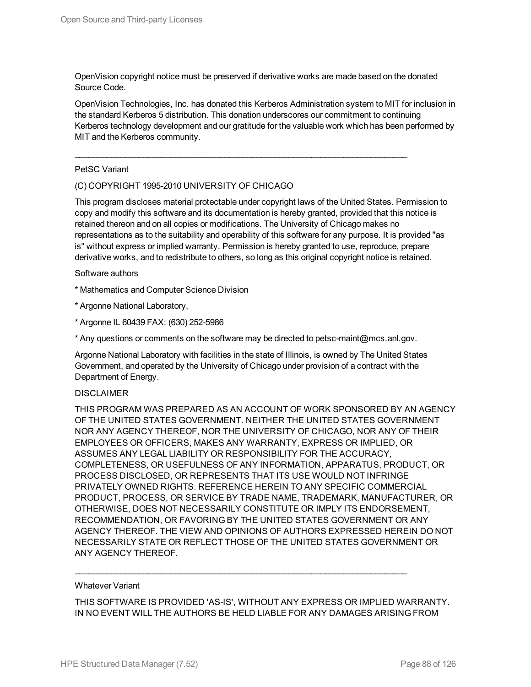OpenVision copyright notice must be preserved if derivative works are made based on the donated Source Code.

\_\_\_\_\_\_\_\_\_\_\_\_\_\_\_\_\_\_\_\_\_\_\_\_\_\_\_\_\_\_\_\_\_\_\_\_\_\_\_\_\_\_\_\_\_\_\_\_\_\_\_\_\_\_\_\_\_\_\_\_\_\_\_\_\_\_\_\_\_\_\_\_\_

OpenVision Technologies, Inc. has donated this Kerberos Administration system to MIT for inclusion in the standard Kerberos 5 distribution. This donation underscores our commitment to continuing Kerberos technology development and our gratitude for the valuable work which has been performed by MIT and the Kerberos community.

#### PetSC Variant

#### (C) COPYRIGHT 1995-2010 UNIVERSITY OF CHICAGO

This program discloses material protectable under copyright laws of the United States. Permission to copy and modify this software and its documentation is hereby granted, provided that this notice is retained thereon and on all copies or modifications. The University of Chicago makes no representations as to the suitability and operability of this software for any purpose. It is provided "as is" without express or implied warranty. Permission is hereby granted to use, reproduce, prepare derivative works, and to redistribute to others, so long as this original copyright notice is retained.

#### Software authors

- \* Mathematics and Computer Science Division
- \* Argonne National Laboratory,
- \* Argonne IL 60439 FAX: (630) 252-5986

\* Any questions or comments on the software may be directed to petsc-maint@mcs.anl.gov.

Argonne National Laboratory with facilities in the state of Illinois, is owned by The United States Government, and operated by the University of Chicago under provision of a contract with the Department of Energy.

#### DISCLAIMER

THIS PROGRAM WAS PREPARED AS AN ACCOUNT OF WORK SPONSORED BY AN AGENCY OF THE UNITED STATES GOVERNMENT. NEITHER THE UNITED STATES GOVERNMENT NOR ANY AGENCY THEREOF, NOR THE UNIVERSITY OF CHICAGO, NOR ANY OF THEIR EMPLOYEES OR OFFICERS, MAKES ANY WARRANTY, EXPRESS OR IMPLIED, OR ASSUMES ANY LEGAL LIABILITY OR RESPONSIBILITY FOR THE ACCURACY, COMPLETENESS, OR USEFULNESS OF ANY INFORMATION, APPARATUS, PRODUCT, OR PROCESS DISCLOSED, OR REPRESENTS THAT ITS USE WOULD NOT INFRINGE PRIVATELY OWNED RIGHTS. REFERENCE HEREIN TO ANY SPECIFIC COMMERCIAL PRODUCT, PROCESS, OR SERVICE BY TRADE NAME, TRADEMARK, MANUFACTURER, OR OTHERWISE, DOES NOT NECESSARILY CONSTITUTE OR IMPLY ITS ENDORSEMENT, RECOMMENDATION, OR FAVORING BY THE UNITED STATES GOVERNMENT OR ANY AGENCY THEREOF. THE VIEW AND OPINIONS OF AUTHORS EXPRESSED HEREIN DO NOT NECESSARILY STATE OR REFLECT THOSE OF THE UNITED STATES GOVERNMENT OR ANY AGENCY THEREOF.

#### Whatever Variant

THIS SOFTWARE IS PROVIDED 'AS-IS', WITHOUT ANY EXPRESS OR IMPLIED WARRANTY. IN NO EVENT WILL THE AUTHORS BE HELD LIABLE FOR ANY DAMAGES ARISING FROM

\_\_\_\_\_\_\_\_\_\_\_\_\_\_\_\_\_\_\_\_\_\_\_\_\_\_\_\_\_\_\_\_\_\_\_\_\_\_\_\_\_\_\_\_\_\_\_\_\_\_\_\_\_\_\_\_\_\_\_\_\_\_\_\_\_\_\_\_\_\_\_\_\_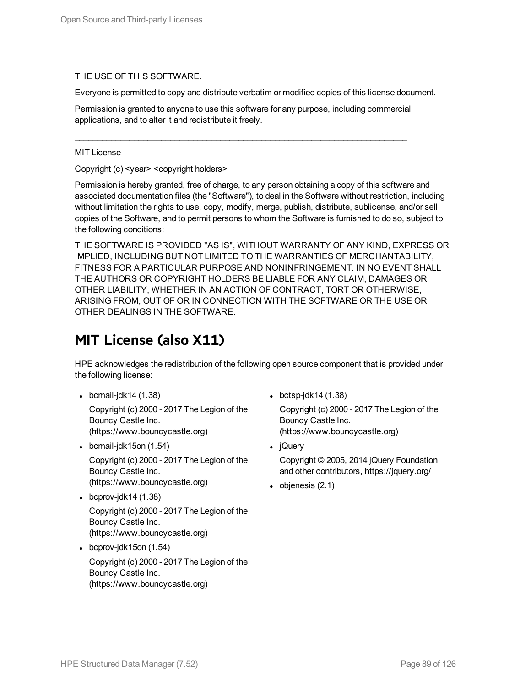## THE USE OF THIS SOFTWARE.

Everyone is permitted to copy and distribute verbatim or modified copies of this license document.

Permission is granted to anyone to use this software for any purpose, including commercial applications, and to alter it and redistribute it freely.

\_\_\_\_\_\_\_\_\_\_\_\_\_\_\_\_\_\_\_\_\_\_\_\_\_\_\_\_\_\_\_\_\_\_\_\_\_\_\_\_\_\_\_\_\_\_\_\_\_\_\_\_\_\_\_\_\_\_\_\_\_\_\_\_\_\_\_\_\_\_\_\_\_

#### MIT License

Copyright (c) <year> <copyright holders>

Permission is hereby granted, free of charge, to any person obtaining a copy of this software and associated documentation files (the "Software"), to deal in the Software without restriction, including without limitation the rights to use, copy, modify, merge, publish, distribute, sublicense, and/or sell copies of the Software, and to permit persons to whom the Software is furnished to do so, subject to the following conditions:

THE SOFTWARE IS PROVIDED "AS IS", WITHOUT WARRANTY OF ANY KIND, EXPRESS OR IMPLIED, INCLUDING BUT NOT LIMITED TO THE WARRANTIES OF MERCHANTABILITY, FITNESS FOR A PARTICULAR PURPOSE AND NONINFRINGEMENT. IN NO EVENT SHALL THE AUTHORS OR COPYRIGHT HOLDERS BE LIABLE FOR ANY CLAIM, DAMAGES OR OTHER LIABILITY, WHETHER IN AN ACTION OF CONTRACT, TORT OR OTHERWISE, ARISING FROM, OUT OF OR IN CONNECTION WITH THE SOFTWARE OR THE USE OR OTHER DEALINGS IN THE SOFTWARE.

# **MIT License (also X11)**

HPE acknowledges the redistribution of the following open source component that is provided under the following license:

- $\bullet$  bcmail-jdk14 (1.38) Copyright (c) 2000 - 2017 The Legion of the Bouncy Castle Inc. (https://www.bouncycastle.org)
- $\bullet$  bcmail-jdk15on (1.54) Copyright (c) 2000 - 2017 The Legion of the Bouncy Castle Inc. (https://www.bouncycastle.org)
- bcprov-jdk14  $(1.38)$ Copyright (c) 2000 - 2017 The Legion of the Bouncy Castle Inc. (https://www.bouncycastle.org)
- $\bullet$  bcprov-jdk15on  $(1.54)$ Copyright (c) 2000 - 2017 The Legion of the Bouncy Castle Inc. (https://www.bouncycastle.org)

 $\bullet$  bctsp-jdk14 (1.38)

Copyright (c) 2000 - 2017 The Legion of the Bouncy Castle Inc. (https://www.bouncycastle.org)

 $\cdot$  jQuery

Copyright © 2005, 2014 jQuery Foundation and other contributors, https://jquery.org/

 $\bullet$  objenesis (2.1)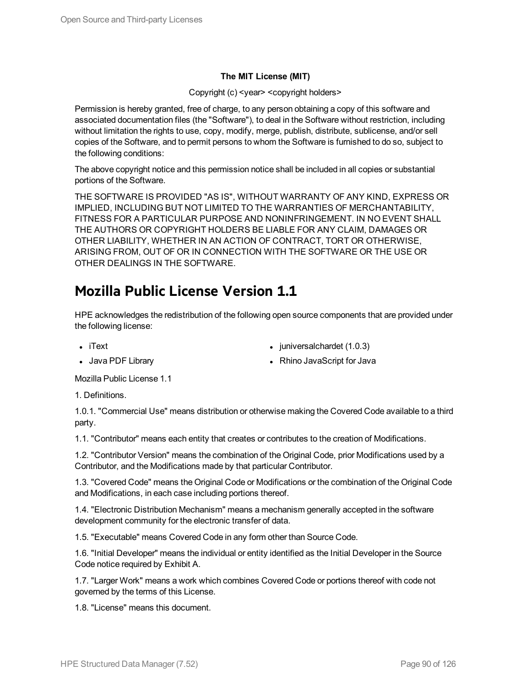## **The MIT License (MIT)**

Copyright (c) <year> <copyright holders>

Permission is hereby granted, free of charge, to any person obtaining a copy of this software and associated documentation files (the "Software"), to deal in the Software without restriction, including without limitation the rights to use, copy, modify, merge, publish, distribute, sublicense, and/or sell copies of the Software, and to permit persons to whom the Software is furnished to do so, subject to the following conditions:

The above copyright notice and this permission notice shall be included in all copies or substantial portions of the Software.

THE SOFTWARE IS PROVIDED "AS IS", WITHOUT WARRANTY OF ANY KIND, EXPRESS OR IMPLIED, INCLUDING BUT NOT LIMITED TO THE WARRANTIES OF MERCHANTABILITY, FITNESS FOR A PARTICULAR PURPOSE AND NONINFRINGEMENT. IN NO EVENT SHALL THE AUTHORS OR COPYRIGHT HOLDERS BE LIABLE FOR ANY CLAIM, DAMAGES OR OTHER LIABILITY, WHETHER IN AN ACTION OF CONTRACT, TORT OR OTHERWISE, ARISING FROM, OUT OF OR IN CONNECTION WITH THE SOFTWARE OR THE USE OR OTHER DEALINGS IN THE SOFTWARE.

# **Mozilla Public License Version 1.1**

HPE acknowledges the redistribution of the following open source components that are provided under the following license:

- $\blacksquare$  iText
- Java PDF Library
- $\bullet$  juniversalchardet  $(1.0.3)$
- Rhino JavaScript for Java

Mozilla Public License 1.1

1. Definitions.

1.0.1. "Commercial Use" means distribution or otherwise making the Covered Code available to a third party.

1.1. "Contributor" means each entity that creates or contributes to the creation of Modifications.

1.2. "Contributor Version" means the combination of the Original Code, prior Modifications used by a Contributor, and the Modifications made by that particular Contributor.

1.3. "Covered Code" means the Original Code or Modifications or the combination of the Original Code and Modifications, in each case including portions thereof.

1.4. "Electronic Distribution Mechanism" means a mechanism generally accepted in the software development community for the electronic transfer of data.

1.5. "Executable" means Covered Code in any form other than Source Code.

1.6. "Initial Developer" means the individual or entity identified as the Initial Developer in the Source Code notice required by Exhibit A.

1.7. "Larger Work" means a work which combines Covered Code or portions thereof with code not governed by the terms of this License.

1.8. "License" means this document.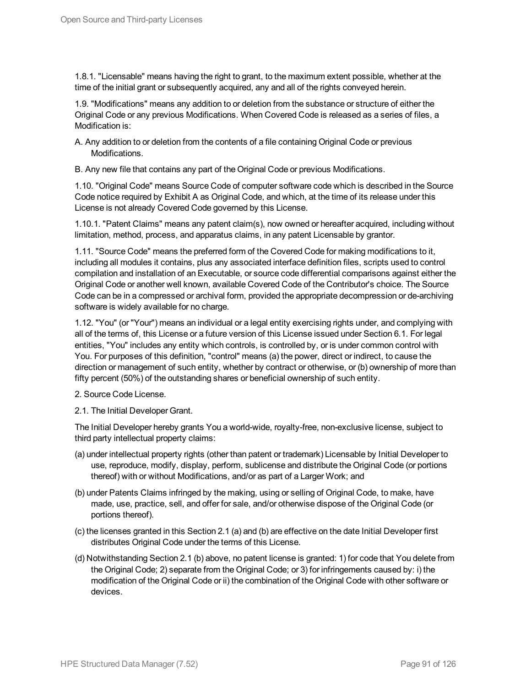1.8.1. "Licensable" means having the right to grant, to the maximum extent possible, whether at the time of the initial grant or subsequently acquired, any and all of the rights conveyed herein.

1.9. "Modifications" means any addition to or deletion from the substance or structure of either the Original Code or any previous Modifications. When Covered Code is released as a series of files, a Modification is:

A. Any addition to or deletion from the contents of a file containing Original Code or previous Modifications.

B. Any new file that contains any part of the Original Code or previous Modifications.

1.10. "Original Code" means Source Code of computer software code which is described in the Source Code notice required by Exhibit A as Original Code, and which, at the time of its release under this License is not already Covered Code governed by this License.

1.10.1. "Patent Claims" means any patent claim(s), now owned or hereafter acquired, including without limitation, method, process, and apparatus claims, in any patent Licensable by grantor.

1.11. "Source Code" means the preferred form of the Covered Code for making modifications to it, including all modules it contains, plus any associated interface definition files, scripts used to control compilation and installation of an Executable, or source code differential comparisons against either the Original Code or another well known, available Covered Code of the Contributor's choice. The Source Code can be in a compressed or archival form, provided the appropriate decompression or de-archiving software is widely available for no charge.

1.12. "You" (or "Your") means an individual or a legal entity exercising rights under, and complying with all of the terms of, this License or a future version of this License issued under Section 6.1. For legal entities, "You" includes any entity which controls, is controlled by, or is under common control with You. For purposes of this definition, "control" means (a) the power, direct or indirect, to cause the direction or management of such entity, whether by contract or otherwise, or (b) ownership of more than fifty percent (50%) of the outstanding shares or beneficial ownership of such entity.

2. Source Code License.

2.1. The Initial Developer Grant.

The Initial Developer hereby grants You a world-wide, royalty-free, non-exclusive license, subject to third party intellectual property claims:

- (a) under intellectual property rights (other than patent or trademark) Licensable by Initial Developer to use, reproduce, modify, display, perform, sublicense and distribute the Original Code (or portions thereof) with or without Modifications, and/or as part of a Larger Work; and
- (b) under Patents Claims infringed by the making, using or selling of Original Code, to make, have made, use, practice, sell, and offer for sale, and/or otherwise dispose of the Original Code (or portions thereof).
- (c) the licenses granted in this Section 2.1 (a) and (b) are effective on the date Initial Developer first distributes Original Code under the terms of this License.
- (d) Notwithstanding Section 2.1 (b) above, no patent license is granted: 1) for code that You delete from the Original Code; 2) separate from the Original Code; or 3) for infringements caused by: i) the modification of the Original Code or ii) the combination of the Original Code with other software or devices.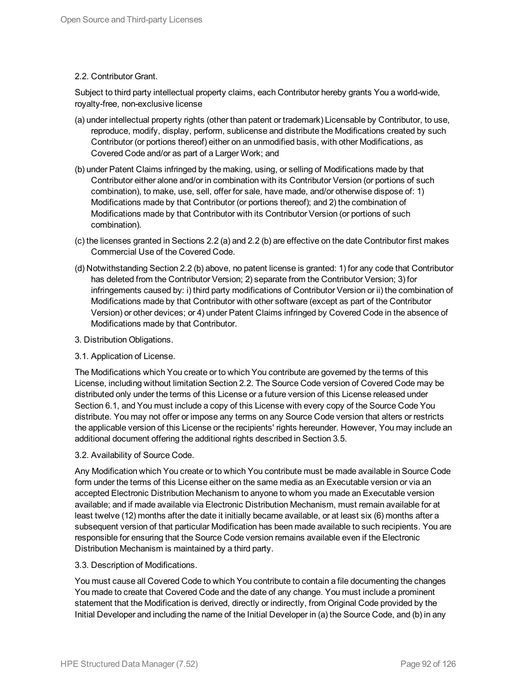#### 2.2. Contributor Grant.

Subject to third party intellectual property claims, each Contributor hereby grants You a world-wide, royalty-free, non-exclusive license

- (a) under intellectual property rights (other than patent or trademark) Licensable by Contributor, to use, reproduce, modify, display, perform, sublicense and distribute the Modifications created by such Contributor (or portions thereof) either on an unmodified basis, with other Modifications, as Covered Code and/or as part of a Larger Work; and
- (b) under Patent Claims infringed by the making, using, or selling of Modifications made by that Contributor either alone and/or in combination with its Contributor Version (or portions of such combination), to make, use, sell, offer for sale, have made, and/or otherwise dispose of: 1) Modifications made by that Contributor (or portions thereof); and 2) the combination of Modifications made by that Contributor with its Contributor Version (or portions of such combination).
- (c) the licenses granted in Sections 2.2 (a) and 2.2 (b) are effective on the date Contributor first makes Commercial Use of the Covered Code.
- (d) Notwithstanding Section 2.2 (b) above, no patent license is granted: 1) for any code that Contributor has deleted from the Contributor Version; 2) separate from the Contributor Version; 3) for infringements caused by: i) third party modifications of Contributor Version or ii) the combination of Modifications made by that Contributor with other software (except as part of the Contributor Version) or other devices; or 4) under Patent Claims infringed by Covered Code in the absence of Modifications made by that Contributor.
- 3. Distribution Obligations.
- 3.1. Application of License.

The Modifications which You create or to which You contribute are governed by the terms of this License, including without limitation Section 2.2. The Source Code version of Covered Code may be distributed only under the terms of this License or a future version of this License released under Section 6.1, and You must include a copy of this License with every copy of the Source Code You distribute. You may not offer or impose any terms on any Source Code version that alters or restricts the applicable version of this License or the recipients' rights hereunder. However, You may include an additional document offering the additional rights described in Section 3.5.

3.2. Availability of Source Code.

Any Modification which You create or to which You contribute must be made available in Source Code form under the terms of this License either on the same media as an Executable version or via an accepted Electronic Distribution Mechanism to anyone to whom you made an Executable version available; and if made available via Electronic Distribution Mechanism, must remain available for at least twelve (12) months after the date it initially became available, or at least six (6) months after a subsequent version of that particular Modification has been made available to such recipients. You are responsible for ensuring that the Source Code version remains available even if the Electronic Distribution Mechanism is maintained by a third party.

3.3. Description of Modifications.

You must cause all Covered Code to which You contribute to contain a file documenting the changes You made to create that Covered Code and the date of any change. You must include a prominent statement that the Modification is derived, directly or indirectly, from Original Code provided by the Initial Developer and including the name of the Initial Developer in (a) the Source Code, and (b) in any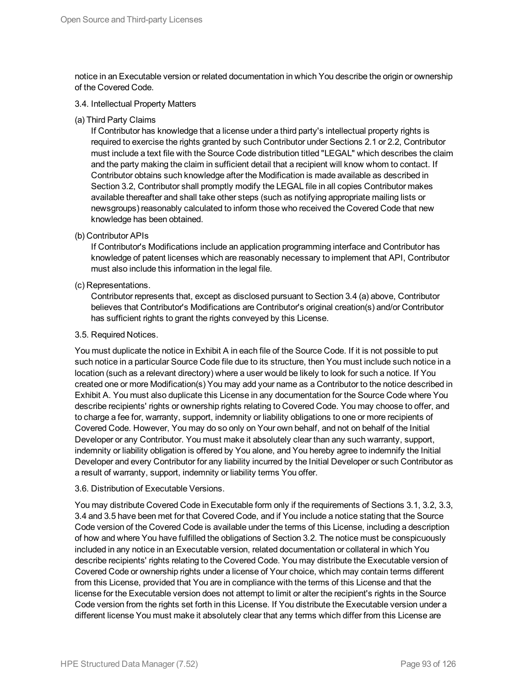notice in an Executable version or related documentation in which You describe the origin or ownership of the Covered Code.

- 3.4. Intellectual Property Matters
- (a) Third Party Claims

If Contributor has knowledge that a license under a third party's intellectual property rights is required to exercise the rights granted by such Contributor under Sections 2.1 or 2.2, Contributor must include a text file with the Source Code distribution titled "LEGAL" which describes the claim and the party making the claim in sufficient detail that a recipient will know whom to contact. If Contributor obtains such knowledge after the Modification is made available as described in Section 3.2, Contributor shall promptly modify the LEGAL file in all copies Contributor makes available thereafter and shall take other steps (such as notifying appropriate mailing lists or newsgroups) reasonably calculated to inform those who received the Covered Code that new knowledge has been obtained.

(b) Contributor APIs

If Contributor's Modifications include an application programming interface and Contributor has knowledge of patent licenses which are reasonably necessary to implement that API, Contributor must also include this information in the legal file.

(c) Representations.

Contributor represents that, except as disclosed pursuant to Section 3.4 (a) above, Contributor believes that Contributor's Modifications are Contributor's original creation(s) and/or Contributor has sufficient rights to grant the rights conveyed by this License.

3.5. Required Notices.

You must duplicate the notice in Exhibit A in each file of the Source Code. If it is not possible to put such notice in a particular Source Code file due to its structure, then You must include such notice in a location (such as a relevant directory) where a user would be likely to look for such a notice. If You created one or more Modification(s) You may add your name as a Contributor to the notice described in Exhibit A. You must also duplicate this License in any documentation for the Source Code where You describe recipients' rights or ownership rights relating to Covered Code. You may choose to offer, and to charge a fee for, warranty, support, indemnity or liability obligations to one or more recipients of Covered Code. However, You may do so only on Your own behalf, and not on behalf of the Initial Developer or any Contributor. You must make it absolutely clear than any such warranty, support, indemnity or liability obligation is offered by You alone, and You hereby agree to indemnify the Initial Developer and every Contributor for any liability incurred by the Initial Developer or such Contributor as a result of warranty, support, indemnity or liability terms You offer.

3.6. Distribution of Executable Versions.

You may distribute Covered Code in Executable form only if the requirements of Sections 3.1, 3.2, 3.3, 3.4 and 3.5 have been met for that Covered Code, and if You include a notice stating that the Source Code version of the Covered Code is available under the terms of this License, including a description of how and where You have fulfilled the obligations of Section 3.2. The notice must be conspicuously included in any notice in an Executable version, related documentation or collateral in which You describe recipients' rights relating to the Covered Code. You may distribute the Executable version of Covered Code or ownership rights under a license of Your choice, which may contain terms different from this License, provided that You are in compliance with the terms of this License and that the license for the Executable version does not attempt to limit or alter the recipient's rights in the Source Code version from the rights set forth in this License. If You distribute the Executable version under a different license You must make it absolutely clear that any terms which differ from this License are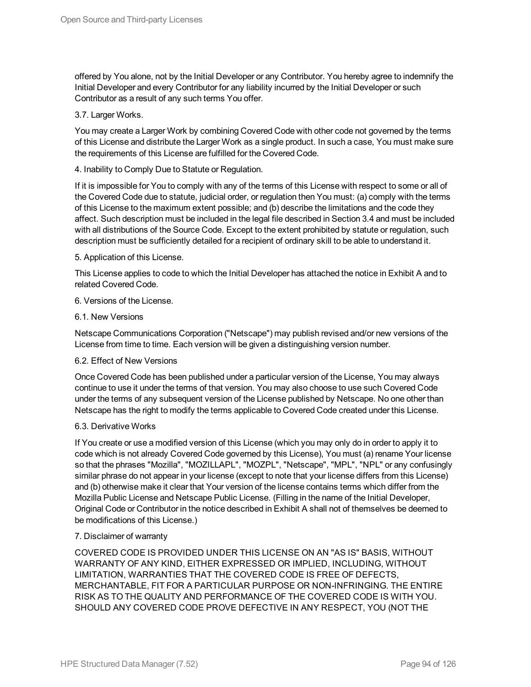offered by You alone, not by the Initial Developer or any Contributor. You hereby agree to indemnify the Initial Developer and every Contributor for any liability incurred by the Initial Developer or such Contributor as a result of any such terms You offer.

## 3.7. Larger Works.

You may create a Larger Work by combining Covered Code with other code not governed by the terms of this License and distribute the Larger Work as a single product. In such a case, You must make sure the requirements of this License are fulfilled for the Covered Code.

4. Inability to Comply Due to Statute or Regulation.

If it is impossible for You to comply with any of the terms of this License with respect to some or all of the Covered Code due to statute, judicial order, or regulation then You must: (a) comply with the terms of this License to the maximum extent possible; and (b) describe the limitations and the code they affect. Such description must be included in the legal file described in Section 3.4 and must be included with all distributions of the Source Code. Except to the extent prohibited by statute or regulation, such description must be sufficiently detailed for a recipient of ordinary skill to be able to understand it.

## 5. Application of this License.

This License applies to code to which the Initial Developer has attached the notice in Exhibit A and to related Covered Code.

6. Versions of the License.

6.1. New Versions

Netscape Communications Corporation ("Netscape") may publish revised and/or new versions of the License from time to time. Each version will be given a distinguishing version number.

#### 6.2. Effect of New Versions

Once Covered Code has been published under a particular version of the License, You may always continue to use it under the terms of that version. You may also choose to use such Covered Code under the terms of any subsequent version of the License published by Netscape. No one other than Netscape has the right to modify the terms applicable to Covered Code created under this License.

#### 6.3. Derivative Works

If You create or use a modified version of this License (which you may only do in order to apply it to code which is not already Covered Code governed by this License), You must (a) rename Your license so that the phrases "Mozilla", "MOZILLAPL", "MOZPL", "Netscape", "MPL", "NPL" or any confusingly similar phrase do not appear in your license (except to note that your license differs from this License) and (b) otherwise make it clear that Your version of the license contains terms which differ from the Mozilla Public License and Netscape Public License. (Filling in the name of the Initial Developer, Original Code or Contributor in the notice described in Exhibit A shall not of themselves be deemed to be modifications of this License.)

#### 7. Disclaimer of warranty

COVERED CODE IS PROVIDED UNDER THIS LICENSE ON AN "AS IS" BASIS, WITHOUT WARRANTY OF ANY KIND, EITHER EXPRESSED OR IMPLIED, INCLUDING, WITHOUT LIMITATION, WARRANTIES THAT THE COVERED CODE IS FREE OF DEFECTS, MERCHANTABLE, FIT FOR A PARTICULAR PURPOSE OR NON-INFRINGING. THE ENTIRE RISK AS TO THE QUALITY AND PERFORMANCE OF THE COVERED CODE IS WITH YOU. SHOULD ANY COVERED CODE PROVE DEFECTIVE IN ANY RESPECT, YOU (NOT THE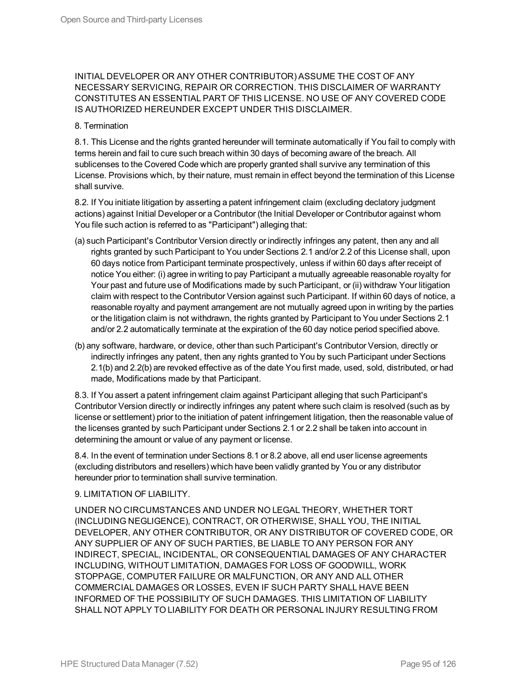## INITIAL DEVELOPER OR ANY OTHER CONTRIBUTOR) ASSUME THE COST OF ANY NECESSARY SERVICING, REPAIR OR CORRECTION. THIS DISCLAIMER OF WARRANTY CONSTITUTES AN ESSENTIAL PART OF THIS LICENSE. NO USE OF ANY COVERED CODE IS AUTHORIZED HEREUNDER EXCEPT UNDER THIS DISCLAIMER.

## 8. Termination

8.1. This License and the rights granted hereunder will terminate automatically if You fail to comply with terms herein and fail to cure such breach within 30 days of becoming aware of the breach. All sublicenses to the Covered Code which are properly granted shall survive any termination of this License. Provisions which, by their nature, must remain in effect beyond the termination of this License shall survive.

8.2. If You initiate litigation by asserting a patent infringement claim (excluding declatory judgment actions) against Initial Developer or a Contributor (the Initial Developer or Contributor against whom You file such action is referred to as "Participant") alleging that:

- (a) such Participant's Contributor Version directly or indirectly infringes any patent, then any and all rights granted by such Participant to You under Sections 2.1 and/or 2.2 of this License shall, upon 60 days notice from Participant terminate prospectively, unless if within 60 days after receipt of notice You either: (i) agree in writing to pay Participant a mutually agreeable reasonable royalty for Your past and future use of Modifications made by such Participant, or (ii) withdraw Your litigation claim with respect to the Contributor Version against such Participant. If within 60 days of notice, a reasonable royalty and payment arrangement are not mutually agreed upon in writing by the parties or the litigation claim is not withdrawn, the rights granted by Participant to You under Sections 2.1 and/or 2.2 automatically terminate at the expiration of the 60 day notice period specified above.
- (b) any software, hardware, or device, other than such Participant's Contributor Version, directly or indirectly infringes any patent, then any rights granted to You by such Participant under Sections 2.1(b) and 2.2(b) are revoked effective as of the date You first made, used, sold, distributed, or had made, Modifications made by that Participant.

8.3. If You assert a patent infringement claim against Participant alleging that such Participant's Contributor Version directly or indirectly infringes any patent where such claim is resolved (such as by license or settlement) prior to the initiation of patent infringement litigation, then the reasonable value of the licenses granted by such Participant under Sections 2.1 or 2.2 shall be taken into account in determining the amount or value of any payment or license.

8.4. In the event of termination under Sections 8.1 or 8.2 above, all end user license agreements (excluding distributors and resellers) which have been validly granted by You or any distributor hereunder prior to termination shall survive termination.

## 9. LIMITATION OF LIABILITY.

UNDER NO CIRCUMSTANCES AND UNDER NO LEGAL THEORY, WHETHER TORT (INCLUDING NEGLIGENCE), CONTRACT, OR OTHERWISE, SHALL YOU, THE INITIAL DEVELOPER, ANY OTHER CONTRIBUTOR, OR ANY DISTRIBUTOR OF COVERED CODE, OR ANY SUPPLIER OF ANY OF SUCH PARTIES, BE LIABLE TO ANY PERSON FOR ANY INDIRECT, SPECIAL, INCIDENTAL, OR CONSEQUENTIAL DAMAGES OF ANY CHARACTER INCLUDING, WITHOUT LIMITATION, DAMAGES FOR LOSS OF GOODWILL, WORK STOPPAGE, COMPUTER FAILURE OR MALFUNCTION, OR ANY AND ALL OTHER COMMERCIAL DAMAGES OR LOSSES, EVEN IF SUCH PARTY SHALL HAVE BEEN INFORMED OF THE POSSIBILITY OF SUCH DAMAGES. THIS LIMITATION OF LIABILITY SHALL NOT APPLY TO LIABILITY FOR DEATH OR PERSONAL INJURY RESULTING FROM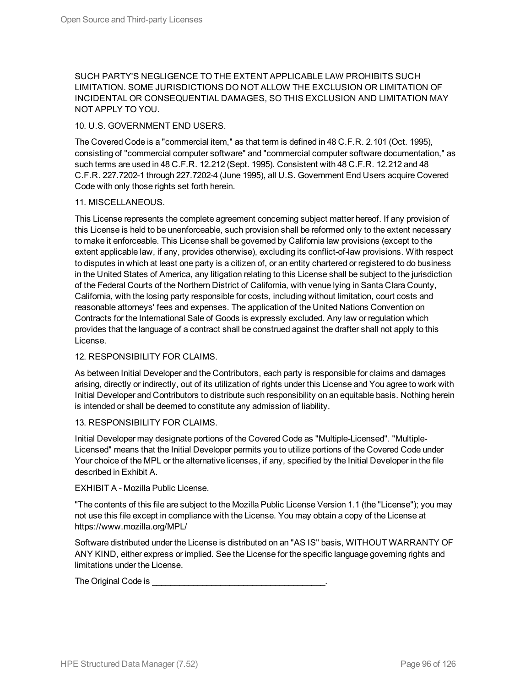SUCH PARTY'S NEGLIGENCE TO THE EXTENT APPLICABLE LAW PROHIBITS SUCH LIMITATION. SOME JURISDICTIONS DO NOT ALLOW THE EXCLUSION OR LIMITATION OF INCIDENTAL OR CONSEQUENTIAL DAMAGES, SO THIS EXCLUSION AND LIMITATION MAY NOT APPLY TO YOU.

## 10. U.S. GOVERNMENT END USERS.

The Covered Code is a "commercial item," as that term is defined in 48 C.F.R. 2.101 (Oct. 1995), consisting of "commercial computer software" and "commercial computer software documentation," as such terms are used in 48 C.F.R. 12.212 (Sept. 1995). Consistent with 48 C.F.R. 12.212 and 48 C.F.R. 227.7202-1 through 227.7202-4 (June 1995), all U.S. Government End Users acquire Covered Code with only those rights set forth herein.

## 11. MISCELLANEOUS.

This License represents the complete agreement concerning subject matter hereof. If any provision of this License is held to be unenforceable, such provision shall be reformed only to the extent necessary to make it enforceable. This License shall be governed by California law provisions (except to the extent applicable law, if any, provides otherwise), excluding its conflict-of-law provisions. With respect to disputes in which at least one party is a citizen of, or an entity chartered or registered to do business in the United States of America, any litigation relating to this License shall be subject to the jurisdiction of the Federal Courts of the Northern District of California, with venue lying in Santa Clara County, California, with the losing party responsible for costs, including without limitation, court costs and reasonable attorneys' fees and expenses. The application of the United Nations Convention on Contracts for the International Sale of Goods is expressly excluded. Any law or regulation which provides that the language of a contract shall be construed against the drafter shall not apply to this License.

#### 12. RESPONSIBILITY FOR CLAIMS.

As between Initial Developer and the Contributors, each party is responsible for claims and damages arising, directly or indirectly, out of its utilization of rights under this License and You agree to work with Initial Developer and Contributors to distribute such responsibility on an equitable basis. Nothing herein is intended or shall be deemed to constitute any admission of liability.

#### 13. RESPONSIBILITY FOR CLAIMS.

Initial Developer may designate portions of the Covered Code as "Multiple-Licensed". "Multiple-Licensed" means that the Initial Developer permits you to utilize portions of the Covered Code under Your choice of the MPL or the alternative licenses, if any, specified by the Initial Developer in the file described in Exhibit A.

#### EXHIBIT A - Mozilla Public License.

"The contents of this file are subject to the Mozilla Public License Version 1.1 (the "License"); you may not use this file except in compliance with the License. You may obtain a copy of the License at https://www.mozilla.org/MPL/

Software distributed under the License is distributed on an "AS IS" basis, WITHOUT WARRANTY OF ANY KIND, either express or implied. See the License for the specific language governing rights and limitations under the License.

The Original Code is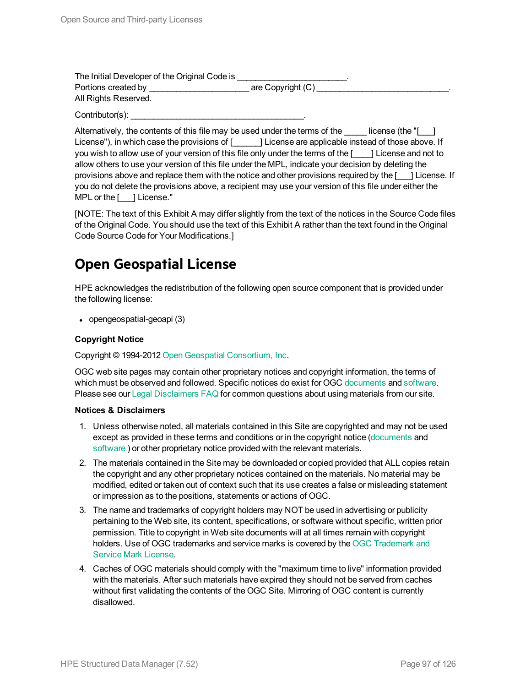| The Initial Developer of the Original Code is |                   |  |
|-----------------------------------------------|-------------------|--|
| Portions created by                           | are Copyright (C) |  |
| All Rights Reserved.                          |                   |  |

Contributor(s): \_\_\_\_\_\_\_\_\_\_\_\_\_\_\_\_\_\_\_\_\_\_\_\_\_\_\_\_\_\_\_\_\_\_\_\_\_\_.

Alternatively, the contents of this file may be used under the terms of the  $\frac{1}{2}$  license (the  $\frac{1}{2}$ License"), in which case the provisions of [\_\_\_\_\_] License are applicable instead of those above. If you wish to allow use of your version of this file only under the terms of the [1,695] License and not to allow others to use your version of this file under the MPL, indicate your decision by deleting the provisions above and replace them with the notice and other provisions required by the [\_\_\_] License. If you do not delete the provisions above, a recipient may use your version of this file under either the MPL or the [  $\Box$ ] License."

[NOTE: The text of this Exhibit A may differ slightly from the text of the notices in the Source Code files of the Original Code. You should use the text of this Exhibit A rather than the text found in the Original Code Source Code for Your Modifications.]

## **Open Geospatial License**

HPE acknowledges the redistribution of the following open source component that is provided under the following license:

• opengeospatial-geoapi (3)

## **Copyright Notice**

Copyright © 1994-2012 Open Geospatial [Consortium,](http://www.opengeospatial.org/) Inc.

OGC web site pages may contain other proprietary notices and copyright information, the terms of which must be observed and followed. Specific notices do exist for OGC [documents](http://www.opengeospatial.org/ogc/document) and [software](http://www.opengeospatial.org/ogc/software). Please see our Legal [Disclaimers](http://www.opengeospatial.org/ogc/legalfaq) FAQ for common questions about using materials from our site.

#### **Notices & Disclaimers**

- 1. Unless otherwise noted, all materials contained in this Site are copyrighted and may not be used except as provided in these terms and conditions or in the copyright notice ([documents](http://www.opengeospatial.org/ogc/document) and [software](http://www.opengeospatial.org/ogc/software) ) or other proprietary notice provided with the relevant materials.
- 2. The materials contained in the Site may be downloaded or copied provided that ALL copies retain the copyright and any other proprietary notices contained on the materials. No material may be modified, edited or taken out of context such that its use creates a false or misleading statement or impression as to the positions, statements or actions of OGC.
- 3. The name and trademarks of copyright holders may NOT be used in advertising or publicity pertaining to the Web site, its content, specifications, or software without specific, written prior permission. Title to copyright in Web site documents will at all times remain with copyright holders. Use of OGC trademarks and service marks is covered by the OGC [Trademark](http://www.opengeospatial.org/ogc/policies/trademark) and Service Mark [License](http://www.opengeospatial.org/ogc/policies/trademark).
- 4. Caches of OGC materials should comply with the "maximum time to live" information provided with the materials. After such materials have expired they should not be served from caches without first validating the contents of the OGC Site. Mirroring of OGC content is currently disallowed.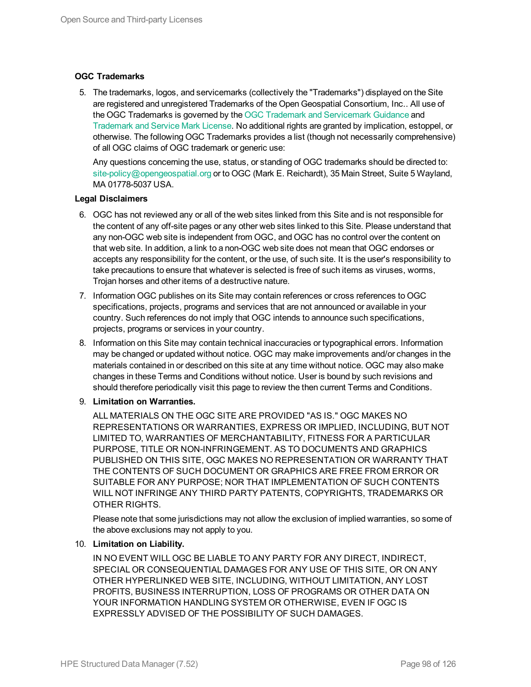## **OGC Trademarks**

5. The trademarks, logos, and servicemarks (collectively the "Trademarks") displayed on the Site are registered and unregistered Trademarks of the Open Geospatial Consortium, Inc.. All use of the OGC Trademarks is governed by the OGC Trademark and [Servicemark](http://www.opengeospatial.org/ogc/guidanceltr) Guidance and [Trademark](http://www.opengeospatial.org/ogc/policies/trademark) and Service Mark License. No additional rights are granted by implication, estoppel, or otherwise. The following OGC Trademarks provides a list (though not necessarily comprehensive) of all OGC claims of OGC trademark or generic use:

Any questions concerning the use, status, or standing of OGC trademarks should be directed to: [site-policy@opengeospatial.org](mailto:site-policy@opengeospatial.org) or to OGC (Mark E. Reichardt), 35 Main Street, Suite 5 Wayland, MA 01778-5037 USA.

## **Legal Disclaimers**

- 6. OGC has not reviewed any or all of the web sites linked from this Site and is not responsible for the content of any off-site pages or any other web sites linked to this Site. Please understand that any non-OGC web site is independent from OGC, and OGC has no control over the content on that web site. In addition, a link to a non-OGC web site does not mean that OGC endorses or accepts any responsibility for the content, or the use, of such site. It is the user's responsibility to take precautions to ensure that whatever is selected is free of such items as viruses, worms, Trojan horses and other items of a destructive nature.
- 7. Information OGC publishes on its Site may contain references or cross references to OGC specifications, projects, programs and services that are not announced or available in your country. Such references do not imply that OGC intends to announce such specifications, projects, programs or services in your country.
- 8. Information on this Site may contain technical inaccuracies or typographical errors. Information may be changed or updated without notice. OGC may make improvements and/or changes in the materials contained in or described on this site at any time without notice. OGC may also make changes in these Terms and Conditions without notice. User is bound by such revisions and should therefore periodically visit this page to review the then current Terms and Conditions.

## 9. **Limitation on Warranties.**

ALL MATERIALS ON THE OGC SITE ARE PROVIDED "AS IS." OGC MAKES NO REPRESENTATIONS OR WARRANTIES, EXPRESS OR IMPLIED, INCLUDING, BUT NOT LIMITED TO, WARRANTIES OF MERCHANTABILITY, FITNESS FOR A PARTICULAR PURPOSE, TITLE OR NON-INFRINGEMENT. AS TO DOCUMENTS AND GRAPHICS PUBLISHED ON THIS SITE, OGC MAKES NO REPRESENTATION OR WARRANTY THAT THE CONTENTS OF SUCH DOCUMENT OR GRAPHICS ARE FREE FROM ERROR OR SUITABLE FOR ANY PURPOSE; NOR THAT IMPLEMENTATION OF SUCH CONTENTS WILL NOT INFRINGE ANY THIRD PARTY PATENTS, COPYRIGHTS, TRADEMARKS OR OTHER RIGHTS.

Please note that some jurisdictions may not allow the exclusion of implied warranties, so some of the above exclusions may not apply to you.

## 10. **Limitation on Liability.**

IN NO EVENT WILL OGC BE LIABLE TO ANY PARTY FOR ANY DIRECT, INDIRECT, SPECIAL OR CONSEQUENTIAL DAMAGES FOR ANY USE OF THIS SITE, OR ON ANY OTHER HYPERLINKED WEB SITE, INCLUDING, WITHOUT LIMITATION, ANY LOST PROFITS, BUSINESS INTERRUPTION, LOSS OF PROGRAMS OR OTHER DATA ON YOUR INFORMATION HANDLING SYSTEM OR OTHERWISE, EVEN IF OGC IS EXPRESSLY ADVISED OF THE POSSIBILITY OF SUCH DAMAGES.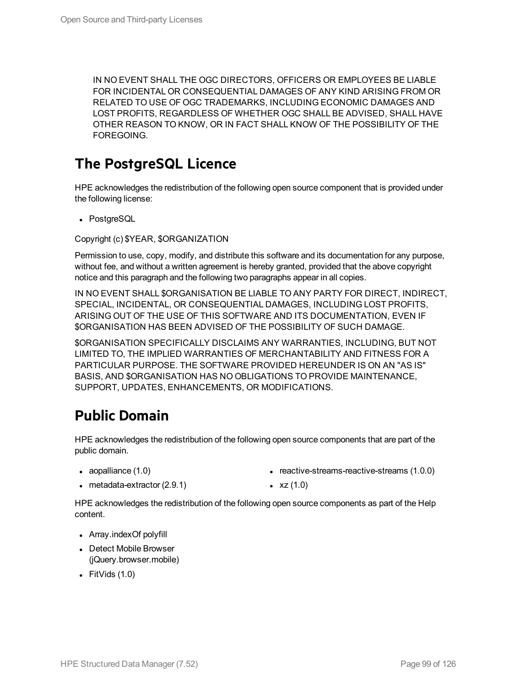IN NO EVENT SHALL THE OGC DIRECTORS, OFFICERS OR EMPLOYEES BE LIABLE FOR INCIDENTAL OR CONSEQUENTIAL DAMAGES OF ANY KIND ARISING FROM OR RELATED TO USE OF OGC TRADEMARKS, INCLUDING ECONOMIC DAMAGES AND LOST PROFITS, REGARDLESS OF WHETHER OGC SHALL BE ADVISED, SHALL HAVE OTHER REASON TO KNOW, OR IN FACT SHALL KNOW OF THE POSSIBILITY OF THE FOREGOING.

## **The PostgreSQL Licence**

HPE acknowledges the redistribution of the following open source component that is provided under the following license:

• PostgreSQL

Copyright (c) \$YEAR, \$ORGANIZATION

Permission to use, copy, modify, and distribute this software and its documentation for any purpose, without fee, and without a written agreement is hereby granted, provided that the above copyright notice and this paragraph and the following two paragraphs appear in all copies.

IN NO EVENT SHALL \$ORGANISATION BE LIABLE TO ANY PARTY FOR DIRECT, INDIRECT, SPECIAL, INCIDENTAL, OR CONSEQUENTIAL DAMAGES, INCLUDING LOST PROFITS, ARISING OUT OF THE USE OF THIS SOFTWARE AND ITS DOCUMENTATION, EVEN IF \$ORGANISATION HAS BEEN ADVISED OF THE POSSIBILITY OF SUCH DAMAGE.

\$ORGANISATION SPECIFICALLY DISCLAIMS ANY WARRANTIES, INCLUDING, BUT NOT LIMITED TO, THE IMPLIED WARRANTIES OF MERCHANTABILITY AND FITNESS FOR A PARTICULAR PURPOSE. THE SOFTWARE PROVIDED HEREUNDER IS ON AN "AS IS" BASIS, AND \$ORGANISATION HAS NO OBLIGATIONS TO PROVIDE MAINTENANCE, SUPPORT, UPDATES, ENHANCEMENTS, OR MODIFICATIONS.

# **Public Domain**

HPE acknowledges the redistribution of the following open source components that are part of the public domain.

 $\bullet$  aopalliance  $(1.0)$ 

- $\bullet$  reactive-streams-reactive-streams (1.0.0)
- $\bullet$  metadata-extractor (2.9.1)
- $xz(1.0)$

HPE acknowledges the redistribution of the following open source components as part of the Help content.

- Array.indexOf polyfill
- Detect Mobile Browser (jQuery.browser.mobile)
- $\bullet$  FitVids (1.0)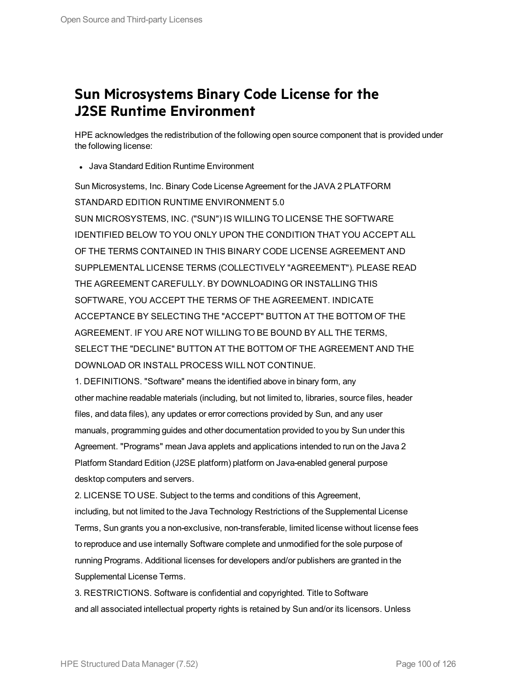## **Sun Microsystems Binary Code License for the J2SE Runtime Environment**

HPE acknowledges the redistribution of the following open source component that is provided under the following license:

• Java Standard Edition Runtime Environment

Sun Microsystems, Inc. Binary Code License Agreement for the JAVA 2 PLATFORM STANDARD EDITION RUNTIME ENVIRONMENT 5.0 SUN MICROSYSTEMS, INC. ("SUN") IS WILLING TO LICENSE THE SOFTWARE IDENTIFIED BELOW TO YOU ONLY UPON THE CONDITION THAT YOU ACCEPT ALL OF THE TERMS CONTAINED IN THIS BINARY CODE LICENSE AGREEMENT AND SUPPLEMENTAL LICENSE TERMS (COLLECTIVELY "AGREEMENT"). PLEASE READ THE AGREEMENT CAREFULLY. BY DOWNLOADING OR INSTALLING THIS SOFTWARE, YOU ACCEPT THE TERMS OF THE AGREEMENT. INDICATE ACCEPTANCE BY SELECTING THE "ACCEPT" BUTTON AT THE BOTTOM OF THE AGREEMENT. IF YOU ARE NOT WILLING TO BE BOUND BY ALL THE TERMS, SELECT THE "DECLINE" BUTTON AT THE BOTTOM OF THE AGREEMENT AND THE DOWNLOAD OR INSTALL PROCESS WILL NOT CONTINUE.

1. DEFINITIONS. "Software" means the identified above in binary form, any other machine readable materials (including, but not limited to, libraries, source files, header files, and data files), any updates or error corrections provided by Sun, and any user manuals, programming guides and other documentation provided to you by Sun under this Agreement. "Programs" mean Java applets and applications intended to run on the Java 2 Platform Standard Edition (J2SE platform) platform on Java-enabled general purpose desktop computers and servers.

2. LICENSE TO USE. Subject to the terms and conditions of this Agreement, including, but not limited to the Java Technology Restrictions of the Supplemental License Terms, Sun grants you a non-exclusive, non-transferable, limited license without license fees to reproduce and use internally Software complete and unmodified for the sole purpose of running Programs. Additional licenses for developers and/or publishers are granted in the Supplemental License Terms.

3. RESTRICTIONS. Software is confidential and copyrighted. Title to Software and all associated intellectual property rights is retained by Sun and/or its licensors. Unless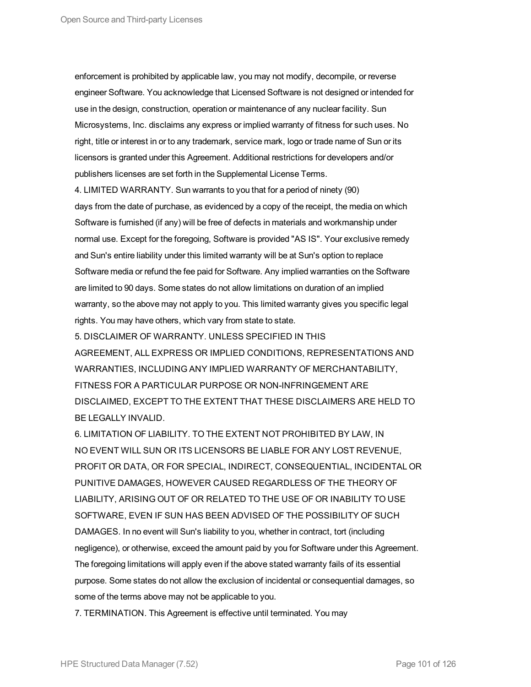enforcement is prohibited by applicable law, you may not modify, decompile, or reverse engineer Software. You acknowledge that Licensed Software is not designed or intended for use in the design, construction, operation or maintenance of any nuclear facility. Sun Microsystems, Inc. disclaims any express or implied warranty of fitness for such uses. No right, title or interest in or to any trademark, service mark, logo or trade name of Sun or its licensors is granted under this Agreement. Additional restrictions for developers and/or publishers licenses are set forth in the Supplemental License Terms.

4. LIMITED WARRANTY. Sun warrants to you that for a period of ninety (90) days from the date of purchase, as evidenced by a copy of the receipt, the media on which Software is furnished (if any) will be free of defects in materials and workmanship under normal use. Except for the foregoing, Software is provided "AS IS". Your exclusive remedy and Sun's entire liability under this limited warranty will be at Sun's option to replace Software media or refund the fee paid for Software. Any implied warranties on the Software are limited to 90 days. Some states do not allow limitations on duration of an implied warranty, so the above may not apply to you. This limited warranty gives you specific legal rights. You may have others, which vary from state to state.

5. DISCLAIMER OF WARRANTY. UNLESS SPECIFIED IN THIS AGREEMENT, ALL EXPRESS OR IMPLIED CONDITIONS, REPRESENTATIONS AND WARRANTIES, INCLUDING ANY IMPLIED WARRANTY OF MERCHANTABILITY, FITNESS FOR A PARTICULAR PURPOSE OR NON-INFRINGEMENT ARE DISCLAIMED, EXCEPT TO THE EXTENT THAT THESE DISCLAIMERS ARE HELD TO BE LEGALLY INVALID.

6. LIMITATION OF LIABILITY. TO THE EXTENT NOT PROHIBITED BY LAW, IN NO EVENT WILL SUN OR ITS LICENSORS BE LIABLE FOR ANY LOST REVENUE, PROFIT OR DATA, OR FOR SPECIAL, INDIRECT, CONSEQUENTIAL, INCIDENTAL OR PUNITIVE DAMAGES, HOWEVER CAUSED REGARDLESS OF THE THEORY OF LIABILITY, ARISING OUT OF OR RELATED TO THE USE OF OR INABILITY TO USE SOFTWARE, EVEN IF SUN HAS BEEN ADVISED OF THE POSSIBILITY OF SUCH DAMAGES. In no event will Sun's liability to you, whether in contract, tort (including negligence), or otherwise, exceed the amount paid by you for Software under this Agreement. The foregoing limitations will apply even if the above stated warranty fails of its essential purpose. Some states do not allow the exclusion of incidental or consequential damages, so some of the terms above may not be applicable to you.

7. TERMINATION. This Agreement is effective until terminated. You may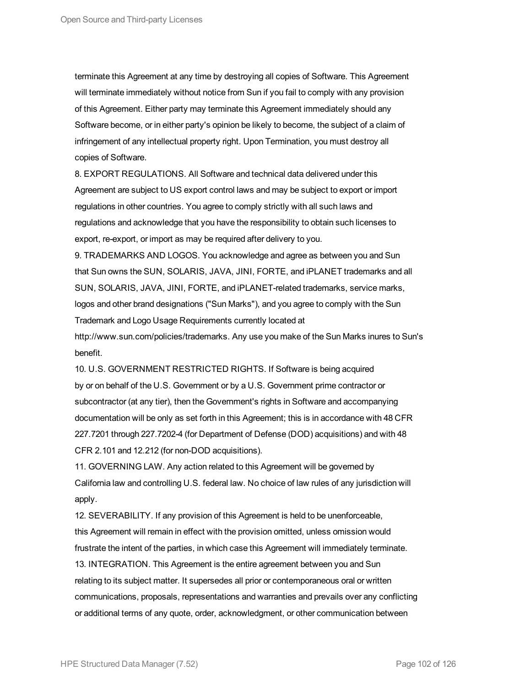terminate this Agreement at any time by destroying all copies of Software. This Agreement will terminate immediately without notice from Sun if you fail to comply with any provision of this Agreement. Either party may terminate this Agreement immediately should any Software become, or in either party's opinion be likely to become, the subject of a claim of infringement of any intellectual property right. Upon Termination, you must destroy all copies of Software.

8. EXPORT REGULATIONS. All Software and technical data delivered under this Agreement are subject to US export control laws and may be subject to export or import regulations in other countries. You agree to comply strictly with all such laws and regulations and acknowledge that you have the responsibility to obtain such licenses to export, re-export, or import as may be required after delivery to you.

9. TRADEMARKS AND LOGOS. You acknowledge and agree as between you and Sun that Sun owns the SUN, SOLARIS, JAVA, JINI, FORTE, and iPLANET trademarks and all SUN, SOLARIS, JAVA, JINI, FORTE, and iPLANET-related trademarks, service marks, logos and other brand designations ("Sun Marks"), and you agree to comply with the Sun Trademark and Logo Usage Requirements currently located at

http://www.sun.com/policies/trademarks. Any use you make of the Sun Marks inures to Sun's benefit.

10. U.S. GOVERNMENT RESTRICTED RIGHTS. If Software is being acquired by or on behalf of the U.S. Government or by a U.S. Government prime contractor or subcontractor (at any tier), then the Government's rights in Software and accompanying documentation will be only as set forth in this Agreement; this is in accordance with 48 CFR 227.7201 through 227.7202-4 (for Department of Defense (DOD) acquisitions) and with 48 CFR 2.101 and 12.212 (for non-DOD acquisitions).

11. GOVERNING LAW. Any action related to this Agreement will be governed by California law and controlling U.S. federal law. No choice of law rules of any jurisdiction will apply.

12. SEVERABILITY. If any provision of this Agreement is held to be unenforceable, this Agreement will remain in effect with the provision omitted, unless omission would frustrate the intent of the parties, in which case this Agreement will immediately terminate. 13. INTEGRATION. This Agreement is the entire agreement between you and Sun relating to its subject matter. It supersedes all prior or contemporaneous oral or written communications, proposals, representations and warranties and prevails over any conflicting or additional terms of any quote, order, acknowledgment, or other communication between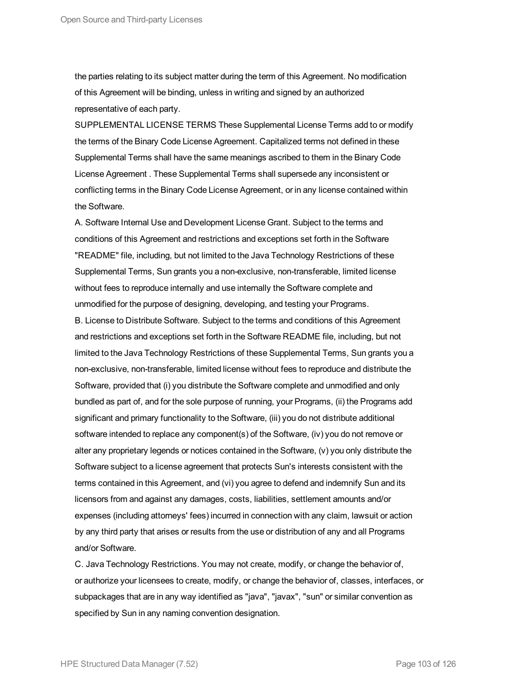the parties relating to its subject matter during the term of this Agreement. No modification of this Agreement will be binding, unless in writing and signed by an authorized representative of each party.

SUPPLEMENTAL LICENSE TERMS These Supplemental License Terms add to or modify the terms of the Binary Code License Agreement. Capitalized terms not defined in these Supplemental Terms shall have the same meanings ascribed to them in the Binary Code License Agreement . These Supplemental Terms shall supersede any inconsistent or conflicting terms in the Binary Code License Agreement, or in any license contained within the Software.

A. Software Internal Use and Development License Grant. Subject to the terms and conditions of this Agreement and restrictions and exceptions set forth in the Software "README" file, including, but not limited to the Java Technology Restrictions of these Supplemental Terms, Sun grants you a non-exclusive, non-transferable, limited license without fees to reproduce internally and use internally the Software complete and unmodified for the purpose of designing, developing, and testing your Programs.

B. License to Distribute Software. Subject to the terms and conditions of this Agreement and restrictions and exceptions set forth in the Software README file, including, but not limited to the Java Technology Restrictions of these Supplemental Terms, Sun grants you a non-exclusive, non-transferable, limited license without fees to reproduce and distribute the Software, provided that (i) you distribute the Software complete and unmodified and only bundled as part of, and for the sole purpose of running, your Programs, (ii) the Programs add significant and primary functionality to the Software, (iii) you do not distribute additional software intended to replace any component(s) of the Software, (iv) you do not remove or alter any proprietary legends or notices contained in the Software, (v) you only distribute the Software subject to a license agreement that protects Sun's interests consistent with the terms contained in this Agreement, and (vi) you agree to defend and indemnify Sun and its licensors from and against any damages, costs, liabilities, settlement amounts and/or expenses (including attorneys' fees) incurred in connection with any claim, lawsuit or action by any third party that arises or results from the use or distribution of any and all Programs and/or Software.

C. Java Technology Restrictions. You may not create, modify, or change the behavior of, or authorize your licensees to create, modify, or change the behavior of, classes, interfaces, or subpackages that are in any way identified as "java", "javax", "sun" or similar convention as specified by Sun in any naming convention designation.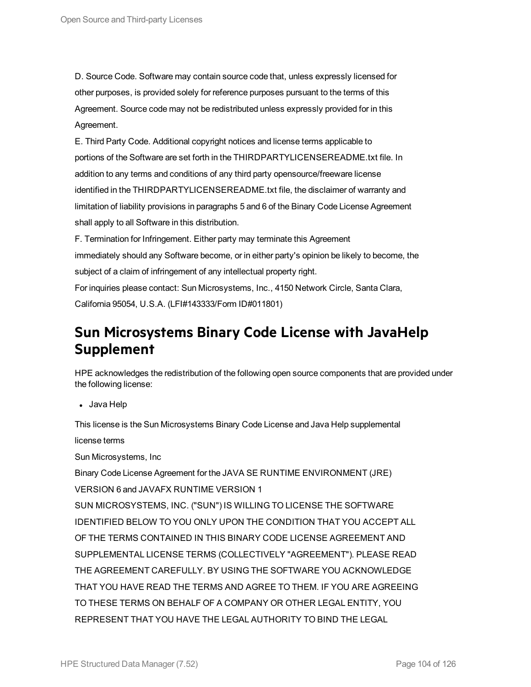D. Source Code. Software may contain source code that, unless expressly licensed for other purposes, is provided solely for reference purposes pursuant to the terms of this Agreement. Source code may not be redistributed unless expressly provided for in this Agreement.

E. Third Party Code. Additional copyright notices and license terms applicable to portions of the Software are set forth in the THIRDPARTYLICENSEREADME.txt file. In addition to any terms and conditions of any third party opensource/freeware license identified in the THIRDPARTYLICENSEREADME.txt file, the disclaimer of warranty and limitation of liability provisions in paragraphs 5 and 6 of the Binary Code License Agreement shall apply to all Software in this distribution.

F. Termination for Infringement. Either party may terminate this Agreement immediately should any Software become, or in either party's opinion be likely to become, the subject of a claim of infringement of any intellectual property right. For inquiries please contact: Sun Microsystems, Inc., 4150 Network Circle, Santa Clara, California 95054, U.S.A. (LFI#143333/Form ID#011801)

# **Sun Microsystems Binary Code License with JavaHelp Supplement**

HPE acknowledges the redistribution of the following open source components that are provided under the following license:

• Java Help

This license is the Sun Microsystems Binary Code License and Java Help supplemental license terms

Sun Microsystems, Inc

Binary Code License Agreement for the JAVA SE RUNTIME ENVIRONMENT (JRE) VERSION 6 and JAVAFX RUNTIME VERSION 1

SUN MICROSYSTEMS, INC. ("SUN") IS WILLING TO LICENSE THE SOFTWARE IDENTIFIED BELOW TO YOU ONLY UPON THE CONDITION THAT YOU ACCEPT ALL OF THE TERMS CONTAINED IN THIS BINARY CODE LICENSE AGREEMENT AND SUPPLEMENTAL LICENSE TERMS (COLLECTIVELY "AGREEMENT"). PLEASE READ THE AGREEMENT CAREFULLY. BY USING THE SOFTWARE YOU ACKNOWLEDGE THAT YOU HAVE READ THE TERMS AND AGREE TO THEM. IF YOU ARE AGREEING TO THESE TERMS ON BEHALF OF A COMPANY OR OTHER LEGAL ENTITY, YOU REPRESENT THAT YOU HAVE THE LEGAL AUTHORITY TO BIND THE LEGAL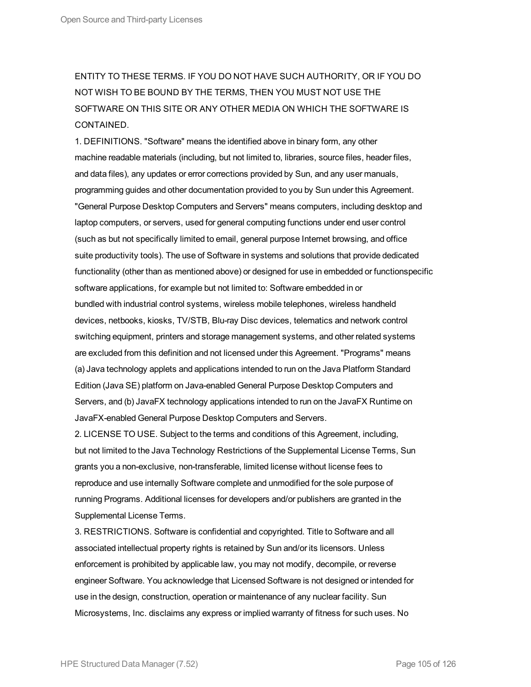ENTITY TO THESE TERMS. IF YOU DO NOT HAVE SUCH AUTHORITY, OR IF YOU DO NOT WISH TO BE BOUND BY THE TERMS, THEN YOU MUST NOT USE THE SOFTWARE ON THIS SITE OR ANY OTHER MEDIA ON WHICH THE SOFTWARE IS CONTAINED.

1. DEFINITIONS. "Software" means the identified above in binary form, any other machine readable materials (including, but not limited to, libraries, source files, header files, and data files), any updates or error corrections provided by Sun, and any user manuals, programming guides and other documentation provided to you by Sun under this Agreement. "General Purpose Desktop Computers and Servers" means computers, including desktop and laptop computers, or servers, used for general computing functions under end user control (such as but not specifically limited to email, general purpose Internet browsing, and office suite productivity tools). The use of Software in systems and solutions that provide dedicated functionality (other than as mentioned above) or designed for use in embedded or functionspecific software applications, for example but not limited to: Software embedded in or bundled with industrial control systems, wireless mobile telephones, wireless handheld devices, netbooks, kiosks, TV/STB, Blu-ray Disc devices, telematics and network control switching equipment, printers and storage management systems, and other related systems are excluded from this definition and not licensed under this Agreement. "Programs" means (a) Java technology applets and applications intended to run on the Java Platform Standard Edition (Java SE) platform on Java-enabled General Purpose Desktop Computers and Servers, and (b) JavaFX technology applications intended to run on the JavaFX Runtime on JavaFX-enabled General Purpose Desktop Computers and Servers.

2. LICENSE TO USE. Subject to the terms and conditions of this Agreement, including, but not limited to the Java Technology Restrictions of the Supplemental License Terms, Sun grants you a non-exclusive, non-transferable, limited license without license fees to reproduce and use internally Software complete and unmodified for the sole purpose of running Programs. Additional licenses for developers and/or publishers are granted in the Supplemental License Terms.

3. RESTRICTIONS. Software is confidential and copyrighted. Title to Software and all associated intellectual property rights is retained by Sun and/or its licensors. Unless enforcement is prohibited by applicable law, you may not modify, decompile, or reverse engineer Software. You acknowledge that Licensed Software is not designed or intended for use in the design, construction, operation or maintenance of any nuclear facility. Sun Microsystems, Inc. disclaims any express or implied warranty of fitness for such uses. No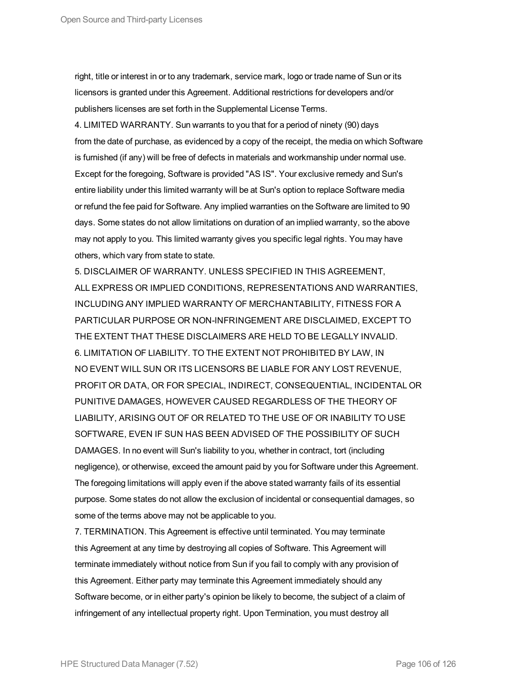right, title or interest in or to any trademark, service mark, logo or trade name of Sun or its licensors is granted under this Agreement. Additional restrictions for developers and/or publishers licenses are set forth in the Supplemental License Terms.

4. LIMITED WARRANTY. Sun warrants to you that for a period of ninety (90) days from the date of purchase, as evidenced by a copy of the receipt, the media on which Software is furnished (if any) will be free of defects in materials and workmanship under normal use. Except for the foregoing, Software is provided "AS IS". Your exclusive remedy and Sun's entire liability under this limited warranty will be at Sun's option to replace Software media or refund the fee paid for Software. Any implied warranties on the Software are limited to 90 days. Some states do not allow limitations on duration of an implied warranty, so the above may not apply to you. This limited warranty gives you specific legal rights. You may have others, which vary from state to state.

5. DISCLAIMER OF WARRANTY. UNLESS SPECIFIED IN THIS AGREEMENT, ALL EXPRESS OR IMPLIED CONDITIONS, REPRESENTATIONS AND WARRANTIES, INCLUDING ANY IMPLIED WARRANTY OF MERCHANTABILITY, FITNESS FOR A PARTICULAR PURPOSE OR NON-INFRINGEMENT ARE DISCLAIMED, EXCEPT TO THE EXTENT THAT THESE DISCLAIMERS ARE HELD TO BE LEGALLY INVALID. 6. LIMITATION OF LIABILITY. TO THE EXTENT NOT PROHIBITED BY LAW, IN NO EVENT WILL SUN OR ITS LICENSORS BE LIABLE FOR ANY LOST REVENUE, PROFIT OR DATA, OR FOR SPECIAL, INDIRECT, CONSEQUENTIAL, INCIDENTAL OR PUNITIVE DAMAGES, HOWEVER CAUSED REGARDLESS OF THE THEORY OF LIABILITY, ARISING OUT OF OR RELATED TO THE USE OF OR INABILITY TO USE SOFTWARE, EVEN IF SUN HAS BEEN ADVISED OF THE POSSIBILITY OF SUCH DAMAGES. In no event will Sun's liability to you, whether in contract, tort (including negligence), or otherwise, exceed the amount paid by you for Software under this Agreement. The foregoing limitations will apply even if the above stated warranty fails of its essential purpose. Some states do not allow the exclusion of incidental or consequential damages, so some of the terms above may not be applicable to you.

7. TERMINATION. This Agreement is effective until terminated. You may terminate this Agreement at any time by destroying all copies of Software. This Agreement will terminate immediately without notice from Sun if you fail to comply with any provision of this Agreement. Either party may terminate this Agreement immediately should any Software become, or in either party's opinion be likely to become, the subject of a claim of infringement of any intellectual property right. Upon Termination, you must destroy all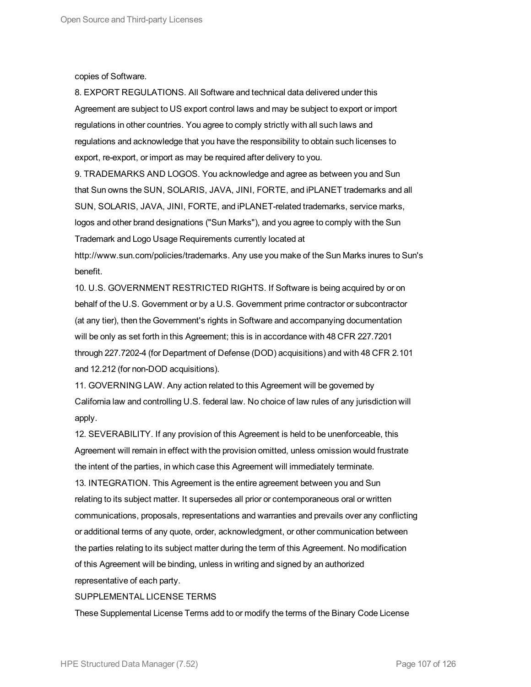copies of Software.

8. EXPORT REGULATIONS. All Software and technical data delivered under this Agreement are subject to US export control laws and may be subject to export or import regulations in other countries. You agree to comply strictly with all such laws and regulations and acknowledge that you have the responsibility to obtain such licenses to export, re-export, or import as may be required after delivery to you.

9. TRADEMARKS AND LOGOS. You acknowledge and agree as between you and Sun that Sun owns the SUN, SOLARIS, JAVA, JINI, FORTE, and iPLANET trademarks and all SUN, SOLARIS, JAVA, JINI, FORTE, and iPLANET-related trademarks, service marks, logos and other brand designations ("Sun Marks"), and you agree to comply with the Sun Trademark and Logo Usage Requirements currently located at

http://www.sun.com/policies/trademarks. Any use you make of the Sun Marks inures to Sun's benefit.

10. U.S. GOVERNMENT RESTRICTED RIGHTS. If Software is being acquired by or on behalf of the U.S. Government or by a U.S. Government prime contractor or subcontractor (at any tier), then the Government's rights in Software and accompanying documentation will be only as set forth in this Agreement; this is in accordance with 48 CFR 227.7201 through 227.7202-4 (for Department of Defense (DOD) acquisitions) and with 48 CFR 2.101 and 12.212 (for non-DOD acquisitions).

11. GOVERNING LAW. Any action related to this Agreement will be governed by California law and controlling U.S. federal law. No choice of law rules of any jurisdiction will apply.

12. SEVERABILITY. If any provision of this Agreement is held to be unenforceable, this Agreement will remain in effect with the provision omitted, unless omission would frustrate the intent of the parties, in which case this Agreement will immediately terminate.

13. INTEGRATION. This Agreement is the entire agreement between you and Sun relating to its subject matter. It supersedes all prior or contemporaneous oral or written communications, proposals, representations and warranties and prevails over any conflicting or additional terms of any quote, order, acknowledgment, or other communication between the parties relating to its subject matter during the term of this Agreement. No modification of this Agreement will be binding, unless in writing and signed by an authorized representative of each party.

#### SUPPLEMENTAL LICENSE TERMS

These Supplemental License Terms add to or modify the terms of the Binary Code License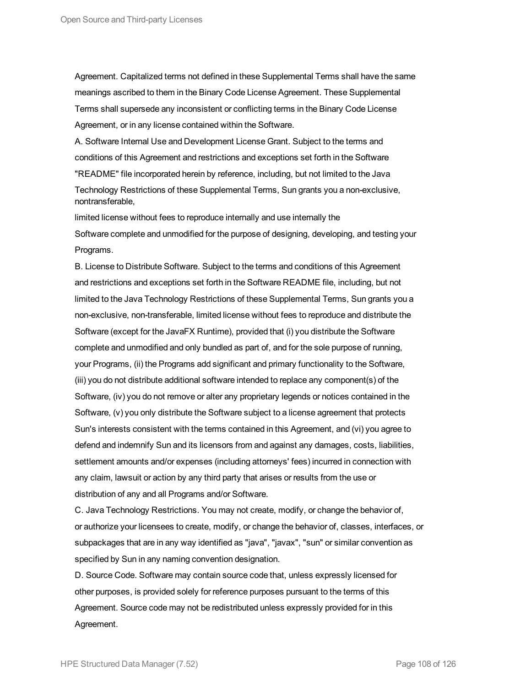Agreement. Capitalized terms not defined in these Supplemental Terms shall have the same meanings ascribed to them in the Binary Code License Agreement. These Supplemental Terms shall supersede any inconsistent or conflicting terms in the Binary Code License Agreement, or in any license contained within the Software.

A. Software Internal Use and Development License Grant. Subject to the terms and conditions of this Agreement and restrictions and exceptions set forth in the Software "README" file incorporated herein by reference, including, but not limited to the Java Technology Restrictions of these Supplemental Terms, Sun grants you a non-exclusive, nontransferable,

limited license without fees to reproduce internally and use internally the Software complete and unmodified for the purpose of designing, developing, and testing your Programs.

B. License to Distribute Software. Subject to the terms and conditions of this Agreement and restrictions and exceptions set forth in the Software README file, including, but not limited to the Java Technology Restrictions of these Supplemental Terms, Sun grants you a non-exclusive, non-transferable, limited license without fees to reproduce and distribute the Software (except for the JavaFX Runtime), provided that (i) you distribute the Software complete and unmodified and only bundled as part of, and for the sole purpose of running, your Programs, (ii) the Programs add significant and primary functionality to the Software, (iii) you do not distribute additional software intended to replace any component(s) of the Software, (iv) you do not remove or alter any proprietary legends or notices contained in the Software, (v) you only distribute the Software subject to a license agreement that protects Sun's interests consistent with the terms contained in this Agreement, and (vi) you agree to defend and indemnify Sun and its licensors from and against any damages, costs, liabilities, settlement amounts and/or expenses (including attorneys' fees) incurred in connection with any claim, lawsuit or action by any third party that arises or results from the use or distribution of any and all Programs and/or Software.

C. Java Technology Restrictions. You may not create, modify, or change the behavior of, or authorize your licensees to create, modify, or change the behavior of, classes, interfaces, or subpackages that are in any way identified as "java", "javax", "sun" or similar convention as specified by Sun in any naming convention designation.

D. Source Code. Software may contain source code that, unless expressly licensed for other purposes, is provided solely for reference purposes pursuant to the terms of this Agreement. Source code may not be redistributed unless expressly provided for in this Agreement.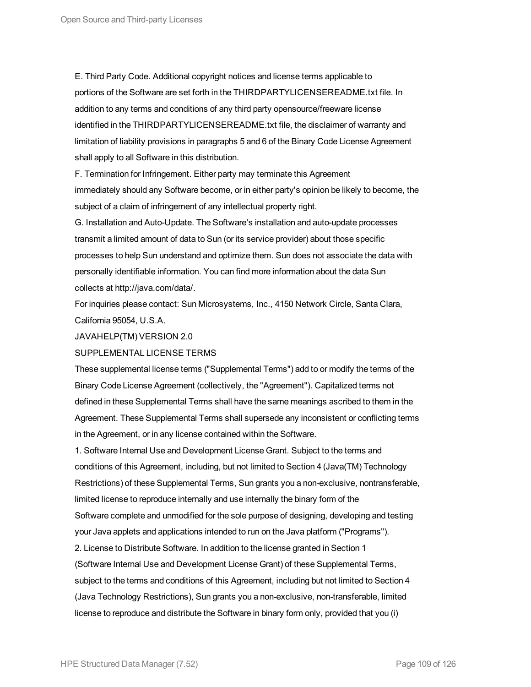E. Third Party Code. Additional copyright notices and license terms applicable to portions of the Software are set forth in the THIRDPARTYLICENSEREADME.txt file. In addition to any terms and conditions of any third party opensource/freeware license identified in the THIRDPARTYLICENSEREADME.txt file, the disclaimer of warranty and limitation of liability provisions in paragraphs 5 and 6 of the Binary Code License Agreement shall apply to all Software in this distribution.

F. Termination for Infringement. Either party may terminate this Agreement immediately should any Software become, or in either party's opinion be likely to become, the subject of a claim of infringement of any intellectual property right.

G. Installation and Auto-Update. The Software's installation and auto-update processes transmit a limited amount of data to Sun (or its service provider) about those specific processes to help Sun understand and optimize them. Sun does not associate the data with personally identifiable information. You can find more information about the data Sun collects at http://java.com/data/.

For inquiries please contact: Sun Microsystems, Inc., 4150 Network Circle, Santa Clara, California 95054, U.S.A.

### JAVAHELP(TM) VERSION 2.0

# SUPPLEMENTAL LICENSE TERMS

These supplemental license terms ("Supplemental Terms") add to or modify the terms of the Binary Code License Agreement (collectively, the "Agreement"). Capitalized terms not defined in these Supplemental Terms shall have the same meanings ascribed to them in the Agreement. These Supplemental Terms shall supersede any inconsistent or conflicting terms in the Agreement, or in any license contained within the Software.

1. Software Internal Use and Development License Grant. Subject to the terms and conditions of this Agreement, including, but not limited to Section 4 (Java(TM) Technology Restrictions) of these Supplemental Terms, Sun grants you a non-exclusive, nontransferable, limited license to reproduce internally and use internally the binary form of the Software complete and unmodified for the sole purpose of designing, developing and testing your Java applets and applications intended to run on the Java platform ("Programs"). 2. License to Distribute Software. In addition to the license granted in Section 1 (Software Internal Use and Development License Grant) of these Supplemental Terms, subject to the terms and conditions of this Agreement, including but not limited to Section 4 (Java Technology Restrictions), Sun grants you a non-exclusive, non-transferable, limited

license to reproduce and distribute the Software in binary form only, provided that you (i)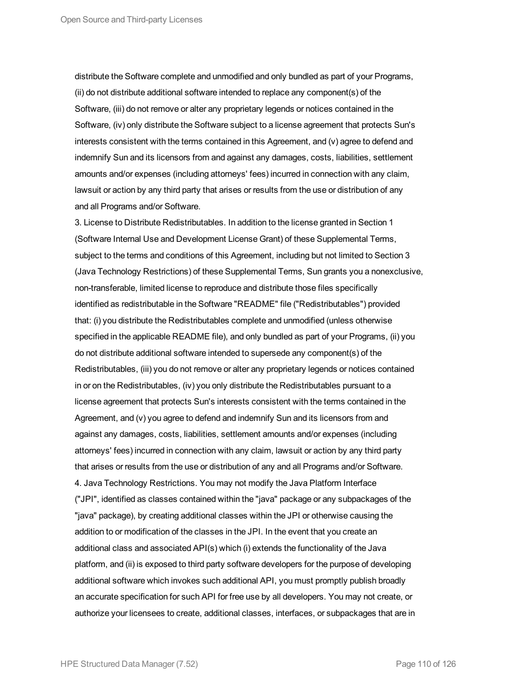distribute the Software complete and unmodified and only bundled as part of your Programs, (ii) do not distribute additional software intended to replace any component(s) of the Software, (iii) do not remove or alter any proprietary legends or notices contained in the Software, (iv) only distribute the Software subject to a license agreement that protects Sun's interests consistent with the terms contained in this Agreement, and (v) agree to defend and indemnify Sun and its licensors from and against any damages, costs, liabilities, settlement amounts and/or expenses (including attorneys' fees) incurred in connection with any claim, lawsuit or action by any third party that arises or results from the use or distribution of any and all Programs and/or Software.

3. License to Distribute Redistributables. In addition to the license granted in Section 1 (Software Internal Use and Development License Grant) of these Supplemental Terms, subject to the terms and conditions of this Agreement, including but not limited to Section 3 (Java Technology Restrictions) of these Supplemental Terms, Sun grants you a nonexclusive, non-transferable, limited license to reproduce and distribute those files specifically identified as redistributable in the Software "README" file ("Redistributables") provided that: (i) you distribute the Redistributables complete and unmodified (unless otherwise specified in the applicable README file), and only bundled as part of your Programs, (ii) you do not distribute additional software intended to supersede any component(s) of the Redistributables, (iii) you do not remove or alter any proprietary legends or notices contained in or on the Redistributables, (iv) you only distribute the Redistributables pursuant to a license agreement that protects Sun's interests consistent with the terms contained in the Agreement, and (v) you agree to defend and indemnify Sun and its licensors from and against any damages, costs, liabilities, settlement amounts and/or expenses (including attorneys' fees) incurred in connection with any claim, lawsuit or action by any third party that arises or results from the use or distribution of any and all Programs and/or Software. 4. Java Technology Restrictions. You may not modify the Java Platform Interface ("JPI", identified as classes contained within the "java" package or any subpackages of the "java" package), by creating additional classes within the JPI or otherwise causing the addition to or modification of the classes in the JPI. In the event that you create an additional class and associated API(s) which (i) extends the functionality of the Java platform, and (ii) is exposed to third party software developers for the purpose of developing additional software which invokes such additional API, you must promptly publish broadly an accurate specification for such API for free use by all developers. You may not create, or authorize your licensees to create, additional classes, interfaces, or subpackages that are in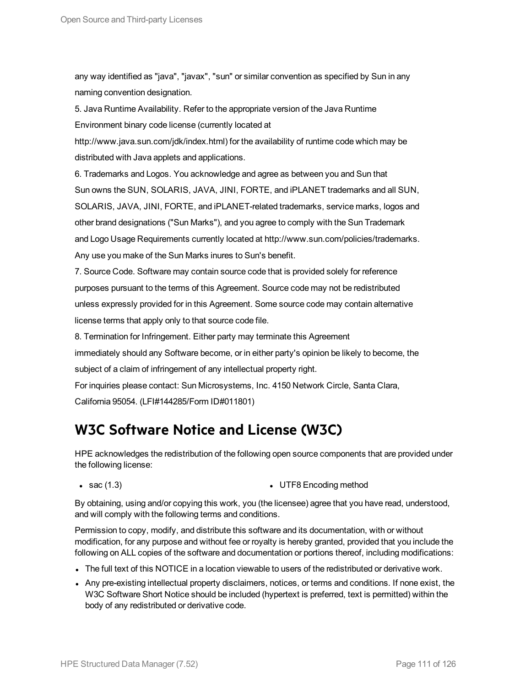any way identified as "java", "javax", "sun" or similar convention as specified by Sun in any naming convention designation.

5. Java Runtime Availability. Refer to the appropriate version of the Java Runtime Environment binary code license (currently located at

http://www.java.sun.com/jdk/index.html) for the availability of runtime code which may be distributed with Java applets and applications.

6. Trademarks and Logos. You acknowledge and agree as between you and Sun that Sun owns the SUN, SOLARIS, JAVA, JINI, FORTE, and iPLANET trademarks and all SUN, SOLARIS, JAVA, JINI, FORTE, and iPLANET-related trademarks, service marks, logos and other brand designations ("Sun Marks"), and you agree to comply with the Sun Trademark and Logo Usage Requirements currently located at http://www.sun.com/policies/trademarks. Any use you make of the Sun Marks inures to Sun's benefit.

7. Source Code. Software may contain source code that is provided solely for reference purposes pursuant to the terms of this Agreement. Source code may not be redistributed unless expressly provided for in this Agreement. Some source code may contain alternative license terms that apply only to that source code file.

8. Termination for Infringement. Either party may terminate this Agreement

immediately should any Software become, or in either party's opinion be likely to become, the subject of a claim of infringement of any intellectual property right.

For inquiries please contact: Sun Microsystems, Inc. 4150 Network Circle, Santa Clara, California 95054. (LFI#144285/Form ID#011801)

# **W3C Software Notice and License (W3C)**

HPE acknowledges the redistribution of the following open source components that are provided under the following license:

- 
- sac (1.3) **lacks lacks lacksquare in the UTF8 Encoding method**

By obtaining, using and/or copying this work, you (the licensee) agree that you have read, understood, and will comply with the following terms and conditions.

Permission to copy, modify, and distribute this software and its documentation, with or without modification, for any purpose and without fee or royalty is hereby granted, provided that you include the following on ALL copies of the software and documentation or portions thereof, including modifications:

- The full text of this NOTICE in a location viewable to users of the redistributed or derivative work.
- Any pre-existing intellectual property disclaimers, notices, or terms and conditions. If none exist, the W3C Software Short Notice should be included (hypertext is preferred, text is permitted) within the body of any redistributed or derivative code.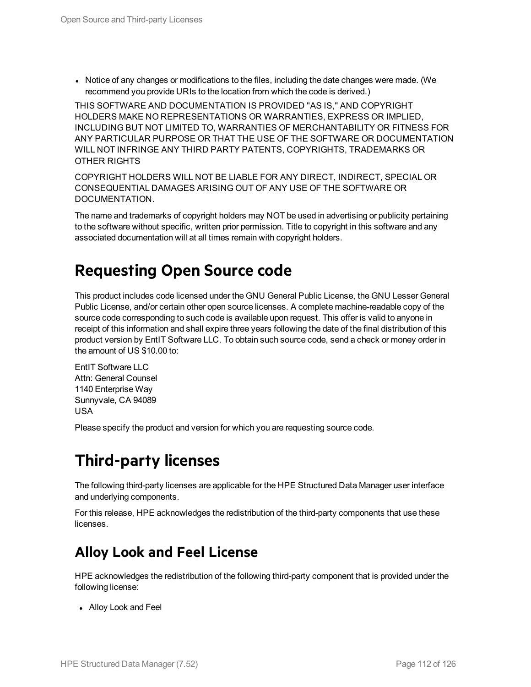• Notice of any changes or modifications to the files, including the date changes were made. (We recommend you provide URIs to the location from which the code is derived.)

THIS SOFTWARE AND DOCUMENTATION IS PROVIDED "AS IS," AND COPYRIGHT HOLDERS MAKE NO REPRESENTATIONS OR WARRANTIES, EXPRESS OR IMPLIED, INCLUDING BUT NOT LIMITED TO, WARRANTIES OF MERCHANTABILITY OR FITNESS FOR ANY PARTICULAR PURPOSE OR THAT THE USE OF THE SOFTWARE OR DOCUMENTATION WILL NOT INFRINGE ANY THIRD PARTY PATENTS, COPYRIGHTS, TRADEMARKS OR OTHER RIGHTS

COPYRIGHT HOLDERS WILL NOT BE LIABLE FOR ANY DIRECT, INDIRECT, SPECIAL OR CONSEQUENTIAL DAMAGES ARISING OUT OF ANY USE OF THE SOFTWARE OR DOCUMENTATION.

The name and trademarks of copyright holders may NOT be used in advertising or publicity pertaining to the software without specific, written prior permission. Title to copyright in this software and any associated documentation will at all times remain with copyright holders.

# **Requesting Open Source code**

This product includes code licensed under the GNU General Public License, the GNU Lesser General Public License, and/or certain other open source licenses. A complete machine-readable copy of the source code corresponding to such code is available upon request. This offer is valid to anyone in receipt of this information and shall expire three years following the date of the final distribution of this product version by EntIT Software LLC. To obtain such source code, send a check or money order in the amount of US \$10.00 to:

EntIT Software LLC Attn: General Counsel 1140 Enterprise Way Sunnyvale, CA 94089 USA

Please specify the product and version for which you are requesting source code.

# **Third-party licenses**

The following third-party licenses are applicable for the HPE Structured Data Manager user interface and underlying components.

For this release, HPE acknowledges the redistribution of the third-party components that use these licenses.

# **Alloy Look and Feel License**

HPE acknowledges the redistribution of the following third-party component that is provided under the following license:

• Alloy Look and Feel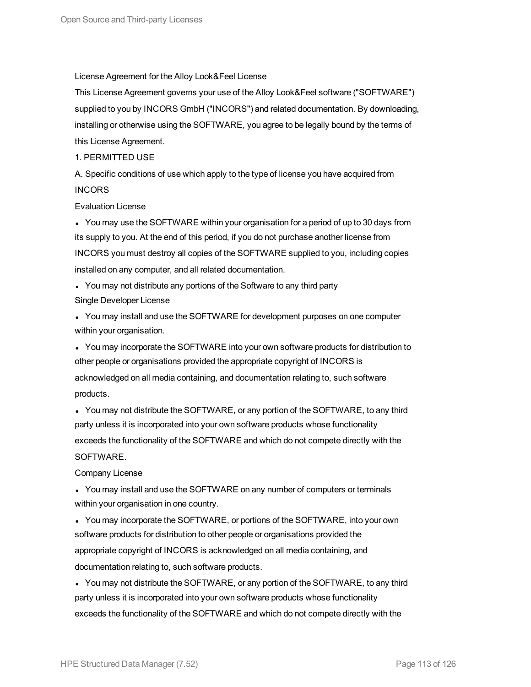License Agreement for the Alloy Look&Feel License

This License Agreement governs your use of the Alloy Look&Feel software ("SOFTWARE") supplied to you by INCORS GmbH ("INCORS") and related documentation. By downloading, installing or otherwise using the SOFTWARE, you agree to be legally bound by the terms of this License Agreement.

1. PERMITTED USE

A. Specific conditions of use which apply to the type of license you have acquired from INCORS

### Evaluation License

• You may use the SOFTWARE within your organisation for a period of up to 30 days from its supply to you. At the end of this period, if you do not purchase another license from INCORS you must destroy all copies of the SOFTWARE supplied to you, including copies installed on any computer, and all related documentation.

• You may not distribute any portions of the Software to any third party Single Developer License

• You may install and use the SOFTWARE for development purposes on one computer within your organisation.

• You may incorporate the SOFTWARE into your own software products for distribution to other people or organisations provided the appropriate copyright of INCORS is acknowledged on all media containing, and documentation relating to, such software products.

• You may not distribute the SOFTWARE, or any portion of the SOFTWARE, to any third party unless it is incorporated into your own software products whose functionality exceeds the functionality of the SOFTWARE and which do not compete directly with the SOFTWARE.

### Company License

• You may install and use the SOFTWARE on any number of computers or terminals within your organisation in one country.

• You may incorporate the SOFTWARE, or portions of the SOFTWARE, into your own software products for distribution to other people or organisations provided the appropriate copyright of INCORS is acknowledged on all media containing, and documentation relating to, such software products.

• You may not distribute the SOFTWARE, or any portion of the SOFTWARE, to any third party unless it is incorporated into your own software products whose functionality exceeds the functionality of the SOFTWARE and which do not compete directly with the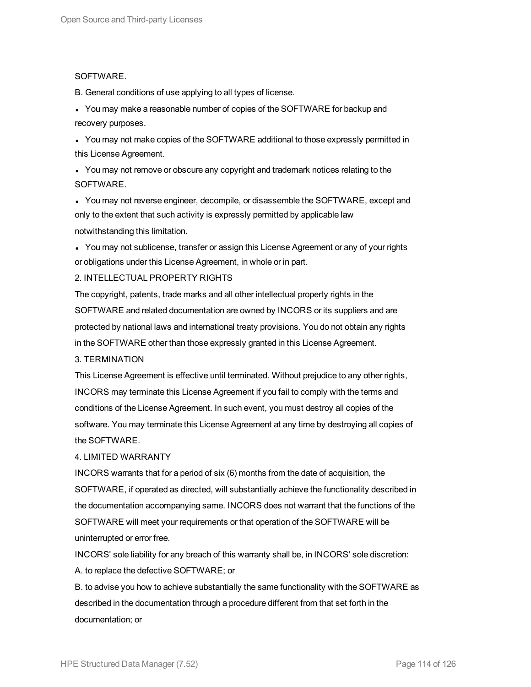# SOFTWARE.

B. General conditions of use applying to all types of license.

• You may make a reasonable number of copies of the SOFTWARE for backup and recovery purposes.

• You may not make copies of the SOFTWARE additional to those expressly permitted in this License Agreement.

• You may not remove or obscure any copyright and trademark notices relating to the SOFTWARE.

• You may not reverse engineer, decompile, or disassemble the SOFTWARE, except and only to the extent that such activity is expressly permitted by applicable law notwithstanding this limitation.

• You may not sublicense, transfer or assign this License Agreement or any of your rights or obligations under this License Agreement, in whole or in part.

2. INTELLECTUAL PROPERTY RIGHTS

The copyright, patents, trade marks and all other intellectual property rights in the SOFTWARE and related documentation are owned by INCORS or its suppliers and are protected by national laws and international treaty provisions. You do not obtain any rights in the SOFTWARE other than those expressly granted in this License Agreement.

3. TERMINATION

This License Agreement is effective until terminated. Without prejudice to any other rights, INCORS may terminate this License Agreement if you fail to comply with the terms and conditions of the License Agreement. In such event, you must destroy all copies of the software. You may terminate this License Agreement at any time by destroying all copies of the SOFTWARE.

### 4. LIMITED WARRANTY

INCORS warrants that for a period of six (6) months from the date of acquisition, the SOFTWARE, if operated as directed, will substantially achieve the functionality described in the documentation accompanying same. INCORS does not warrant that the functions of the SOFTWARE will meet your requirements or that operation of the SOFTWARE will be uninterrupted or error free.

INCORS' sole liability for any breach of this warranty shall be, in INCORS' sole discretion:

A. to replace the defective SOFTWARE; or

B. to advise you how to achieve substantially the same functionality with the SOFTWARE as described in the documentation through a procedure different from that set forth in the documentation; or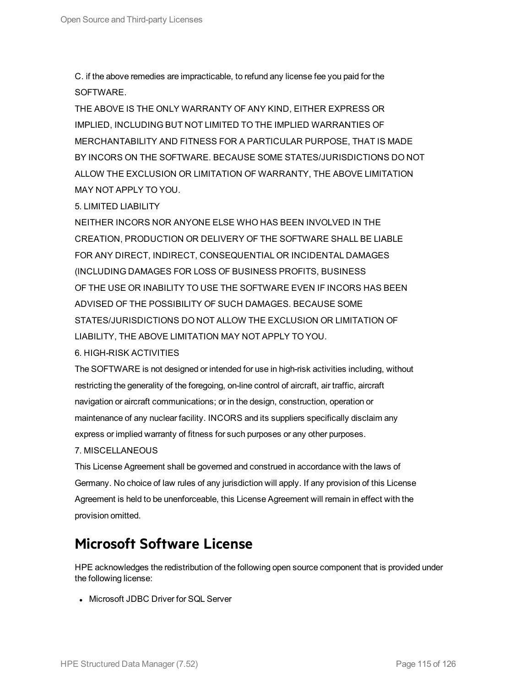C. if the above remedies are impracticable, to refund any license fee you paid for the SOFTWARE.

THE ABOVE IS THE ONLY WARRANTY OF ANY KIND, EITHER EXPRESS OR IMPLIED, INCLUDING BUT NOT LIMITED TO THE IMPLIED WARRANTIES OF MERCHANTABILITY AND FITNESS FOR A PARTICULAR PURPOSE, THAT IS MADE BY INCORS ON THE SOFTWARE. BECAUSE SOME STATES/JURISDICTIONS DO NOT ALLOW THE EXCLUSION OR LIMITATION OF WARRANTY, THE ABOVE LIMITATION MAY NOT APPLY TO YOU.

5. LIMITED LIABILITY

NEITHER INCORS NOR ANYONE ELSE WHO HAS BEEN INVOLVED IN THE CREATION, PRODUCTION OR DELIVERY OF THE SOFTWARE SHALL BE LIABLE FOR ANY DIRECT, INDIRECT, CONSEQUENTIAL OR INCIDENTAL DAMAGES (INCLUDING DAMAGES FOR LOSS OF BUSINESS PROFITS, BUSINESS OF THE USE OR INABILITY TO USE THE SOFTWARE EVEN IF INCORS HAS BEEN ADVISED OF THE POSSIBILITY OF SUCH DAMAGES. BECAUSE SOME STATES/JURISDICTIONS DO NOT ALLOW THE EXCLUSION OR LIMITATION OF LIABILITY, THE ABOVE LIMITATION MAY NOT APPLY TO YOU.

6. HIGH-RISK ACTIVITIES

The SOFTWARE is not designed or intended for use in high-risk activities including, without restricting the generality of the foregoing, on-line control of aircraft, air traffic, aircraft navigation or aircraft communications; or in the design, construction, operation or maintenance of any nuclear facility. INCORS and its suppliers specifically disclaim any express or implied warranty of fitness for such purposes or any other purposes.

# 7. MISCELLANEOUS

This License Agreement shall be governed and construed in accordance with the laws of Germany. No choice of law rules of any jurisdiction will apply. If any provision of this License Agreement is held to be unenforceable, this License Agreement will remain in effect with the provision omitted.

# **Microsoft Software License**

HPE acknowledges the redistribution of the following open source component that is provided under the following license:

**.** Microsoft JDBC Driver for SQL Server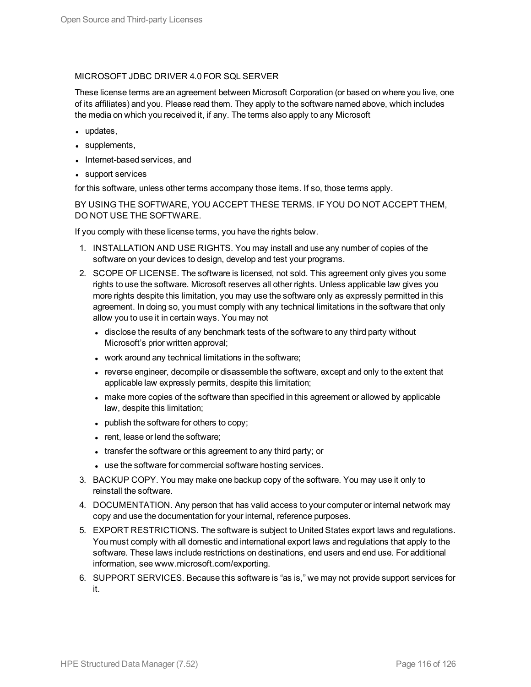# MICROSOFT JDBC DRIVER 4.0 FOR SQL SERVER

These license terms are an agreement between Microsoft Corporation (or based on where you live, one of its affiliates) and you. Please read them. They apply to the software named above, which includes the media on which you received it, if any. The terms also apply to any Microsoft

- updates,
- supplements,
- Internet-based services, and
- support services

for this software, unless other terms accompany those items. If so, those terms apply.

BY USING THE SOFTWARE, YOU ACCEPT THESE TERMS. IF YOU DO NOT ACCEPT THEM, DO NOT USE THE SOFTWARE.

If you comply with these license terms, you have the rights below.

- 1. INSTALLATION AND USE RIGHTS. You may install and use any number of copies of the software on your devices to design, develop and test your programs.
- 2. SCOPE OF LICENSE. The software is licensed, not sold. This agreement only gives you some rights to use the software. Microsoft reserves all other rights. Unless applicable law gives you more rights despite this limitation, you may use the software only as expressly permitted in this agreement. In doing so, you must comply with any technical limitations in the software that only allow you to use it in certain ways. You may not
	- disclose the results of any benchmark tests of the software to any third party without Microsoft's prior written approval;
	- work around any technical limitations in the software;
	- reverse engineer, decompile or disassemble the software, except and only to the extent that applicable law expressly permits, despite this limitation;
	- make more copies of the software than specified in this agreement or allowed by applicable law, despite this limitation;
	- publish the software for others to copy;
	- rent, lease or lend the software;
	- transfer the software or this agreement to any third party; or
	- . use the software for commercial software hosting services.
- 3. BACKUP COPY. You may make one backup copy of the software. You may use it only to reinstall the software.
- 4. DOCUMENTATION. Any person that has valid access to your computer or internal network may copy and use the documentation for your internal, reference purposes.
- 5. EXPORT RESTRICTIONS. The software is subject to United States export laws and regulations. You must comply with all domestic and international export laws and regulations that apply to the software. These laws include restrictions on destinations, end users and end use. For additional information, see www.microsoft.com/exporting.
- 6. SUPPORT SERVICES. Because this software is "as is," we may not provide support services for it.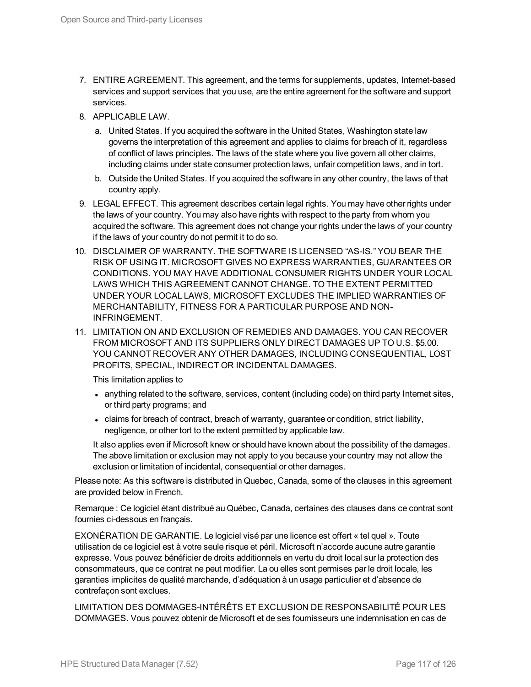- 7. ENTIRE AGREEMENT. This agreement, and the terms for supplements, updates, Internet-based services and support services that you use, are the entire agreement for the software and support services.
- 8. APPLICABLE LAW.
	- a. United States. If you acquired the software in the United States, Washington state law governs the interpretation of this agreement and applies to claims for breach of it, regardless of conflict of laws principles. The laws of the state where you live govern all other claims, including claims under state consumer protection laws, unfair competition laws, and in tort.
	- b. Outside the United States. If you acquired the software in any other country, the laws of that country apply.
- 9. LEGAL EFFECT. This agreement describes certain legal rights. You may have other rights under the laws of your country. You may also have rights with respect to the party from whom you acquired the software. This agreement does not change your rights under the laws of your country if the laws of your country do not permit it to do so.
- 10. DISCLAIMER OF WARRANTY. THE SOFTWARE IS LICENSED "AS-IS." YOU BEAR THE RISK OF USING IT. MICROSOFT GIVES NO EXPRESS WARRANTIES, GUARANTEES OR CONDITIONS. YOU MAY HAVE ADDITIONAL CONSUMER RIGHTS UNDER YOUR LOCAL LAWS WHICH THIS AGREEMENT CANNOT CHANGE. TO THE EXTENT PERMITTED UNDER YOUR LOCAL LAWS, MICROSOFT EXCLUDES THE IMPLIED WARRANTIES OF MERCHANTABILITY, FITNESS FOR A PARTICULAR PURPOSE AND NON-INFRINGEMENT.
- 11. LIMITATION ON AND EXCLUSION OF REMEDIES AND DAMAGES. YOU CAN RECOVER FROM MICROSOFT AND ITS SUPPLIERS ONLY DIRECT DAMAGES UP TO U.S. \$5.00. YOU CANNOT RECOVER ANY OTHER DAMAGES, INCLUDING CONSEQUENTIAL, LOST PROFITS, SPECIAL, INDIRECT OR INCIDENTAL DAMAGES.

This limitation applies to

- anything related to the software, services, content (including code) on third party Internet sites, or third party programs; and
- claims for breach of contract, breach of warranty, guarantee or condition, strict liability, negligence, or other tort to the extent permitted by applicable law.

It also applies even if Microsoft knew or should have known about the possibility of the damages. The above limitation or exclusion may not apply to you because your country may not allow the exclusion or limitation of incidental, consequential or other damages.

Please note: As this software is distributed in Quebec, Canada, some of the clauses in this agreement are provided below in French.

Remarque : Ce logiciel étant distribué au Québec, Canada, certaines des clauses dans ce contrat sont fournies ci-dessous en français.

EXONÉRATION DE GARANTIE. Le logiciel visé par une licence est offert « tel quel ». Toute utilisation de ce logiciel est à votre seule risque et péril. Microsoft n'accorde aucune autre garantie expresse. Vous pouvez bénéficier de droits additionnels en vertu du droit local sur la protection des consommateurs, que ce contrat ne peut modifier. La ou elles sont permises par le droit locale, les garanties implicites de qualité marchande, d'adéquation à un usage particulier et d'absence de contrefaçon sont exclues.

LIMITATION DES DOMMAGES-INTÉRÊTS ET EXCLUSION DE RESPONSABILITÉ POUR LES DOMMAGES. Vous pouvez obtenir de Microsoft et de ses fournisseurs une indemnisation en cas de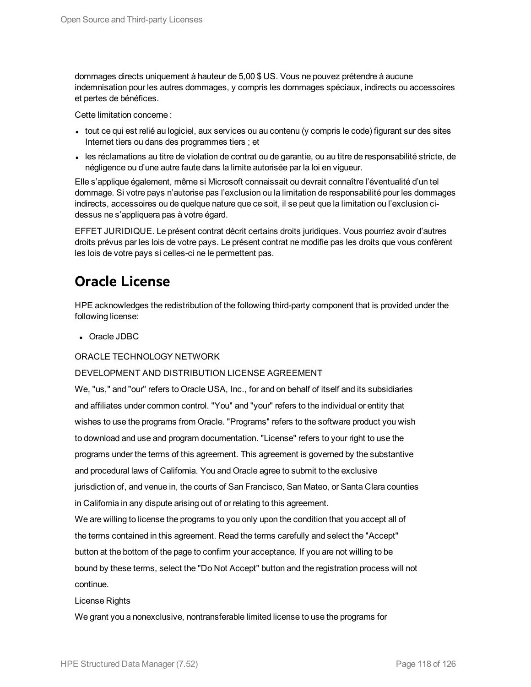dommages directs uniquement à hauteur de 5,00 \$ US. Vous ne pouvez prétendre à aucune indemnisation pour les autres dommages, y compris les dommages spéciaux, indirects ou accessoires et pertes de bénéfices.

Cette limitation concerne :

- tout ce qui est relié au logiciel, aux services ou au contenu (y compris le code) figurant sur des sites Internet tiers ou dans des programmes tiers ; et
- les réclamations au titre de violation de contrat ou de garantie, ou au titre de responsabilité stricte, de négligence ou d'une autre faute dans la limite autorisée par la loi en vigueur.

Elle s'applique également, même si Microsoft connaissait ou devrait connaître l'éventualité d'un tel dommage. Si votre pays n'autorise pas l'exclusion ou la limitation de responsabilité pour les dommages indirects, accessoires ou de quelque nature que ce soit, il se peut que la limitation ou l'exclusion cidessus ne s'appliquera pas à votre égard.

EFFET JURIDIQUE. Le présent contrat décrit certains droits juridiques. Vous pourriez avoir d'autres droits prévus par les lois de votre pays. Le présent contrat ne modifie pas les droits que vous confèrent les lois de votre pays si celles-ci ne le permettent pas.

# **Oracle License**

HPE acknowledges the redistribution of the following third-party component that is provided under the following license:

• Oracle JDBC

# ORACLE TECHNOLOGY NETWORK

# DEVELOPMENT AND DISTRIBUTION LICENSE AGREEMENT

We, "us," and "our" refers to Oracle USA, Inc., for and on behalf of itself and its subsidiaries and affiliates under common control. "You" and "your" refers to the individual or entity that wishes to use the programs from Oracle. "Programs" refers to the software product you wish to download and use and program documentation. "License" refers to your right to use the programs under the terms of this agreement. This agreement is governed by the substantive and procedural laws of California. You and Oracle agree to submit to the exclusive jurisdiction of, and venue in, the courts of San Francisco, San Mateo, or Santa Clara counties in California in any dispute arising out of or relating to this agreement.

We are willing to license the programs to you only upon the condition that you accept all of the terms contained in this agreement. Read the terms carefully and select the "Accept" button at the bottom of the page to confirm your acceptance. If you are not willing to be bound by these terms, select the "Do Not Accept" button and the registration process will not continue.

# License Rights

We grant you a nonexclusive, nontransferable limited license to use the programs for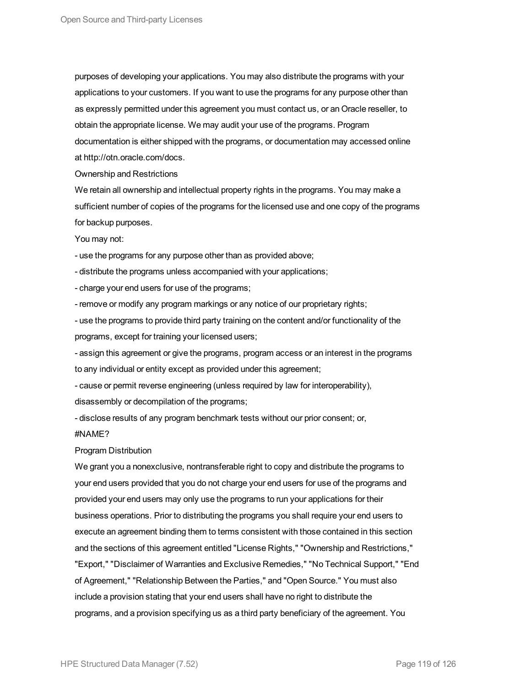purposes of developing your applications. You may also distribute the programs with your applications to your customers. If you want to use the programs for any purpose other than as expressly permitted under this agreement you must contact us, or an Oracle reseller, to obtain the appropriate license. We may audit your use of the programs. Program documentation is either shipped with the programs, or documentation may accessed online at http://otn.oracle.com/docs.

Ownership and Restrictions

We retain all ownership and intellectual property rights in the programs. You may make a sufficient number of copies of the programs for the licensed use and one copy of the programs for backup purposes.

You may not:

- use the programs for any purpose other than as provided above;

- distribute the programs unless accompanied with your applications;

- charge your end users for use of the programs;

- remove or modify any program markings or any notice of our proprietary rights;

- use the programs to provide third party training on the content and/or functionality of the programs, except for training your licensed users;

- assign this agreement or give the programs, program access or an interest in the programs to any individual or entity except as provided under this agreement;

- cause or permit reverse engineering (unless required by law for interoperability),

disassembly or decompilation of the programs;

- disclose results of any program benchmark tests without our prior consent; or,

#### #NAME?

### Program Distribution

We grant you a nonexclusive, nontransferable right to copy and distribute the programs to your end users provided that you do not charge your end users for use of the programs and provided your end users may only use the programs to run your applications for their business operations. Prior to distributing the programs you shall require your end users to execute an agreement binding them to terms consistent with those contained in this section and the sections of this agreement entitled "License Rights," "Ownership and Restrictions," "Export," "Disclaimer of Warranties and Exclusive Remedies," "No Technical Support," "End of Agreement," "Relationship Between the Parties," and "Open Source." You must also include a provision stating that your end users shall have no right to distribute the programs, and a provision specifying us as a third party beneficiary of the agreement. You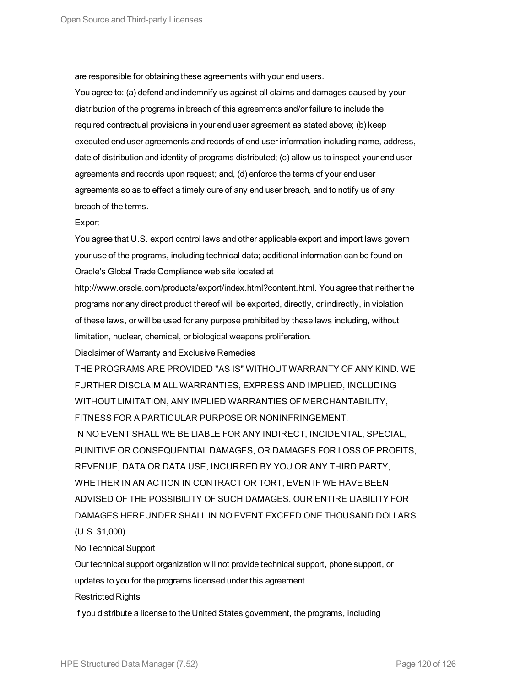are responsible for obtaining these agreements with your end users.

You agree to: (a) defend and indemnify us against all claims and damages caused by your distribution of the programs in breach of this agreements and/or failure to include the required contractual provisions in your end user agreement as stated above; (b) keep executed end user agreements and records of end user information including name, address, date of distribution and identity of programs distributed; (c) allow us to inspect your end user agreements and records upon request; and, (d) enforce the terms of your end user agreements so as to effect a timely cure of any end user breach, and to notify us of any breach of the terms.

### Export

You agree that U.S. export control laws and other applicable export and import laws govern your use of the programs, including technical data; additional information can be found on Oracle's Global Trade Compliance web site located at

http://www.oracle.com/products/export/index.html?content.html. You agree that neither the programs nor any direct product thereof will be exported, directly, or indirectly, in violation of these laws, or will be used for any purpose prohibited by these laws including, without limitation, nuclear, chemical, or biological weapons proliferation.

Disclaimer of Warranty and Exclusive Remedies

THE PROGRAMS ARE PROVIDED "AS IS" WITHOUT WARRANTY OF ANY KIND. WE FURTHER DISCLAIM ALL WARRANTIES, EXPRESS AND IMPLIED, INCLUDING WITHOUT LIMITATION, ANY IMPLIED WARRANTIES OF MERCHANTABILITY, FITNESS FOR A PARTICULAR PURPOSE OR NONINFRINGEMENT. IN NO EVENT SHALL WE BE LIABLE FOR ANY INDIRECT, INCIDENTAL, SPECIAL, PUNITIVE OR CONSEQUENTIAL DAMAGES, OR DAMAGES FOR LOSS OF PROFITS, REVENUE, DATA OR DATA USE, INCURRED BY YOU OR ANY THIRD PARTY, WHETHER IN AN ACTION IN CONTRACT OR TORT, EVEN IF WE HAVE BEEN ADVISED OF THE POSSIBILITY OF SUCH DAMAGES. OUR ENTIRE LIABILITY FOR DAMAGES HEREUNDER SHALL IN NO EVENT EXCEED ONE THOUSAND DOLLARS (U.S. \$1,000).

No Technical Support

Our technical support organization will not provide technical support, phone support, or updates to you for the programs licensed under this agreement.

Restricted Rights

If you distribute a license to the United States government, the programs, including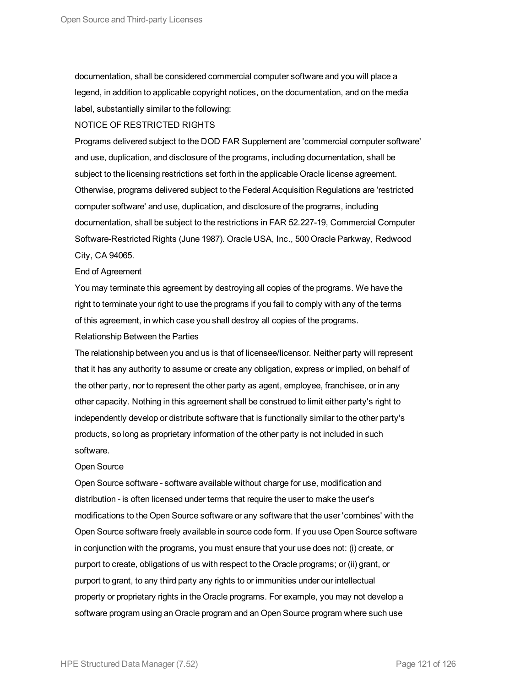documentation, shall be considered commercial computer software and you will place a legend, in addition to applicable copyright notices, on the documentation, and on the media label, substantially similar to the following:

# NOTICE OF RESTRICTED RIGHTS

Programs delivered subject to the DOD FAR Supplement are 'commercial computer software' and use, duplication, and disclosure of the programs, including documentation, shall be subject to the licensing restrictions set forth in the applicable Oracle license agreement. Otherwise, programs delivered subject to the Federal Acquisition Regulations are 'restricted computer software' and use, duplication, and disclosure of the programs, including documentation, shall be subject to the restrictions in FAR 52.227-19, Commercial Computer Software-Restricted Rights (June 1987). Oracle USA, Inc., 500 Oracle Parkway, Redwood City, CA 94065.

# End of Agreement

You may terminate this agreement by destroying all copies of the programs. We have the right to terminate your right to use the programs if you fail to comply with any of the terms of this agreement, in which case you shall destroy all copies of the programs.

Relationship Between the Parties

The relationship between you and us is that of licensee/licensor. Neither party will represent that it has any authority to assume or create any obligation, express or implied, on behalf of the other party, nor to represent the other party as agent, employee, franchisee, or in any other capacity. Nothing in this agreement shall be construed to limit either party's right to independently develop or distribute software that is functionally similar to the other party's products, so long as proprietary information of the other party is not included in such software.

### Open Source

Open Source software - software available without charge for use, modification and distribution - is often licensed under terms that require the user to make the user's modifications to the Open Source software or any software that the user 'combines' with the Open Source software freely available in source code form. If you use Open Source software in conjunction with the programs, you must ensure that your use does not: (i) create, or purport to create, obligations of us with respect to the Oracle programs; or (ii) grant, or purport to grant, to any third party any rights to or immunities under our intellectual property or proprietary rights in the Oracle programs. For example, you may not develop a software program using an Oracle program and an Open Source program where such use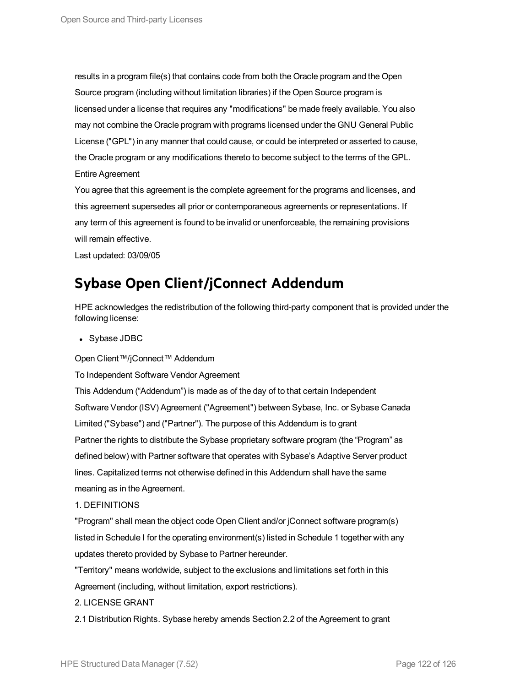results in a program file(s) that contains code from both the Oracle program and the Open Source program (including without limitation libraries) if the Open Source program is licensed under a license that requires any "modifications" be made freely available. You also may not combine the Oracle program with programs licensed under the GNU General Public License ("GPL") in any manner that could cause, or could be interpreted or asserted to cause, the Oracle program or any modifications thereto to become subject to the terms of the GPL. Entire Agreement

You agree that this agreement is the complete agreement for the programs and licenses, and this agreement supersedes all prior or contemporaneous agreements or representations. If any term of this agreement is found to be invalid or unenforceable, the remaining provisions will remain effective.

Last updated: 03/09/05

# **Sybase Open Client/jConnect Addendum**

HPE acknowledges the redistribution of the following third-party component that is provided under the following license:

• Sybase JDBC

Open Client™/jConnect™ Addendum

To Independent Software Vendor Agreement

This Addendum ("Addendum") is made as of the day of to that certain Independent Software Vendor (ISV) Agreement ("Agreement") between Sybase, Inc. or Sybase Canada Limited ("Sybase") and ("Partner"). The purpose of this Addendum is to grant Partner the rights to distribute the Sybase proprietary software program (the "Program" as defined below) with Partner software that operates with Sybase's Adaptive Server product lines. Capitalized terms not otherwise defined in this Addendum shall have the same meaning as in the Agreement.

### 1. DEFINITIONS

"Program" shall mean the object code Open Client and/or jConnect software program(s) listed in Schedule I for the operating environment(s) listed in Schedule 1 together with any updates thereto provided by Sybase to Partner hereunder.

"Territory" means worldwide, subject to the exclusions and limitations set forth in this Agreement (including, without limitation, export restrictions).

2. LICENSE GRANT

2.1 Distribution Rights. Sybase hereby amends Section 2.2 of the Agreement to grant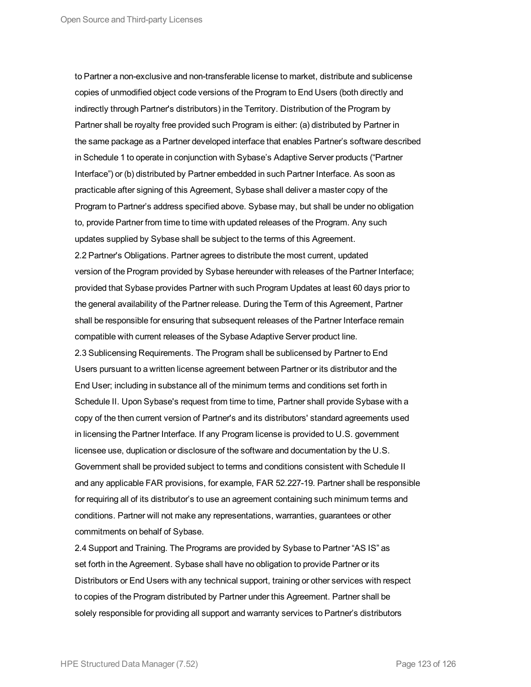to Partner a non-exclusive and non-transferable license to market, distribute and sublicense copies of unmodified object code versions of the Program to End Users (both directly and indirectly through Partner's distributors) in the Territory. Distribution of the Program by Partner shall be royalty free provided such Program is either: (a) distributed by Partner in the same package as a Partner developed interface that enables Partner's software described in Schedule 1 to operate in conjunction with Sybase's Adaptive Server products ("Partner Interface") or (b) distributed by Partner embedded in such Partner Interface. As soon as practicable after signing of this Agreement, Sybase shall deliver a master copy of the Program to Partner's address specified above. Sybase may, but shall be under no obligation to, provide Partner from time to time with updated releases of the Program. Any such updates supplied by Sybase shall be subject to the terms of this Agreement. 2.2 Partner's Obligations. Partner agrees to distribute the most current, updated version of the Program provided by Sybase hereunder with releases of the Partner Interface; provided that Sybase provides Partner with such Program Updates at least 60 days prior to the general availability of the Partner release. During the Term of this Agreement, Partner shall be responsible for ensuring that subsequent releases of the Partner Interface remain compatible with current releases of the Sybase Adaptive Server product line. 2.3 Sublicensing Requirements. The Program shall be sublicensed by Partner to End Users pursuant to a written license agreement between Partner or its distributor and the End User; including in substance all of the minimum terms and conditions set forth in Schedule II. Upon Sybase's request from time to time, Partner shall provide Sybase with a copy of the then current version of Partner's and its distributors' standard agreements used in licensing the Partner Interface. If any Program license is provided to U.S. government licensee use, duplication or disclosure of the software and documentation by the U.S. Government shall be provided subject to terms and conditions consistent with Schedule II and any applicable FAR provisions, for example, FAR 52.227-19. Partner shall be responsible for requiring all of its distributor's to use an agreement containing such minimum terms and conditions. Partner will not make any representations, warranties, guarantees or other commitments on behalf of Sybase.

2.4 Support and Training. The Programs are provided by Sybase to Partner "AS IS" as set forth in the Agreement. Sybase shall have no obligation to provide Partner or its Distributors or End Users with any technical support, training or other services with respect to copies of the Program distributed by Partner under this Agreement. Partner shall be solely responsible for providing all support and warranty services to Partner's distributors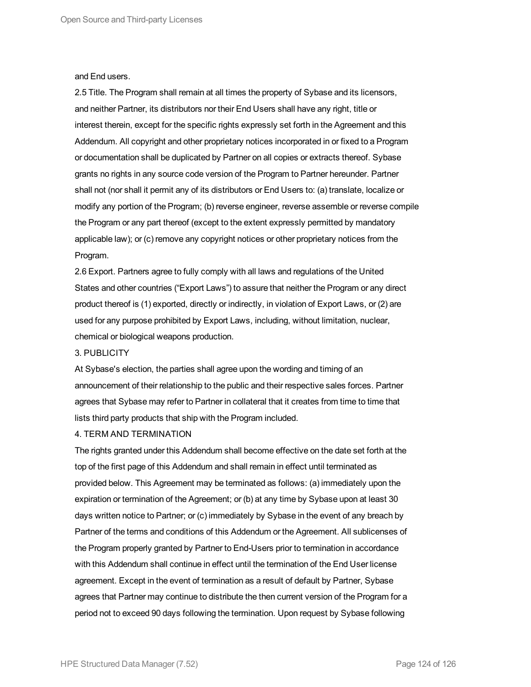and End users.

2.5 Title. The Program shall remain at all times the property of Sybase and its licensors, and neither Partner, its distributors nor their End Users shall have any right, title or interest therein, except for the specific rights expressly set forth in the Agreement and this Addendum. All copyright and other proprietary notices incorporated in or fixed to a Program or documentation shall be duplicated by Partner on all copies or extracts thereof. Sybase grants no rights in any source code version of the Program to Partner hereunder. Partner shall not (nor shall it permit any of its distributors or End Users to: (a) translate, localize or modify any portion of the Program; (b) reverse engineer, reverse assemble or reverse compile the Program or any part thereof (except to the extent expressly permitted by mandatory applicable law); or (c) remove any copyright notices or other proprietary notices from the Program.

2.6 Export. Partners agree to fully comply with all laws and regulations of the United States and other countries ("Export Laws") to assure that neither the Program or any direct product thereof is (1) exported, directly or indirectly, in violation of Export Laws, or (2) are used for any purpose prohibited by Export Laws, including, without limitation, nuclear, chemical or biological weapons production.

### 3. PUBLICITY

At Sybase's election, the parties shall agree upon the wording and timing of an announcement of their relationship to the public and their respective sales forces. Partner agrees that Sybase may refer to Partner in collateral that it creates from time to time that lists third party products that ship with the Program included.

### 4. TERM AND TERMINATION

The rights granted under this Addendum shall become effective on the date set forth at the top of the first page of this Addendum and shall remain in effect until terminated as provided below. This Agreement may be terminated as follows: (a) immediately upon the expiration or termination of the Agreement; or (b) at any time by Sybase upon at least 30 days written notice to Partner; or (c) immediately by Sybase in the event of any breach by Partner of the terms and conditions of this Addendum or the Agreement. All sublicenses of the Program properly granted by Partner to End-Users prior to termination in accordance with this Addendum shall continue in effect until the termination of the End User license agreement. Except in the event of termination as a result of default by Partner, Sybase agrees that Partner may continue to distribute the then current version of the Program for a period not to exceed 90 days following the termination. Upon request by Sybase following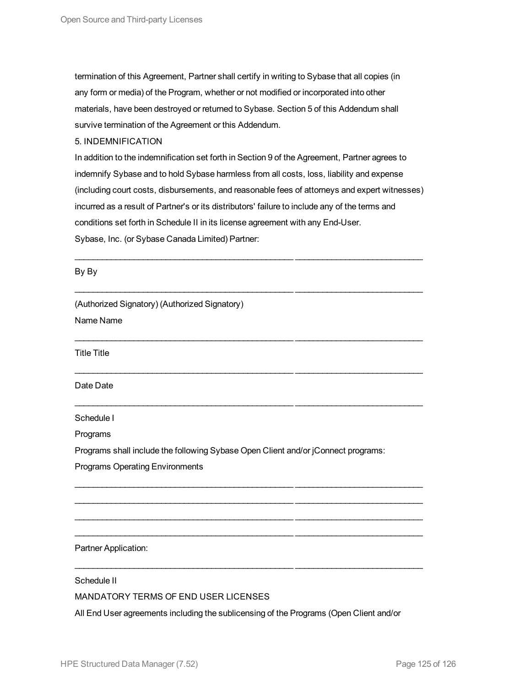termination of this Agreement, Partner shall certify in writing to Sybase that all copies (in any form or media) of the Program, whether or not modified or incorporated into other materials, have been destroyed or returned to Sybase. Section 5 of this Addendum shall survive termination of the Agreement or this Addendum.

#### 5. INDEMNIFICATION

In addition to the indemnification set forth in Section 9 of the Agreement, Partner agrees to indemnify Sybase and to hold Sybase harmless from all costs, loss, liability and expense (including court costs, disbursements, and reasonable fees of attorneys and expert witnesses) incurred as a result of Partner's or its distributors' failure to include any of the terms and conditions set forth in Schedule II in its license agreement with any End-User. Sybase, Inc. (or Sybase Canada Limited) Partner:

\_\_\_\_\_\_\_\_\_\_\_\_\_\_\_\_\_\_\_\_\_\_\_\_\_\_\_\_\_\_\_\_\_\_\_\_\_\_\_\_\_\_\_\_\_\_\_\_ \_\_\_\_\_\_\_\_\_\_\_\_\_\_\_\_\_\_\_\_\_\_\_\_\_\_\_\_

\_\_\_\_\_\_\_\_\_\_\_\_\_\_\_\_\_\_\_\_\_\_\_\_\_\_\_\_\_\_\_\_\_\_\_\_\_\_\_\_\_\_\_\_\_\_\_\_ \_\_\_\_\_\_\_\_\_\_\_\_\_\_\_\_\_\_\_\_\_\_\_\_\_\_\_\_

\_\_\_\_\_\_\_\_\_\_\_\_\_\_\_\_\_\_\_\_\_\_\_\_\_\_\_\_\_\_\_\_\_\_\_\_\_\_\_\_\_\_\_\_\_\_\_\_ \_\_\_\_\_\_\_\_\_\_\_\_\_\_\_\_\_\_\_\_\_\_\_\_\_\_\_\_

\_\_\_\_\_\_\_\_\_\_\_\_\_\_\_\_\_\_\_\_\_\_\_\_\_\_\_\_\_\_\_\_\_\_\_\_\_\_\_\_\_\_\_\_\_\_\_\_ \_\_\_\_\_\_\_\_\_\_\_\_\_\_\_\_\_\_\_\_\_\_\_\_\_\_\_\_

\_\_\_\_\_\_\_\_\_\_\_\_\_\_\_\_\_\_\_\_\_\_\_\_\_\_\_\_\_\_\_\_\_\_\_\_\_\_\_\_\_\_\_\_\_\_\_\_ \_\_\_\_\_\_\_\_\_\_\_\_\_\_\_\_\_\_\_\_\_\_\_\_\_\_\_\_

\_\_\_\_\_\_\_\_\_\_\_\_\_\_\_\_\_\_\_\_\_\_\_\_\_\_\_\_\_\_\_\_\_\_\_\_\_\_\_\_\_\_\_\_\_\_\_\_ \_\_\_\_\_\_\_\_\_\_\_\_\_\_\_\_\_\_\_\_\_\_\_\_\_\_\_\_ \_\_\_\_\_\_\_\_\_\_\_\_\_\_\_\_\_\_\_\_\_\_\_\_\_\_\_\_\_\_\_\_\_\_\_\_\_\_\_\_\_\_\_\_\_\_\_\_ \_\_\_\_\_\_\_\_\_\_\_\_\_\_\_\_\_\_\_\_\_\_\_\_\_\_\_\_ \_\_\_\_\_\_\_\_\_\_\_\_\_\_\_\_\_\_\_\_\_\_\_\_\_\_\_\_\_\_\_\_\_\_\_\_\_\_\_\_\_\_\_\_\_\_\_\_ \_\_\_\_\_\_\_\_\_\_\_\_\_\_\_\_\_\_\_\_\_\_\_\_\_\_\_\_ \_\_\_\_\_\_\_\_\_\_\_\_\_\_\_\_\_\_\_\_\_\_\_\_\_\_\_\_\_\_\_\_\_\_\_\_\_\_\_\_\_\_\_\_\_\_\_\_ \_\_\_\_\_\_\_\_\_\_\_\_\_\_\_\_\_\_\_\_\_\_\_\_\_\_\_\_

\_\_\_\_\_\_\_\_\_\_\_\_\_\_\_\_\_\_\_\_\_\_\_\_\_\_\_\_\_\_\_\_\_\_\_\_\_\_\_\_\_\_\_\_\_\_\_\_ \_\_\_\_\_\_\_\_\_\_\_\_\_\_\_\_\_\_\_\_\_\_\_\_\_\_\_\_

# By By

(Authorized Signatory) (Authorized Signatory)

Name Name

Title Title

Date Date

Schedule I

Programs

Programs shall include the following Sybase Open Client and/or jConnect programs:

Programs Operating Environments

Partner Application:

Schedule II

MANDATORY TERMS OF END USER LICENSES

All End User agreements including the sublicensing of the Programs (Open Client and/or